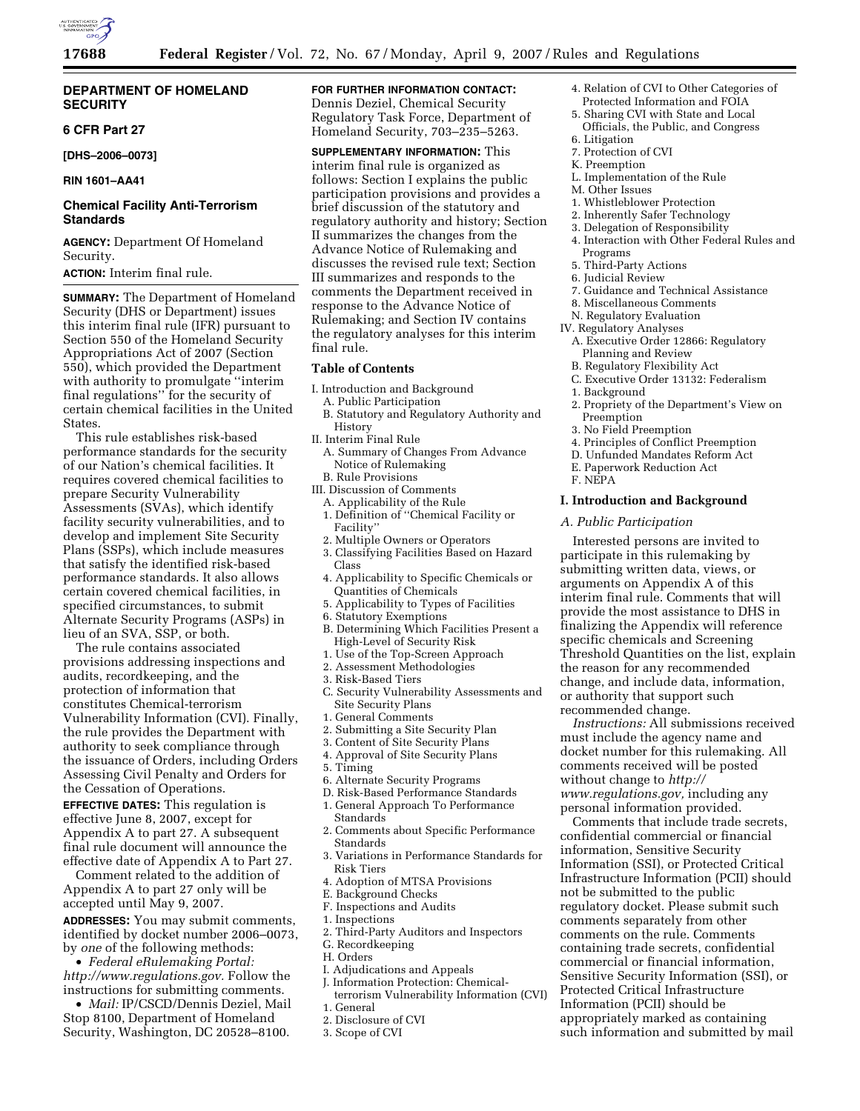

# **DEPARTMENT OF HOMELAND SECURITY**

# **6 CFR Part 27**

**[DHS–2006–0073]** 

**RIN 1601–AA41** 

# **Chemical Facility Anti-Terrorism Standards**

**AGENCY:** Department Of Homeland Security.

**ACTION:** Interim final rule.

**SUMMARY:** The Department of Homeland Security (DHS or Department) issues this interim final rule (IFR) pursuant to Section 550 of the Homeland Security Appropriations Act of 2007 (Section 550), which provided the Department with authority to promulgate ''interim final regulations'' for the security of certain chemical facilities in the United States.

This rule establishes risk-based performance standards for the security of our Nation's chemical facilities. It requires covered chemical facilities to prepare Security Vulnerability Assessments (SVAs), which identify facility security vulnerabilities, and to develop and implement Site Security Plans (SSPs), which include measures that satisfy the identified risk-based performance standards. It also allows certain covered chemical facilities, in specified circumstances, to submit Alternate Security Programs (ASPs) in lieu of an SVA, SSP, or both.

The rule contains associated provisions addressing inspections and audits, recordkeeping, and the protection of information that constitutes Chemical-terrorism Vulnerability Information (CVI). Finally, the rule provides the Department with authority to seek compliance through the issuance of Orders, including Orders Assessing Civil Penalty and Orders for the Cessation of Operations.

**EFFECTIVE DATES:** This regulation is effective June 8, 2007, except for Appendix A to part 27. A subsequent final rule document will announce the effective date of Appendix A to Part 27.

Comment related to the addition of Appendix A to part 27 only will be accepted until May 9, 2007.

**ADDRESSES:** You may submit comments, identified by docket number 2006–0073, by *one* of the following methods:

• *Federal eRulemaking Portal: http://www.regulations.gov.* Follow the instructions for submitting comments.

• *Mail:* IP/CSCD/Dennis Deziel, Mail Stop 8100, Department of Homeland Security, Washington, DC 20528–8100.

# **FOR FURTHER INFORMATION CONTACT:**

Dennis Deziel, Chemical Security Regulatory Task Force, Department of Homeland Security, 703–235–5263.

**SUPPLEMENTARY INFORMATION:** This interim final rule is organized as follows: Section I explains the public participation provisions and provides a brief discussion of the statutory and regulatory authority and history; Section II summarizes the changes from the Advance Notice of Rulemaking and discusses the revised rule text; Section III summarizes and responds to the comments the Department received in response to the Advance Notice of Rulemaking; and Section IV contains the regulatory analyses for this interim final rule.

#### **Table of Contents**

- I. Introduction and Background
- A. Public Participation
- B. Statutory and Regulatory Authority and History
- II. Interim Final Rule
- A. Summary of Changes From Advance Notice of Rulemaking
- B. Rule Provisions
- III. Discussion of Comments
- A. Applicability of the Rule
- 1. Definition of ''Chemical Facility or Facility''
- 2. Multiple Owners or Operators
- 3. Classifying Facilities Based on Hazard Class
- 4. Applicability to Specific Chemicals or Quantities of Chemicals
- 5. Applicability to Types of Facilities
- 6. Statutory Exemptions
- B. Determining Which Facilities Present a High-Level of Security Risk
- 1. Use of the Top-Screen Approach
- 2. Assessment Methodologies
- 3. Risk-Based Tiers
- C. Security Vulnerability Assessments and Site Security Plans
- 1. General Comments
- 2. Submitting a Site Security Plan
- 3. Content of Site Security Plans
- 4. Approval of Site Security Plans
- 5. Timing
- 6. Alternate Security Programs
- D. Risk-Based Performance Standards
- 1. General Approach To Performance Standards
- 2. Comments about Specific Performance Standards
- 3. Variations in Performance Standards for Risk Tiers
- 4. Adoption of MTSA Provisions
- E. Background Checks
- F. Inspections and Audits
- 1. Inspections
- 2. Third-Party Auditors and Inspectors
- G. Recordkeeping
- H. Orders
- I. Adjudications and Appeals
- J. Information Protection: Chemical-
- terrorism Vulnerability Information (CVI) 1. General
- 
- 2. Disclosure of CVI
- 3. Scope of CVI
- 4. Relation of CVI to Other Categories of Protected Information and FOIA
- 5. Sharing CVI with State and Local Officials, the Public, and Congress
- 6. Litigation
- 7. Protection of CVI
- K. Preemption
- L. Implementation of the Rule
- M. Other Issues
- 1. Whistleblower Protection
- 2. Inherently Safer Technology
- 3. Delegation of Responsibility
- 4. Interaction with Other Federal Rules and Programs
- 5. Third-Party Actions
- 6. Judicial Review
- 7. Guidance and Technical Assistance
- 8. Miscellaneous Comments
- N. Regulatory Evaluation
- IV. Regulatory Analyses
	- A. Executive Order 12866: Regulatory Planning and Review
	- B. Regulatory Flexibility Act
	- C. Executive Order 13132: Federalism
	- 1. Background
	- 2. Propriety of the Department's View on Preemption
	- 3. No Field Preemption
	- 4. Principles of Conflict Preemption
	- D. Unfunded Mandates Reform Act
	- E. Paperwork Reduction Act
	- F. NEPA

### **I. Introduction and Background**

## *A. Public Participation*

Interested persons are invited to participate in this rulemaking by submitting written data, views, or arguments on Appendix A of this interim final rule. Comments that will provide the most assistance to DHS in finalizing the Appendix will reference specific chemicals and Screening Threshold Quantities on the list, explain the reason for any recommended change, and include data, information, or authority that support such recommended change.

*Instructions:* All submissions received must include the agency name and docket number for this rulemaking. All comments received will be posted without change to *http:// www.regulations.gov,* including any personal information provided.

Comments that include trade secrets, confidential commercial or financial information, Sensitive Security Information (SSI), or Protected Critical Infrastructure Information (PCII) should not be submitted to the public regulatory docket. Please submit such comments separately from other comments on the rule. Comments containing trade secrets, confidential commercial or financial information, Sensitive Security Information (SSI), or Protected Critical Infrastructure Information (PCII) should be appropriately marked as containing such information and submitted by mail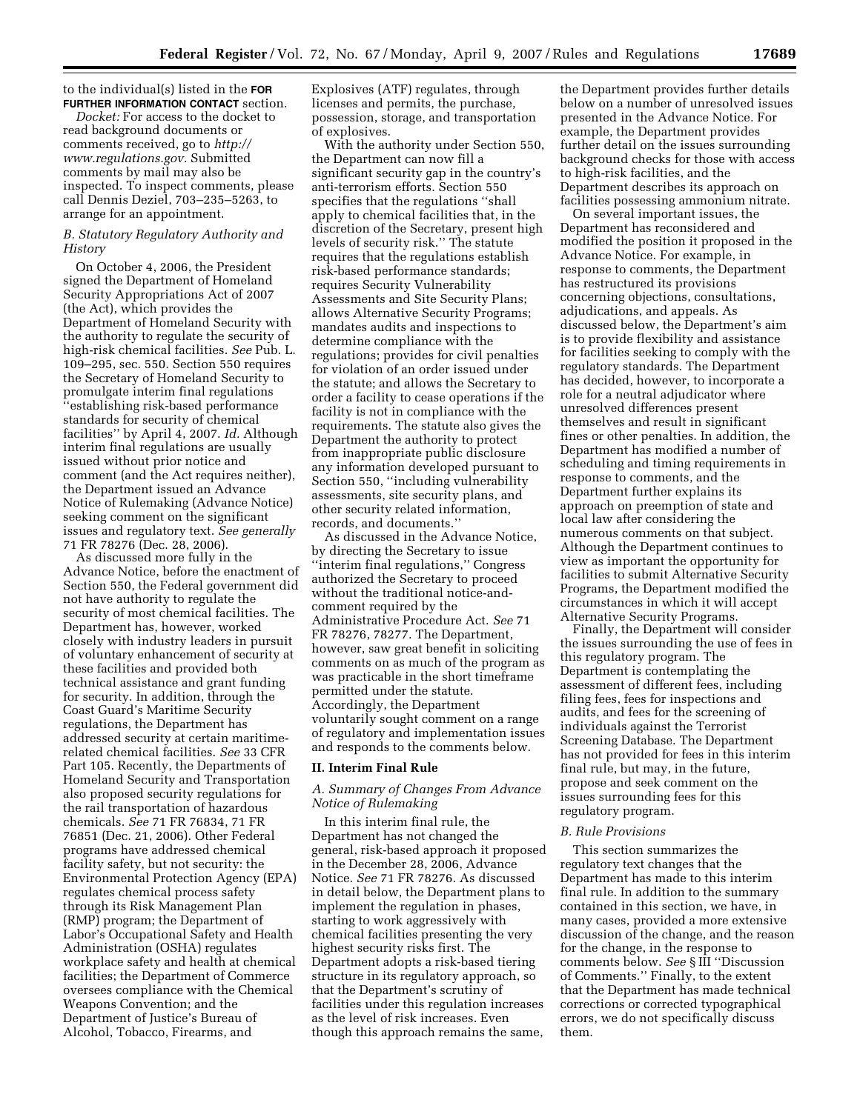to the individual(s) listed in the **FOR FURTHER INFORMATION CONTACT** section.

*Docket:* For access to the docket to read background documents or comments received, go to *http:// www.regulations.gov.* Submitted comments by mail may also be inspected. To inspect comments, please call Dennis Deziel, 703–235–5263, to arrange for an appointment.

## *B. Statutory Regulatory Authority and History*

On October 4, 2006, the President signed the Department of Homeland Security Appropriations Act of 2007 (the Act), which provides the Department of Homeland Security with the authority to regulate the security of high-risk chemical facilities. *See* Pub. L. 109–295, sec. 550. Section 550 requires the Secretary of Homeland Security to promulgate interim final regulations ''establishing risk-based performance standards for security of chemical facilities'' by April 4, 2007. *Id.* Although interim final regulations are usually issued without prior notice and comment (and the Act requires neither), the Department issued an Advance Notice of Rulemaking (Advance Notice) seeking comment on the significant issues and regulatory text. *See generally*  71 FR 78276 (Dec. 28, 2006).

As discussed more fully in the Advance Notice, before the enactment of Section 550, the Federal government did not have authority to regulate the security of most chemical facilities. The Department has, however, worked closely with industry leaders in pursuit of voluntary enhancement of security at these facilities and provided both technical assistance and grant funding for security. In addition, through the Coast Guard's Maritime Security regulations, the Department has addressed security at certain maritimerelated chemical facilities. *See* 33 CFR Part 105. Recently, the Departments of Homeland Security and Transportation also proposed security regulations for the rail transportation of hazardous chemicals. *See* 71 FR 76834, 71 FR 76851 (Dec. 21, 2006). Other Federal programs have addressed chemical facility safety, but not security: the Environmental Protection Agency (EPA) regulates chemical process safety through its Risk Management Plan (RMP) program; the Department of Labor's Occupational Safety and Health Administration (OSHA) regulates workplace safety and health at chemical facilities; the Department of Commerce oversees compliance with the Chemical Weapons Convention; and the Department of Justice's Bureau of Alcohol, Tobacco, Firearms, and

Explosives (ATF) regulates, through licenses and permits, the purchase, possession, storage, and transportation of explosives.

With the authority under Section 550, the Department can now fill a significant security gap in the country's anti-terrorism efforts. Section 550 specifies that the regulations ''shall apply to chemical facilities that, in the discretion of the Secretary, present high levels of security risk.'' The statute requires that the regulations establish risk-based performance standards; requires Security Vulnerability Assessments and Site Security Plans; allows Alternative Security Programs; mandates audits and inspections to determine compliance with the regulations; provides for civil penalties for violation of an order issued under the statute; and allows the Secretary to order a facility to cease operations if the facility is not in compliance with the requirements. The statute also gives the Department the authority to protect from inappropriate public disclosure any information developed pursuant to Section 550, ''including vulnerability assessments, site security plans, and other security related information, records, and documents.''

As discussed in the Advance Notice, by directing the Secretary to issue ''interim final regulations,'' Congress authorized the Secretary to proceed without the traditional notice-andcomment required by the Administrative Procedure Act. *See* 71 FR 78276, 78277. The Department, however, saw great benefit in soliciting comments on as much of the program as was practicable in the short timeframe permitted under the statute. Accordingly, the Department voluntarily sought comment on a range of regulatory and implementation issues and responds to the comments below.

#### **II. Interim Final Rule**

# *A. Summary of Changes From Advance Notice of Rulemaking*

In this interim final rule, the Department has not changed the general, risk-based approach it proposed in the December 28, 2006, Advance Notice. *See* 71 FR 78276. As discussed in detail below, the Department plans to implement the regulation in phases, starting to work aggressively with chemical facilities presenting the very highest security risks first. The Department adopts a risk-based tiering structure in its regulatory approach, so that the Department's scrutiny of facilities under this regulation increases as the level of risk increases. Even though this approach remains the same,

the Department provides further details below on a number of unresolved issues presented in the Advance Notice. For example, the Department provides further detail on the issues surrounding background checks for those with access to high-risk facilities, and the Department describes its approach on facilities possessing ammonium nitrate.

On several important issues, the Department has reconsidered and modified the position it proposed in the Advance Notice. For example, in response to comments, the Department has restructured its provisions concerning objections, consultations, adjudications, and appeals. As discussed below, the Department's aim is to provide flexibility and assistance for facilities seeking to comply with the regulatory standards. The Department has decided, however, to incorporate a role for a neutral adjudicator where unresolved differences present themselves and result in significant fines or other penalties. In addition, the Department has modified a number of scheduling and timing requirements in response to comments, and the Department further explains its approach on preemption of state and local law after considering the numerous comments on that subject. Although the Department continues to view as important the opportunity for facilities to submit Alternative Security Programs, the Department modified the circumstances in which it will accept Alternative Security Programs.

Finally, the Department will consider the issues surrounding the use of fees in this regulatory program. The Department is contemplating the assessment of different fees, including filing fees, fees for inspections and audits, and fees for the screening of individuals against the Terrorist Screening Database. The Department has not provided for fees in this interim final rule, but may, in the future, propose and seek comment on the issues surrounding fees for this regulatory program.

### *B. Rule Provisions*

This section summarizes the regulatory text changes that the Department has made to this interim final rule. In addition to the summary contained in this section, we have, in many cases, provided a more extensive discussion of the change, and the reason for the change, in the response to comments below. *See* § III ''Discussion of Comments.'' Finally, to the extent that the Department has made technical corrections or corrected typographical errors, we do not specifically discuss them.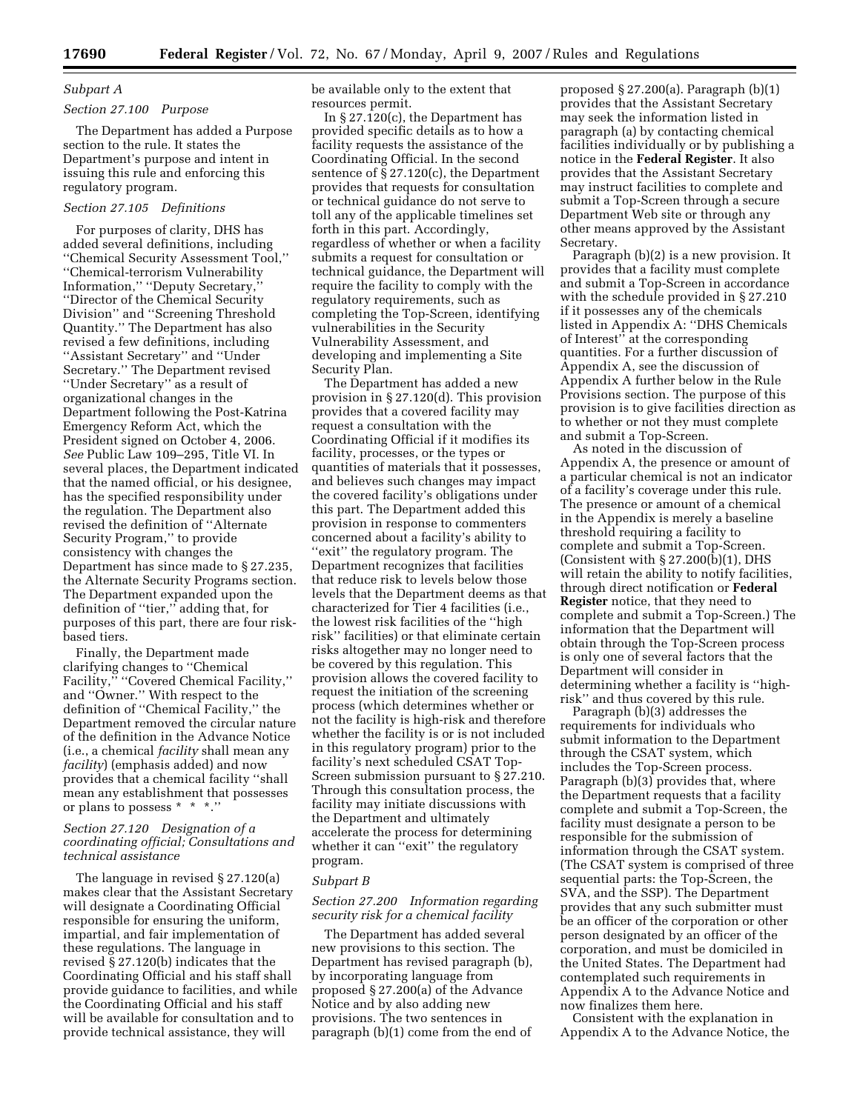# *Subpart A*

# *Section 27.100 Purpose*

The Department has added a Purpose section to the rule. It states the Department's purpose and intent in issuing this rule and enforcing this regulatory program.

# *Section 27.105 Definitions*

For purposes of clarity, DHS has added several definitions, including ''Chemical Security Assessment Tool,'' ''Chemical-terrorism Vulnerability Information,'' ''Deputy Secretary,'' ''Director of the Chemical Security Division'' and ''Screening Threshold Quantity.'' The Department has also revised a few definitions, including ''Assistant Secretary'' and ''Under Secretary.'' The Department revised ''Under Secretary'' as a result of organizational changes in the Department following the Post-Katrina Emergency Reform Act, which the President signed on October 4, 2006. *See* Public Law 109–295, Title VI. In several places, the Department indicated that the named official, or his designee, has the specified responsibility under the regulation. The Department also revised the definition of ''Alternate Security Program,'' to provide consistency with changes the Department has since made to § 27.235, the Alternate Security Programs section. The Department expanded upon the definition of ''tier,'' adding that, for purposes of this part, there are four riskbased tiers.

Finally, the Department made clarifying changes to ''Chemical Facility," "Covered Chemical Facility," and ''Owner.'' With respect to the definition of ''Chemical Facility,'' the Department removed the circular nature of the definition in the Advance Notice (i.e., a chemical *facility* shall mean any *facility*) (emphasis added) and now provides that a chemical facility ''shall mean any establishment that possesses or plans to possess \* \* \*.''

# *Section 27.120 Designation of a coordinating official; Consultations and technical assistance*

The language in revised § 27.120(a) makes clear that the Assistant Secretary will designate a Coordinating Official responsible for ensuring the uniform, impartial, and fair implementation of these regulations. The language in revised § 27.120(b) indicates that the Coordinating Official and his staff shall provide guidance to facilities, and while the Coordinating Official and his staff will be available for consultation and to provide technical assistance, they will

be available only to the extent that resources permit.

In § 27.120(c), the Department has provided specific details as to how a facility requests the assistance of the Coordinating Official. In the second sentence of § 27.120(c), the Department provides that requests for consultation or technical guidance do not serve to toll any of the applicable timelines set forth in this part. Accordingly, regardless of whether or when a facility submits a request for consultation or technical guidance, the Department will require the facility to comply with the regulatory requirements, such as completing the Top-Screen, identifying vulnerabilities in the Security Vulnerability Assessment, and developing and implementing a Site Security Plan.

The Department has added a new provision in § 27.120(d). This provision provides that a covered facility may request a consultation with the Coordinating Official if it modifies its facility, processes, or the types or quantities of materials that it possesses, and believes such changes may impact the covered facility's obligations under this part. The Department added this provision in response to commenters concerned about a facility's ability to ''exit'' the regulatory program. The Department recognizes that facilities that reduce risk to levels below those levels that the Department deems as that characterized for Tier 4 facilities (i.e., the lowest risk facilities of the ''high risk'' facilities) or that eliminate certain risks altogether may no longer need to be covered by this regulation. This provision allows the covered facility to request the initiation of the screening process (which determines whether or not the facility is high-risk and therefore whether the facility is or is not included in this regulatory program) prior to the facility's next scheduled CSAT Top-Screen submission pursuant to § 27.210. Through this consultation process, the facility may initiate discussions with the Department and ultimately accelerate the process for determining whether it can "exit" the regulatory program.

# *Subpart B*

*Section 27.200 Information regarding security risk for a chemical facility* 

The Department has added several new provisions to this section. The Department has revised paragraph (b), by incorporating language from proposed § 27.200(a) of the Advance Notice and by also adding new provisions. The two sentences in paragraph (b)(1) come from the end of

proposed § 27.200(a). Paragraph (b)(1) provides that the Assistant Secretary may seek the information listed in paragraph (a) by contacting chemical facilities individually or by publishing a notice in the **Federal Register**. It also provides that the Assistant Secretary may instruct facilities to complete and submit a Top-Screen through a secure Department Web site or through any other means approved by the Assistant Secretary.

Paragraph (b)(2) is a new provision. It provides that a facility must complete and submit a Top-Screen in accordance with the schedule provided in § 27.210 if it possesses any of the chemicals listed in Appendix A: ''DHS Chemicals of Interest'' at the corresponding quantities. For a further discussion of Appendix A, see the discussion of Appendix A further below in the Rule Provisions section. The purpose of this provision is to give facilities direction as to whether or not they must complete and submit a Top-Screen.

As noted in the discussion of Appendix A, the presence or amount of a particular chemical is not an indicator of a facility's coverage under this rule. The presence or amount of a chemical in the Appendix is merely a baseline threshold requiring a facility to complete and submit a Top-Screen. (Consistent with § 27.200(b)(1), DHS will retain the ability to notify facilities, through direct notification or **Federal Register** notice, that they need to complete and submit a Top-Screen.) The information that the Department will obtain through the Top-Screen process is only one of several factors that the Department will consider in determining whether a facility is ''highrisk'' and thus covered by this rule.

Paragraph (b)(3) addresses the requirements for individuals who submit information to the Department through the CSAT system, which includes the Top-Screen process. Paragraph (b)(3) provides that, where the Department requests that a facility complete and submit a Top-Screen, the facility must designate a person to be responsible for the submission of information through the CSAT system. (The CSAT system is comprised of three sequential parts: the Top-Screen, the SVA, and the SSP). The Department provides that any such submitter must be an officer of the corporation or other person designated by an officer of the corporation, and must be domiciled in the United States. The Department had contemplated such requirements in Appendix A to the Advance Notice and now finalizes them here.

Consistent with the explanation in Appendix A to the Advance Notice, the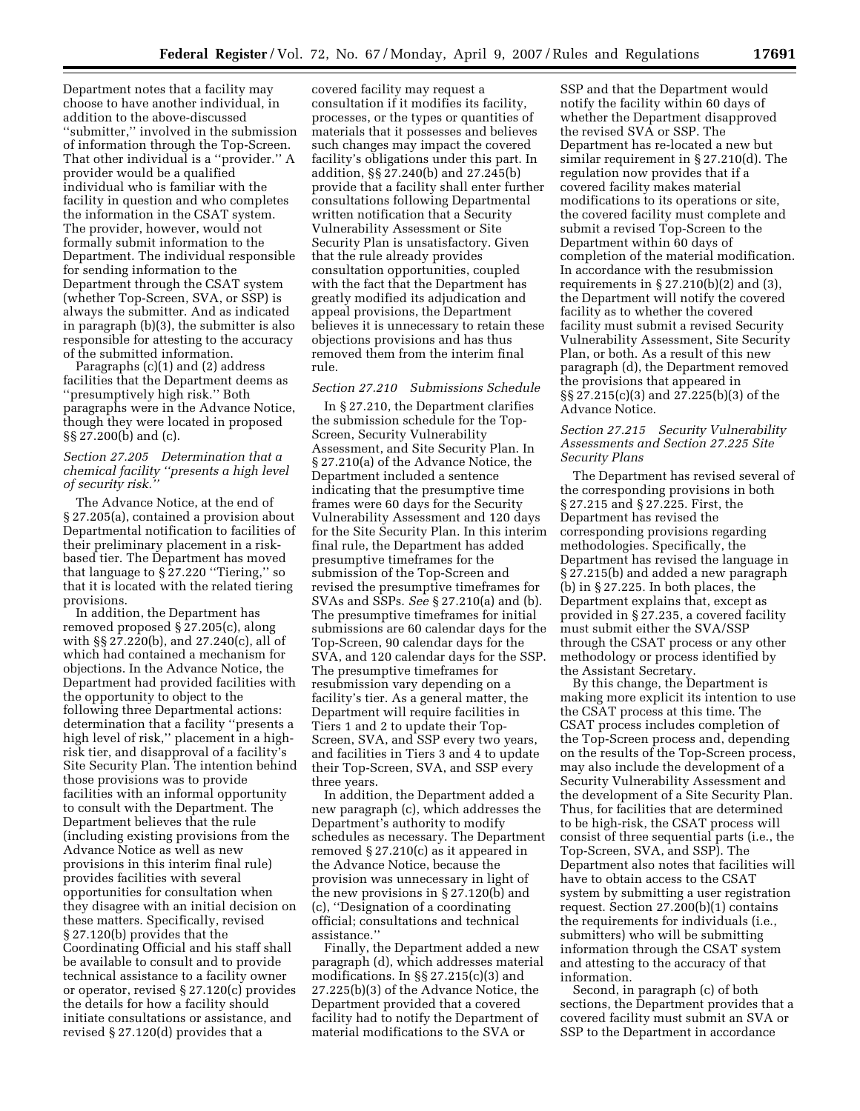Department notes that a facility may choose to have another individual, in addition to the above-discussed ''submitter,'' involved in the submission of information through the Top-Screen. That other individual is a ''provider.'' A provider would be a qualified individual who is familiar with the facility in question and who completes the information in the CSAT system. The provider, however, would not formally submit information to the Department. The individual responsible for sending information to the Department through the CSAT system (whether Top-Screen, SVA, or SSP) is always the submitter. And as indicated in paragraph (b)(3), the submitter is also responsible for attesting to the accuracy of the submitted information.

Paragraphs (c)(1) and (2) address facilities that the Department deems as ''presumptively high risk.'' Both paragraphs were in the Advance Notice, though they were located in proposed §§ 27.200(b) and (c).

# *Section 27.205 Determination that a chemical facility ''presents a high level of security risk.''*

The Advance Notice, at the end of § 27.205(a), contained a provision about Departmental notification to facilities of their preliminary placement in a riskbased tier. The Department has moved that language to § 27.220 ''Tiering,'' so that it is located with the related tiering provisions.

In addition, the Department has removed proposed § 27.205(c), along with §§ 27.220(b), and 27.240(c), all of which had contained a mechanism for objections. In the Advance Notice, the Department had provided facilities with the opportunity to object to the following three Departmental actions: determination that a facility ''presents a high level of risk,'' placement in a highrisk tier, and disapproval of a facility's Site Security Plan. The intention behind those provisions was to provide facilities with an informal opportunity to consult with the Department. The Department believes that the rule (including existing provisions from the Advance Notice as well as new provisions in this interim final rule) provides facilities with several opportunities for consultation when they disagree with an initial decision on these matters. Specifically, revised § 27.120(b) provides that the Coordinating Official and his staff shall be available to consult and to provide technical assistance to a facility owner or operator, revised § 27.120(c) provides the details for how a facility should initiate consultations or assistance, and revised § 27.120(d) provides that a

covered facility may request a consultation if it modifies its facility, processes, or the types or quantities of materials that it possesses and believes such changes may impact the covered facility's obligations under this part. In addition, §§ 27.240(b) and 27.245(b) provide that a facility shall enter further consultations following Departmental written notification that a Security Vulnerability Assessment or Site Security Plan is unsatisfactory. Given that the rule already provides consultation opportunities, coupled with the fact that the Department has greatly modified its adjudication and appeal provisions, the Department believes it is unnecessary to retain these objections provisions and has thus removed them from the interim final rule.

#### *Section 27.210 Submissions Schedule*

In § 27.210, the Department clarifies the submission schedule for the Top-Screen, Security Vulnerability Assessment, and Site Security Plan. In § 27.210(a) of the Advance Notice, the Department included a sentence indicating that the presumptive time frames were 60 days for the Security Vulnerability Assessment and 120 days for the Site Security Plan. In this interim final rule, the Department has added presumptive timeframes for the submission of the Top-Screen and revised the presumptive timeframes for SVAs and SSPs. *See* § 27.210(a) and (b). The presumptive timeframes for initial submissions are 60 calendar days for the Top-Screen, 90 calendar days for the SVA, and 120 calendar days for the SSP. The presumptive timeframes for resubmission vary depending on a facility's tier. As a general matter, the Department will require facilities in Tiers 1 and 2 to update their Top-Screen, SVA, and SSP every two years, and facilities in Tiers 3 and 4 to update their Top-Screen, SVA, and SSP every three years.

In addition, the Department added a new paragraph (c), which addresses the Department's authority to modify schedules as necessary. The Department removed § 27.210(c) as it appeared in the Advance Notice, because the provision was unnecessary in light of the new provisions in § 27.120(b) and (c), ''Designation of a coordinating official; consultations and technical assistance.''

Finally, the Department added a new paragraph (d), which addresses material modifications. In §§ 27.215(c)(3) and 27.225(b)(3) of the Advance Notice, the Department provided that a covered facility had to notify the Department of material modifications to the SVA or

SSP and that the Department would notify the facility within 60 days of whether the Department disapproved the revised SVA or SSP. The Department has re-located a new but similar requirement in § 27.210(d). The regulation now provides that if a covered facility makes material modifications to its operations or site, the covered facility must complete and submit a revised Top-Screen to the Department within 60 days of completion of the material modification. In accordance with the resubmission requirements in  $\S 27.210(b)(2)$  and  $(3)$ , the Department will notify the covered facility as to whether the covered facility must submit a revised Security Vulnerability Assessment, Site Security Plan, or both. As a result of this new paragraph (d), the Department removed the provisions that appeared in §§ 27.215(c)(3) and 27.225(b)(3) of the Advance Notice.

# *Section 27.215 Security Vulnerability Assessments and Section 27.225 Site Security Plans*

The Department has revised several of the corresponding provisions in both § 27.215 and § 27.225. First, the Department has revised the corresponding provisions regarding methodologies. Specifically, the Department has revised the language in § 27.215(b) and added a new paragraph (b) in § 27.225. In both places, the Department explains that, except as provided in § 27.235, a covered facility must submit either the SVA/SSP through the CSAT process or any other methodology or process identified by the Assistant Secretary.

By this change, the Department is making more explicit its intention to use the CSAT process at this time. The CSAT process includes completion of the Top-Screen process and, depending on the results of the Top-Screen process, may also include the development of a Security Vulnerability Assessment and the development of a Site Security Plan. Thus, for facilities that are determined to be high-risk, the CSAT process will consist of three sequential parts (i.e., the Top-Screen, SVA, and SSP). The Department also notes that facilities will have to obtain access to the CSAT system by submitting a user registration request. Section 27.200(b)(1) contains the requirements for individuals (i.e., submitters) who will be submitting information through the CSAT system and attesting to the accuracy of that information.

Second, in paragraph (c) of both sections, the Department provides that a covered facility must submit an SVA or SSP to the Department in accordance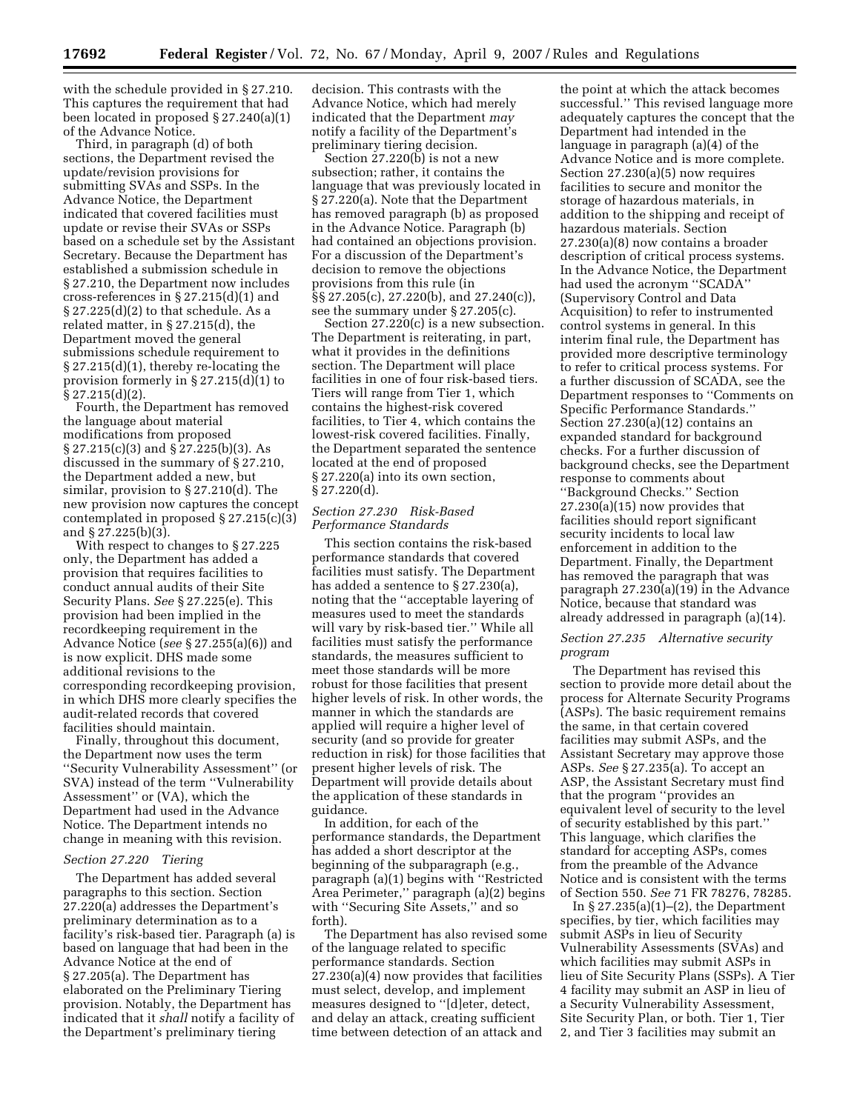with the schedule provided in § 27.210. This captures the requirement that had been located in proposed § 27.240(a)(1) of the Advance Notice.

Third, in paragraph (d) of both sections, the Department revised the update/revision provisions for submitting SVAs and SSPs. In the Advance Notice, the Department indicated that covered facilities must update or revise their SVAs or SSPs based on a schedule set by the Assistant Secretary. Because the Department has established a submission schedule in § 27.210, the Department now includes cross-references in § 27.215(d)(1) and  $\S 27.225(d)(2)$  to that schedule. As a related matter, in § 27.215(d), the Department moved the general submissions schedule requirement to § 27.215(d)(1), thereby re-locating the provision formerly in § 27.215(d)(1) to § 27.215(d)(2).

Fourth, the Department has removed the language about material modifications from proposed § 27.215(c)(3) and § 27.225(b)(3). As discussed in the summary of § 27.210, the Department added a new, but similar, provision to § 27.210(d). The new provision now captures the concept contemplated in proposed § 27.215(c)(3) and § 27.225(b)(3).

With respect to changes to § 27.225 only, the Department has added a provision that requires facilities to conduct annual audits of their Site Security Plans. *See* § 27.225(e). This provision had been implied in the recordkeeping requirement in the Advance Notice (*see* § 27.255(a)(6)) and is now explicit. DHS made some additional revisions to the corresponding recordkeeping provision, in which DHS more clearly specifies the audit-related records that covered facilities should maintain.

Finally, throughout this document, the Department now uses the term ''Security Vulnerability Assessment'' (or SVA) instead of the term ''Vulnerability Assessment'' or (VA), which the Department had used in the Advance Notice. The Department intends no change in meaning with this revision.

#### *Section 27.220 Tiering*

The Department has added several paragraphs to this section. Section 27.220(a) addresses the Department's preliminary determination as to a facility's risk-based tier. Paragraph (a) is based on language that had been in the Advance Notice at the end of § 27.205(a). The Department has elaborated on the Preliminary Tiering provision. Notably, the Department has indicated that it *shall* notify a facility of the Department's preliminary tiering

decision. This contrasts with the Advance Notice, which had merely indicated that the Department *may*  notify a facility of the Department's preliminary tiering decision.

Section 27.220(b) is not a new subsection; rather, it contains the language that was previously located in § 27.220(a). Note that the Department has removed paragraph (b) as proposed in the Advance Notice. Paragraph (b) had contained an objections provision. For a discussion of the Department's decision to remove the objections provisions from this rule (in §§ 27.205(c), 27.220(b), and 27.240(c)), see the summary under § 27.205(c).

Section 27.220(c) is a new subsection. The Department is reiterating, in part, what it provides in the definitions section. The Department will place facilities in one of four risk-based tiers. Tiers will range from Tier 1, which contains the highest-risk covered facilities, to Tier 4, which contains the lowest-risk covered facilities. Finally, the Department separated the sentence located at the end of proposed § 27.220(a) into its own section, § 27.220(d).

# *Section 27.230 Risk-Based Performance Standards*

This section contains the risk-based performance standards that covered facilities must satisfy. The Department has added a sentence to § 27.230(a), noting that the ''acceptable layering of measures used to meet the standards will vary by risk-based tier.'' While all facilities must satisfy the performance standards, the measures sufficient to meet those standards will be more robust for those facilities that present higher levels of risk. In other words, the manner in which the standards are applied will require a higher level of security (and so provide for greater reduction in risk) for those facilities that present higher levels of risk. The Department will provide details about the application of these standards in guidance.

In addition, for each of the performance standards, the Department has added a short descriptor at the beginning of the subparagraph (e.g. paragraph (a)(1) begins with ''Restricted Area Perimeter,'' paragraph (a)(2) begins with ''Securing Site Assets,'' and so forth).

The Department has also revised some of the language related to specific performance standards. Section 27.230(a)(4) now provides that facilities must select, develop, and implement measures designed to ''[d]eter, detect, and delay an attack, creating sufficient time between detection of an attack and

the point at which the attack becomes successful.'' This revised language more adequately captures the concept that the Department had intended in the language in paragraph (a)(4) of the Advance Notice and is more complete. Section 27.230(a)(5) now requires facilities to secure and monitor the storage of hazardous materials, in addition to the shipping and receipt of hazardous materials. Section 27.230(a)(8) now contains a broader description of critical process systems. In the Advance Notice, the Department had used the acronym ''SCADA'' (Supervisory Control and Data Acquisition) to refer to instrumented control systems in general. In this interim final rule, the Department has provided more descriptive terminology to refer to critical process systems. For a further discussion of SCADA, see the Department responses to ''Comments on Specific Performance Standards.'' Section 27.230(a)(12) contains an expanded standard for background checks. For a further discussion of background checks, see the Department response to comments about ''Background Checks.'' Section 27.230(a)(15) now provides that facilities should report significant security incidents to local law enforcement in addition to the Department. Finally, the Department has removed the paragraph that was paragraph 27.230(a)(19) in the Advance Notice, because that standard was already addressed in paragraph (a)(14).

# *Section 27.235 Alternative security program*

The Department has revised this section to provide more detail about the process for Alternate Security Programs (ASPs). The basic requirement remains the same, in that certain covered facilities may submit ASPs, and the Assistant Secretary may approve those ASPs. *See* § 27.235(a). To accept an ASP, the Assistant Secretary must find that the program ''provides an equivalent level of security to the level of security established by this part.'' This language, which clarifies the standard for accepting ASPs, comes from the preamble of the Advance Notice and is consistent with the terms of Section 550. *See* 71 FR 78276, 78285.

In § 27.235(a)(1)–(2), the Department specifies, by tier, which facilities may submit ASPs in lieu of Security Vulnerability Assessments (SVAs) and which facilities may submit ASPs in lieu of Site Security Plans (SSPs). A Tier 4 facility may submit an ASP in lieu of a Security Vulnerability Assessment, Site Security Plan, or both. Tier 1, Tier 2, and Tier 3 facilities may submit an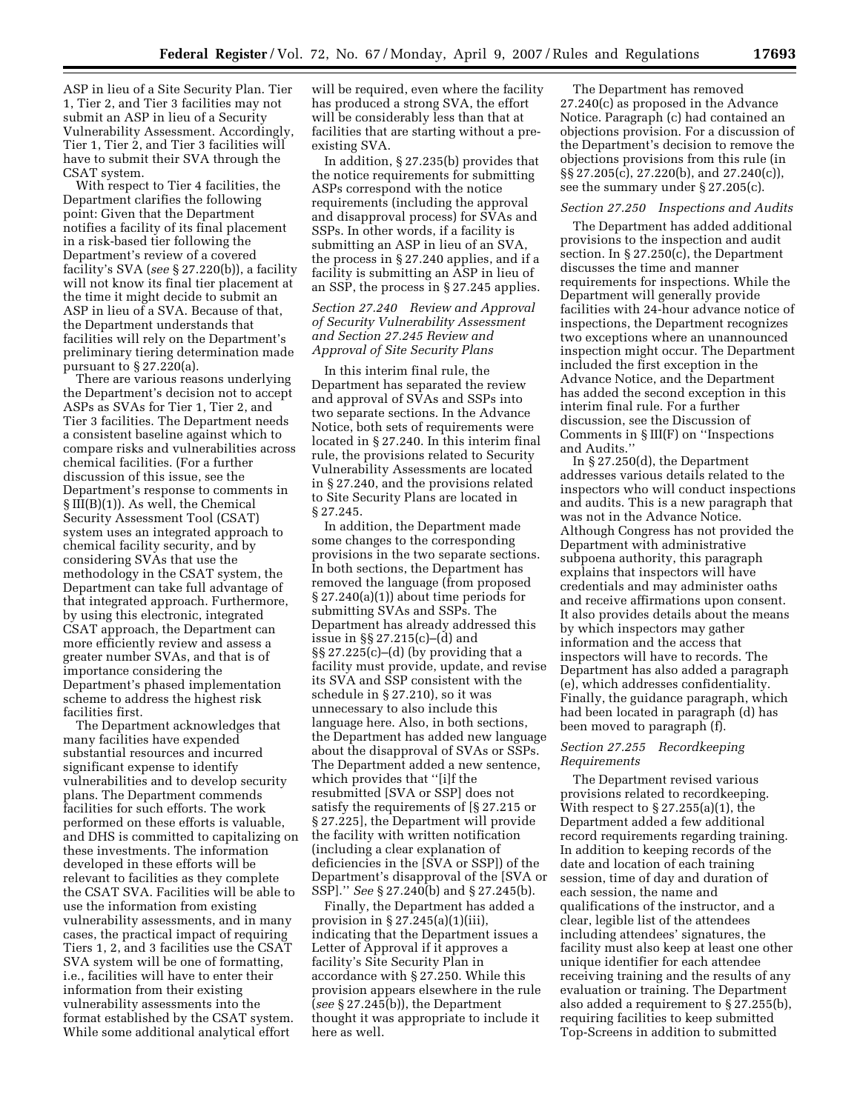ASP in lieu of a Site Security Plan. Tier 1, Tier 2, and Tier 3 facilities may not submit an ASP in lieu of a Security Vulnerability Assessment. Accordingly, Tier 1, Tier 2, and Tier 3 facilities will have to submit their SVA through the CSAT system.

With respect to Tier 4 facilities, the Department clarifies the following point: Given that the Department notifies a facility of its final placement in a risk-based tier following the Department's review of a covered facility's SVA (*see* § 27.220(b)), a facility will not know its final tier placement at the time it might decide to submit an ASP in lieu of a SVA. Because of that, the Department understands that facilities will rely on the Department's preliminary tiering determination made pursuant to  $\S 27.220(a)$ .

There are various reasons underlying the Department's decision not to accept ASPs as SVAs for Tier 1, Tier 2, and Tier 3 facilities. The Department needs a consistent baseline against which to compare risks and vulnerabilities across chemical facilities. (For a further discussion of this issue, see the Department's response to comments in  $\S III(B)(1)$ . As well, the Chemical Security Assessment Tool (CSAT) system uses an integrated approach to chemical facility security, and by considering SVAs that use the methodology in the CSAT system, the Department can take full advantage of that integrated approach. Furthermore, by using this electronic, integrated CSAT approach, the Department can more efficiently review and assess a greater number SVAs, and that is of importance considering the Department's phased implementation scheme to address the highest risk facilities first.

The Department acknowledges that many facilities have expended substantial resources and incurred significant expense to identify vulnerabilities and to develop security plans. The Department commends facilities for such efforts. The work performed on these efforts is valuable, and DHS is committed to capitalizing on these investments. The information developed in these efforts will be relevant to facilities as they complete the CSAT SVA. Facilities will be able to use the information from existing vulnerability assessments, and in many cases, the practical impact of requiring Tiers 1, 2, and 3 facilities use the CSAT SVA system will be one of formatting, i.e., facilities will have to enter their information from their existing vulnerability assessments into the format established by the CSAT system. While some additional analytical effort

will be required, even where the facility has produced a strong SVA, the effort will be considerably less than that at facilities that are starting without a preexisting SVA.

In addition, § 27.235(b) provides that the notice requirements for submitting ASPs correspond with the notice requirements (including the approval and disapproval process) for SVAs and SSPs. In other words, if a facility is submitting an ASP in lieu of an SVA, the process in § 27.240 applies, and if a facility is submitting an ASP in lieu of an SSP, the process in § 27.245 applies.

# *Section 27.240 Review and Approval of Security Vulnerability Assessment and Section 27.245 Review and Approval of Site Security Plans*

In this interim final rule, the Department has separated the review and approval of SVAs and SSPs into two separate sections. In the Advance Notice, both sets of requirements were located in § 27.240. In this interim final rule, the provisions related to Security Vulnerability Assessments are located in § 27.240, and the provisions related to Site Security Plans are located in § 27.245.

In addition, the Department made some changes to the corresponding provisions in the two separate sections. In both sections, the Department has removed the language (from proposed § 27.240(a)(1)) about time periods for submitting SVAs and SSPs. The Department has already addressed this issue in §§ 27.215(c)–(d) and §§ 27.225(c)–(d) (by providing that a facility must provide, update, and revise its SVA and SSP consistent with the schedule in § 27.210), so it was unnecessary to also include this language here. Also, in both sections, the Department has added new language about the disapproval of SVAs or SSPs. The Department added a new sentence, which provides that ''[i]f the resubmitted [SVA or SSP] does not satisfy the requirements of [§ 27.215 or § 27.225], the Department will provide the facility with written notification (including a clear explanation of deficiencies in the [SVA or SSP]) of the Department's disapproval of the [SVA or SSP].'' *See* § 27.240(b) and § 27.245(b).

Finally, the Department has added a provision in  $\S 27.245(a)(1)(iii)$ , indicating that the Department issues a Letter of Approval if it approves a facility's Site Security Plan in accordance with § 27.250. While this provision appears elsewhere in the rule (*see* § 27.245(b)), the Department thought it was appropriate to include it here as well.

The Department has removed 27.240(c) as proposed in the Advance Notice. Paragraph (c) had contained an objections provision. For a discussion of the Department's decision to remove the objections provisions from this rule (in §§ 27.205(c), 27.220(b), and 27.240(c)), see the summary under § 27.205(c).

# *Section 27.250 Inspections and Audits*

The Department has added additional provisions to the inspection and audit section. In § 27.250(c), the Department discusses the time and manner requirements for inspections. While the Department will generally provide facilities with 24-hour advance notice of inspections, the Department recognizes two exceptions where an unannounced inspection might occur. The Department included the first exception in the Advance Notice, and the Department has added the second exception in this interim final rule. For a further discussion, see the Discussion of Comments in § III(F) on ''Inspections and Audits.''

In § 27.250(d), the Department addresses various details related to the inspectors who will conduct inspections and audits. This is a new paragraph that was not in the Advance Notice. Although Congress has not provided the Department with administrative subpoena authority, this paragraph explains that inspectors will have credentials and may administer oaths and receive affirmations upon consent. It also provides details about the means by which inspectors may gather information and the access that inspectors will have to records. The Department has also added a paragraph (e), which addresses confidentiality. Finally, the guidance paragraph, which had been located in paragraph (d) has been moved to paragraph (f).

# *Section 27.255 Recordkeeping Requirements*

The Department revised various provisions related to recordkeeping. With respect to  $\S 27.255(a)(1)$ , the Department added a few additional record requirements regarding training. In addition to keeping records of the date and location of each training session, time of day and duration of each session, the name and qualifications of the instructor, and a clear, legible list of the attendees including attendees' signatures, the facility must also keep at least one other unique identifier for each attendee receiving training and the results of any evaluation or training. The Department also added a requirement to § 27.255(b), requiring facilities to keep submitted Top-Screens in addition to submitted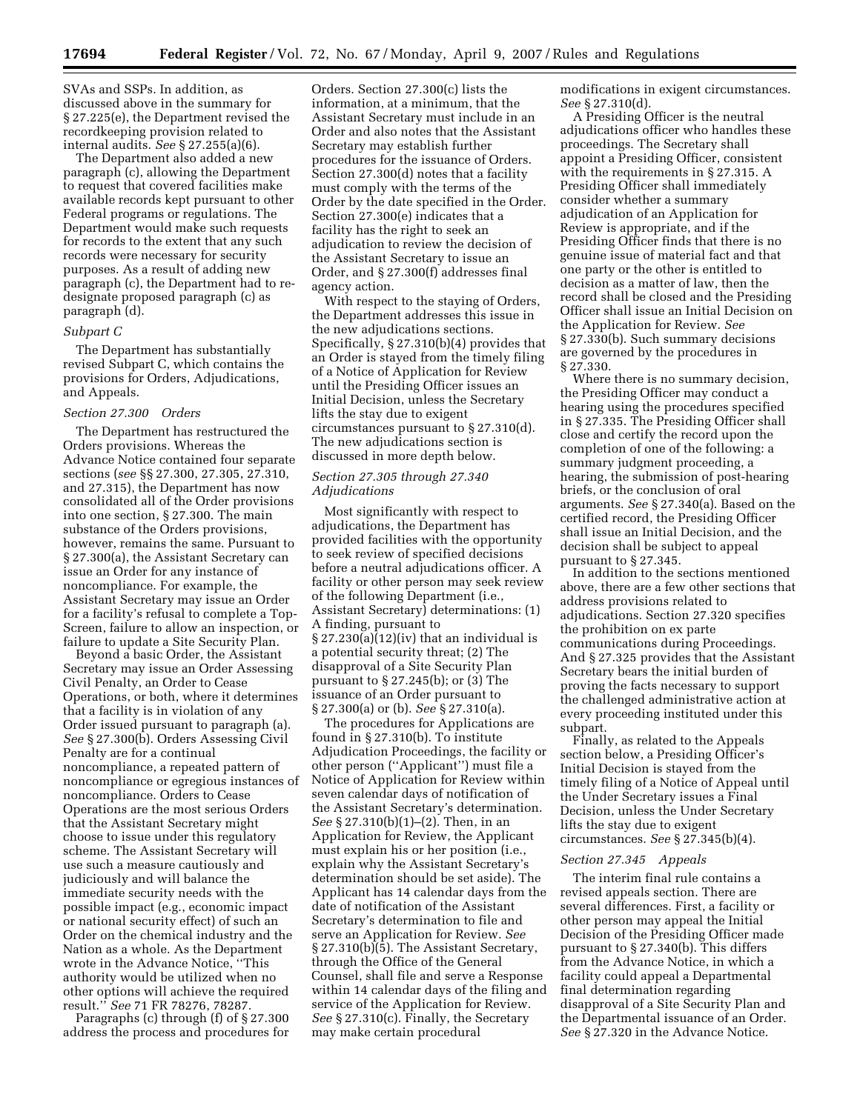SVAs and SSPs. In addition, as discussed above in the summary for § 27.225(e), the Department revised the recordkeeping provision related to internal audits. *See* § 27.255(a)(6).

The Department also added a new paragraph (c), allowing the Department to request that covered facilities make available records kept pursuant to other Federal programs or regulations. The Department would make such requests for records to the extent that any such records were necessary for security purposes. As a result of adding new paragraph (c), the Department had to redesignate proposed paragraph (c) as paragraph (d).

#### *Subpart C*

The Department has substantially revised Subpart C, which contains the provisions for Orders, Adjudications, and Appeals.

## *Section 27.300 Orders*

The Department has restructured the Orders provisions. Whereas the Advance Notice contained four separate sections (*see* §§ 27.300, 27.305, 27.310, and 27.315), the Department has now consolidated all of the Order provisions into one section, § 27.300. The main substance of the Orders provisions, however, remains the same. Pursuant to § 27.300(a), the Assistant Secretary can issue an Order for any instance of noncompliance. For example, the Assistant Secretary may issue an Order for a facility's refusal to complete a Top-Screen, failure to allow an inspection, or failure to update a Site Security Plan.

Beyond a basic Order, the Assistant Secretary may issue an Order Assessing Civil Penalty, an Order to Cease Operations, or both, where it determines that a facility is in violation of any Order issued pursuant to paragraph (a). *See* § 27.300(b). Orders Assessing Civil Penalty are for a continual noncompliance, a repeated pattern of noncompliance or egregious instances of noncompliance. Orders to Cease Operations are the most serious Orders that the Assistant Secretary might choose to issue under this regulatory scheme. The Assistant Secretary will use such a measure cautiously and judiciously and will balance the immediate security needs with the possible impact (e.g., economic impact or national security effect) of such an Order on the chemical industry and the Nation as a whole. As the Department wrote in the Advance Notice, ''This authority would be utilized when no other options will achieve the required result.'' *See* 71 FR 78276, 78287.

Paragraphs (c) through (f) of § 27.300 address the process and procedures for Orders. Section 27.300(c) lists the information, at a minimum, that the Assistant Secretary must include in an Order and also notes that the Assistant Secretary may establish further procedures for the issuance of Orders. Section 27.300(d) notes that a facility must comply with the terms of the Order by the date specified in the Order. Section 27.300(e) indicates that a facility has the right to seek an adjudication to review the decision of the Assistant Secretary to issue an Order, and § 27.300(f) addresses final agency action.

With respect to the staying of Orders, the Department addresses this issue in the new adjudications sections. Specifically, § 27.310(b)(4) provides that an Order is stayed from the timely filing of a Notice of Application for Review until the Presiding Officer issues an Initial Decision, unless the Secretary lifts the stay due to exigent circumstances pursuant to § 27.310(d). The new adjudications section is discussed in more depth below.

# *Section 27.305 through 27.340 Adjudications*

Most significantly with respect to adjudications, the Department has provided facilities with the opportunity to seek review of specified decisions before a neutral adjudications officer. A facility or other person may seek review of the following Department (i.e., Assistant Secretary) determinations: (1) A finding, pursuant to  $\S 27.230(a)(12)(iv)$  that an individual is a potential security threat; (2) The disapproval of a Site Security Plan pursuant to  $\S 27.245(b)$ ; or (3) The issuance of an Order pursuant to § 27.300(a) or (b). *See* § 27.310(a).

The procedures for Applications are found in § 27.310(b). To institute Adjudication Proceedings, the facility or other person (''Applicant'') must file a Notice of Application for Review within seven calendar days of notification of the Assistant Secretary's determination. *See* § 27.310(b)(1)–(2). Then, in an Application for Review, the Applicant must explain his or her position (i.e., explain why the Assistant Secretary's determination should be set aside). The Applicant has 14 calendar days from the date of notification of the Assistant Secretary's determination to file and serve an Application for Review. *See*  § 27.310(b)(5). The Assistant Secretary, through the Office of the General Counsel, shall file and serve a Response within 14 calendar days of the filing and service of the Application for Review. *See* § 27.310(c). Finally, the Secretary may make certain procedural

modifications in exigent circumstances. *See* § 27.310(d).

A Presiding Officer is the neutral adjudications officer who handles these proceedings. The Secretary shall appoint a Presiding Officer, consistent with the requirements in § 27.315. A Presiding Officer shall immediately consider whether a summary adjudication of an Application for Review is appropriate, and if the Presiding Officer finds that there is no genuine issue of material fact and that one party or the other is entitled to decision as a matter of law, then the record shall be closed and the Presiding Officer shall issue an Initial Decision on the Application for Review. *See*  § 27.330(b). Such summary decisions are governed by the procedures in § 27.330.

Where there is no summary decision, the Presiding Officer may conduct a hearing using the procedures specified in § 27.335. The Presiding Officer shall close and certify the record upon the completion of one of the following: a summary judgment proceeding, a hearing, the submission of post-hearing briefs, or the conclusion of oral arguments. *See* § 27.340(a). Based on the certified record, the Presiding Officer shall issue an Initial Decision, and the decision shall be subject to appeal pursuant to § 27.345.

In addition to the sections mentioned above, there are a few other sections that address provisions related to adjudications. Section 27.320 specifies the prohibition on ex parte communications during Proceedings. And § 27.325 provides that the Assistant Secretary bears the initial burden of proving the facts necessary to support the challenged administrative action at every proceeding instituted under this subpart.

Finally, as related to the Appeals section below, a Presiding Officer's Initial Decision is stayed from the timely filing of a Notice of Appeal until the Under Secretary issues a Final Decision, unless the Under Secretary lifts the stay due to exigent circumstances. *See* § 27.345(b)(4).

#### *Section 27.345 Appeals*

The interim final rule contains a revised appeals section. There are several differences. First, a facility or other person may appeal the Initial Decision of the Presiding Officer made pursuant to § 27.340(b). This differs from the Advance Notice, in which a facility could appeal a Departmental final determination regarding disapproval of a Site Security Plan and the Departmental issuance of an Order. *See* § 27.320 in the Advance Notice.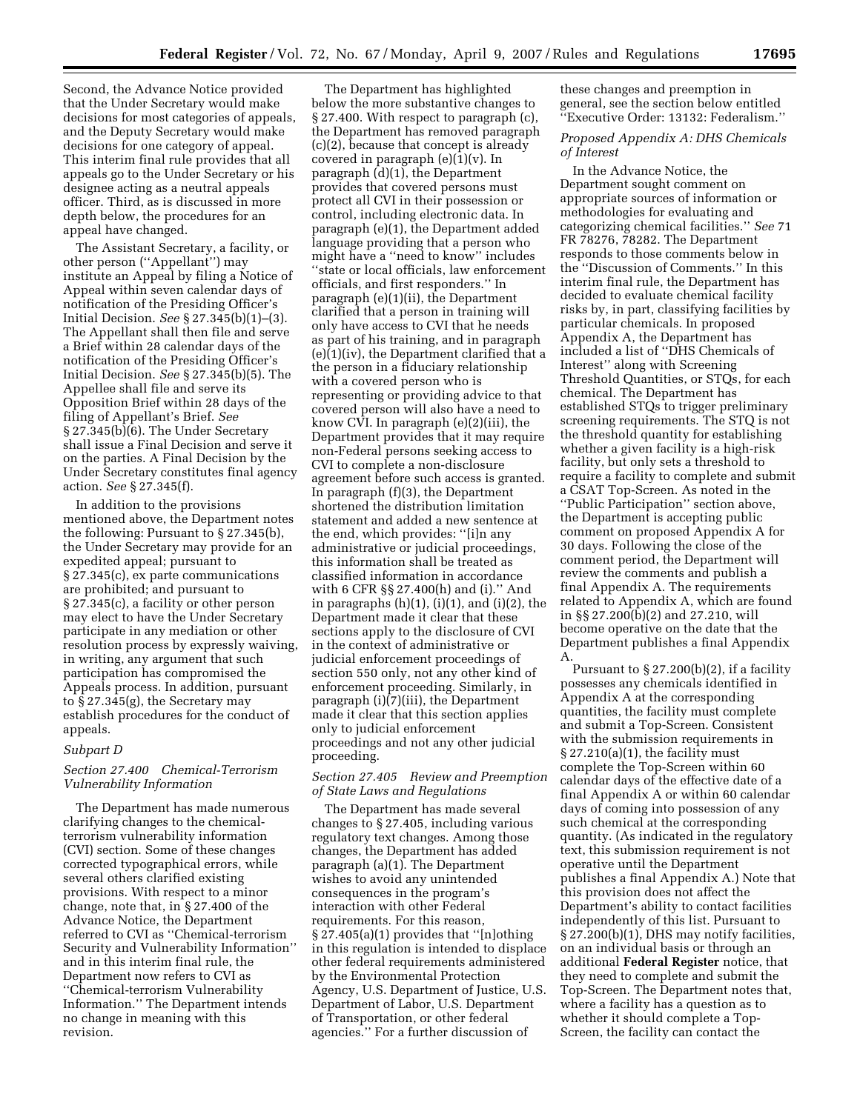Second, the Advance Notice provided that the Under Secretary would make decisions for most categories of appeals, and the Deputy Secretary would make decisions for one category of appeal. This interim final rule provides that all appeals go to the Under Secretary or his designee acting as a neutral appeals officer. Third, as is discussed in more depth below, the procedures for an appeal have changed.

The Assistant Secretary, a facility, or other person (''Appellant'') may institute an Appeal by filing a Notice of Appeal within seven calendar days of notification of the Presiding Officer's Initial Decision. *See* § 27.345(b)(1)–(3). The Appellant shall then file and serve a Brief within 28 calendar days of the notification of the Presiding Officer's Initial Decision. *See* § 27.345(b)(5). The Appellee shall file and serve its Opposition Brief within 28 days of the filing of Appellant's Brief. *See*  § 27.345(b)(6). The Under Secretary shall issue a Final Decision and serve it on the parties. A Final Decision by the Under Secretary constitutes final agency action. *See* § 27.345(f).

In addition to the provisions mentioned above, the Department notes the following: Pursuant to § 27.345(b), the Under Secretary may provide for an expedited appeal; pursuant to § 27.345(c), ex parte communications are prohibited; and pursuant to § 27.345(c), a facility or other person may elect to have the Under Secretary participate in any mediation or other resolution process by expressly waiving, in writing, any argument that such participation has compromised the Appeals process. In addition, pursuant to § 27.345(g), the Secretary may establish procedures for the conduct of appeals.

#### *Subpart D*

# *Section 27.400 Chemical-Terrorism Vulnerability Information*

The Department has made numerous clarifying changes to the chemicalterrorism vulnerability information (CVI) section. Some of these changes corrected typographical errors, while several others clarified existing provisions. With respect to a minor change, note that, in § 27.400 of the Advance Notice, the Department referred to CVI as ''Chemical-terrorism Security and Vulnerability Information'' and in this interim final rule, the Department now refers to CVI as ''Chemical-terrorism Vulnerability Information.'' The Department intends no change in meaning with this revision.

The Department has highlighted below the more substantive changes to § 27.400. With respect to paragraph (c), the Department has removed paragraph (c)(2), because that concept is already covered in paragraph  $(e)(1)(v)$ . In paragraph (d)(1), the Department provides that covered persons must protect all CVI in their possession or control, including electronic data. In paragraph (e)(1), the Department added language providing that a person who might have a ''need to know'' includes ''state or local officials, law enforcement officials, and first responders.'' In paragraph (e)(1)(ii), the Department clarified that a person in training will only have access to CVI that he needs as part of his training, and in paragraph (e)(1)(iv), the Department clarified that a the person in a fiduciary relationship with a covered person who is representing or providing advice to that covered person will also have a need to know CVI. In paragraph (e)(2)(iii), the Department provides that it may require non-Federal persons seeking access to CVI to complete a non-disclosure agreement before such access is granted. In paragraph (f)(3), the Department shortened the distribution limitation statement and added a new sentence at the end, which provides: ''[i]n any administrative or judicial proceedings, this information shall be treated as classified information in accordance with 6 CFR §§ 27.400(h) and (i).'' And in paragraphs  $(h)(1)$ ,  $(i)(1)$ , and  $(i)(2)$ , the Department made it clear that these sections apply to the disclosure of CVI in the context of administrative or judicial enforcement proceedings of section 550 only, not any other kind of enforcement proceeding. Similarly, in paragraph (i)(7)(iii), the Department made it clear that this section applies only to judicial enforcement proceedings and not any other judicial proceeding.

# *Section 27.405 Review and Preemption of State Laws and Regulations*

The Department has made several changes to § 27.405, including various regulatory text changes. Among those changes, the Department has added paragraph (a)(1). The Department wishes to avoid any unintended consequences in the program's interaction with other Federal requirements. For this reason, § 27.405(a)(1) provides that ''[n]othing in this regulation is intended to displace other federal requirements administered by the Environmental Protection Agency, U.S. Department of Justice, U.S. Department of Labor, U.S. Department of Transportation, or other federal agencies.'' For a further discussion of

these changes and preemption in general, see the section below entitled ''Executive Order: 13132: Federalism.''

# *Proposed Appendix A: DHS Chemicals of Interest*

In the Advance Notice, the Department sought comment on appropriate sources of information or methodologies for evaluating and categorizing chemical facilities.'' *See* 71 FR 78276, 78282. The Department responds to those comments below in the ''Discussion of Comments.'' In this interim final rule, the Department has decided to evaluate chemical facility risks by, in part, classifying facilities by particular chemicals. In proposed Appendix A, the Department has included a list of ''DHS Chemicals of Interest'' along with Screening Threshold Quantities, or STQs, for each chemical. The Department has established STQs to trigger preliminary screening requirements. The STQ is not the threshold quantity for establishing whether a given facility is a high-risk facility, but only sets a threshold to require a facility to complete and submit a CSAT Top-Screen. As noted in the ''Public Participation'' section above, the Department is accepting public comment on proposed Appendix A for 30 days. Following the close of the comment period, the Department will review the comments and publish a final Appendix A. The requirements related to Appendix A, which are found in §§ 27.200(b)(2) and 27.210, will become operative on the date that the Department publishes a final Appendix A.

Pursuant to  $\S 27.200(b)(2)$ , if a facility possesses any chemicals identified in Appendix A at the corresponding quantities, the facility must complete and submit a Top-Screen. Consistent with the submission requirements in § 27.210(a)(1), the facility must complete the Top-Screen within 60 calendar days of the effective date of a final Appendix A or within 60 calendar days of coming into possession of any such chemical at the corresponding quantity. (As indicated in the regulatory text, this submission requirement is not operative until the Department publishes a final Appendix A.) Note that this provision does not affect the Department's ability to contact facilities independently of this list. Pursuant to § 27.200(b)(1), DHS may notify facilities, on an individual basis or through an additional **Federal Register** notice, that they need to complete and submit the Top-Screen. The Department notes that, where a facility has a question as to whether it should complete a Top-Screen, the facility can contact the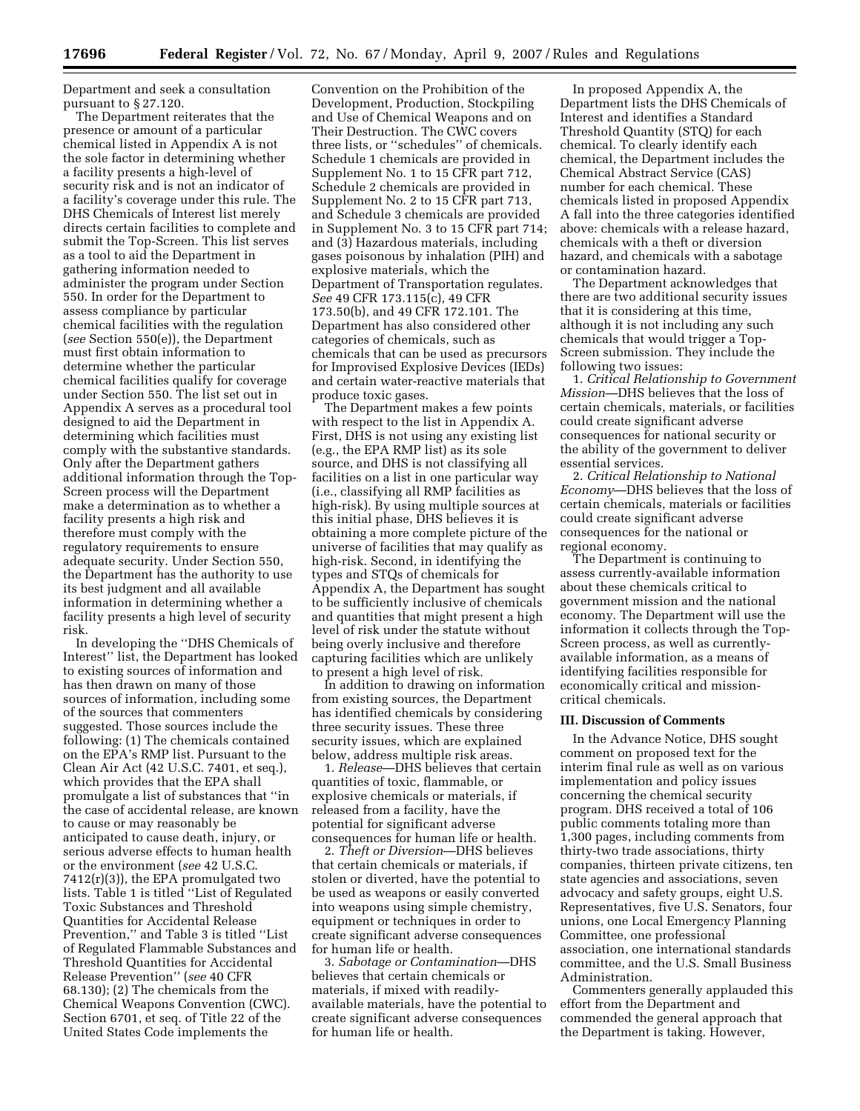Department and seek a consultation pursuant to § 27.120.

The Department reiterates that the presence or amount of a particular chemical listed in Appendix A is not the sole factor in determining whether a facility presents a high-level of security risk and is not an indicator of a facility's coverage under this rule. The DHS Chemicals of Interest list merely directs certain facilities to complete and submit the Top-Screen. This list serves as a tool to aid the Department in gathering information needed to administer the program under Section 550. In order for the Department to assess compliance by particular chemical facilities with the regulation (*see* Section 550(e)), the Department must first obtain information to determine whether the particular chemical facilities qualify for coverage under Section 550. The list set out in Appendix A serves as a procedural tool designed to aid the Department in determining which facilities must comply with the substantive standards. Only after the Department gathers additional information through the Top-Screen process will the Department make a determination as to whether a facility presents a high risk and therefore must comply with the regulatory requirements to ensure adequate security. Under Section 550, the Department has the authority to use its best judgment and all available information in determining whether a facility presents a high level of security risk.

In developing the ''DHS Chemicals of Interest'' list, the Department has looked to existing sources of information and has then drawn on many of those sources of information, including some of the sources that commenters suggested. Those sources include the following: (1) The chemicals contained on the EPA's RMP list. Pursuant to the Clean Air Act (42 U.S.C. 7401, et seq.), which provides that the EPA shall promulgate a list of substances that ''in the case of accidental release, are known to cause or may reasonably be anticipated to cause death, injury, or serious adverse effects to human health or the environment (*see* 42 U.S.C. 7412(r)(3)), the EPA promulgated two lists. Table 1 is titled ''List of Regulated Toxic Substances and Threshold Quantities for Accidental Release Prevention,'' and Table 3 is titled ''List of Regulated Flammable Substances and Threshold Quantities for Accidental Release Prevention'' (*see* 40 CFR 68.130); (2) The chemicals from the Chemical Weapons Convention (CWC). Section 6701, et seq. of Title 22 of the United States Code implements the

Convention on the Prohibition of the Development, Production, Stockpiling and Use of Chemical Weapons and on Their Destruction. The CWC covers three lists, or ''schedules'' of chemicals. Schedule 1 chemicals are provided in Supplement No. 1 to 15 CFR part 712, Schedule 2 chemicals are provided in Supplement No. 2 to 15 CFR part 713, and Schedule 3 chemicals are provided in Supplement No. 3 to 15 CFR part 714; and (3) Hazardous materials, including gases poisonous by inhalation (PIH) and explosive materials, which the Department of Transportation regulates. *See* 49 CFR 173.115(c), 49 CFR 173.50(b), and 49 CFR 172.101. The Department has also considered other categories of chemicals, such as chemicals that can be used as precursors for Improvised Explosive Devices (IEDs) and certain water-reactive materials that produce toxic gases.

The Department makes a few points with respect to the list in Appendix A. First, DHS is not using any existing list (e.g., the EPA RMP list) as its sole source, and DHS is not classifying all facilities on a list in one particular way (i.e., classifying all RMP facilities as high-risk). By using multiple sources at this initial phase, DHS believes it is obtaining a more complete picture of the universe of facilities that may qualify as high-risk. Second, in identifying the types and STQs of chemicals for Appendix A, the Department has sought to be sufficiently inclusive of chemicals and quantities that might present a high level of risk under the statute without being overly inclusive and therefore capturing facilities which are unlikely to present a high level of risk.

In addition to drawing on information from existing sources, the Department has identified chemicals by considering three security issues. These three security issues, which are explained below, address multiple risk areas.

1. *Release*—DHS believes that certain quantities of toxic, flammable, or explosive chemicals or materials, if released from a facility, have the potential for significant adverse consequences for human life or health.

2. *Theft or Diversion*—DHS believes that certain chemicals or materials, if stolen or diverted, have the potential to be used as weapons or easily converted into weapons using simple chemistry, equipment or techniques in order to create significant adverse consequences for human life or health.

3. *Sabotage or Contamination*—DHS believes that certain chemicals or materials, if mixed with readilyavailable materials, have the potential to create significant adverse consequences for human life or health.

In proposed Appendix A, the Department lists the DHS Chemicals of Interest and identifies a Standard Threshold Quantity (STQ) for each chemical. To clearly identify each chemical, the Department includes the Chemical Abstract Service (CAS) number for each chemical. These chemicals listed in proposed Appendix A fall into the three categories identified above: chemicals with a release hazard, chemicals with a theft or diversion hazard, and chemicals with a sabotage or contamination hazard.

The Department acknowledges that there are two additional security issues that it is considering at this time, although it is not including any such chemicals that would trigger a Top-Screen submission. They include the following two issues:

1. *Critical Relationship to Government Mission*—DHS believes that the loss of certain chemicals, materials, or facilities could create significant adverse consequences for national security or the ability of the government to deliver essential services.

2. *Critical Relationship to National Economy*—DHS believes that the loss of certain chemicals, materials or facilities could create significant adverse consequences for the national or regional economy.

The Department is continuing to assess currently-available information about these chemicals critical to government mission and the national economy. The Department will use the information it collects through the Top-Screen process, as well as currentlyavailable information, as a means of identifying facilities responsible for economically critical and missioncritical chemicals.

#### **III. Discussion of Comments**

In the Advance Notice, DHS sought comment on proposed text for the interim final rule as well as on various implementation and policy issues concerning the chemical security program. DHS received a total of 106 public comments totaling more than 1,300 pages, including comments from thirty-two trade associations, thirty companies, thirteen private citizens, ten state agencies and associations, seven advocacy and safety groups, eight U.S. Representatives, five U.S. Senators, four unions, one Local Emergency Planning Committee, one professional association, one international standards committee, and the U.S. Small Business Administration.

Commenters generally applauded this effort from the Department and commended the general approach that the Department is taking. However,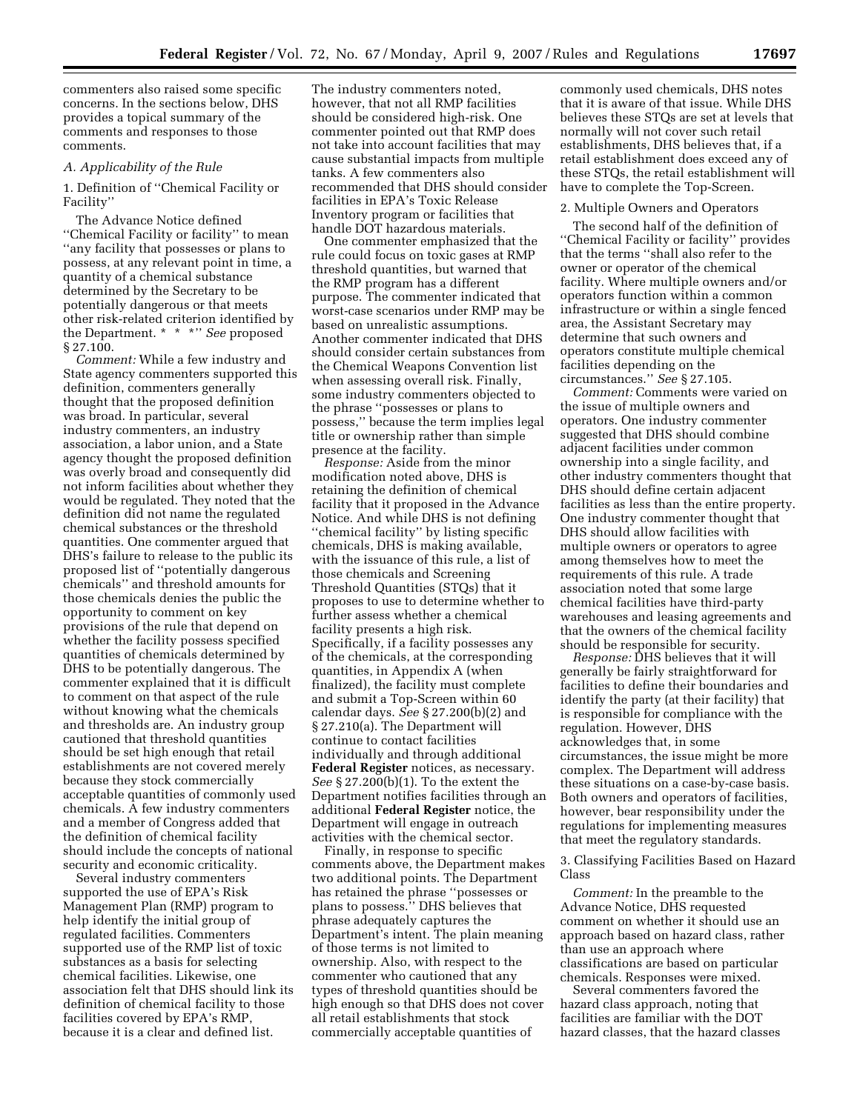commenters also raised some specific concerns. In the sections below, DHS provides a topical summary of the comments and responses to those comments.

# *A. Applicability of the Rule*

1. Definition of ''Chemical Facility or Facility''

The Advance Notice defined ''Chemical Facility or facility'' to mean ''any facility that possesses or plans to possess, at any relevant point in time, a quantity of a chemical substance determined by the Secretary to be potentially dangerous or that meets other risk-related criterion identified by the Department. \* \* \*'' *See* proposed § 27.100.

*Comment:* While a few industry and State agency commenters supported this definition, commenters generally thought that the proposed definition was broad. In particular, several industry commenters, an industry association, a labor union, and a State agency thought the proposed definition was overly broad and consequently did not inform facilities about whether they would be regulated. They noted that the definition did not name the regulated chemical substances or the threshold quantities. One commenter argued that DHS's failure to release to the public its proposed list of ''potentially dangerous chemicals'' and threshold amounts for those chemicals denies the public the opportunity to comment on key provisions of the rule that depend on whether the facility possess specified quantities of chemicals determined by DHS to be potentially dangerous. The commenter explained that it is difficult to comment on that aspect of the rule without knowing what the chemicals and thresholds are. An industry group cautioned that threshold quantities should be set high enough that retail establishments are not covered merely because they stock commercially acceptable quantities of commonly used chemicals. A few industry commenters and a member of Congress added that the definition of chemical facility should include the concepts of national security and economic criticality.

Several industry commenters supported the use of EPA's Risk Management Plan (RMP) program to help identify the initial group of regulated facilities. Commenters supported use of the RMP list of toxic substances as a basis for selecting chemical facilities. Likewise, one association felt that DHS should link its definition of chemical facility to those facilities covered by EPA's RMP, because it is a clear and defined list.

The industry commenters noted, however, that not all RMP facilities should be considered high-risk. One commenter pointed out that RMP does not take into account facilities that may cause substantial impacts from multiple tanks. A few commenters also recommended that DHS should consider facilities in EPA's Toxic Release Inventory program or facilities that handle DOT hazardous materials.

One commenter emphasized that the rule could focus on toxic gases at RMP threshold quantities, but warned that the RMP program has a different purpose. The commenter indicated that worst-case scenarios under RMP may be based on unrealistic assumptions. Another commenter indicated that DHS should consider certain substances from the Chemical Weapons Convention list when assessing overall risk. Finally, some industry commenters objected to the phrase ''possesses or plans to possess,'' because the term implies legal title or ownership rather than simple presence at the facility.

*Response:* Aside from the minor modification noted above, DHS is retaining the definition of chemical facility that it proposed in the Advance Notice. And while DHS is not defining ''chemical facility'' by listing specific chemicals, DHS is making available, with the issuance of this rule, a list of those chemicals and Screening Threshold Quantities (STQs) that it proposes to use to determine whether to further assess whether a chemical facility presents a high risk. Specifically, if a facility possesses any of the chemicals, at the corresponding quantities, in Appendix A (when finalized), the facility must complete and submit a Top-Screen within 60 calendar days. *See* § 27.200(b)(2) and § 27.210(a). The Department will continue to contact facilities individually and through additional **Federal Register** notices, as necessary. *See* § 27.200(b)(1). To the extent the Department notifies facilities through an additional **Federal Register** notice, the Department will engage in outreach activities with the chemical sector.

Finally, in response to specific comments above, the Department makes two additional points. The Department has retained the phrase ''possesses or plans to possess.'' DHS believes that phrase adequately captures the Department's intent. The plain meaning of those terms is not limited to ownership. Also, with respect to the commenter who cautioned that any types of threshold quantities should be high enough so that DHS does not cover all retail establishments that stock commercially acceptable quantities of

commonly used chemicals, DHS notes that it is aware of that issue. While DHS believes these STQs are set at levels that normally will not cover such retail establishments, DHS believes that, if a retail establishment does exceed any of these STQs, the retail establishment will have to complete the Top-Screen.

# 2. Multiple Owners and Operators

The second half of the definition of ''Chemical Facility or facility'' provides that the terms ''shall also refer to the owner or operator of the chemical facility. Where multiple owners and/or operators function within a common infrastructure or within a single fenced area, the Assistant Secretary may determine that such owners and operators constitute multiple chemical facilities depending on the circumstances.'' *See* § 27.105.

*Comment:* Comments were varied on the issue of multiple owners and operators. One industry commenter suggested that DHS should combine adjacent facilities under common ownership into a single facility, and other industry commenters thought that DHS should define certain adjacent facilities as less than the entire property. One industry commenter thought that DHS should allow facilities with multiple owners or operators to agree among themselves how to meet the requirements of this rule. A trade association noted that some large chemical facilities have third-party warehouses and leasing agreements and that the owners of the chemical facility should be responsible for security.

*Response:* DHS believes that it will generally be fairly straightforward for facilities to define their boundaries and identify the party (at their facility) that is responsible for compliance with the regulation. However, DHS acknowledges that, in some circumstances, the issue might be more complex. The Department will address these situations on a case-by-case basis. Both owners and operators of facilities, however, bear responsibility under the regulations for implementing measures that meet the regulatory standards.

3. Classifying Facilities Based on Hazard Class

*Comment:* In the preamble to the Advance Notice, DHS requested comment on whether it should use an approach based on hazard class, rather than use an approach where classifications are based on particular chemicals. Responses were mixed.

Several commenters favored the hazard class approach, noting that facilities are familiar with the DOT hazard classes, that the hazard classes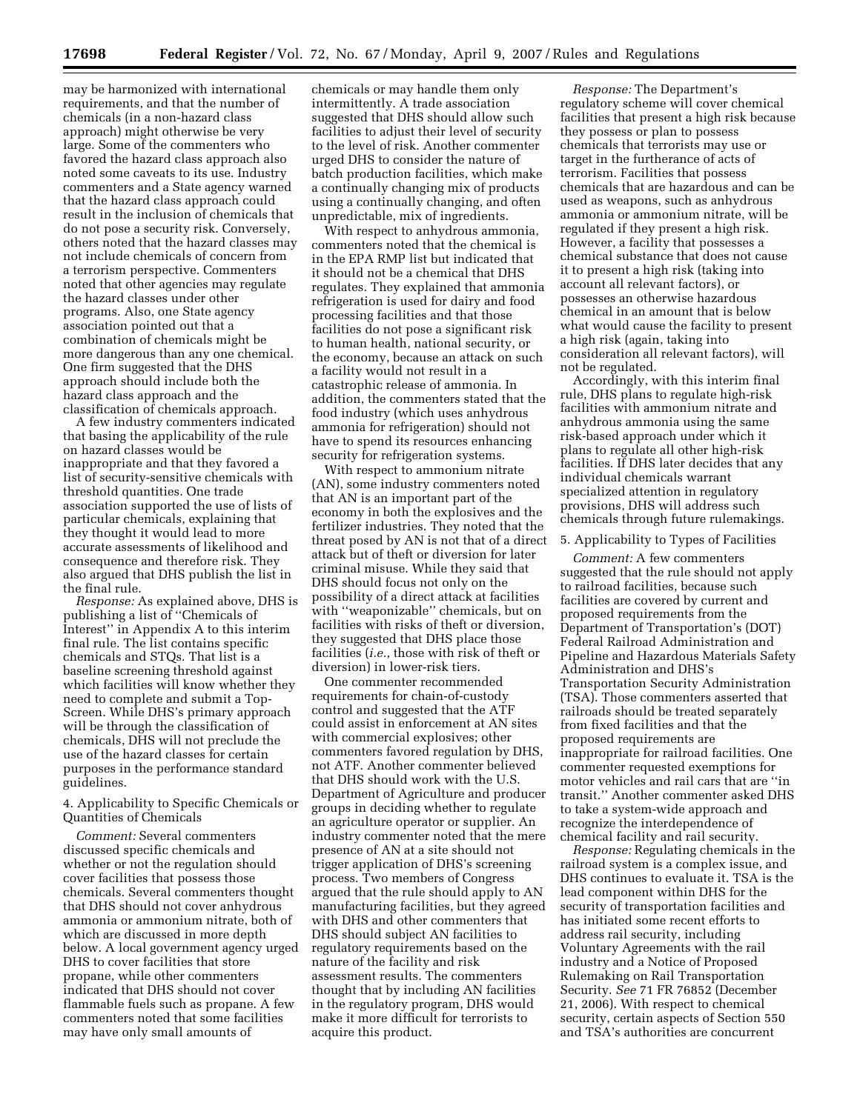may be harmonized with international requirements, and that the number of chemicals (in a non-hazard class approach) might otherwise be very large. Some of the commenters who favored the hazard class approach also noted some caveats to its use. Industry commenters and a State agency warned that the hazard class approach could result in the inclusion of chemicals that do not pose a security risk. Conversely, others noted that the hazard classes may not include chemicals of concern from a terrorism perspective. Commenters noted that other agencies may regulate the hazard classes under other programs. Also, one State agency association pointed out that a combination of chemicals might be more dangerous than any one chemical. One firm suggested that the DHS approach should include both the hazard class approach and the classification of chemicals approach.

A few industry commenters indicated that basing the applicability of the rule on hazard classes would be inappropriate and that they favored a list of security-sensitive chemicals with threshold quantities. One trade association supported the use of lists of particular chemicals, explaining that they thought it would lead to more accurate assessments of likelihood and consequence and therefore risk. They also argued that DHS publish the list in the final rule.

*Response:* As explained above, DHS is publishing a list of ''Chemicals of Interest'' in Appendix A to this interim final rule. The list contains specific chemicals and STQs. That list is a baseline screening threshold against which facilities will know whether they need to complete and submit a Top-Screen. While DHS's primary approach will be through the classification of chemicals, DHS will not preclude the use of the hazard classes for certain purposes in the performance standard guidelines.

4. Applicability to Specific Chemicals or Quantities of Chemicals

*Comment:* Several commenters discussed specific chemicals and whether or not the regulation should cover facilities that possess those chemicals. Several commenters thought that DHS should not cover anhydrous ammonia or ammonium nitrate, both of which are discussed in more depth below. A local government agency urged DHS to cover facilities that store propane, while other commenters indicated that DHS should not cover flammable fuels such as propane. A few commenters noted that some facilities may have only small amounts of

chemicals or may handle them only intermittently. A trade association suggested that DHS should allow such facilities to adjust their level of security to the level of risk. Another commenter urged DHS to consider the nature of batch production facilities, which make a continually changing mix of products using a continually changing, and often unpredictable, mix of ingredients.

With respect to anhydrous ammonia, commenters noted that the chemical is in the EPA RMP list but indicated that it should not be a chemical that DHS regulates. They explained that ammonia refrigeration is used for dairy and food processing facilities and that those facilities do not pose a significant risk to human health, national security, or the economy, because an attack on such a facility would not result in a catastrophic release of ammonia. In addition, the commenters stated that the food industry (which uses anhydrous ammonia for refrigeration) should not have to spend its resources enhancing security for refrigeration systems.

With respect to ammonium nitrate (AN), some industry commenters noted that AN is an important part of the economy in both the explosives and the fertilizer industries. They noted that the threat posed by AN is not that of a direct attack but of theft or diversion for later criminal misuse. While they said that DHS should focus not only on the possibility of a direct attack at facilities with ''weaponizable'' chemicals, but on facilities with risks of theft or diversion, they suggested that DHS place those facilities (*i.e.*, those with risk of theft or diversion) in lower-risk tiers.

One commenter recommended requirements for chain-of-custody control and suggested that the ATF could assist in enforcement at AN sites with commercial explosives; other commenters favored regulation by DHS, not ATF. Another commenter believed that DHS should work with the U.S. Department of Agriculture and producer groups in deciding whether to regulate an agriculture operator or supplier. An industry commenter noted that the mere presence of AN at a site should not trigger application of DHS's screening process. Two members of Congress argued that the rule should apply to AN manufacturing facilities, but they agreed with DHS and other commenters that DHS should subject AN facilities to regulatory requirements based on the nature of the facility and risk assessment results. The commenters thought that by including AN facilities in the regulatory program, DHS would make it more difficult for terrorists to acquire this product.

*Response:* The Department's regulatory scheme will cover chemical facilities that present a high risk because they possess or plan to possess chemicals that terrorists may use or target in the furtherance of acts of terrorism. Facilities that possess chemicals that are hazardous and can be used as weapons, such as anhydrous ammonia or ammonium nitrate, will be regulated if they present a high risk. However, a facility that possesses a chemical substance that does not cause it to present a high risk (taking into account all relevant factors), or possesses an otherwise hazardous chemical in an amount that is below what would cause the facility to present a high risk (again, taking into consideration all relevant factors), will not be regulated.

Accordingly, with this interim final rule, DHS plans to regulate high-risk facilities with ammonium nitrate and anhydrous ammonia using the same risk-based approach under which it plans to regulate all other high-risk facilities. If DHS later decides that any individual chemicals warrant specialized attention in regulatory provisions, DHS will address such chemicals through future rulemakings.

#### 5. Applicability to Types of Facilities

*Comment:* A few commenters suggested that the rule should not apply to railroad facilities, because such facilities are covered by current and proposed requirements from the Department of Transportation's (DOT) Federal Railroad Administration and Pipeline and Hazardous Materials Safety Administration and DHS's Transportation Security Administration (TSA). Those commenters asserted that railroads should be treated separately from fixed facilities and that the proposed requirements are inappropriate for railroad facilities. One commenter requested exemptions for motor vehicles and rail cars that are ''in transit.'' Another commenter asked DHS to take a system-wide approach and recognize the interdependence of chemical facility and rail security.

*Response:* Regulating chemicals in the railroad system is a complex issue, and DHS continues to evaluate it. TSA is the lead component within DHS for the security of transportation facilities and has initiated some recent efforts to address rail security, including Voluntary Agreements with the rail industry and a Notice of Proposed Rulemaking on Rail Transportation Security. *See* 71 FR 76852 (December 21, 2006). With respect to chemical security, certain aspects of Section 550 and TSA's authorities are concurrent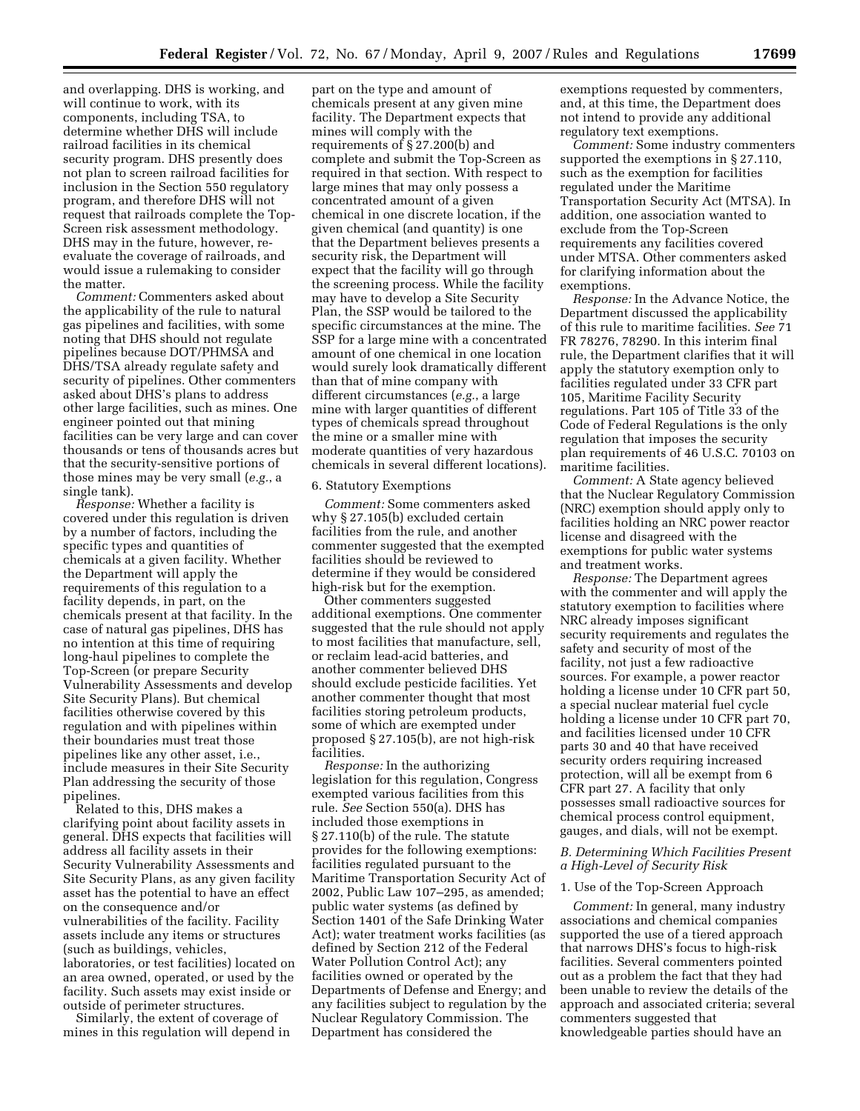and overlapping. DHS is working, and will continue to work, with its components, including TSA, to determine whether DHS will include railroad facilities in its chemical security program. DHS presently does not plan to screen railroad facilities for inclusion in the Section 550 regulatory program, and therefore DHS will not request that railroads complete the Top-Screen risk assessment methodology. DHS may in the future, however, reevaluate the coverage of railroads, and would issue a rulemaking to consider the matter.

*Comment:* Commenters asked about the applicability of the rule to natural gas pipelines and facilities, with some noting that DHS should not regulate pipelines because DOT/PHMSA and DHS/TSA already regulate safety and security of pipelines. Other commenters asked about DHS's plans to address other large facilities, such as mines. One engineer pointed out that mining facilities can be very large and can cover thousands or tens of thousands acres but that the security-sensitive portions of those mines may be very small (*e.g.*, a single tank).

*Response:* Whether a facility is covered under this regulation is driven by a number of factors, including the specific types and quantities of chemicals at a given facility. Whether the Department will apply the requirements of this regulation to a facility depends, in part, on the chemicals present at that facility. In the case of natural gas pipelines, DHS has no intention at this time of requiring long-haul pipelines to complete the Top-Screen (or prepare Security Vulnerability Assessments and develop Site Security Plans). But chemical facilities otherwise covered by this regulation and with pipelines within their boundaries must treat those pipelines like any other asset, i.e., include measures in their Site Security Plan addressing the security of those pipelines.

Related to this, DHS makes a clarifying point about facility assets in general. DHS expects that facilities will address all facility assets in their Security Vulnerability Assessments and Site Security Plans, as any given facility asset has the potential to have an effect on the consequence and/or vulnerabilities of the facility. Facility assets include any items or structures (such as buildings, vehicles, laboratories, or test facilities) located on an area owned, operated, or used by the facility. Such assets may exist inside or outside of perimeter structures.

Similarly, the extent of coverage of mines in this regulation will depend in

part on the type and amount of chemicals present at any given mine facility. The Department expects that mines will comply with the requirements of § 27.200(b) and complete and submit the Top-Screen as required in that section. With respect to large mines that may only possess a concentrated amount of a given chemical in one discrete location, if the given chemical (and quantity) is one that the Department believes presents a security risk, the Department will expect that the facility will go through the screening process. While the facility may have to develop a Site Security Plan, the SSP would be tailored to the specific circumstances at the mine. The SSP for a large mine with a concentrated amount of one chemical in one location would surely look dramatically different than that of mine company with different circumstances (*e.g.*, a large mine with larger quantities of different types of chemicals spread throughout the mine or a smaller mine with moderate quantities of very hazardous chemicals in several different locations).

## 6. Statutory Exemptions

*Comment:* Some commenters asked why § 27.105(b) excluded certain facilities from the rule, and another commenter suggested that the exempted facilities should be reviewed to determine if they would be considered high-risk but for the exemption.

Other commenters suggested additional exemptions. One commenter suggested that the rule should not apply to most facilities that manufacture, sell, or reclaim lead-acid batteries, and another commenter believed DHS should exclude pesticide facilities. Yet another commenter thought that most facilities storing petroleum products, some of which are exempted under proposed § 27.105(b), are not high-risk facilities.

*Response:* In the authorizing legislation for this regulation, Congress exempted various facilities from this rule. *See* Section 550(a). DHS has included those exemptions in § 27.110(b) of the rule. The statute provides for the following exemptions: facilities regulated pursuant to the Maritime Transportation Security Act of 2002, Public Law 107–295, as amended; public water systems (as defined by Section 1401 of the Safe Drinking Water Act); water treatment works facilities (as defined by Section 212 of the Federal Water Pollution Control Act); any facilities owned or operated by the Departments of Defense and Energy; and any facilities subject to regulation by the Nuclear Regulatory Commission. The Department has considered the

exemptions requested by commenters, and, at this time, the Department does not intend to provide any additional regulatory text exemptions.

*Comment:* Some industry commenters supported the exemptions in § 27.110, such as the exemption for facilities regulated under the Maritime Transportation Security Act (MTSA). In addition, one association wanted to exclude from the Top-Screen requirements any facilities covered under MTSA. Other commenters asked for clarifying information about the exemptions.

*Response:* In the Advance Notice, the Department discussed the applicability of this rule to maritime facilities. *See* 71 FR 78276, 78290. In this interim final rule, the Department clarifies that it will apply the statutory exemption only to facilities regulated under 33 CFR part 105, Maritime Facility Security regulations. Part 105 of Title 33 of the Code of Federal Regulations is the only regulation that imposes the security plan requirements of 46 U.S.C. 70103 on maritime facilities.

*Comment:* A State agency believed that the Nuclear Regulatory Commission (NRC) exemption should apply only to facilities holding an NRC power reactor license and disagreed with the exemptions for public water systems and treatment works.

*Response:* The Department agrees with the commenter and will apply the statutory exemption to facilities where NRC already imposes significant security requirements and regulates the safety and security of most of the facility, not just a few radioactive sources. For example, a power reactor holding a license under 10 CFR part 50, a special nuclear material fuel cycle holding a license under 10 CFR part 70, and facilities licensed under 10 CFR parts 30 and 40 that have received security orders requiring increased protection, will all be exempt from 6 CFR part 27. A facility that only possesses small radioactive sources for chemical process control equipment, gauges, and dials, will not be exempt.

# *B. Determining Which Facilities Present a High-Level of Security Risk*

## 1. Use of the Top-Screen Approach

*Comment:* In general, many industry associations and chemical companies supported the use of a tiered approach that narrows DHS's focus to high-risk facilities. Several commenters pointed out as a problem the fact that they had been unable to review the details of the approach and associated criteria; several commenters suggested that knowledgeable parties should have an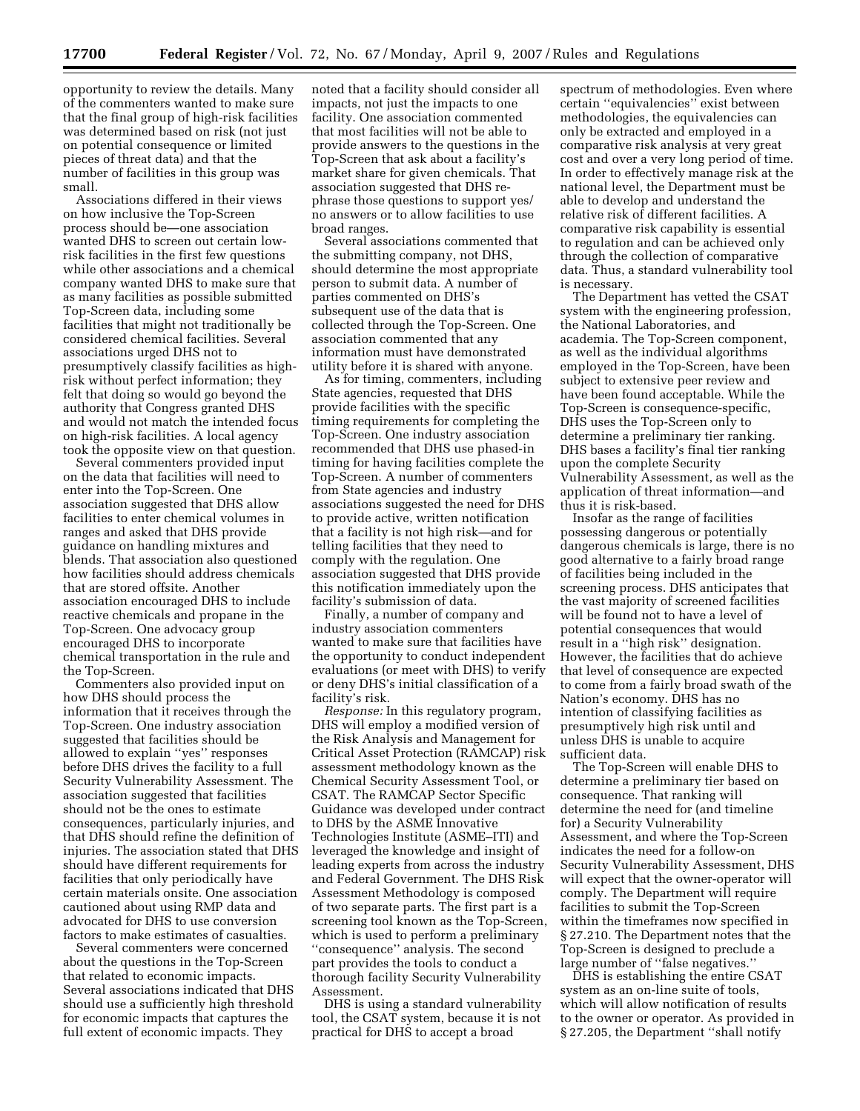opportunity to review the details. Many of the commenters wanted to make sure that the final group of high-risk facilities was determined based on risk (not just on potential consequence or limited pieces of threat data) and that the number of facilities in this group was small.

Associations differed in their views on how inclusive the Top-Screen process should be—one association wanted DHS to screen out certain lowrisk facilities in the first few questions while other associations and a chemical company wanted DHS to make sure that as many facilities as possible submitted Top-Screen data, including some facilities that might not traditionally be considered chemical facilities. Several associations urged DHS not to presumptively classify facilities as highrisk without perfect information; they felt that doing so would go beyond the authority that Congress granted DHS and would not match the intended focus on high-risk facilities. A local agency took the opposite view on that question.

Several commenters provided input on the data that facilities will need to enter into the Top-Screen. One association suggested that DHS allow facilities to enter chemical volumes in ranges and asked that DHS provide guidance on handling mixtures and blends. That association also questioned how facilities should address chemicals that are stored offsite. Another association encouraged DHS to include reactive chemicals and propane in the Top-Screen. One advocacy group encouraged DHS to incorporate chemical transportation in the rule and the Top-Screen.

Commenters also provided input on how DHS should process the information that it receives through the Top-Screen. One industry association suggested that facilities should be allowed to explain ''yes'' responses before DHS drives the facility to a full Security Vulnerability Assessment. The association suggested that facilities should not be the ones to estimate consequences, particularly injuries, and that DHS should refine the definition of injuries. The association stated that DHS should have different requirements for facilities that only periodically have certain materials onsite. One association cautioned about using RMP data and advocated for DHS to use conversion factors to make estimates of casualties.

Several commenters were concerned about the questions in the Top-Screen that related to economic impacts. Several associations indicated that DHS should use a sufficiently high threshold for economic impacts that captures the full extent of economic impacts. They

noted that a facility should consider all impacts, not just the impacts to one facility. One association commented that most facilities will not be able to provide answers to the questions in the Top-Screen that ask about a facility's market share for given chemicals. That association suggested that DHS rephrase those questions to support yes/ no answers or to allow facilities to use broad ranges.

Several associations commented that the submitting company, not DHS, should determine the most appropriate person to submit data. A number of parties commented on DHS's subsequent use of the data that is collected through the Top-Screen. One association commented that any information must have demonstrated utility before it is shared with anyone.

As for timing, commenters, including State agencies, requested that DHS provide facilities with the specific timing requirements for completing the Top-Screen. One industry association recommended that DHS use phased-in timing for having facilities complete the Top-Screen. A number of commenters from State agencies and industry associations suggested the need for DHS to provide active, written notification that a facility is not high risk—and for telling facilities that they need to comply with the regulation. One association suggested that DHS provide this notification immediately upon the facility's submission of data.

Finally, a number of company and industry association commenters wanted to make sure that facilities have the opportunity to conduct independent evaluations (or meet with DHS) to verify or deny DHS's initial classification of a facility's risk.

*Response:* In this regulatory program, DHS will employ a modified version of the Risk Analysis and Management for Critical Asset Protection (RAMCAP) risk assessment methodology known as the Chemical Security Assessment Tool, or CSAT. The RAMCAP Sector Specific Guidance was developed under contract to DHS by the ASME Innovative Technologies Institute (ASME–ITI) and leveraged the knowledge and insight of leading experts from across the industry and Federal Government. The DHS Risk Assessment Methodology is composed of two separate parts. The first part is a screening tool known as the Top-Screen, which is used to perform a preliminary ''consequence'' analysis. The second part provides the tools to conduct a thorough facility Security Vulnerability Assessment.

DHS is using a standard vulnerability tool, the CSAT system, because it is not practical for DHS to accept a broad

spectrum of methodologies. Even where certain ''equivalencies'' exist between methodologies, the equivalencies can only be extracted and employed in a comparative risk analysis at very great cost and over a very long period of time. In order to effectively manage risk at the national level, the Department must be able to develop and understand the relative risk of different facilities. A comparative risk capability is essential to regulation and can be achieved only through the collection of comparative data. Thus, a standard vulnerability tool is necessary.

The Department has vetted the CSAT system with the engineering profession, the National Laboratories, and academia. The Top-Screen component, as well as the individual algorithms employed in the Top-Screen, have been subject to extensive peer review and have been found acceptable. While the Top-Screen is consequence-specific, DHS uses the Top-Screen only to determine a preliminary tier ranking. DHS bases a facility's final tier ranking upon the complete Security Vulnerability Assessment, as well as the application of threat information—and thus it is risk-based.

Insofar as the range of facilities possessing dangerous or potentially dangerous chemicals is large, there is no good alternative to a fairly broad range of facilities being included in the screening process. DHS anticipates that the vast majority of screened facilities will be found not to have a level of potential consequences that would result in a ''high risk'' designation. However, the facilities that do achieve that level of consequence are expected to come from a fairly broad swath of the Nation's economy. DHS has no intention of classifying facilities as presumptively high risk until and unless DHS is unable to acquire sufficient data.

The Top-Screen will enable DHS to determine a preliminary tier based on consequence. That ranking will determine the need for (and timeline for) a Security Vulnerability Assessment, and where the Top-Screen indicates the need for a follow-on Security Vulnerability Assessment, DHS will expect that the owner-operator will comply. The Department will require facilities to submit the Top-Screen within the timeframes now specified in § 27.210. The Department notes that the Top-Screen is designed to preclude a large number of ''false negatives.''

DHS is establishing the entire CSAT system as an on-line suite of tools, which will allow notification of results to the owner or operator. As provided in § 27.205, the Department ''shall notify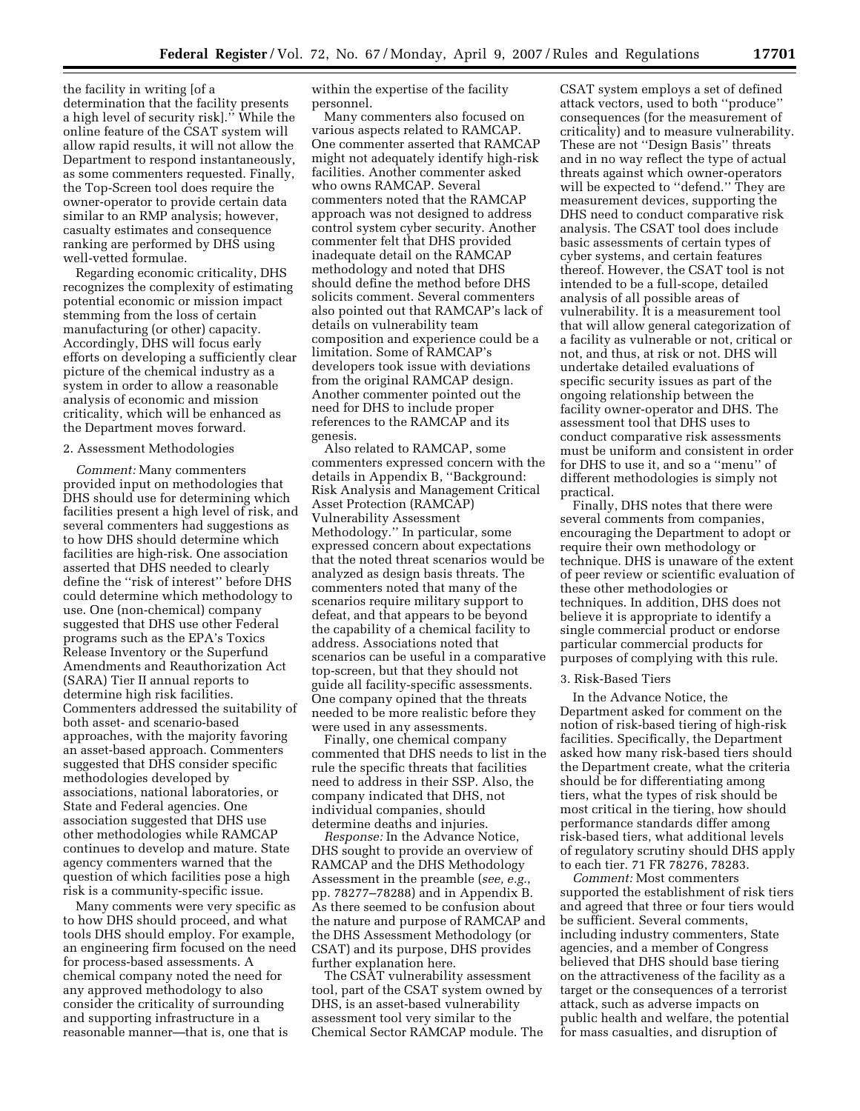the facility in writing [of a determination that the facility presents a high level of security risk].'' While the online feature of the CSAT system will allow rapid results, it will not allow the Department to respond instantaneously, as some commenters requested. Finally, the Top-Screen tool does require the owner-operator to provide certain data similar to an RMP analysis; however, casualty estimates and consequence ranking are performed by DHS using well-vetted formulae.

Regarding economic criticality, DHS recognizes the complexity of estimating potential economic or mission impact stemming from the loss of certain manufacturing (or other) capacity. Accordingly, DHS will focus early efforts on developing a sufficiently clear picture of the chemical industry as a system in order to allow a reasonable analysis of economic and mission criticality, which will be enhanced as the Department moves forward.

## 2. Assessment Methodologies

*Comment:* Many commenters provided input on methodologies that DHS should use for determining which facilities present a high level of risk, and several commenters had suggestions as to how DHS should determine which facilities are high-risk. One association asserted that DHS needed to clearly define the ''risk of interest'' before DHS could determine which methodology to use. One (non-chemical) company suggested that DHS use other Federal programs such as the EPA's Toxics Release Inventory or the Superfund Amendments and Reauthorization Act (SARA) Tier II annual reports to determine high risk facilities. Commenters addressed the suitability of both asset- and scenario-based approaches, with the majority favoring an asset-based approach. Commenters suggested that DHS consider specific methodologies developed by associations, national laboratories, or State and Federal agencies. One association suggested that DHS use other methodologies while RAMCAP continues to develop and mature. State agency commenters warned that the question of which facilities pose a high risk is a community-specific issue.

Many comments were very specific as to how DHS should proceed, and what tools DHS should employ. For example, an engineering firm focused on the need for process-based assessments. A chemical company noted the need for any approved methodology to also consider the criticality of surrounding and supporting infrastructure in a reasonable manner—that is, one that is

within the expertise of the facility personnel.

Many commenters also focused on various aspects related to RAMCAP. One commenter asserted that RAMCAP might not adequately identify high-risk facilities. Another commenter asked who owns RAMCAP. Several commenters noted that the RAMCAP approach was not designed to address control system cyber security. Another commenter felt that DHS provided inadequate detail on the RAMCAP methodology and noted that DHS should define the method before DHS solicits comment. Several commenters also pointed out that RAMCAP's lack of details on vulnerability team composition and experience could be a limitation. Some of RAMCAP's developers took issue with deviations from the original RAMCAP design. Another commenter pointed out the need for DHS to include proper references to the RAMCAP and its genesis.

Also related to RAMCAP, some commenters expressed concern with the details in Appendix B, ''Background: Risk Analysis and Management Critical Asset Protection (RAMCAP) Vulnerability Assessment Methodology.'' In particular, some expressed concern about expectations that the noted threat scenarios would be analyzed as design basis threats. The commenters noted that many of the scenarios require military support to defeat, and that appears to be beyond the capability of a chemical facility to address. Associations noted that scenarios can be useful in a comparative top-screen, but that they should not guide all facility-specific assessments. One company opined that the threats needed to be more realistic before they were used in any assessments.

Finally, one chemical company commented that DHS needs to list in the rule the specific threats that facilities need to address in their SSP. Also, the company indicated that DHS, not individual companies, should determine deaths and injuries.

*Response:* In the Advance Notice, DHS sought to provide an overview of RAMCAP and the DHS Methodology Assessment in the preamble (*see, e.g.*, pp. 78277–78288) and in Appendix B. As there seemed to be confusion about the nature and purpose of RAMCAP and the DHS Assessment Methodology (or CSAT) and its purpose, DHS provides further explanation here.

The CSAT vulnerability assessment tool, part of the CSAT system owned by DHS, is an asset-based vulnerability assessment tool very similar to the Chemical Sector RAMCAP module. The CSAT system employs a set of defined attack vectors, used to both ''produce'' consequences (for the measurement of criticality) and to measure vulnerability. These are not ''Design Basis'' threats and in no way reflect the type of actual threats against which owner-operators will be expected to "defend." They are measurement devices, supporting the DHS need to conduct comparative risk analysis. The CSAT tool does include basic assessments of certain types of cyber systems, and certain features thereof. However, the CSAT tool is not intended to be a full-scope, detailed analysis of all possible areas of vulnerability. It is a measurement tool that will allow general categorization of a facility as vulnerable or not, critical or not, and thus, at risk or not. DHS will undertake detailed evaluations of specific security issues as part of the ongoing relationship between the facility owner-operator and DHS. The assessment tool that DHS uses to conduct comparative risk assessments must be uniform and consistent in order for DHS to use it, and so a ''menu'' of different methodologies is simply not practical.

Finally, DHS notes that there were several comments from companies, encouraging the Department to adopt or require their own methodology or technique. DHS is unaware of the extent of peer review or scientific evaluation of these other methodologies or techniques. In addition, DHS does not believe it is appropriate to identify a single commercial product or endorse particular commercial products for purposes of complying with this rule.

#### 3. Risk-Based Tiers

In the Advance Notice, the Department asked for comment on the notion of risk-based tiering of high-risk facilities. Specifically, the Department asked how many risk-based tiers should the Department create, what the criteria should be for differentiating among tiers, what the types of risk should be most critical in the tiering, how should performance standards differ among risk-based tiers, what additional levels of regulatory scrutiny should DHS apply to each tier. 71 FR 78276, 78283.

*Comment:* Most commenters supported the establishment of risk tiers and agreed that three or four tiers would be sufficient. Several comments, including industry commenters, State agencies, and a member of Congress believed that DHS should base tiering on the attractiveness of the facility as a target or the consequences of a terrorist attack, such as adverse impacts on public health and welfare, the potential for mass casualties, and disruption of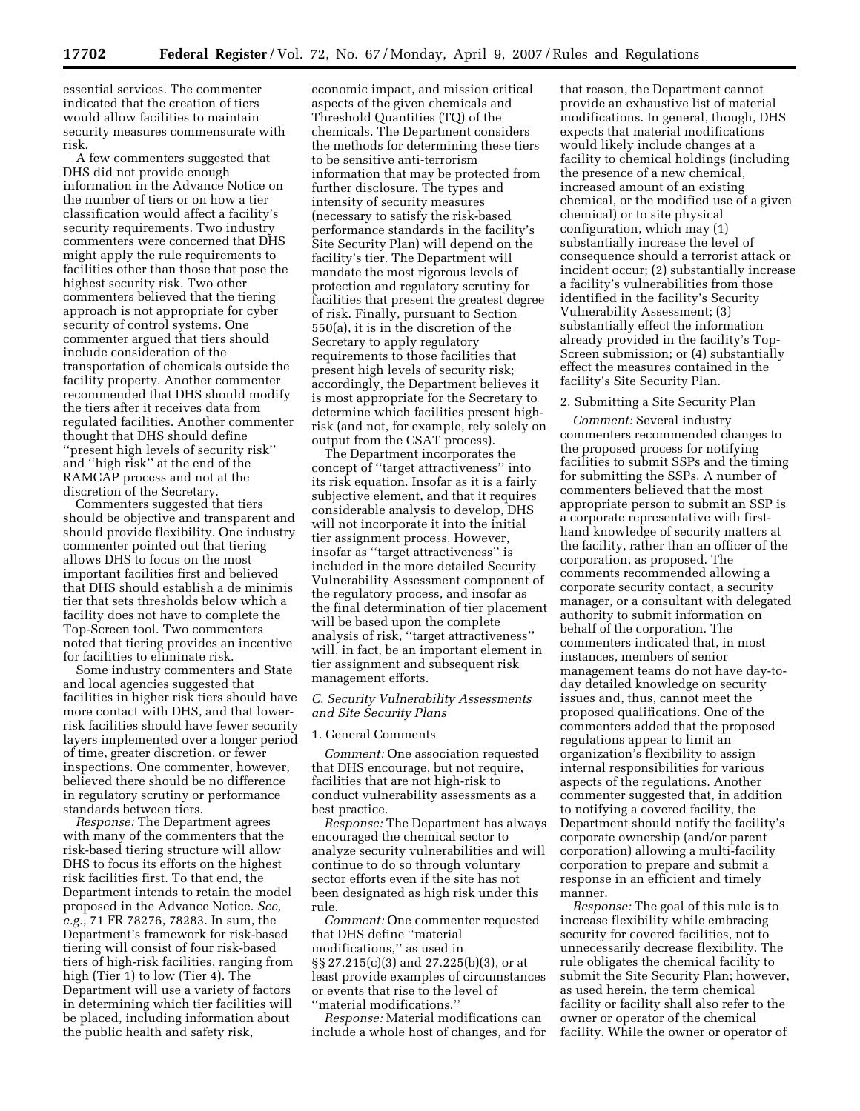essential services. The commenter indicated that the creation of tiers would allow facilities to maintain security measures commensurate with risk.

A few commenters suggested that DHS did not provide enough information in the Advance Notice on the number of tiers or on how a tier classification would affect a facility's security requirements. Two industry commenters were concerned that DHS might apply the rule requirements to facilities other than those that pose the highest security risk. Two other commenters believed that the tiering approach is not appropriate for cyber security of control systems. One commenter argued that tiers should include consideration of the transportation of chemicals outside the facility property. Another commenter recommended that DHS should modify the tiers after it receives data from regulated facilities. Another commenter thought that DHS should define ''present high levels of security risk'' and ''high risk'' at the end of the RAMCAP process and not at the discretion of the Secretary.

Commenters suggested that tiers should be objective and transparent and should provide flexibility. One industry commenter pointed out that tiering allows DHS to focus on the most important facilities first and believed that DHS should establish a de minimis tier that sets thresholds below which a facility does not have to complete the Top-Screen tool. Two commenters noted that tiering provides an incentive for facilities to eliminate risk.

Some industry commenters and State and local agencies suggested that facilities in higher risk tiers should have more contact with DHS, and that lowerrisk facilities should have fewer security layers implemented over a longer period of time, greater discretion, or fewer inspections. One commenter, however, believed there should be no difference in regulatory scrutiny or performance standards between tiers.

*Response:* The Department agrees with many of the commenters that the risk-based tiering structure will allow DHS to focus its efforts on the highest risk facilities first. To that end, the Department intends to retain the model proposed in the Advance Notice. *See, e.g.*, 71 FR 78276, 78283. In sum, the Department's framework for risk-based tiering will consist of four risk-based tiers of high-risk facilities, ranging from high (Tier 1) to low (Tier 4). The Department will use a variety of factors in determining which tier facilities will be placed, including information about the public health and safety risk,

economic impact, and mission critical aspects of the given chemicals and Threshold Quantities (TQ) of the chemicals. The Department considers the methods for determining these tiers to be sensitive anti-terrorism information that may be protected from further disclosure. The types and intensity of security measures (necessary to satisfy the risk-based performance standards in the facility's Site Security Plan) will depend on the facility's tier. The Department will mandate the most rigorous levels of protection and regulatory scrutiny for facilities that present the greatest degree of risk. Finally, pursuant to Section 550(a), it is in the discretion of the Secretary to apply regulatory requirements to those facilities that present high levels of security risk; accordingly, the Department believes it is most appropriate for the Secretary to determine which facilities present highrisk (and not, for example, rely solely on output from the CSAT process).

The Department incorporates the concept of ''target attractiveness'' into its risk equation. Insofar as it is a fairly subjective element, and that it requires considerable analysis to develop, DHS will not incorporate it into the initial tier assignment process. However, insofar as ''target attractiveness'' is included in the more detailed Security Vulnerability Assessment component of the regulatory process, and insofar as the final determination of tier placement will be based upon the complete analysis of risk, ''target attractiveness'' will, in fact, be an important element in tier assignment and subsequent risk management efforts.

## *C. Security Vulnerability Assessments and Site Security Plans*

#### 1. General Comments

*Comment:* One association requested that DHS encourage, but not require, facilities that are not high-risk to conduct vulnerability assessments as a best practice.

*Response:* The Department has always encouraged the chemical sector to analyze security vulnerabilities and will continue to do so through voluntary sector efforts even if the site has not been designated as high risk under this rule.

*Comment:* One commenter requested that DHS define ''material modifications,'' as used in §§ 27.215(c)(3) and 27.225(b)(3), or at least provide examples of circumstances or events that rise to the level of ''material modifications.''

*Response:* Material modifications can include a whole host of changes, and for

that reason, the Department cannot provide an exhaustive list of material modifications. In general, though, DHS expects that material modifications would likely include changes at a facility to chemical holdings (including the presence of a new chemical, increased amount of an existing chemical, or the modified use of a given chemical) or to site physical configuration, which may (1) substantially increase the level of consequence should a terrorist attack or incident occur; (2) substantially increase a facility's vulnerabilities from those identified in the facility's Security Vulnerability Assessment; (3) substantially effect the information already provided in the facility's Top-Screen submission; or (4) substantially effect the measures contained in the facility's Site Security Plan.

#### 2. Submitting a Site Security Plan

*Comment:* Several industry commenters recommended changes to the proposed process for notifying facilities to submit SSPs and the timing for submitting the SSPs. A number of commenters believed that the most appropriate person to submit an SSP is a corporate representative with firsthand knowledge of security matters at the facility, rather than an officer of the corporation, as proposed. The comments recommended allowing a corporate security contact, a security manager, or a consultant with delegated authority to submit information on behalf of the corporation. The commenters indicated that, in most instances, members of senior management teams do not have day-today detailed knowledge on security issues and, thus, cannot meet the proposed qualifications. One of the commenters added that the proposed regulations appear to limit an organization's flexibility to assign internal responsibilities for various aspects of the regulations. Another commenter suggested that, in addition to notifying a covered facility, the Department should notify the facility's corporate ownership (and/or parent corporation) allowing a multi-facility corporation to prepare and submit a response in an efficient and timely manner.

*Response:* The goal of this rule is to increase flexibility while embracing security for covered facilities, not to unnecessarily decrease flexibility. The rule obligates the chemical facility to submit the Site Security Plan; however, as used herein, the term chemical facility or facility shall also refer to the owner or operator of the chemical facility. While the owner or operator of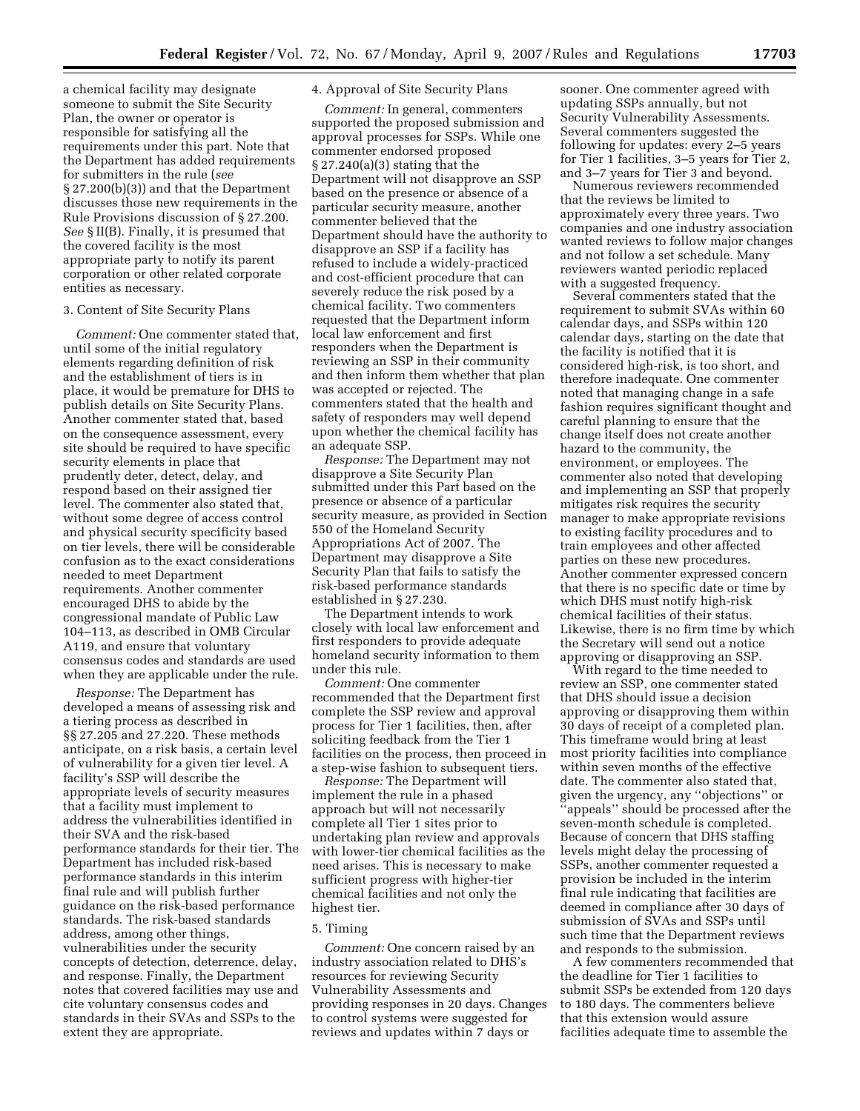a chemical facility may designate someone to submit the Site Security Plan, the owner or operator is responsible for satisfying all the requirements under this part. Note that the Department has added requirements for submitters in the rule (*see*  § 27.200(b)(3)) and that the Department discusses those new requirements in the Rule Provisions discussion of § 27.200. *See* § II(B). Finally, it is presumed that the covered facility is the most appropriate party to notify its parent corporation or other related corporate entities as necessary.

#### 3. Content of Site Security Plans

*Comment:* One commenter stated that, until some of the initial regulatory elements regarding definition of risk and the establishment of tiers is in place, it would be premature for DHS to publish details on Site Security Plans. Another commenter stated that, based on the consequence assessment, every site should be required to have specific security elements in place that prudently deter, detect, delay, and respond based on their assigned tier level. The commenter also stated that, without some degree of access control and physical security specificity based on tier levels, there will be considerable confusion as to the exact considerations needed to meet Department requirements. Another commenter encouraged DHS to abide by the congressional mandate of Public Law 104–113, as described in OMB Circular A119, and ensure that voluntary consensus codes and standards are used when they are applicable under the rule.

*Response:* The Department has developed a means of assessing risk and a tiering process as described in §§ 27.205 and 27.220. These methods anticipate, on a risk basis, a certain level of vulnerability for a given tier level. A facility's SSP will describe the appropriate levels of security measures that a facility must implement to address the vulnerabilities identified in their SVA and the risk-based performance standards for their tier. The Department has included risk-based performance standards in this interim final rule and will publish further guidance on the risk-based performance standards. The risk-based standards address, among other things, vulnerabilities under the security concepts of detection, deterrence, delay, and response. Finally, the Department notes that covered facilities may use and cite voluntary consensus codes and standards in their SVAs and SSPs to the extent they are appropriate.

# 4. Approval of Site Security Plans

*Comment:* In general, commenters supported the proposed submission and approval processes for SSPs. While one commenter endorsed proposed § 27.240(a)(3) stating that the Department will not disapprove an SSP based on the presence or absence of a particular security measure, another commenter believed that the Department should have the authority to disapprove an SSP if a facility has refused to include a widely-practiced and cost-efficient procedure that can severely reduce the risk posed by a chemical facility. Two commenters requested that the Department inform local law enforcement and first responders when the Department is reviewing an SSP in their community and then inform them whether that plan was accepted or rejected. The commenters stated that the health and safety of responders may well depend upon whether the chemical facility has an adequate SSP.

*Response:* The Department may not disapprove a Site Security Plan submitted under this Part based on the presence or absence of a particular security measure, as provided in Section 550 of the Homeland Security Appropriations Act of 2007. The Department may disapprove a Site Security Plan that fails to satisfy the risk-based performance standards established in § 27.230.

The Department intends to work closely with local law enforcement and first responders to provide adequate homeland security information to them under this rule.

*Comment:* One commenter recommended that the Department first complete the SSP review and approval process for Tier 1 facilities, then, after soliciting feedback from the Tier 1 facilities on the process, then proceed in a step-wise fashion to subsequent tiers.

*Response:* The Department will implement the rule in a phased approach but will not necessarily complete all Tier 1 sites prior to undertaking plan review and approvals with lower-tier chemical facilities as the need arises. This is necessary to make sufficient progress with higher-tier chemical facilities and not only the highest tier.

#### 5. Timing

*Comment:* One concern raised by an industry association related to DHS's resources for reviewing Security Vulnerability Assessments and providing responses in 20 days. Changes to control systems were suggested for reviews and updates within 7 days or

sooner. One commenter agreed with updating SSPs annually, but not Security Vulnerability Assessments. Several commenters suggested the following for updates: every 2–5 years for Tier 1 facilities, 3–5 years for Tier 2, and 3–7 years for Tier 3 and beyond.

Numerous reviewers recommended that the reviews be limited to approximately every three years. Two companies and one industry association wanted reviews to follow major changes and not follow a set schedule. Many reviewers wanted periodic replaced with a suggested frequency.

Several commenters stated that the requirement to submit SVAs within 60 calendar days, and SSPs within 120 calendar days, starting on the date that the facility is notified that it is considered high-risk, is too short, and therefore inadequate. One commenter noted that managing change in a safe fashion requires significant thought and careful planning to ensure that the change itself does not create another hazard to the community, the environment, or employees. The commenter also noted that developing and implementing an SSP that properly mitigates risk requires the security manager to make appropriate revisions to existing facility procedures and to train employees and other affected parties on these new procedures. Another commenter expressed concern that there is no specific date or time by which DHS must notify high-risk chemical facilities of their status. Likewise, there is no firm time by which the Secretary will send out a notice approving or disapproving an SSP.

With regard to the time needed to review an SSP, one commenter stated that DHS should issue a decision approving or disapproving them within 30 days of receipt of a completed plan. This timeframe would bring at least most priority facilities into compliance within seven months of the effective date. The commenter also stated that, given the urgency, any ''objections'' or ''appeals'' should be processed after the seven-month schedule is completed. Because of concern that DHS staffing levels might delay the processing of SSPs, another commenter requested a provision be included in the interim final rule indicating that facilities are deemed in compliance after 30 days of submission of SVAs and SSPs until such time that the Department reviews and responds to the submission.

A few commenters recommended that the deadline for Tier 1 facilities to submit SSPs be extended from 120 days to 180 days. The commenters believe that this extension would assure facilities adequate time to assemble the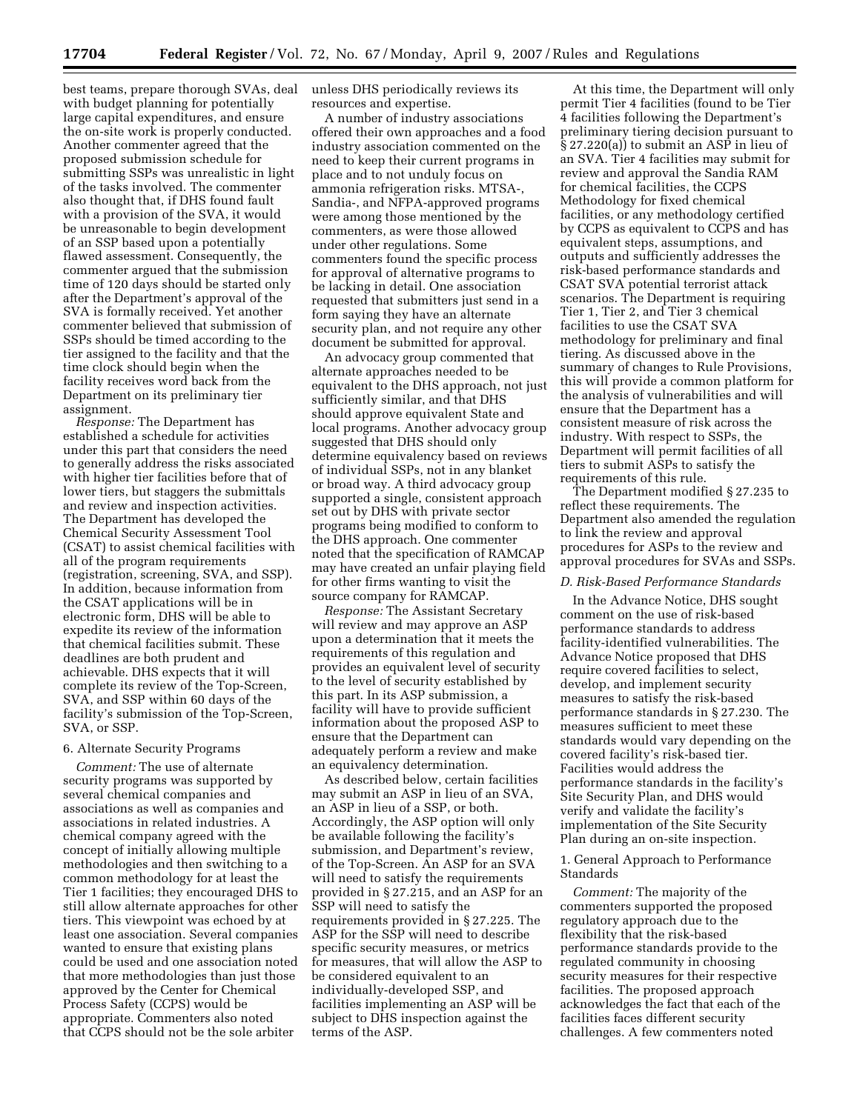best teams, prepare thorough SVAs, deal with budget planning for potentially large capital expenditures, and ensure the on-site work is properly conducted. Another commenter agreed that the proposed submission schedule for submitting SSPs was unrealistic in light of the tasks involved. The commenter also thought that, if DHS found fault with a provision of the SVA, it would be unreasonable to begin development of an SSP based upon a potentially flawed assessment. Consequently, the commenter argued that the submission time of 120 days should be started only after the Department's approval of the SVA is formally received. Yet another commenter believed that submission of SSPs should be timed according to the tier assigned to the facility and that the time clock should begin when the facility receives word back from the Department on its preliminary tier assignment.

*Response:* The Department has established a schedule for activities under this part that considers the need to generally address the risks associated with higher tier facilities before that of lower tiers, but staggers the submittals and review and inspection activities. The Department has developed the Chemical Security Assessment Tool (CSAT) to assist chemical facilities with all of the program requirements (registration, screening, SVA, and SSP). In addition, because information from the CSAT applications will be in electronic form, DHS will be able to expedite its review of the information that chemical facilities submit. These deadlines are both prudent and achievable. DHS expects that it will complete its review of the Top-Screen, SVA, and SSP within 60 days of the facility's submission of the Top-Screen, SVA, or SSP.

#### 6. Alternate Security Programs

*Comment:* The use of alternate security programs was supported by several chemical companies and associations as well as companies and associations in related industries. A chemical company agreed with the concept of initially allowing multiple methodologies and then switching to a common methodology for at least the Tier 1 facilities; they encouraged DHS to still allow alternate approaches for other tiers. This viewpoint was echoed by at least one association. Several companies wanted to ensure that existing plans could be used and one association noted that more methodologies than just those approved by the Center for Chemical Process Safety (CCPS) would be appropriate. Commenters also noted that CCPS should not be the sole arbiter

unless DHS periodically reviews its resources and expertise.

A number of industry associations offered their own approaches and a food industry association commented on the need to keep their current programs in place and to not unduly focus on ammonia refrigeration risks. MTSA-, Sandia-, and NFPA-approved programs were among those mentioned by the commenters, as were those allowed under other regulations. Some commenters found the specific process for approval of alternative programs to be lacking in detail. One association requested that submitters just send in a form saying they have an alternate security plan, and not require any other document be submitted for approval.

An advocacy group commented that alternate approaches needed to be equivalent to the DHS approach, not just sufficiently similar, and that DHS should approve equivalent State and local programs. Another advocacy group suggested that DHS should only determine equivalency based on reviews of individual SSPs, not in any blanket or broad way. A third advocacy group supported a single, consistent approach set out by DHS with private sector programs being modified to conform to the DHS approach. One commenter noted that the specification of RAMCAP may have created an unfair playing field for other firms wanting to visit the source company for RAMCAP.

*Response:* The Assistant Secretary will review and may approve an ASP upon a determination that it meets the requirements of this regulation and provides an equivalent level of security to the level of security established by this part. In its ASP submission, a facility will have to provide sufficient information about the proposed ASP to ensure that the Department can adequately perform a review and make an equivalency determination.

As described below, certain facilities may submit an ASP in lieu of an SVA, an ASP in lieu of a SSP, or both. Accordingly, the ASP option will only be available following the facility's submission, and Department's review, of the Top-Screen. An ASP for an SVA will need to satisfy the requirements provided in § 27.215, and an ASP for an SSP will need to satisfy the requirements provided in § 27.225. The ASP for the SSP will need to describe specific security measures, or metrics for measures, that will allow the ASP to be considered equivalent to an individually-developed SSP, and facilities implementing an ASP will be subject to DHS inspection against the terms of the ASP.

At this time, the Department will only permit Tier 4 facilities (found to be Tier 4 facilities following the Department's preliminary tiering decision pursuant to  $\S 27.220(a)$  to submit an ASP in lieu of an SVA. Tier 4 facilities may submit for review and approval the Sandia RAM for chemical facilities, the CCPS Methodology for fixed chemical facilities, or any methodology certified by CCPS as equivalent to CCPS and has equivalent steps, assumptions, and outputs and sufficiently addresses the risk-based performance standards and CSAT SVA potential terrorist attack scenarios. The Department is requiring Tier 1, Tier 2, and Tier 3 chemical facilities to use the CSAT SVA methodology for preliminary and final tiering. As discussed above in the summary of changes to Rule Provisions, this will provide a common platform for the analysis of vulnerabilities and will ensure that the Department has a consistent measure of risk across the industry. With respect to SSPs, the Department will permit facilities of all tiers to submit ASPs to satisfy the requirements of this rule.

The Department modified § 27.235 to reflect these requirements. The Department also amended the regulation to link the review and approval procedures for ASPs to the review and approval procedures for SVAs and SSPs.

#### *D. Risk-Based Performance Standards*

In the Advance Notice, DHS sought comment on the use of risk-based performance standards to address facility-identified vulnerabilities. The Advance Notice proposed that DHS require covered facilities to select, develop, and implement security measures to satisfy the risk-based performance standards in § 27.230. The measures sufficient to meet these standards would vary depending on the covered facility's risk-based tier. Facilities would address the performance standards in the facility's Site Security Plan, and DHS would verify and validate the facility's implementation of the Site Security Plan during an on-site inspection.

# 1. General Approach to Performance **Standards**

*Comment:* The majority of the commenters supported the proposed regulatory approach due to the flexibility that the risk-based performance standards provide to the regulated community in choosing security measures for their respective facilities. The proposed approach acknowledges the fact that each of the facilities faces different security challenges. A few commenters noted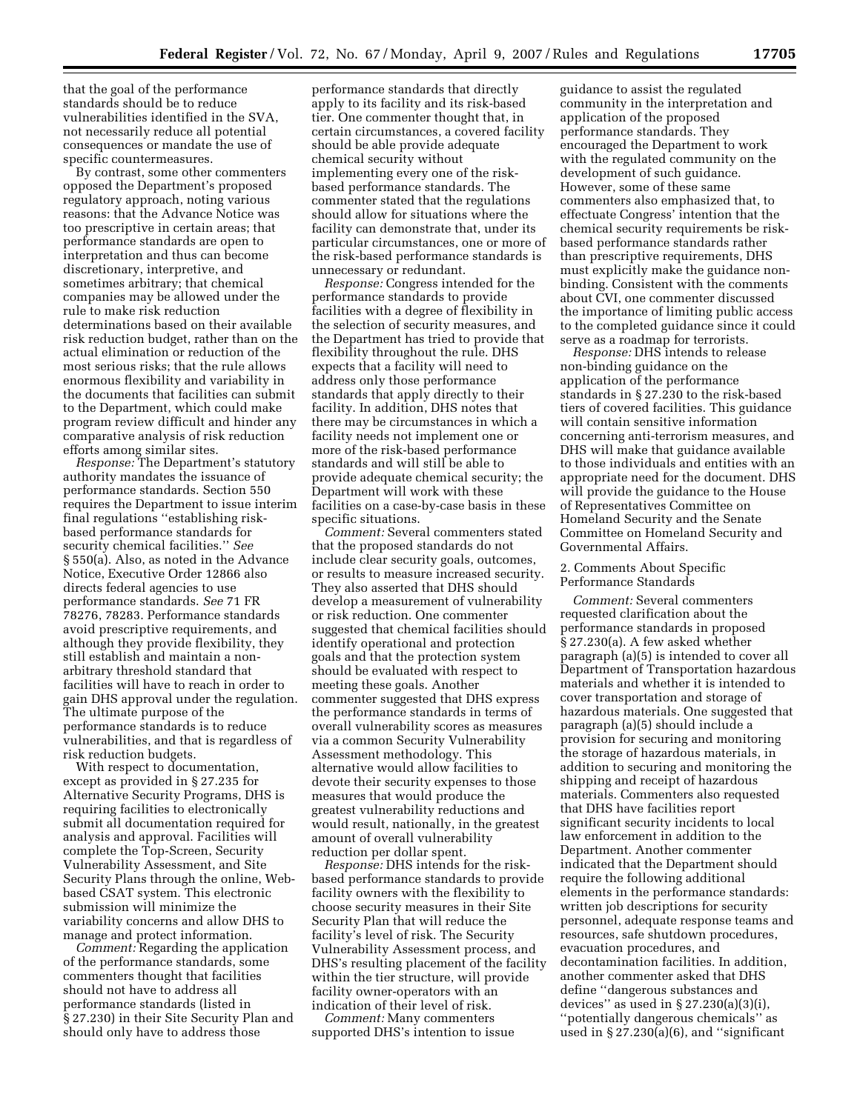that the goal of the performance standards should be to reduce vulnerabilities identified in the SVA, not necessarily reduce all potential consequences or mandate the use of specific countermeasures.

By contrast, some other commenters opposed the Department's proposed regulatory approach, noting various reasons: that the Advance Notice was too prescriptive in certain areas; that performance standards are open to interpretation and thus can become discretionary, interpretive, and sometimes arbitrary; that chemical companies may be allowed under the rule to make risk reduction determinations based on their available risk reduction budget, rather than on the actual elimination or reduction of the most serious risks; that the rule allows enormous flexibility and variability in the documents that facilities can submit to the Department, which could make program review difficult and hinder any comparative analysis of risk reduction efforts among similar sites.

*Response:* The Department's statutory authority mandates the issuance of performance standards. Section 550 requires the Department to issue interim final regulations ''establishing riskbased performance standards for security chemical facilities.'' *See*  § 550(a). Also, as noted in the Advance Notice, Executive Order 12866 also directs federal agencies to use performance standards. *See* 71 FR 78276, 78283. Performance standards avoid prescriptive requirements, and although they provide flexibility, they still establish and maintain a nonarbitrary threshold standard that facilities will have to reach in order to gain DHS approval under the regulation. The ultimate purpose of the performance standards is to reduce vulnerabilities, and that is regardless of risk reduction budgets.

With respect to documentation, except as provided in § 27.235 for Alternative Security Programs, DHS is requiring facilities to electronically submit all documentation required for analysis and approval. Facilities will complete the Top-Screen, Security Vulnerability Assessment, and Site Security Plans through the online, Webbased CSAT system. This electronic submission will minimize the variability concerns and allow DHS to manage and protect information.

*Comment:* Regarding the application of the performance standards, some commenters thought that facilities should not have to address all performance standards (listed in § 27.230) in their Site Security Plan and should only have to address those

performance standards that directly apply to its facility and its risk-based tier. One commenter thought that, in certain circumstances, a covered facility should be able provide adequate chemical security without implementing every one of the riskbased performance standards. The commenter stated that the regulations should allow for situations where the facility can demonstrate that, under its particular circumstances, one or more of the risk-based performance standards is unnecessary or redundant.

*Response:* Congress intended for the performance standards to provide facilities with a degree of flexibility in the selection of security measures, and the Department has tried to provide that flexibility throughout the rule. DHS expects that a facility will need to address only those performance standards that apply directly to their facility. In addition, DHS notes that there may be circumstances in which a facility needs not implement one or more of the risk-based performance standards and will still be able to provide adequate chemical security; the Department will work with these facilities on a case-by-case basis in these specific situations.

*Comment:* Several commenters stated that the proposed standards do not include clear security goals, outcomes, or results to measure increased security. They also asserted that DHS should develop a measurement of vulnerability or risk reduction. One commenter suggested that chemical facilities should identify operational and protection goals and that the protection system should be evaluated with respect to meeting these goals. Another commenter suggested that DHS express the performance standards in terms of overall vulnerability scores as measures via a common Security Vulnerability Assessment methodology. This alternative would allow facilities to devote their security expenses to those measures that would produce the greatest vulnerability reductions and would result, nationally, in the greatest amount of overall vulnerability reduction per dollar spent.

*Response:* DHS intends for the riskbased performance standards to provide facility owners with the flexibility to choose security measures in their Site Security Plan that will reduce the facility's level of risk. The Security Vulnerability Assessment process, and DHS's resulting placement of the facility within the tier structure, will provide facility owner-operators with an indication of their level of risk.

*Comment:* Many commenters supported DHS's intention to issue

guidance to assist the regulated community in the interpretation and application of the proposed performance standards. They encouraged the Department to work with the regulated community on the development of such guidance. However, some of these same commenters also emphasized that, to effectuate Congress' intention that the chemical security requirements be riskbased performance standards rather than prescriptive requirements, DHS must explicitly make the guidance nonbinding. Consistent with the comments about CVI, one commenter discussed the importance of limiting public access to the completed guidance since it could serve as a roadmap for terrorists.

*Response:* DHS intends to release non-binding guidance on the application of the performance standards in § 27.230 to the risk-based tiers of covered facilities. This guidance will contain sensitive information concerning anti-terrorism measures, and DHS will make that guidance available to those individuals and entities with an appropriate need for the document. DHS will provide the guidance to the House of Representatives Committee on Homeland Security and the Senate Committee on Homeland Security and Governmental Affairs.

# 2. Comments About Specific Performance Standards

*Comment:* Several commenters requested clarification about the performance standards in proposed § 27.230(a). A few asked whether paragraph (a)(5) is intended to cover all Department of Transportation hazardous materials and whether it is intended to cover transportation and storage of hazardous materials. One suggested that paragraph (a)(5) should include a provision for securing and monitoring the storage of hazardous materials, in addition to securing and monitoring the shipping and receipt of hazardous materials. Commenters also requested that DHS have facilities report significant security incidents to local law enforcement in addition to the Department. Another commenter indicated that the Department should require the following additional elements in the performance standards: written job descriptions for security personnel, adequate response teams and resources, safe shutdown procedures, evacuation procedures, and decontamination facilities. In addition, another commenter asked that DHS define ''dangerous substances and devices" as used in  $\S 27.230(a)(3)(i)$ , ''potentially dangerous chemicals'' as used in  $\S 27.230(a)(6)$ , and "significant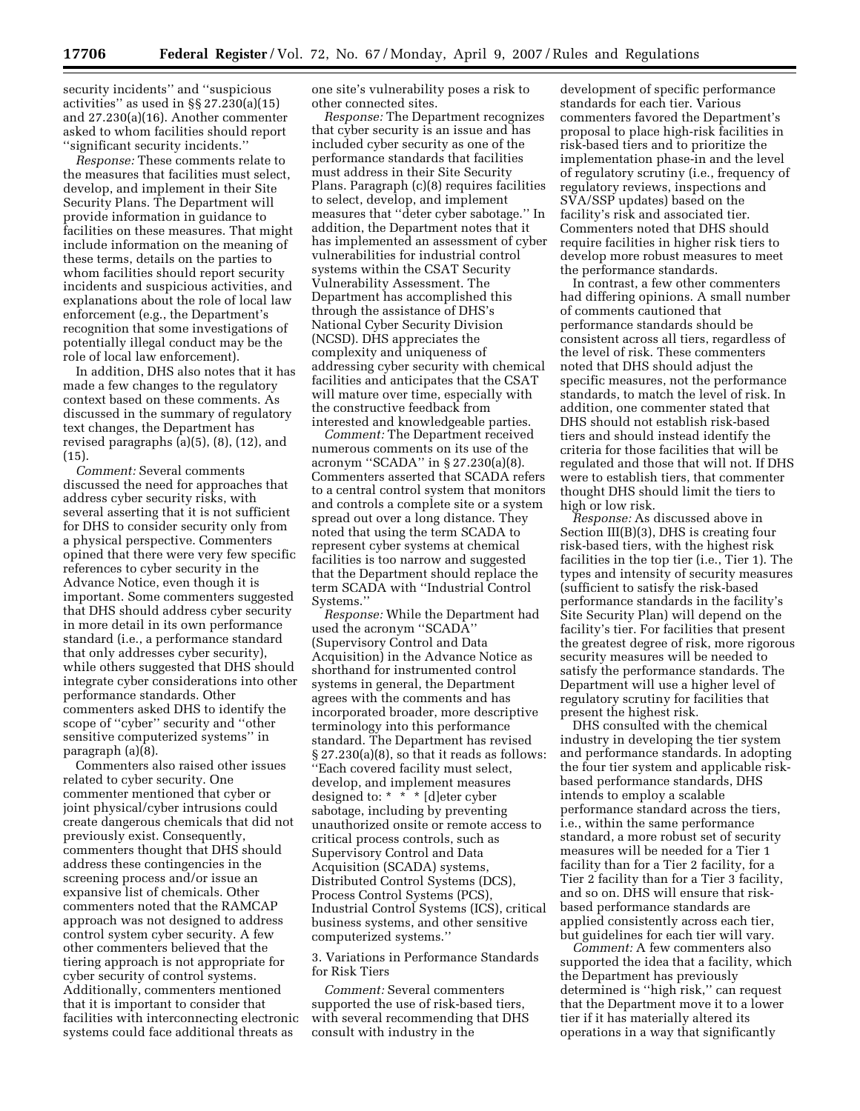security incidents'' and ''suspicious activities'' as used in §§ 27.230(a)(15) and 27.230(a)(16). Another commenter asked to whom facilities should report ''significant security incidents.''

*Response:* These comments relate to the measures that facilities must select, develop, and implement in their Site Security Plans. The Department will provide information in guidance to facilities on these measures. That might include information on the meaning of these terms, details on the parties to whom facilities should report security incidents and suspicious activities, and explanations about the role of local law enforcement (e.g., the Department's recognition that some investigations of potentially illegal conduct may be the role of local law enforcement).

In addition, DHS also notes that it has made a few changes to the regulatory context based on these comments. As discussed in the summary of regulatory text changes, the Department has revised paragraphs (a)(5), (8), (12), and (15).

*Comment:* Several comments discussed the need for approaches that address cyber security risks, with several asserting that it is not sufficient for DHS to consider security only from a physical perspective. Commenters opined that there were very few specific references to cyber security in the Advance Notice, even though it is important. Some commenters suggested that DHS should address cyber security in more detail in its own performance standard (i.e., a performance standard that only addresses cyber security), while others suggested that DHS should integrate cyber considerations into other performance standards. Other commenters asked DHS to identify the scope of ''cyber'' security and ''other sensitive computerized systems'' in paragraph (a)(8).

Commenters also raised other issues related to cyber security. One commenter mentioned that cyber or joint physical/cyber intrusions could create dangerous chemicals that did not previously exist. Consequently, commenters thought that DHS should address these contingencies in the screening process and/or issue an expansive list of chemicals. Other commenters noted that the RAMCAP approach was not designed to address control system cyber security. A few other commenters believed that the tiering approach is not appropriate for cyber security of control systems. Additionally, commenters mentioned that it is important to consider that facilities with interconnecting electronic systems could face additional threats as

one site's vulnerability poses a risk to other connected sites.

*Response:* The Department recognizes that cyber security is an issue and has included cyber security as one of the performance standards that facilities must address in their Site Security Plans. Paragraph (c)(8) requires facilities to select, develop, and implement measures that ''deter cyber sabotage.'' In addition, the Department notes that it has implemented an assessment of cyber vulnerabilities for industrial control systems within the CSAT Security Vulnerability Assessment. The Department has accomplished this through the assistance of DHS's National Cyber Security Division (NCSD). DHS appreciates the complexity and uniqueness of addressing cyber security with chemical facilities and anticipates that the CSAT will mature over time, especially with the constructive feedback from interested and knowledgeable parties.

*Comment:* The Department received numerous comments on its use of the acronym ''SCADA'' in § 27.230(a)(8). Commenters asserted that SCADA refers to a central control system that monitors and controls a complete site or a system spread out over a long distance. They noted that using the term SCADA to represent cyber systems at chemical facilities is too narrow and suggested that the Department should replace the term SCADA with ''Industrial Control Systems.''

*Response:* While the Department had used the acronym ''SCADA'' (Supervisory Control and Data Acquisition) in the Advance Notice as shorthand for instrumented control systems in general, the Department agrees with the comments and has incorporated broader, more descriptive terminology into this performance standard. The Department has revised  $\S 27.230(a)(8)$ , so that it reads as follows: ''Each covered facility must select, develop, and implement measures designed to: \* \* \* [d]eter cyber sabotage, including by preventing unauthorized onsite or remote access to critical process controls, such as Supervisory Control and Data Acquisition (SCADA) systems, Distributed Control Systems (DCS), Process Control Systems (PCS), Industrial Control Systems (ICS), critical business systems, and other sensitive computerized systems.''

3. Variations in Performance Standards for Risk Tiers

*Comment:* Several commenters supported the use of risk-based tiers, with several recommending that DHS consult with industry in the

development of specific performance standards for each tier. Various commenters favored the Department's proposal to place high-risk facilities in risk-based tiers and to prioritize the implementation phase-in and the level of regulatory scrutiny (i.e., frequency of regulatory reviews, inspections and SVA/SSP updates) based on the facility's risk and associated tier. Commenters noted that DHS should require facilities in higher risk tiers to develop more robust measures to meet the performance standards.

In contrast, a few other commenters had differing opinions. A small number of comments cautioned that performance standards should be consistent across all tiers, regardless of the level of risk. These commenters noted that DHS should adjust the specific measures, not the performance standards, to match the level of risk. In addition, one commenter stated that DHS should not establish risk-based tiers and should instead identify the criteria for those facilities that will be regulated and those that will not. If DHS were to establish tiers, that commenter thought DHS should limit the tiers to high or low risk.

*Response:* As discussed above in Section III(B)(3), DHS is creating four risk-based tiers, with the highest risk facilities in the top tier (i.e., Tier 1). The types and intensity of security measures (sufficient to satisfy the risk-based performance standards in the facility's Site Security Plan) will depend on the facility's tier. For facilities that present the greatest degree of risk, more rigorous security measures will be needed to satisfy the performance standards. The Department will use a higher level of regulatory scrutiny for facilities that present the highest risk.

DHS consulted with the chemical industry in developing the tier system and performance standards. In adopting the four tier system and applicable riskbased performance standards, DHS intends to employ a scalable performance standard across the tiers, i.e., within the same performance standard, a more robust set of security measures will be needed for a Tier 1 facility than for a Tier 2 facility, for a Tier 2 facility than for a Tier 3 facility, and so on. DHS will ensure that riskbased performance standards are applied consistently across each tier, but guidelines for each tier will vary.

*Comment:* A few commenters also supported the idea that a facility, which the Department has previously determined is ''high risk,'' can request that the Department move it to a lower tier if it has materially altered its operations in a way that significantly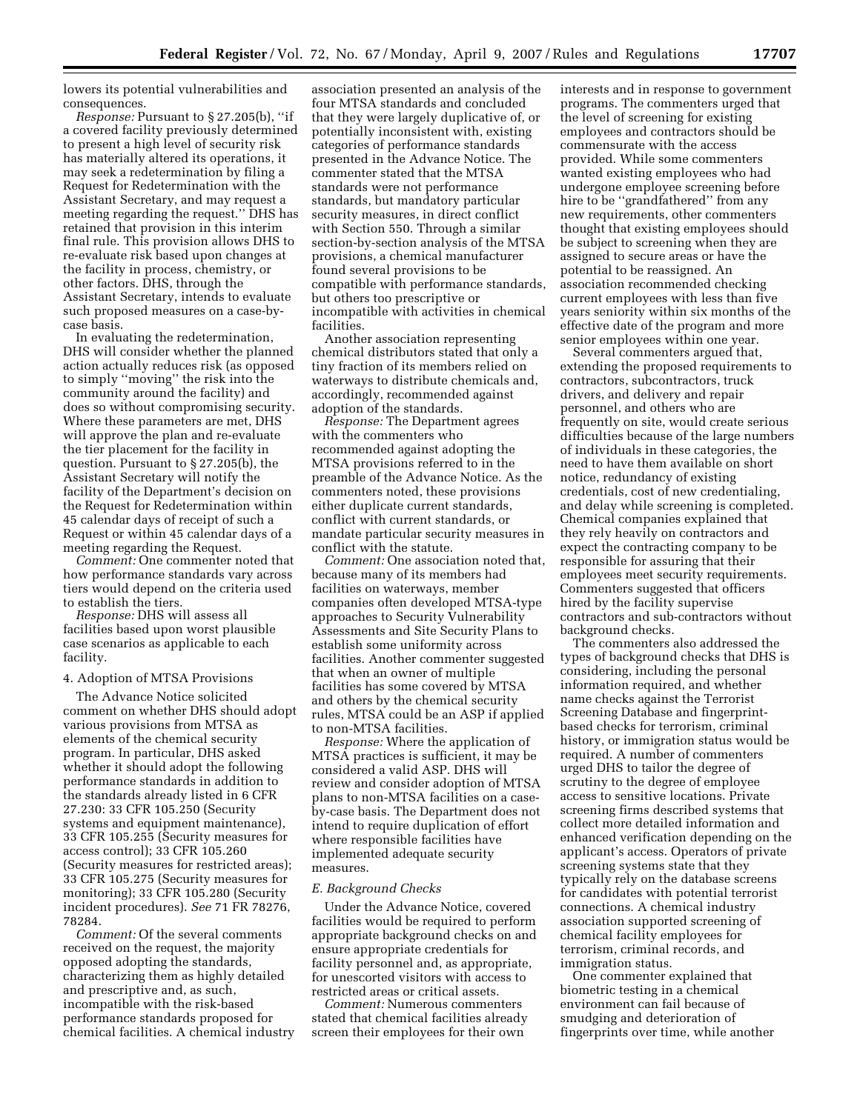lowers its potential vulnerabilities and consequences.

*Response:* Pursuant to § 27.205(b), ''if a covered facility previously determined to present a high level of security risk has materially altered its operations, it may seek a redetermination by filing a Request for Redetermination with the Assistant Secretary, and may request a meeting regarding the request.'' DHS has retained that provision in this interim final rule. This provision allows DHS to re-evaluate risk based upon changes at the facility in process, chemistry, or other factors. DHS, through the Assistant Secretary, intends to evaluate such proposed measures on a case-bycase basis.

In evaluating the redetermination, DHS will consider whether the planned action actually reduces risk (as opposed to simply ''moving'' the risk into the community around the facility) and does so without compromising security. Where these parameters are met, DHS will approve the plan and re-evaluate the tier placement for the facility in question. Pursuant to § 27.205(b), the Assistant Secretary will notify the facility of the Department's decision on the Request for Redetermination within 45 calendar days of receipt of such a Request or within 45 calendar days of a meeting regarding the Request.

*Comment:* One commenter noted that how performance standards vary across tiers would depend on the criteria used to establish the tiers.

*Response:* DHS will assess all facilities based upon worst plausible case scenarios as applicable to each facility.

## 4. Adoption of MTSA Provisions

The Advance Notice solicited comment on whether DHS should adopt various provisions from MTSA as elements of the chemical security program. In particular, DHS asked whether it should adopt the following performance standards in addition to the standards already listed in 6 CFR 27.230: 33 CFR 105.250 (Security systems and equipment maintenance), 33 CFR 105.255 (Security measures for access control); 33 CFR 105.260 (Security measures for restricted areas); 33 CFR 105.275 (Security measures for monitoring); 33 CFR 105.280 (Security incident procedures). *See* 71 FR 78276, 78284.

*Comment:* Of the several comments received on the request, the majority opposed adopting the standards, characterizing them as highly detailed and prescriptive and, as such, incompatible with the risk-based performance standards proposed for chemical facilities. A chemical industry

association presented an analysis of the four MTSA standards and concluded that they were largely duplicative of, or potentially inconsistent with, existing categories of performance standards presented in the Advance Notice. The commenter stated that the MTSA standards were not performance standards, but mandatory particular security measures, in direct conflict with Section 550. Through a similar section-by-section analysis of the MTSA provisions, a chemical manufacturer found several provisions to be compatible with performance standards, but others too prescriptive or incompatible with activities in chemical facilities.

Another association representing chemical distributors stated that only a tiny fraction of its members relied on waterways to distribute chemicals and, accordingly, recommended against adoption of the standards.

*Response:* The Department agrees with the commenters who recommended against adopting the MTSA provisions referred to in the preamble of the Advance Notice. As the commenters noted, these provisions either duplicate current standards, conflict with current standards, or mandate particular security measures in conflict with the statute.

*Comment:* One association noted that, because many of its members had facilities on waterways, member companies often developed MTSA-type approaches to Security Vulnerability Assessments and Site Security Plans to establish some uniformity across facilities. Another commenter suggested that when an owner of multiple facilities has some covered by MTSA and others by the chemical security rules, MTSA could be an ASP if applied to non-MTSA facilities.

*Response:* Where the application of MTSA practices is sufficient, it may be considered a valid ASP. DHS will review and consider adoption of MTSA plans to non-MTSA facilities on a caseby-case basis. The Department does not intend to require duplication of effort where responsible facilities have implemented adequate security measures.

#### *E. Background Checks*

Under the Advance Notice, covered facilities would be required to perform appropriate background checks on and ensure appropriate credentials for facility personnel and, as appropriate, for unescorted visitors with access to restricted areas or critical assets.

*Comment:* Numerous commenters stated that chemical facilities already screen their employees for their own

interests and in response to government programs. The commenters urged that the level of screening for existing employees and contractors should be commensurate with the access provided. While some commenters wanted existing employees who had undergone employee screening before hire to be ''grandfathered'' from any new requirements, other commenters thought that existing employees should be subject to screening when they are assigned to secure areas or have the potential to be reassigned. An association recommended checking current employees with less than five years seniority within six months of the effective date of the program and more senior employees within one year.

Several commenters argued that, extending the proposed requirements to contractors, subcontractors, truck drivers, and delivery and repair personnel, and others who are frequently on site, would create serious difficulties because of the large numbers of individuals in these categories, the need to have them available on short notice, redundancy of existing credentials, cost of new credentialing, and delay while screening is completed. Chemical companies explained that they rely heavily on contractors and expect the contracting company to be responsible for assuring that their employees meet security requirements. Commenters suggested that officers hired by the facility supervise contractors and sub-contractors without background checks.

The commenters also addressed the types of background checks that DHS is considering, including the personal information required, and whether name checks against the Terrorist Screening Database and fingerprintbased checks for terrorism, criminal history, or immigration status would be required. A number of commenters urged DHS to tailor the degree of scrutiny to the degree of employee access to sensitive locations. Private screening firms described systems that collect more detailed information and enhanced verification depending on the applicant's access. Operators of private screening systems state that they typically rely on the database screens for candidates with potential terrorist connections. A chemical industry association supported screening of chemical facility employees for terrorism, criminal records, and immigration status.

One commenter explained that biometric testing in a chemical environment can fail because of smudging and deterioration of fingerprints over time, while another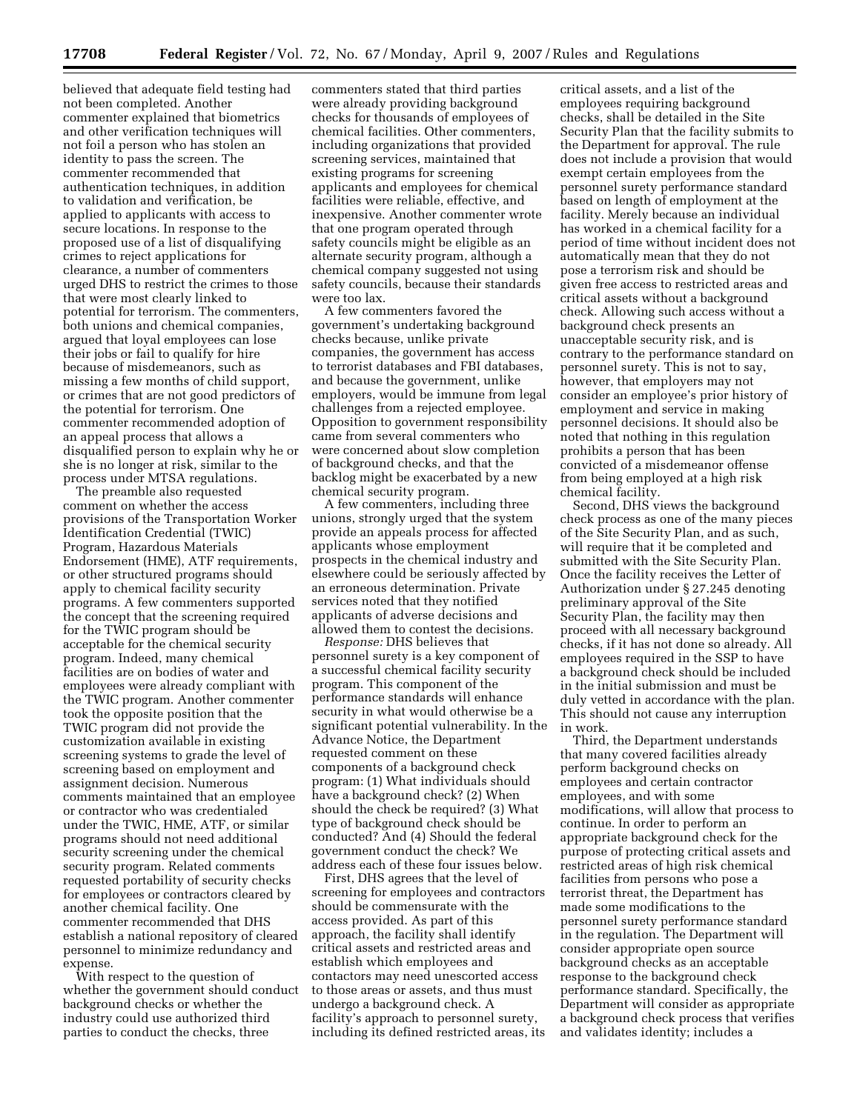believed that adequate field testing had not been completed. Another commenter explained that biometrics and other verification techniques will not foil a person who has stolen an identity to pass the screen. The commenter recommended that authentication techniques, in addition to validation and verification, be applied to applicants with access to secure locations. In response to the proposed use of a list of disqualifying crimes to reject applications for clearance, a number of commenters urged DHS to restrict the crimes to those that were most clearly linked to potential for terrorism. The commenters, both unions and chemical companies, argued that loyal employees can lose their jobs or fail to qualify for hire because of misdemeanors, such as missing a few months of child support, or crimes that are not good predictors of the potential for terrorism. One commenter recommended adoption of an appeal process that allows a disqualified person to explain why he or she is no longer at risk, similar to the process under MTSA regulations.

The preamble also requested comment on whether the access provisions of the Transportation Worker Identification Credential (TWIC) Program, Hazardous Materials Endorsement (HME), ATF requirements, or other structured programs should apply to chemical facility security programs. A few commenters supported the concept that the screening required for the TWIC program should be acceptable for the chemical security program. Indeed, many chemical facilities are on bodies of water and employees were already compliant with the TWIC program. Another commenter took the opposite position that the TWIC program did not provide the customization available in existing screening systems to grade the level of screening based on employment and assignment decision. Numerous comments maintained that an employee or contractor who was credentialed under the TWIC, HME, ATF, or similar programs should not need additional security screening under the chemical security program. Related comments requested portability of security checks for employees or contractors cleared by another chemical facility. One commenter recommended that DHS establish a national repository of cleared personnel to minimize redundancy and expense.

With respect to the question of whether the government should conduct background checks or whether the industry could use authorized third parties to conduct the checks, three

commenters stated that third parties were already providing background checks for thousands of employees of chemical facilities. Other commenters, including organizations that provided screening services, maintained that existing programs for screening applicants and employees for chemical facilities were reliable, effective, and inexpensive. Another commenter wrote that one program operated through safety councils might be eligible as an alternate security program, although a chemical company suggested not using safety councils, because their standards were too lax.

A few commenters favored the government's undertaking background checks because, unlike private companies, the government has access to terrorist databases and FBI databases, and because the government, unlike employers, would be immune from legal challenges from a rejected employee. Opposition to government responsibility came from several commenters who were concerned about slow completion of background checks, and that the backlog might be exacerbated by a new chemical security program.

A few commenters, including three unions, strongly urged that the system provide an appeals process for affected applicants whose employment prospects in the chemical industry and elsewhere could be seriously affected by an erroneous determination. Private services noted that they notified applicants of adverse decisions and allowed them to contest the decisions.

*Response:* DHS believes that personnel surety is a key component of a successful chemical facility security program. This component of the performance standards will enhance security in what would otherwise be a significant potential vulnerability. In the Advance Notice, the Department requested comment on these components of a background check program: (1) What individuals should have a background check? (2) When should the check be required? (3) What type of background check should be conducted? And (4) Should the federal government conduct the check? We address each of these four issues below.

First, DHS agrees that the level of screening for employees and contractors should be commensurate with the access provided. As part of this approach, the facility shall identify critical assets and restricted areas and establish which employees and contactors may need unescorted access to those areas or assets, and thus must undergo a background check. A facility's approach to personnel surety, including its defined restricted areas, its

critical assets, and a list of the employees requiring background checks, shall be detailed in the Site Security Plan that the facility submits to the Department for approval. The rule does not include a provision that would exempt certain employees from the personnel surety performance standard based on length of employment at the facility. Merely because an individual has worked in a chemical facility for a period of time without incident does not automatically mean that they do not pose a terrorism risk and should be given free access to restricted areas and critical assets without a background check. Allowing such access without a background check presents an unacceptable security risk, and is contrary to the performance standard on personnel surety. This is not to say, however, that employers may not consider an employee's prior history of employment and service in making personnel decisions. It should also be noted that nothing in this regulation prohibits a person that has been convicted of a misdemeanor offense from being employed at a high risk chemical facility.

Second, DHS views the background check process as one of the many pieces of the Site Security Plan, and as such, will require that it be completed and submitted with the Site Security Plan. Once the facility receives the Letter of Authorization under § 27.245 denoting preliminary approval of the Site Security Plan, the facility may then proceed with all necessary background checks, if it has not done so already. All employees required in the SSP to have a background check should be included in the initial submission and must be duly vetted in accordance with the plan. This should not cause any interruption in work.

Third, the Department understands that many covered facilities already perform background checks on employees and certain contractor employees, and with some modifications, will allow that process to continue. In order to perform an appropriate background check for the purpose of protecting critical assets and restricted areas of high risk chemical facilities from persons who pose a terrorist threat, the Department has made some modifications to the personnel surety performance standard in the regulation. The Department will consider appropriate open source background checks as an acceptable response to the background check performance standard. Specifically, the Department will consider as appropriate a background check process that verifies and validates identity; includes a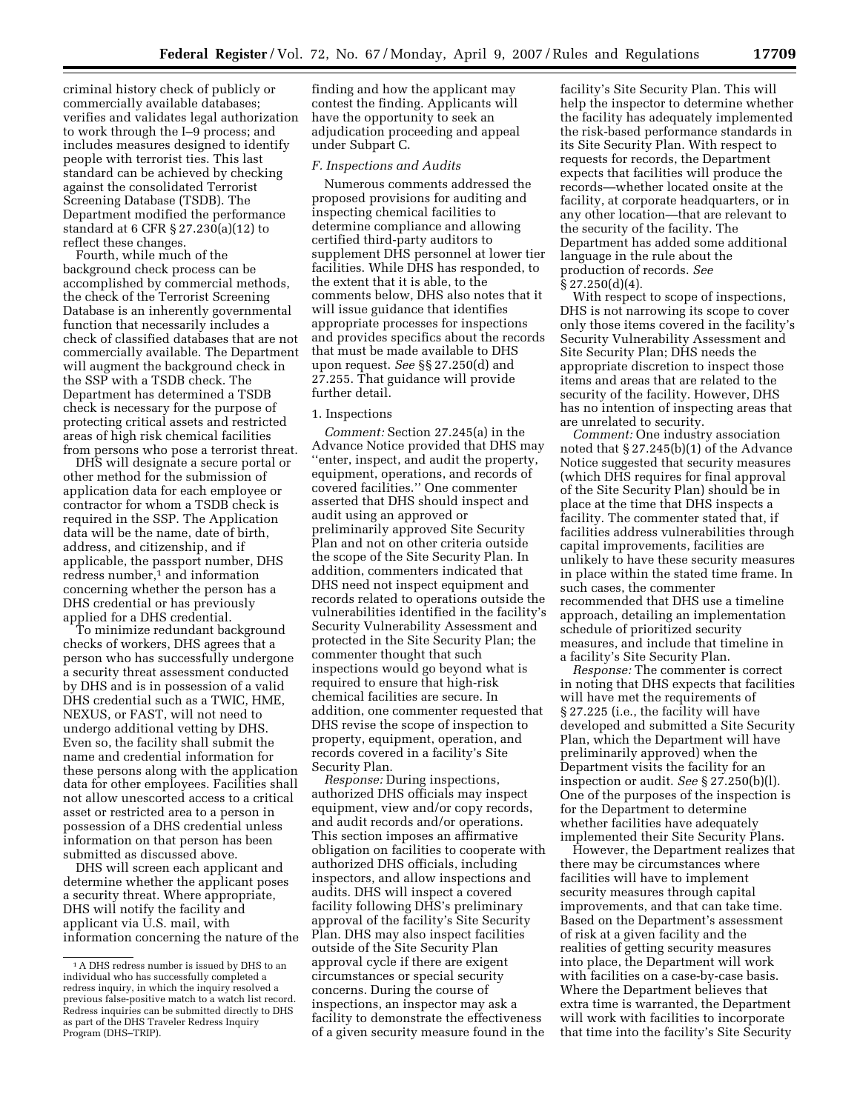criminal history check of publicly or commercially available databases; verifies and validates legal authorization to work through the I–9 process; and includes measures designed to identify people with terrorist ties. This last

standard can be achieved by checking against the consolidated Terrorist Screening Database (TSDB). The Department modified the performance standard at 6 CFR § 27.230(a)(12) to reflect these changes.

Fourth, while much of the background check process can be accomplished by commercial methods, the check of the Terrorist Screening Database is an inherently governmental function that necessarily includes a check of classified databases that are not commercially available. The Department will augment the background check in the SSP with a TSDB check. The Department has determined a TSDB check is necessary for the purpose of protecting critical assets and restricted areas of high risk chemical facilities from persons who pose a terrorist threat.

DHS will designate a secure portal or other method for the submission of application data for each employee or contractor for whom a TSDB check is required in the SSP. The Application data will be the name, date of birth, address, and citizenship, and if applicable, the passport number, DHS redress number,<sup>1</sup> and information concerning whether the person has a DHS credential or has previously applied for a DHS credential.

To minimize redundant background checks of workers, DHS agrees that a person who has successfully undergone a security threat assessment conducted by DHS and is in possession of a valid DHS credential such as a TWIC, HME, NEXUS, or FAST, will not need to undergo additional vetting by DHS. Even so, the facility shall submit the name and credential information for these persons along with the application data for other employees. Facilities shall not allow unescorted access to a critical asset or restricted area to a person in possession of a DHS credential unless information on that person has been submitted as discussed above.

DHS will screen each applicant and determine whether the applicant poses a security threat. Where appropriate, DHS will notify the facility and applicant via U.S. mail, with information concerning the nature of the

finding and how the applicant may contest the finding. Applicants will have the opportunity to seek an adjudication proceeding and appeal under Subpart C.

# *F. Inspections and Audits*

Numerous comments addressed the proposed provisions for auditing and inspecting chemical facilities to determine compliance and allowing certified third-party auditors to supplement DHS personnel at lower tier facilities. While DHS has responded, to the extent that it is able, to the comments below, DHS also notes that it will issue guidance that identifies appropriate processes for inspections and provides specifics about the records that must be made available to DHS upon request. *See* §§ 27.250(d) and 27.255. That guidance will provide further detail.

# 1. Inspections

*Comment:* Section 27.245(a) in the Advance Notice provided that DHS may ''enter, inspect, and audit the property, equipment, operations, and records of covered facilities.'' One commenter asserted that DHS should inspect and audit using an approved or preliminarily approved Site Security Plan and not on other criteria outside the scope of the Site Security Plan. In addition, commenters indicated that DHS need not inspect equipment and records related to operations outside the vulnerabilities identified in the facility's Security Vulnerability Assessment and protected in the Site Security Plan; the commenter thought that such inspections would go beyond what is required to ensure that high-risk chemical facilities are secure. In addition, one commenter requested that DHS revise the scope of inspection to property, equipment, operation, and records covered in a facility's Site Security Plan.

*Response:* During inspections, authorized DHS officials may inspect equipment, view and/or copy records, and audit records and/or operations. This section imposes an affirmative obligation on facilities to cooperate with authorized DHS officials, including inspectors, and allow inspections and audits. DHS will inspect a covered facility following DHS's preliminary approval of the facility's Site Security Plan. DHS may also inspect facilities outside of the Site Security Plan approval cycle if there are exigent circumstances or special security concerns. During the course of inspections, an inspector may ask a facility to demonstrate the effectiveness of a given security measure found in the

facility's Site Security Plan. This will help the inspector to determine whether the facility has adequately implemented the risk-based performance standards in its Site Security Plan. With respect to requests for records, the Department expects that facilities will produce the records—whether located onsite at the facility, at corporate headquarters, or in any other location—that are relevant to the security of the facility. The Department has added some additional language in the rule about the production of records. *See*  § 27.250(d)(4).

With respect to scope of inspections, DHS is not narrowing its scope to cover only those items covered in the facility's Security Vulnerability Assessment and Site Security Plan; DHS needs the appropriate discretion to inspect those items and areas that are related to the security of the facility. However, DHS has no intention of inspecting areas that are unrelated to security.

*Comment:* One industry association noted that § 27.245(b)(1) of the Advance Notice suggested that security measures (which DHS requires for final approval of the Site Security Plan) should be in place at the time that DHS inspects a facility. The commenter stated that, if facilities address vulnerabilities through capital improvements, facilities are unlikely to have these security measures in place within the stated time frame. In such cases, the commenter recommended that DHS use a timeline approach, detailing an implementation schedule of prioritized security measures, and include that timeline in a facility's Site Security Plan.

*Response:* The commenter is correct in noting that DHS expects that facilities will have met the requirements of § 27.225 (i.e., the facility will have developed and submitted a Site Security Plan, which the Department will have preliminarily approved) when the Department visits the facility for an inspection or audit. *See* § 27.250(b)(l). One of the purposes of the inspection is for the Department to determine whether facilities have adequately implemented their Site Security Plans.

However, the Department realizes that there may be circumstances where facilities will have to implement security measures through capital improvements, and that can take time. Based on the Department's assessment of risk at a given facility and the realities of getting security measures into place, the Department will work with facilities on a case-by-case basis. Where the Department believes that extra time is warranted, the Department will work with facilities to incorporate that time into the facility's Site Security

<sup>&</sup>lt;sup>1</sup> A DHS redress number is issued by DHS to an individual who has successfully completed a redress inquiry, in which the inquiry resolved a previous false-positive match to a watch list record. Redress inquiries can be submitted directly to DHS as part of the DHS Traveler Redress Inquiry Program (DHS-TRIP).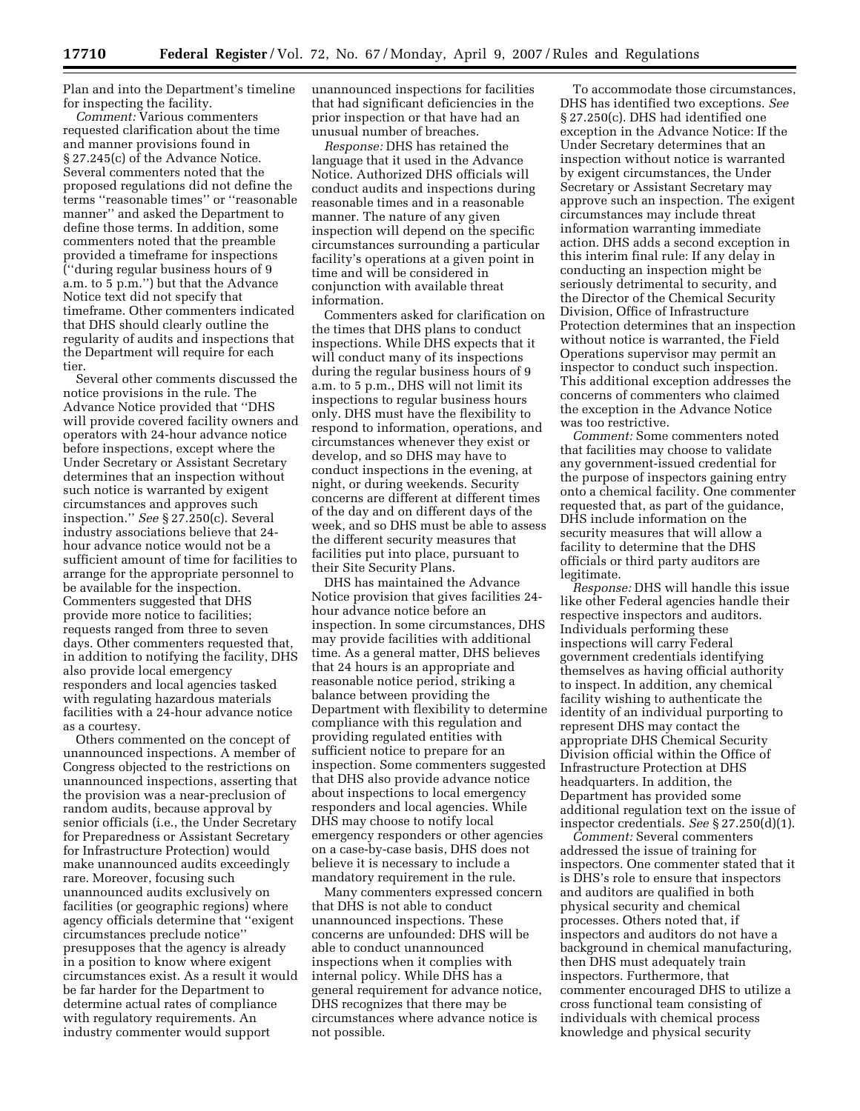Plan and into the Department's timeline for inspecting the facility.

*Comment:* Various commenters requested clarification about the time and manner provisions found in § 27.245(c) of the Advance Notice. Several commenters noted that the proposed regulations did not define the terms ''reasonable times'' or ''reasonable manner'' and asked the Department to define those terms. In addition, some commenters noted that the preamble provided a timeframe for inspections (''during regular business hours of 9 a.m. to 5 p.m.'') but that the Advance Notice text did not specify that timeframe. Other commenters indicated that DHS should clearly outline the regularity of audits and inspections that the Department will require for each tier.

Several other comments discussed the notice provisions in the rule. The Advance Notice provided that ''DHS will provide covered facility owners and operators with 24-hour advance notice before inspections, except where the Under Secretary or Assistant Secretary determines that an inspection without such notice is warranted by exigent circumstances and approves such inspection.'' *See* § 27.250(c). Several industry associations believe that 24 hour advance notice would not be a sufficient amount of time for facilities to arrange for the appropriate personnel to be available for the inspection. Commenters suggested that DHS provide more notice to facilities; requests ranged from three to seven days. Other commenters requested that, in addition to notifying the facility, DHS also provide local emergency responders and local agencies tasked with regulating hazardous materials facilities with a 24-hour advance notice as a courtesy.

Others commented on the concept of unannounced inspections. A member of Congress objected to the restrictions on unannounced inspections, asserting that the provision was a near-preclusion of random audits, because approval by senior officials (i.e., the Under Secretary for Preparedness or Assistant Secretary for Infrastructure Protection) would make unannounced audits exceedingly rare. Moreover, focusing such unannounced audits exclusively on facilities (or geographic regions) where agency officials determine that ''exigent circumstances preclude notice'' presupposes that the agency is already in a position to know where exigent circumstances exist. As a result it would be far harder for the Department to determine actual rates of compliance with regulatory requirements. An industry commenter would support

unannounced inspections for facilities that had significant deficiencies in the prior inspection or that have had an unusual number of breaches.

*Response:* DHS has retained the language that it used in the Advance Notice. Authorized DHS officials will conduct audits and inspections during reasonable times and in a reasonable manner. The nature of any given inspection will depend on the specific circumstances surrounding a particular facility's operations at a given point in time and will be considered in conjunction with available threat information.

Commenters asked for clarification on the times that DHS plans to conduct inspections. While DHS expects that it will conduct many of its inspections during the regular business hours of 9 a.m. to 5 p.m., DHS will not limit its inspections to regular business hours only. DHS must have the flexibility to respond to information, operations, and circumstances whenever they exist or develop, and so DHS may have to conduct inspections in the evening, at night, or during weekends. Security concerns are different at different times of the day and on different days of the week, and so DHS must be able to assess the different security measures that facilities put into place, pursuant to their Site Security Plans.

DHS has maintained the Advance Notice provision that gives facilities 24 hour advance notice before an inspection. In some circumstances, DHS may provide facilities with additional time. As a general matter, DHS believes that 24 hours is an appropriate and reasonable notice period, striking a balance between providing the Department with flexibility to determine compliance with this regulation and providing regulated entities with sufficient notice to prepare for an inspection. Some commenters suggested that DHS also provide advance notice about inspections to local emergency responders and local agencies. While DHS may choose to notify local emergency responders or other agencies on a case-by-case basis, DHS does not believe it is necessary to include a mandatory requirement in the rule.

Many commenters expressed concern that DHS is not able to conduct unannounced inspections. These concerns are unfounded: DHS will be able to conduct unannounced inspections when it complies with internal policy. While DHS has a general requirement for advance notice, DHS recognizes that there may be circumstances where advance notice is not possible.

To accommodate those circumstances, DHS has identified two exceptions. *See*  § 27.250(c). DHS had identified one exception in the Advance Notice: If the Under Secretary determines that an inspection without notice is warranted by exigent circumstances, the Under Secretary or Assistant Secretary may approve such an inspection. The exigent circumstances may include threat information warranting immediate action. DHS adds a second exception in this interim final rule: If any delay in conducting an inspection might be seriously detrimental to security, and the Director of the Chemical Security Division, Office of Infrastructure Protection determines that an inspection without notice is warranted, the Field Operations supervisor may permit an inspector to conduct such inspection. This additional exception addresses the concerns of commenters who claimed the exception in the Advance Notice was too restrictive.

*Comment:* Some commenters noted that facilities may choose to validate any government-issued credential for the purpose of inspectors gaining entry onto a chemical facility. One commenter requested that, as part of the guidance, DHS include information on the security measures that will allow a facility to determine that the DHS officials or third party auditors are legitimate.

*Response:* DHS will handle this issue like other Federal agencies handle their respective inspectors and auditors. Individuals performing these inspections will carry Federal government credentials identifying themselves as having official authority to inspect. In addition, any chemical facility wishing to authenticate the identity of an individual purporting to represent DHS may contact the appropriate DHS Chemical Security Division official within the Office of Infrastructure Protection at DHS headquarters. In addition, the Department has provided some additional regulation text on the issue of inspector credentials. *See* § 27.250(d)(1).

*Comment:* Several commenters addressed the issue of training for inspectors. One commenter stated that it is DHS's role to ensure that inspectors and auditors are qualified in both physical security and chemical processes. Others noted that, if inspectors and auditors do not have a background in chemical manufacturing, then DHS must adequately train inspectors. Furthermore, that commenter encouraged DHS to utilize a cross functional team consisting of individuals with chemical process knowledge and physical security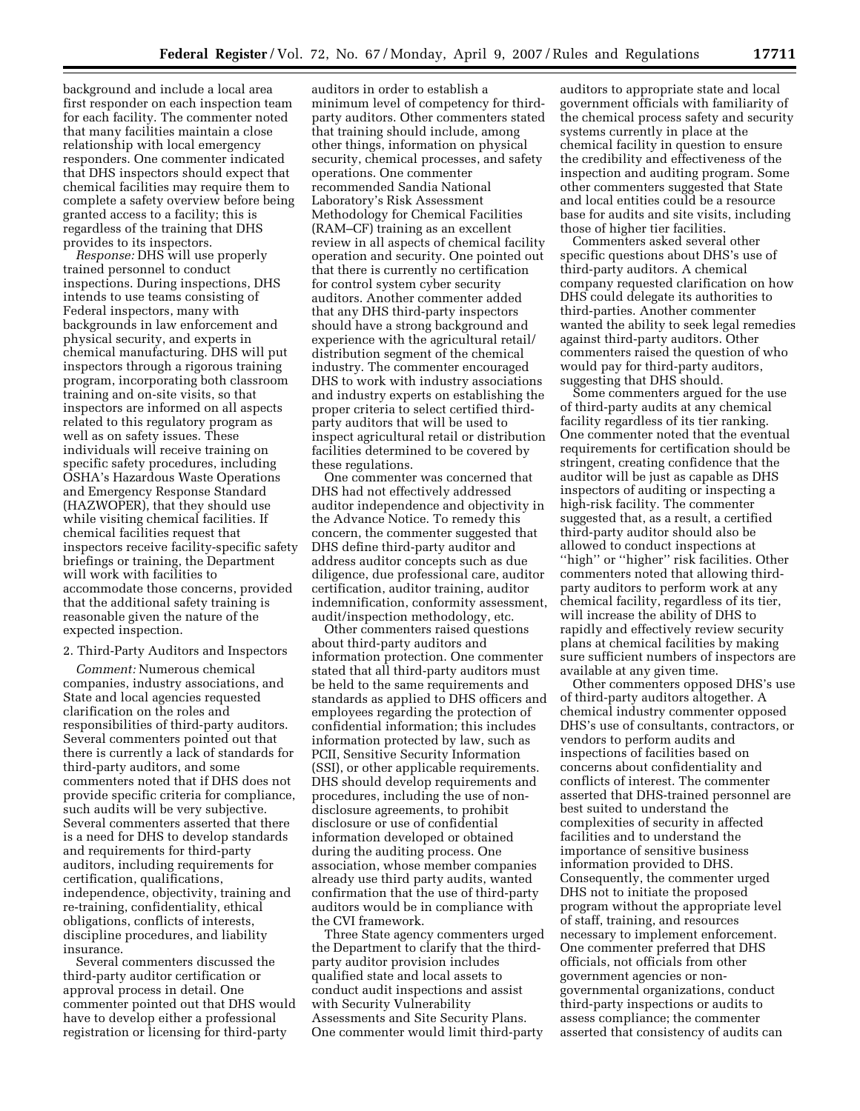background and include a local area first responder on each inspection team for each facility. The commenter noted that many facilities maintain a close relationship with local emergency responders. One commenter indicated that DHS inspectors should expect that chemical facilities may require them to complete a safety overview before being granted access to a facility; this is regardless of the training that DHS provides to its inspectors.

*Response:* DHS will use properly trained personnel to conduct inspections. During inspections, DHS intends to use teams consisting of Federal inspectors, many with backgrounds in law enforcement and physical security, and experts in chemical manufacturing. DHS will put inspectors through a rigorous training program, incorporating both classroom training and on-site visits, so that inspectors are informed on all aspects related to this regulatory program as well as on safety issues. These individuals will receive training on specific safety procedures, including OSHA's Hazardous Waste Operations and Emergency Response Standard (HAZWOPER), that they should use while visiting chemical facilities. If chemical facilities request that inspectors receive facility-specific safety briefings or training, the Department will work with facilities to accommodate those concerns, provided that the additional safety training is reasonable given the nature of the expected inspection.

# 2. Third-Party Auditors and Inspectors

*Comment:* Numerous chemical companies, industry associations, and State and local agencies requested clarification on the roles and responsibilities of third-party auditors. Several commenters pointed out that there is currently a lack of standards for third-party auditors, and some commenters noted that if DHS does not provide specific criteria for compliance, such audits will be very subjective. Several commenters asserted that there is a need for DHS to develop standards and requirements for third-party auditors, including requirements for certification, qualifications, independence, objectivity, training and re-training, confidentiality, ethical obligations, conflicts of interests, discipline procedures, and liability insurance.

Several commenters discussed the third-party auditor certification or approval process in detail. One commenter pointed out that DHS would have to develop either a professional registration or licensing for third-party

auditors in order to establish a minimum level of competency for thirdparty auditors. Other commenters stated that training should include, among other things, information on physical security, chemical processes, and safety operations. One commenter recommended Sandia National Laboratory's Risk Assessment Methodology for Chemical Facilities (RAM–CF) training as an excellent review in all aspects of chemical facility operation and security. One pointed out that there is currently no certification for control system cyber security auditors. Another commenter added that any DHS third-party inspectors should have a strong background and experience with the agricultural retail/ distribution segment of the chemical industry. The commenter encouraged DHS to work with industry associations and industry experts on establishing the proper criteria to select certified thirdparty auditors that will be used to inspect agricultural retail or distribution facilities determined to be covered by these regulations.

One commenter was concerned that DHS had not effectively addressed auditor independence and objectivity in the Advance Notice. To remedy this concern, the commenter suggested that DHS define third-party auditor and address auditor concepts such as due diligence, due professional care, auditor certification, auditor training, auditor indemnification, conformity assessment, audit/inspection methodology, etc.

Other commenters raised questions about third-party auditors and information protection. One commenter stated that all third-party auditors must be held to the same requirements and standards as applied to DHS officers and employees regarding the protection of confidential information; this includes information protected by law, such as PCII, Sensitive Security Information (SSI), or other applicable requirements. DHS should develop requirements and procedures, including the use of nondisclosure agreements, to prohibit disclosure or use of confidential information developed or obtained during the auditing process. One association, whose member companies already use third party audits, wanted confirmation that the use of third-party auditors would be in compliance with the CVI framework.

Three State agency commenters urged the Department to clarify that the thirdparty auditor provision includes qualified state and local assets to conduct audit inspections and assist with Security Vulnerability Assessments and Site Security Plans. One commenter would limit third-party

auditors to appropriate state and local government officials with familiarity of the chemical process safety and security systems currently in place at the chemical facility in question to ensure the credibility and effectiveness of the inspection and auditing program. Some other commenters suggested that State and local entities could be a resource base for audits and site visits, including those of higher tier facilities.

Commenters asked several other specific questions about DHS's use of third-party auditors. A chemical company requested clarification on how DHS could delegate its authorities to third-parties. Another commenter wanted the ability to seek legal remedies against third-party auditors. Other commenters raised the question of who would pay for third-party auditors, suggesting that DHS should.

Some commenters argued for the use of third-party audits at any chemical facility regardless of its tier ranking. One commenter noted that the eventual requirements for certification should be stringent, creating confidence that the auditor will be just as capable as DHS inspectors of auditing or inspecting a high-risk facility. The commenter suggested that, as a result, a certified third-party auditor should also be allowed to conduct inspections at "high" or "higher" risk facilities. Other commenters noted that allowing thirdparty auditors to perform work at any chemical facility, regardless of its tier, will increase the ability of DHS to rapidly and effectively review security plans at chemical facilities by making sure sufficient numbers of inspectors are available at any given time.

Other commenters opposed DHS's use of third-party auditors altogether. A chemical industry commenter opposed DHS's use of consultants, contractors, or vendors to perform audits and inspections of facilities based on concerns about confidentiality and conflicts of interest. The commenter asserted that DHS-trained personnel are best suited to understand the complexities of security in affected facilities and to understand the importance of sensitive business information provided to DHS. Consequently, the commenter urged DHS not to initiate the proposed program without the appropriate level of staff, training, and resources necessary to implement enforcement. One commenter preferred that DHS officials, not officials from other government agencies or nongovernmental organizations, conduct third-party inspections or audits to assess compliance; the commenter asserted that consistency of audits can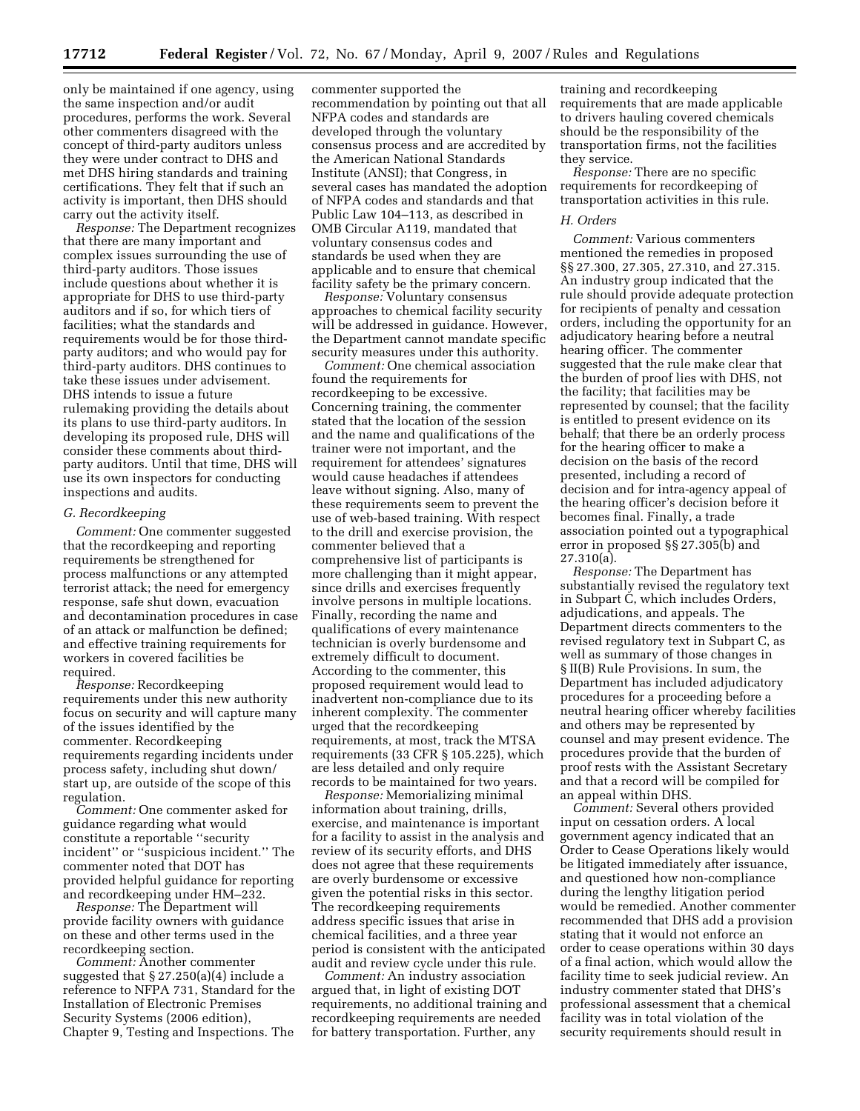only be maintained if one agency, using the same inspection and/or audit procedures, performs the work. Several other commenters disagreed with the concept of third-party auditors unless they were under contract to DHS and met DHS hiring standards and training certifications. They felt that if such an activity is important, then DHS should carry out the activity itself.

*Response:* The Department recognizes that there are many important and complex issues surrounding the use of third-party auditors. Those issues include questions about whether it is appropriate for DHS to use third-party auditors and if so, for which tiers of facilities; what the standards and requirements would be for those thirdparty auditors; and who would pay for third-party auditors. DHS continues to take these issues under advisement. DHS intends to issue a future rulemaking providing the details about its plans to use third-party auditors. In developing its proposed rule, DHS will consider these comments about thirdparty auditors. Until that time, DHS will use its own inspectors for conducting inspections and audits.

## *G. Recordkeeping*

*Comment:* One commenter suggested that the recordkeeping and reporting requirements be strengthened for process malfunctions or any attempted terrorist attack; the need for emergency response, safe shut down, evacuation and decontamination procedures in case of an attack or malfunction be defined; and effective training requirements for workers in covered facilities be required.

*Response:* Recordkeeping requirements under this new authority focus on security and will capture many of the issues identified by the commenter. Recordkeeping requirements regarding incidents under process safety, including shut down/ start up, are outside of the scope of this regulation.

*Comment:* One commenter asked for guidance regarding what would constitute a reportable ''security incident'' or ''suspicious incident.'' The commenter noted that DOT has provided helpful guidance for reporting and recordkeeping under HM–232.

*Response:* The Department will provide facility owners with guidance on these and other terms used in the recordkeeping section.

*Comment:* Another commenter suggested that § 27.250(a)(4) include a reference to NFPA 731, Standard for the Installation of Electronic Premises Security Systems (2006 edition), Chapter 9, Testing and Inspections. The

commenter supported the recommendation by pointing out that all NFPA codes and standards are developed through the voluntary consensus process and are accredited by the American National Standards Institute (ANSI); that Congress, in several cases has mandated the adoption of NFPA codes and standards and that Public Law 104–113, as described in OMB Circular A119, mandated that voluntary consensus codes and standards be used when they are applicable and to ensure that chemical facility safety be the primary concern.

*Response:* Voluntary consensus approaches to chemical facility security will be addressed in guidance. However, the Department cannot mandate specific security measures under this authority.

*Comment:* One chemical association found the requirements for recordkeeping to be excessive. Concerning training, the commenter stated that the location of the session and the name and qualifications of the trainer were not important, and the requirement for attendees' signatures would cause headaches if attendees leave without signing. Also, many of these requirements seem to prevent the use of web-based training. With respect to the drill and exercise provision, the commenter believed that a comprehensive list of participants is more challenging than it might appear, since drills and exercises frequently involve persons in multiple locations. Finally, recording the name and qualifications of every maintenance technician is overly burdensome and extremely difficult to document. According to the commenter, this proposed requirement would lead to inadvertent non-compliance due to its inherent complexity. The commenter urged that the recordkeeping requirements, at most, track the MTSA requirements (33 CFR § 105.225), which are less detailed and only require records to be maintained for two years.

*Response:* Memorializing minimal information about training, drills, exercise, and maintenance is important for a facility to assist in the analysis and review of its security efforts, and DHS does not agree that these requirements are overly burdensome or excessive given the potential risks in this sector. The recordkeeping requirements address specific issues that arise in chemical facilities, and a three year period is consistent with the anticipated audit and review cycle under this rule.

*Comment:* An industry association argued that, in light of existing DOT requirements, no additional training and recordkeeping requirements are needed for battery transportation. Further, any

training and recordkeeping requirements that are made applicable to drivers hauling covered chemicals should be the responsibility of the transportation firms, not the facilities they service.

*Response:* There are no specific requirements for recordkeeping of transportation activities in this rule.

## *H. Orders*

*Comment:* Various commenters mentioned the remedies in proposed §§ 27.300, 27.305, 27.310, and 27.315. An industry group indicated that the rule should provide adequate protection for recipients of penalty and cessation orders, including the opportunity for an adjudicatory hearing before a neutral hearing officer. The commenter suggested that the rule make clear that the burden of proof lies with DHS, not the facility; that facilities may be represented by counsel; that the facility is entitled to present evidence on its behalf; that there be an orderly process for the hearing officer to make a decision on the basis of the record presented, including a record of decision and for intra-agency appeal of the hearing officer's decision before it becomes final. Finally, a trade association pointed out a typographical error in proposed §§ 27.305(b) and 27.310(a).

*Response:* The Department has substantially revised the regulatory text in Subpart C, which includes Orders, adjudications, and appeals. The Department directs commenters to the revised regulatory text in Subpart C, as well as summary of those changes in § II(B) Rule Provisions. In sum, the Department has included adjudicatory procedures for a proceeding before a neutral hearing officer whereby facilities and others may be represented by counsel and may present evidence. The procedures provide that the burden of proof rests with the Assistant Secretary and that a record will be compiled for an appeal within DHS.

*Comment:* Several others provided input on cessation orders. A local government agency indicated that an Order to Cease Operations likely would be litigated immediately after issuance, and questioned how non-compliance during the lengthy litigation period would be remedied. Another commenter recommended that DHS add a provision stating that it would not enforce an order to cease operations within 30 days of a final action, which would allow the facility time to seek judicial review. An industry commenter stated that DHS's professional assessment that a chemical facility was in total violation of the security requirements should result in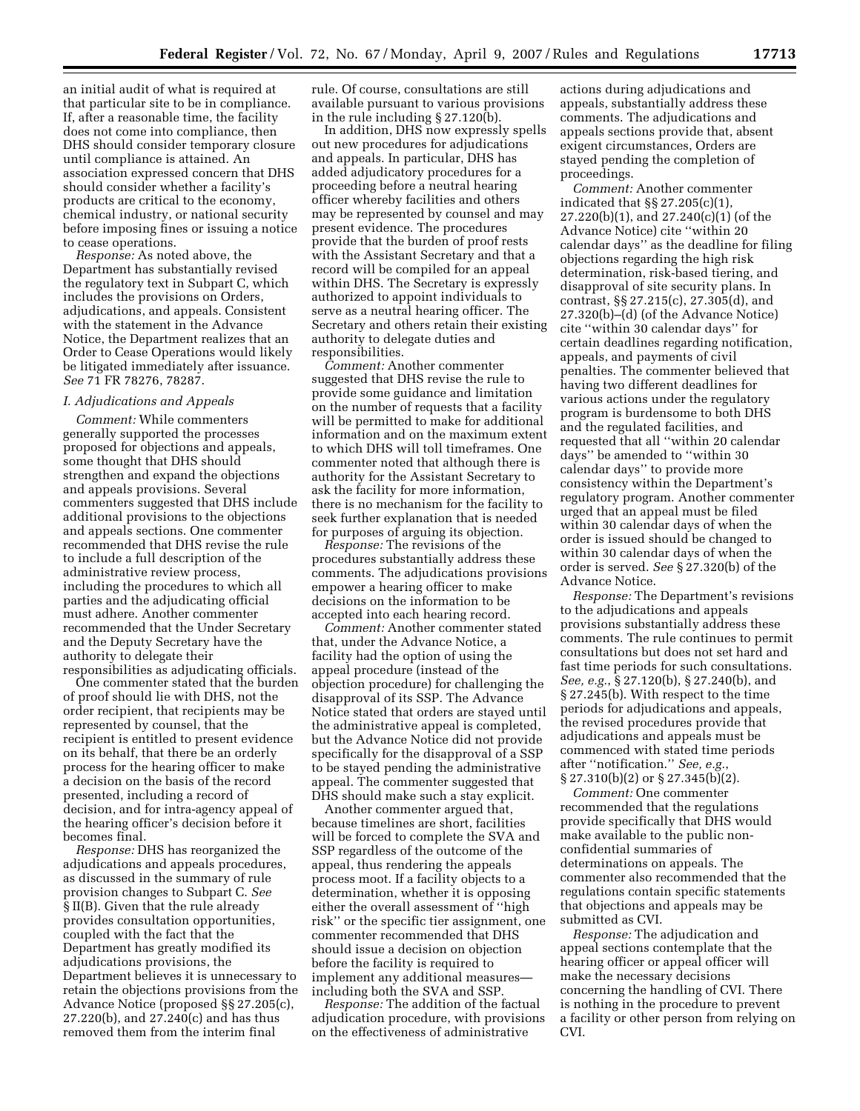an initial audit of what is required at that particular site to be in compliance. If, after a reasonable time, the facility does not come into compliance, then DHS should consider temporary closure until compliance is attained. An association expressed concern that DHS should consider whether a facility's products are critical to the economy, chemical industry, or national security before imposing fines or issuing a notice to cease operations.

*Response:* As noted above, the Department has substantially revised the regulatory text in Subpart C, which includes the provisions on Orders, adjudications, and appeals. Consistent with the statement in the Advance Notice, the Department realizes that an Order to Cease Operations would likely be litigated immediately after issuance. *See* 71 FR 78276, 78287.

## *I. Adjudications and Appeals*

*Comment:* While commenters generally supported the processes proposed for objections and appeals, some thought that DHS should strengthen and expand the objections and appeals provisions. Several commenters suggested that DHS include additional provisions to the objections and appeals sections. One commenter recommended that DHS revise the rule to include a full description of the administrative review process, including the procedures to which all parties and the adjudicating official must adhere. Another commenter recommended that the Under Secretary and the Deputy Secretary have the authority to delegate their responsibilities as adjudicating officials.

One commenter stated that the burden of proof should lie with DHS, not the order recipient, that recipients may be represented by counsel, that the recipient is entitled to present evidence on its behalf, that there be an orderly process for the hearing officer to make a decision on the basis of the record presented, including a record of decision, and for intra-agency appeal of the hearing officer's decision before it becomes final.

*Response:* DHS has reorganized the adjudications and appeals procedures, as discussed in the summary of rule provision changes to Subpart C. *See*  § II(B). Given that the rule already provides consultation opportunities, coupled with the fact that the Department has greatly modified its adjudications provisions, the Department believes it is unnecessary to retain the objections provisions from the Advance Notice (proposed §§ 27.205(c), 27.220(b), and 27.240(c) and has thus removed them from the interim final

rule. Of course, consultations are still available pursuant to various provisions in the rule including § 27.120(b).

In addition, DHS now expressly spells out new procedures for adjudications and appeals. In particular, DHS has added adjudicatory procedures for a proceeding before a neutral hearing officer whereby facilities and others may be represented by counsel and may present evidence. The procedures provide that the burden of proof rests with the Assistant Secretary and that a record will be compiled for an appeal within DHS. The Secretary is expressly authorized to appoint individuals to serve as a neutral hearing officer. The Secretary and others retain their existing authority to delegate duties and responsibilities.

*Comment:* Another commenter suggested that DHS revise the rule to provide some guidance and limitation on the number of requests that a facility will be permitted to make for additional information and on the maximum extent to which DHS will toll timeframes. One commenter noted that although there is authority for the Assistant Secretary to ask the facility for more information, there is no mechanism for the facility to seek further explanation that is needed for purposes of arguing its objection.

*Response:* The revisions of the procedures substantially address these comments. The adjudications provisions empower a hearing officer to make decisions on the information to be accepted into each hearing record.

*Comment:* Another commenter stated that, under the Advance Notice, a facility had the option of using the appeal procedure (instead of the objection procedure) for challenging the disapproval of its SSP. The Advance Notice stated that orders are stayed until the administrative appeal is completed, but the Advance Notice did not provide specifically for the disapproval of a SSP to be stayed pending the administrative appeal. The commenter suggested that DHS should make such a stay explicit.

Another commenter argued that, because timelines are short, facilities will be forced to complete the SVA and SSP regardless of the outcome of the appeal, thus rendering the appeals process moot. If a facility objects to a determination, whether it is opposing either the overall assessment of ''high risk'' or the specific tier assignment, one commenter recommended that DHS should issue a decision on objection before the facility is required to implement any additional measures including both the SVA and SSP.

*Response:* The addition of the factual adjudication procedure, with provisions on the effectiveness of administrative

actions during adjudications and appeals, substantially address these comments. The adjudications and appeals sections provide that, absent exigent circumstances, Orders are stayed pending the completion of proceedings.

*Comment:* Another commenter indicated that §§ 27.205(c)(1), 27.220(b)(1), and 27.240(c)(1) (of the Advance Notice) cite ''within 20 calendar days'' as the deadline for filing objections regarding the high risk determination, risk-based tiering, and disapproval of site security plans. In contrast, §§ 27.215(c), 27.305(d), and 27.320(b)–(d) (of the Advance Notice) cite ''within 30 calendar days'' for certain deadlines regarding notification, appeals, and payments of civil penalties. The commenter believed that having two different deadlines for various actions under the regulatory program is burdensome to both DHS and the regulated facilities, and requested that all "within 20 calendar days'' be amended to ''within 30 calendar days'' to provide more consistency within the Department's regulatory program. Another commenter urged that an appeal must be filed within 30 calendar days of when the order is issued should be changed to within 30 calendar days of when the order is served. *See* § 27.320(b) of the Advance Notice.

*Response:* The Department's revisions to the adjudications and appeals provisions substantially address these comments. The rule continues to permit consultations but does not set hard and fast time periods for such consultations. *See, e.g.*, § 27.120(b), § 27.240(b), and § 27.245(b). With respect to the time periods for adjudications and appeals, the revised procedures provide that adjudications and appeals must be commenced with stated time periods after ''notification.'' *See, e.g.*,  $\S 27.310(b)(2)$  or  $\S 27.345(b)(2)$ .

*Comment:* One commenter recommended that the regulations provide specifically that DHS would make available to the public nonconfidential summaries of determinations on appeals. The commenter also recommended that the regulations contain specific statements that objections and appeals may be submitted as CVI.

*Response:* The adjudication and appeal sections contemplate that the hearing officer or appeal officer will make the necessary decisions concerning the handling of CVI. There is nothing in the procedure to prevent a facility or other person from relying on CVI.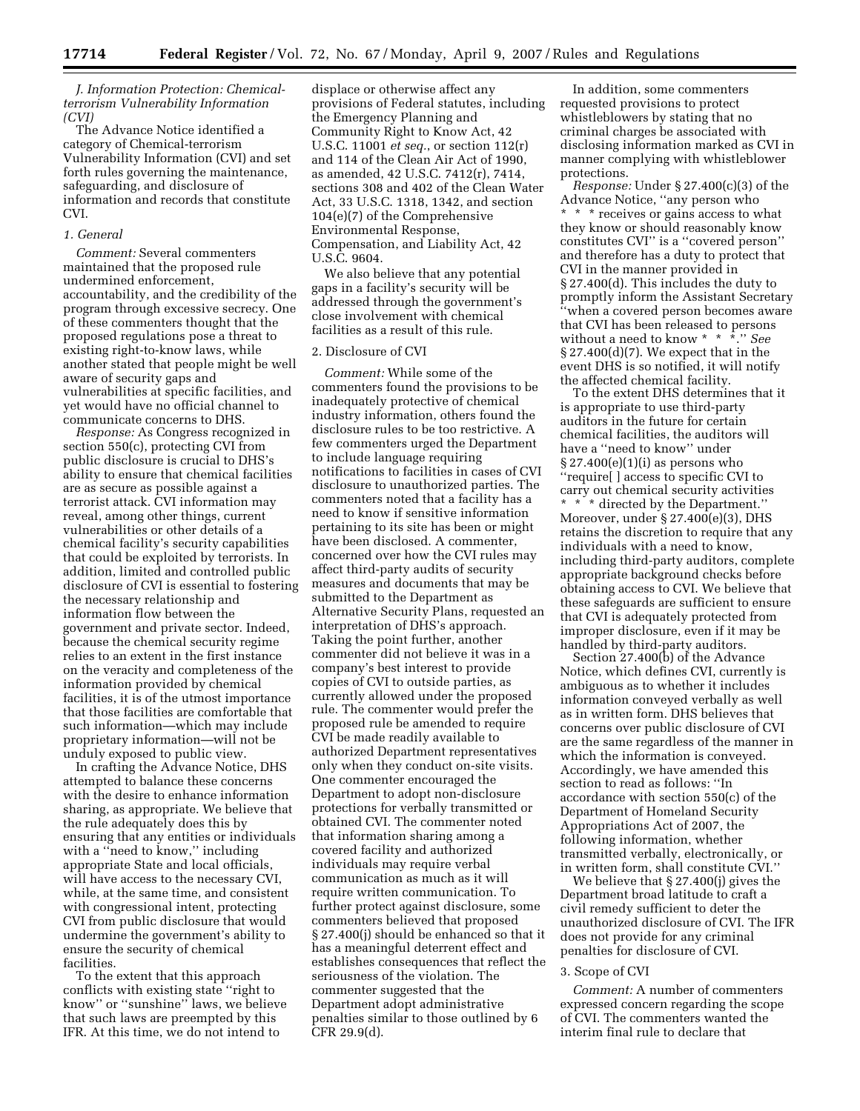*J. Information Protection: Chemicalterrorism Vulnerability Information (CVI)* 

The Advance Notice identified a category of Chemical-terrorism Vulnerability Information (CVI) and set forth rules governing the maintenance, safeguarding, and disclosure of information and records that constitute CVI.

# *1. General*

*Comment:* Several commenters maintained that the proposed rule undermined enforcement, accountability, and the credibility of the program through excessive secrecy. One of these commenters thought that the proposed regulations pose a threat to existing right-to-know laws, while another stated that people might be well aware of security gaps and vulnerabilities at specific facilities, and yet would have no official channel to communicate concerns to DHS.

*Response:* As Congress recognized in section 550(c), protecting CVI from public disclosure is crucial to DHS's ability to ensure that chemical facilities are as secure as possible against a terrorist attack. CVI information may reveal, among other things, current vulnerabilities or other details of a chemical facility's security capabilities that could be exploited by terrorists. In addition, limited and controlled public disclosure of CVI is essential to fostering the necessary relationship and information flow between the government and private sector. Indeed, because the chemical security regime relies to an extent in the first instance on the veracity and completeness of the information provided by chemical facilities, it is of the utmost importance that those facilities are comfortable that such information—which may include proprietary information—will not be unduly exposed to public view.

In crafting the Advance Notice, DHS attempted to balance these concerns with the desire to enhance information sharing, as appropriate. We believe that the rule adequately does this by ensuring that any entities or individuals with a "need to know," including appropriate State and local officials, will have access to the necessary CVI, while, at the same time, and consistent with congressional intent, protecting CVI from public disclosure that would undermine the government's ability to ensure the security of chemical facilities.

To the extent that this approach conflicts with existing state ''right to know'' or ''sunshine'' laws, we believe that such laws are preempted by this IFR. At this time, we do not intend to

displace or otherwise affect any provisions of Federal statutes, including the Emergency Planning and Community Right to Know Act, 42 U.S.C. 11001 *et seq.*, or section 112(r) and 114 of the Clean Air Act of 1990, as amended, 42 U.S.C. 7412(r), 7414, sections 308 and 402 of the Clean Water Act, 33 U.S.C. 1318, 1342, and section 104(e)(7) of the Comprehensive Environmental Response, Compensation, and Liability Act, 42 U.S.C. 9604.

We also believe that any potential gaps in a facility's security will be addressed through the government's close involvement with chemical facilities as a result of this rule.

# 2. Disclosure of CVI

*Comment:* While some of the commenters found the provisions to be inadequately protective of chemical industry information, others found the disclosure rules to be too restrictive. A few commenters urged the Department to include language requiring notifications to facilities in cases of CVI disclosure to unauthorized parties. The commenters noted that a facility has a need to know if sensitive information pertaining to its site has been or might have been disclosed. A commenter, concerned over how the CVI rules may affect third-party audits of security measures and documents that may be submitted to the Department as Alternative Security Plans, requested an interpretation of DHS's approach. Taking the point further, another commenter did not believe it was in a company's best interest to provide copies of CVI to outside parties, as currently allowed under the proposed rule. The commenter would prefer the proposed rule be amended to require CVI be made readily available to authorized Department representatives only when they conduct on-site visits. One commenter encouraged the Department to adopt non-disclosure protections for verbally transmitted or obtained CVI. The commenter noted that information sharing among a covered facility and authorized individuals may require verbal communication as much as it will require written communication. To further protect against disclosure, some commenters believed that proposed § 27.400(j) should be enhanced so that it has a meaningful deterrent effect and establishes consequences that reflect the seriousness of the violation. The commenter suggested that the Department adopt administrative penalties similar to those outlined by 6 CFR 29.9(d).

In addition, some commenters requested provisions to protect whistleblowers by stating that no criminal charges be associated with disclosing information marked as CVI in manner complying with whistleblower protections.

*Response:* Under § 27.400(c)(3) of the Advance Notice, ''any person who \* \* \* receives or gains access to what they know or should reasonably know constitutes CVI'' is a ''covered person'' and therefore has a duty to protect that CVI in the manner provided in § 27.400(d). This includes the duty to promptly inform the Assistant Secretary ''when a covered person becomes aware that CVI has been released to persons without a need to know \* \* \*.'' *See*  § 27.400(d)(7). We expect that in the event DHS is so notified, it will notify the affected chemical facility.

To the extent DHS determines that it is appropriate to use third-party auditors in the future for certain chemical facilities, the auditors will have a ''need to know'' under  $\S 27.400(e)(1)(i)$  as persons who ''require[ ] access to specific CVI to carry out chemical security activities \* \* \* directed by the Department.'' Moreover, under § 27.400(e)(3), DHS retains the discretion to require that any individuals with a need to know, including third-party auditors, complete appropriate background checks before obtaining access to CVI. We believe that these safeguards are sufficient to ensure that CVI is adequately protected from improper disclosure, even if it may be handled by third-party auditors.

Section 27.400(b) of the Advance Notice, which defines CVI, currently is ambiguous as to whether it includes information conveyed verbally as well as in written form. DHS believes that concerns over public disclosure of CVI are the same regardless of the manner in which the information is conveyed. Accordingly, we have amended this section to read as follows: ''In accordance with section 550(c) of the Department of Homeland Security Appropriations Act of 2007, the following information, whether transmitted verbally, electronically, or in written form, shall constitute CVI.''

We believe that § 27.400(j) gives the Department broad latitude to craft a civil remedy sufficient to deter the unauthorized disclosure of CVI. The IFR does not provide for any criminal penalties for disclosure of CVI.

## 3. Scope of CVI

*Comment:* A number of commenters expressed concern regarding the scope of CVI. The commenters wanted the interim final rule to declare that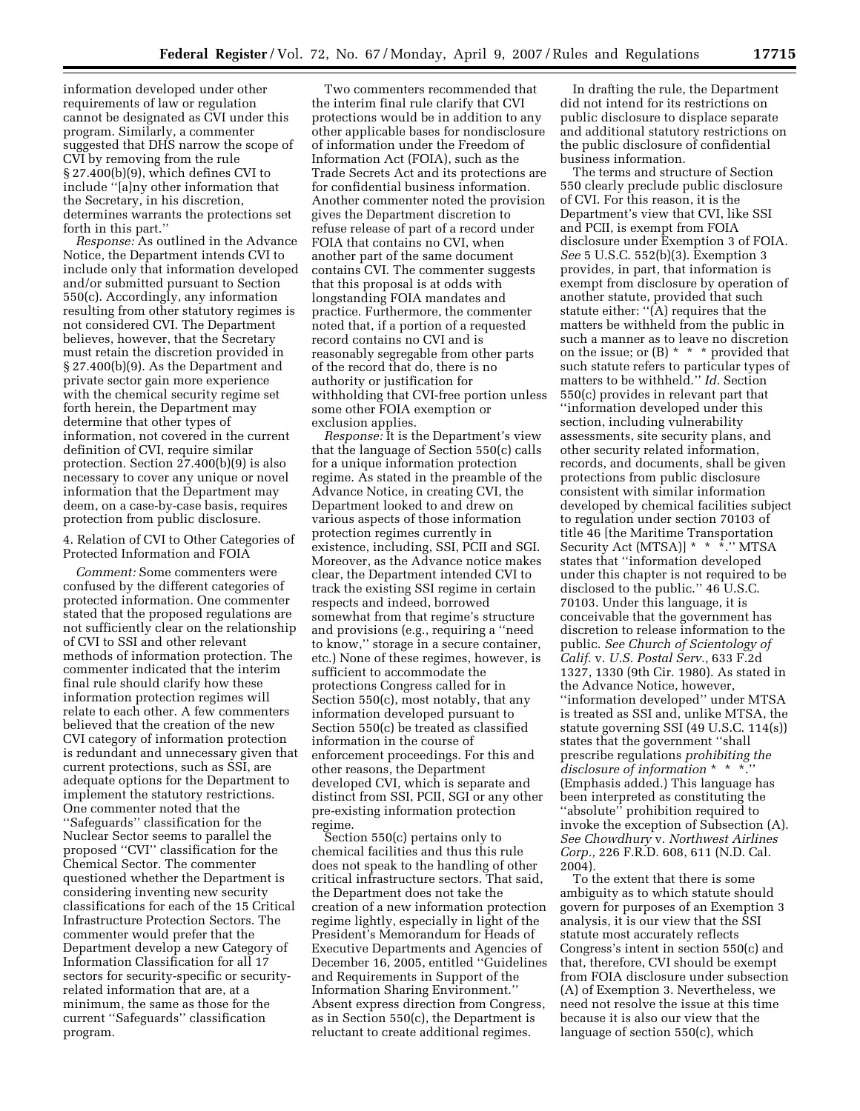information developed under other requirements of law or regulation cannot be designated as CVI under this program. Similarly, a commenter suggested that DHS narrow the scope of CVI by removing from the rule § 27.400(b)(9), which defines CVI to include ''[a]ny other information that the Secretary, in his discretion, determines warrants the protections set forth in this part.''

*Response:* As outlined in the Advance Notice, the Department intends CVI to include only that information developed and/or submitted pursuant to Section 550(c). Accordingly, any information resulting from other statutory regimes is not considered CVI. The Department believes, however, that the Secretary must retain the discretion provided in § 27.400(b)(9). As the Department and private sector gain more experience with the chemical security regime set forth herein, the Department may determine that other types of information, not covered in the current definition of CVI, require similar protection. Section 27.400(b)(9) is also necessary to cover any unique or novel information that the Department may deem, on a case-by-case basis, requires protection from public disclosure.

# 4. Relation of CVI to Other Categories of Protected Information and FOIA

*Comment:* Some commenters were confused by the different categories of protected information. One commenter stated that the proposed regulations are not sufficiently clear on the relationship of CVI to SSI and other relevant methods of information protection. The commenter indicated that the interim final rule should clarify how these information protection regimes will relate to each other. A few commenters believed that the creation of the new CVI category of information protection is redundant and unnecessary given that current protections, such as SSI, are adequate options for the Department to implement the statutory restrictions. One commenter noted that the ''Safeguards'' classification for the Nuclear Sector seems to parallel the proposed ''CVI'' classification for the Chemical Sector. The commenter questioned whether the Department is considering inventing new security classifications for each of the 15 Critical Infrastructure Protection Sectors. The commenter would prefer that the Department develop a new Category of Information Classification for all 17 sectors for security-specific or securityrelated information that are, at a minimum, the same as those for the current ''Safeguards'' classification program.

Two commenters recommended that the interim final rule clarify that CVI protections would be in addition to any other applicable bases for nondisclosure of information under the Freedom of Information Act (FOIA), such as the Trade Secrets Act and its protections are for confidential business information. Another commenter noted the provision gives the Department discretion to refuse release of part of a record under FOIA that contains no CVI, when another part of the same document contains CVI. The commenter suggests that this proposal is at odds with longstanding FOIA mandates and practice. Furthermore, the commenter noted that, if a portion of a requested record contains no CVI and is reasonably segregable from other parts of the record that do, there is no authority or justification for withholding that CVI-free portion unless some other FOIA exemption or exclusion applies.

*Response:* It is the Department's view that the language of Section 550(c) calls for a unique information protection regime. As stated in the preamble of the Advance Notice, in creating CVI, the Department looked to and drew on various aspects of those information protection regimes currently in existence, including, SSI, PCII and SGI. Moreover, as the Advance notice makes clear, the Department intended CVI to track the existing SSI regime in certain respects and indeed, borrowed somewhat from that regime's structure and provisions (e.g., requiring a ''need to know,'' storage in a secure container, etc.) None of these regimes, however, is sufficient to accommodate the protections Congress called for in Section 550(c), most notably, that any information developed pursuant to Section 550(c) be treated as classified information in the course of enforcement proceedings. For this and other reasons, the Department developed CVI, which is separate and distinct from SSI, PCII, SGI or any other pre-existing information protection regime.

Section 550(c) pertains only to chemical facilities and thus this rule does not speak to the handling of other critical infrastructure sectors. That said, the Department does not take the creation of a new information protection regime lightly, especially in light of the President's Memorandum for Heads of Executive Departments and Agencies of December 16, 2005, entitled ''Guidelines and Requirements in Support of the Information Sharing Environment.'' Absent express direction from Congress, as in Section 550(c), the Department is reluctant to create additional regimes.

In drafting the rule, the Department did not intend for its restrictions on public disclosure to displace separate and additional statutory restrictions on the public disclosure of confidential business information.

The terms and structure of Section 550 clearly preclude public disclosure of CVI. For this reason, it is the Department's view that CVI, like SSI and PCII, is exempt from FOIA disclosure under Exemption 3 of FOIA. *See* 5 U.S.C. 552(b)(3). Exemption 3 provides, in part, that information is exempt from disclosure by operation of another statute, provided that such statute either: ''(A) requires that the matters be withheld from the public in such a manner as to leave no discretion on the issue; or  $(B) * * *$  provided that such statute refers to particular types of matters to be withheld.'' *Id.* Section 550(c) provides in relevant part that ''information developed under this section, including vulnerability assessments, site security plans, and other security related information, records, and documents, shall be given protections from public disclosure consistent with similar information developed by chemical facilities subject to regulation under section 70103 of title 46 [the Maritime Transportation Security Act (MTSA)] \* \* \*." MTSA states that ''information developed under this chapter is not required to be disclosed to the public.'' 46 U.S.C. 70103. Under this language, it is conceivable that the government has discretion to release information to the public. *See Church of Scientology of Calif.* v. *U.S. Postal Serv.*, 633 F.2d 1327, 1330 (9th Cir. 1980). As stated in the Advance Notice, however, ''information developed'' under MTSA is treated as SSI and, unlike MTSA, the statute governing SSI (49 U.S.C. 114(s)) states that the government ''shall prescribe regulations *prohibiting the disclosure of information* \* \* \*.'' (Emphasis added.) This language has been interpreted as constituting the ''absolute'' prohibition required to invoke the exception of Subsection (A). *See Chowdhury* v. *Northwest Airlines Corp.,* 226 F.R.D. 608, 611 (N.D. Cal. 2004).

To the extent that there is some ambiguity as to which statute should govern for purposes of an Exemption 3 analysis, it is our view that the SSI statute most accurately reflects Congress's intent in section 550(c) and that, therefore, CVI should be exempt from FOIA disclosure under subsection (A) of Exemption 3. Nevertheless, we need not resolve the issue at this time because it is also our view that the language of section 550(c), which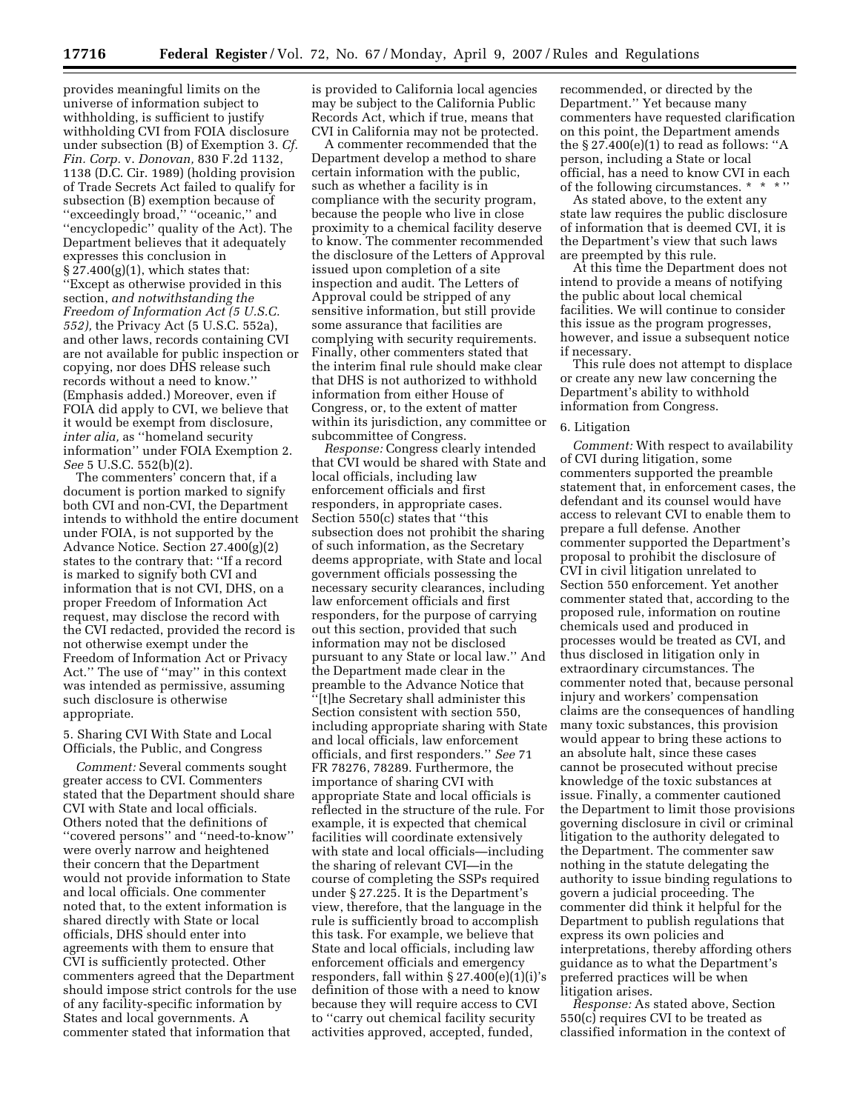provides meaningful limits on the universe of information subject to withholding, is sufficient to justify withholding CVI from FOIA disclosure under subsection (B) of Exemption 3. *Cf. Fin. Corp.* v. *Donovan,* 830 F.2d 1132, 1138 (D.C. Cir. 1989) (holding provision of Trade Secrets Act failed to qualify for subsection (B) exemption because of ''exceedingly broad,'' ''oceanic,'' and ''encyclopedic'' quality of the Act). The Department believes that it adequately expresses this conclusion in  $\S 27.400(g)(1)$ , which states that: ''Except as otherwise provided in this section, *and notwithstanding the Freedom of Information Act (5 U.S.C. 552),* the Privacy Act (5 U.S.C. 552a), and other laws, records containing CVI are not available for public inspection or copying, nor does DHS release such records without a need to know.'' (Emphasis added.) Moreover, even if FOIA did apply to CVI, we believe that it would be exempt from disclosure, *inter alia,* as ''homeland security information'' under FOIA Exemption 2. *See* 5 U.S.C. 552(b)(2).

The commenters' concern that, if a document is portion marked to signify both CVI and non-CVI, the Department intends to withhold the entire document under FOIA, is not supported by the Advance Notice. Section 27.400(g)(2) states to the contrary that: ''If a record is marked to signify both CVI and information that is not CVI, DHS, on a proper Freedom of Information Act request, may disclose the record with the CVI redacted, provided the record is not otherwise exempt under the Freedom of Information Act or Privacy Act.'' The use of ''may'' in this context was intended as permissive, assuming such disclosure is otherwise appropriate.

5. Sharing CVI With State and Local Officials, the Public, and Congress

*Comment:* Several comments sought greater access to CVI. Commenters stated that the Department should share CVI with State and local officials. Others noted that the definitions of ''covered persons'' and ''need-to-know'' were overly narrow and heightened their concern that the Department would not provide information to State and local officials. One commenter noted that, to the extent information is shared directly with State or local officials, DHS should enter into agreements with them to ensure that CVI is sufficiently protected. Other commenters agreed that the Department should impose strict controls for the use of any facility-specific information by States and local governments. A commenter stated that information that

is provided to California local agencies may be subject to the California Public Records Act, which if true, means that CVI in California may not be protected.

A commenter recommended that the Department develop a method to share certain information with the public, such as whether a facility is in compliance with the security program, because the people who live in close proximity to a chemical facility deserve to know. The commenter recommended the disclosure of the Letters of Approval issued upon completion of a site inspection and audit. The Letters of Approval could be stripped of any sensitive information, but still provide some assurance that facilities are complying with security requirements. Finally, other commenters stated that the interim final rule should make clear that DHS is not authorized to withhold information from either House of Congress, or, to the extent of matter within its jurisdiction, any committee or subcommittee of Congress.

*Response:* Congress clearly intended that CVI would be shared with State and local officials, including law enforcement officials and first responders, in appropriate cases. Section 550(c) states that ''this subsection does not prohibit the sharing of such information, as the Secretary deems appropriate, with State and local government officials possessing the necessary security clearances, including law enforcement officials and first responders, for the purpose of carrying out this section, provided that such information may not be disclosed pursuant to any State or local law.'' And the Department made clear in the preamble to the Advance Notice that ''[t]he Secretary shall administer this Section consistent with section 550, including appropriate sharing with State and local officials, law enforcement officials, and first responders.'' *See* 71 FR 78276, 78289. Furthermore, the importance of sharing CVI with appropriate State and local officials is reflected in the structure of the rule. For example, it is expected that chemical facilities will coordinate extensively with state and local officials—including the sharing of relevant CVI—in the course of completing the SSPs required under § 27.225. It is the Department's view, therefore, that the language in the rule is sufficiently broad to accomplish this task. For example, we believe that State and local officials, including law enforcement officials and emergency responders, fall within  $\S 27.400(e)(1)(i)$ 's definition of those with a need to know because they will require access to CVI to ''carry out chemical facility security activities approved, accepted, funded,

recommended, or directed by the Department.'' Yet because many commenters have requested clarification on this point, the Department amends the  $\S 27.400(e)(1)$  to read as follows: "A person, including a State or local official, has a need to know CVI in each of the following circumstances. \* \* \*

As stated above, to the extent any state law requires the public disclosure of information that is deemed CVI, it is the Department's view that such laws are preempted by this rule.

At this time the Department does not intend to provide a means of notifying the public about local chemical facilities. We will continue to consider this issue as the program progresses, however, and issue a subsequent notice if necessary.

This rule does not attempt to displace or create any new law concerning the Department's ability to withhold information from Congress.

#### 6. Litigation

*Comment:* With respect to availability of CVI during litigation, some commenters supported the preamble statement that, in enforcement cases, the defendant and its counsel would have access to relevant CVI to enable them to prepare a full defense. Another commenter supported the Department's proposal to prohibit the disclosure of CVI in civil litigation unrelated to Section 550 enforcement. Yet another commenter stated that, according to the proposed rule, information on routine chemicals used and produced in processes would be treated as CVI, and thus disclosed in litigation only in extraordinary circumstances. The commenter noted that, because personal injury and workers' compensation claims are the consequences of handling many toxic substances, this provision would appear to bring these actions to an absolute halt, since these cases cannot be prosecuted without precise knowledge of the toxic substances at issue. Finally, a commenter cautioned the Department to limit those provisions governing disclosure in civil or criminal litigation to the authority delegated to the Department. The commenter saw nothing in the statute delegating the authority to issue binding regulations to govern a judicial proceeding. The commenter did think it helpful for the Department to publish regulations that express its own policies and interpretations, thereby affording others guidance as to what the Department's preferred practices will be when litigation arises.

*Response:* As stated above, Section 550(c) requires CVI to be treated as classified information in the context of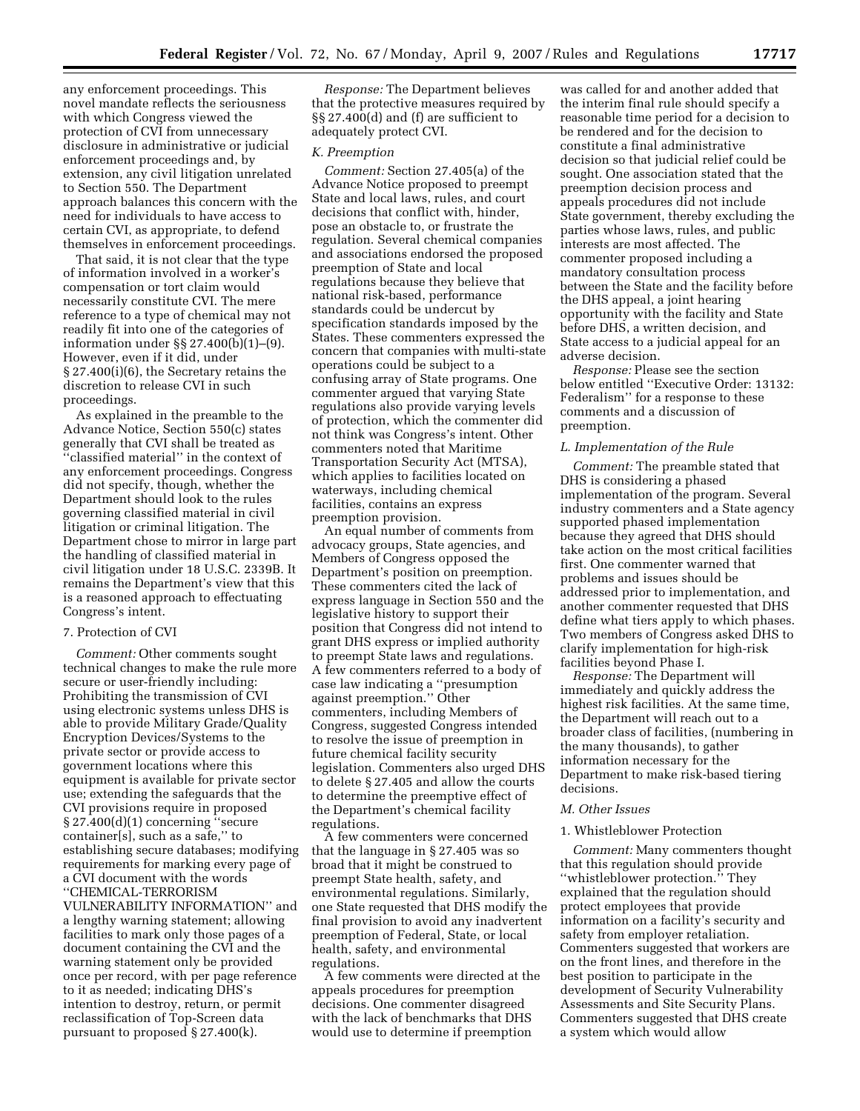any enforcement proceedings. This novel mandate reflects the seriousness with which Congress viewed the protection of CVI from unnecessary disclosure in administrative or judicial enforcement proceedings and, by extension, any civil litigation unrelated to Section 550. The Department approach balances this concern with the need for individuals to have access to certain CVI, as appropriate, to defend themselves in enforcement proceedings.

That said, it is not clear that the type of information involved in a worker's compensation or tort claim would necessarily constitute CVI. The mere reference to a type of chemical may not readily fit into one of the categories of information under §§ 27.400(b)(1)–(9). However, even if it did, under § 27.400(i)(6), the Secretary retains the discretion to release CVI in such proceedings.

As explained in the preamble to the Advance Notice, Section 550(c) states generally that CVI shall be treated as ''classified material'' in the context of any enforcement proceedings. Congress did not specify, though, whether the Department should look to the rules governing classified material in civil litigation or criminal litigation. The Department chose to mirror in large part the handling of classified material in civil litigation under 18 U.S.C. 2339B. It remains the Department's view that this is a reasoned approach to effectuating Congress's intent.

## 7. Protection of CVI

*Comment:* Other comments sought technical changes to make the rule more secure or user-friendly including: Prohibiting the transmission of CVI using electronic systems unless DHS is able to provide Military Grade/Quality Encryption Devices/Systems to the private sector or provide access to government locations where this equipment is available for private sector use; extending the safeguards that the CVI provisions require in proposed § 27.400(d)(1) concerning ''secure container[s], such as a safe,'' to establishing secure databases; modifying requirements for marking every page of a CVI document with the words ''CHEMICAL-TERRORISM VULNERABILITY INFORMATION'' and a lengthy warning statement; allowing facilities to mark only those pages of a document containing the CVI and the warning statement only be provided once per record, with per page reference to it as needed; indicating DHS's intention to destroy, return, or permit reclassification of Top-Screen data pursuant to proposed § 27.400(k).

*Response:* The Department believes that the protective measures required by §§ 27.400(d) and (f) are sufficient to adequately protect CVI.

#### *K. Preemption*

*Comment:* Section 27.405(a) of the Advance Notice proposed to preempt State and local laws, rules, and court decisions that conflict with, hinder, pose an obstacle to, or frustrate the regulation. Several chemical companies and associations endorsed the proposed preemption of State and local regulations because they believe that national risk-based, performance standards could be undercut by specification standards imposed by the States. These commenters expressed the concern that companies with multi-state operations could be subject to a confusing array of State programs. One commenter argued that varying State regulations also provide varying levels of protection, which the commenter did not think was Congress's intent. Other commenters noted that Maritime Transportation Security Act (MTSA), which applies to facilities located on waterways, including chemical facilities, contains an express preemption provision.

An equal number of comments from advocacy groups, State agencies, and Members of Congress opposed the Department's position on preemption. These commenters cited the lack of express language in Section 550 and the legislative history to support their position that Congress did not intend to grant DHS express or implied authority to preempt State laws and regulations. A few commenters referred to a body of case law indicating a ''presumption against preemption.'' Other commenters, including Members of Congress, suggested Congress intended to resolve the issue of preemption in future chemical facility security legislation. Commenters also urged DHS to delete § 27.405 and allow the courts to determine the preemptive effect of the Department's chemical facility regulations.

A few commenters were concerned that the language in § 27.405 was so broad that it might be construed to preempt State health, safety, and environmental regulations. Similarly, one State requested that DHS modify the final provision to avoid any inadvertent preemption of Federal, State, or local health, safety, and environmental regulations.

A few comments were directed at the appeals procedures for preemption decisions. One commenter disagreed with the lack of benchmarks that DHS would use to determine if preemption

was called for and another added that the interim final rule should specify a reasonable time period for a decision to be rendered and for the decision to constitute a final administrative decision so that judicial relief could be sought. One association stated that the preemption decision process and appeals procedures did not include State government, thereby excluding the parties whose laws, rules, and public interests are most affected. The commenter proposed including a mandatory consultation process between the State and the facility before the DHS appeal, a joint hearing opportunity with the facility and State before DHS, a written decision, and State access to a judicial appeal for an adverse decision.

*Response:* Please see the section below entitled ''Executive Order: 13132: Federalism'' for a response to these comments and a discussion of preemption.

## *L. Implementation of the Rule*

*Comment:* The preamble stated that DHS is considering a phased implementation of the program. Several industry commenters and a State agency supported phased implementation because they agreed that DHS should take action on the most critical facilities first. One commenter warned that problems and issues should be addressed prior to implementation, and another commenter requested that DHS define what tiers apply to which phases. Two members of Congress asked DHS to clarify implementation for high-risk facilities beyond Phase I.

*Response:* The Department will immediately and quickly address the highest risk facilities. At the same time, the Department will reach out to a broader class of facilities, (numbering in the many thousands), to gather information necessary for the Department to make risk-based tiering decisions.

#### *M. Other Issues*

#### 1. Whistleblower Protection

*Comment:* Many commenters thought that this regulation should provide ''whistleblower protection.'' They explained that the regulation should protect employees that provide information on a facility's security and safety from employer retaliation. Commenters suggested that workers are on the front lines, and therefore in the best position to participate in the development of Security Vulnerability Assessments and Site Security Plans. Commenters suggested that DHS create a system which would allow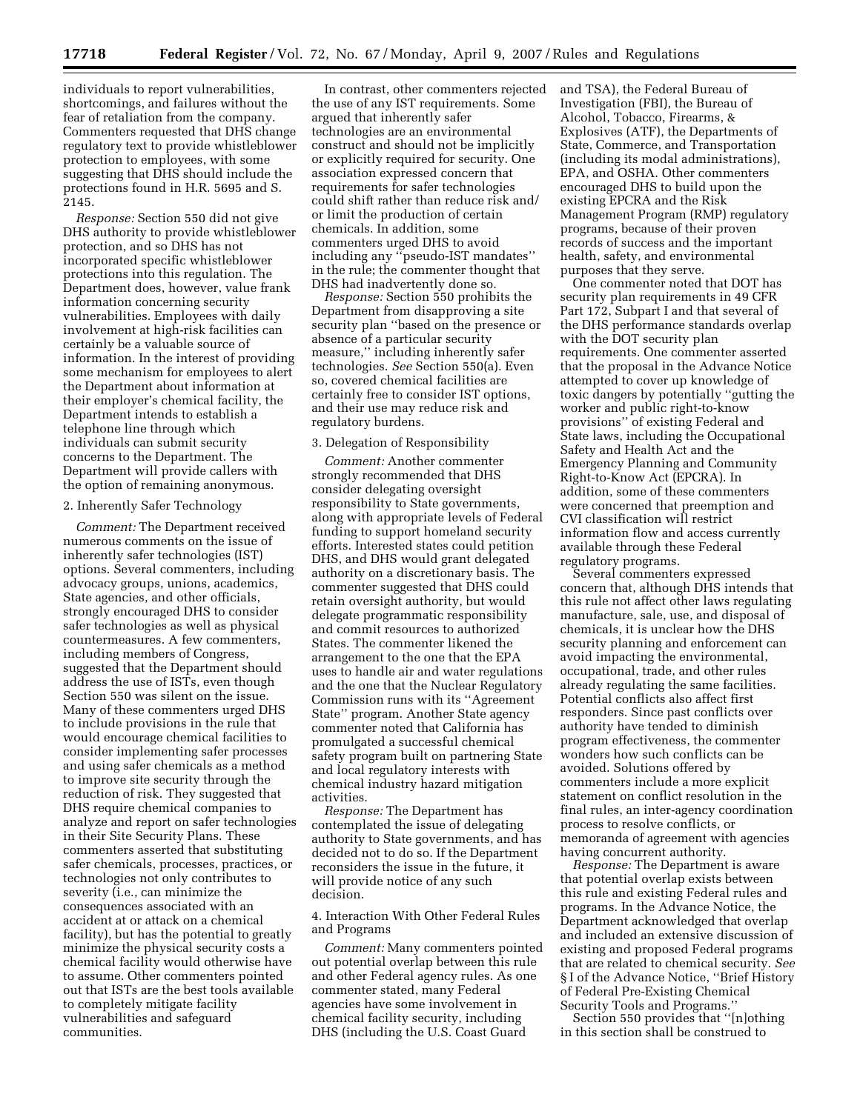**17718 Federal Register** / Vol. 72, No. 67 / Monday, April 9, 2007 / Rules and Regulations

individuals to report vulnerabilities, shortcomings, and failures without the fear of retaliation from the company. Commenters requested that DHS change regulatory text to provide whistleblower protection to employees, with some suggesting that DHS should include the protections found in H.R. 5695 and S. 2145.

*Response:* Section 550 did not give DHS authority to provide whistleblower protection, and so DHS has not incorporated specific whistleblower protections into this regulation. The Department does, however, value frank information concerning security vulnerabilities. Employees with daily involvement at high-risk facilities can certainly be a valuable source of information. In the interest of providing some mechanism for employees to alert the Department about information at their employer's chemical facility, the Department intends to establish a telephone line through which individuals can submit security concerns to the Department. The Department will provide callers with the option of remaining anonymous.

## 2. Inherently Safer Technology

*Comment:* The Department received numerous comments on the issue of inherently safer technologies (IST) options. Several commenters, including advocacy groups, unions, academics, State agencies, and other officials, strongly encouraged DHS to consider safer technologies as well as physical countermeasures. A few commenters, including members of Congress, suggested that the Department should address the use of ISTs, even though Section 550 was silent on the issue. Many of these commenters urged DHS to include provisions in the rule that would encourage chemical facilities to consider implementing safer processes and using safer chemicals as a method to improve site security through the reduction of risk. They suggested that DHS require chemical companies to analyze and report on safer technologies in their Site Security Plans. These commenters asserted that substituting safer chemicals, processes, practices, or technologies not only contributes to severity (i.e., can minimize the consequences associated with an accident at or attack on a chemical facility), but has the potential to greatly minimize the physical security costs a chemical facility would otherwise have to assume. Other commenters pointed out that ISTs are the best tools available to completely mitigate facility vulnerabilities and safeguard communities.

In contrast, other commenters rejected the use of any IST requirements. Some argued that inherently safer technologies are an environmental construct and should not be implicitly or explicitly required for security. One association expressed concern that requirements for safer technologies could shift rather than reduce risk and/ or limit the production of certain chemicals. In addition, some commenters urged DHS to avoid including any ''pseudo-IST mandates'' in the rule; the commenter thought that DHS had inadvertently done so.

*Response:* Section 550 prohibits the Department from disapproving a site security plan ''based on the presence or absence of a particular security measure,'' including inherently safer technologies. *See* Section 550(a). Even so, covered chemical facilities are certainly free to consider IST options, and their use may reduce risk and regulatory burdens.

#### 3. Delegation of Responsibility

*Comment:* Another commenter strongly recommended that DHS consider delegating oversight responsibility to State governments, along with appropriate levels of Federal funding to support homeland security efforts. Interested states could petition DHS, and DHS would grant delegated authority on a discretionary basis. The commenter suggested that DHS could retain oversight authority, but would delegate programmatic responsibility and commit resources to authorized States. The commenter likened the arrangement to the one that the EPA uses to handle air and water regulations and the one that the Nuclear Regulatory Commission runs with its ''Agreement State'' program. Another State agency commenter noted that California has promulgated a successful chemical safety program built on partnering State and local regulatory interests with chemical industry hazard mitigation activities.

*Response:* The Department has contemplated the issue of delegating authority to State governments, and has decided not to do so. If the Department reconsiders the issue in the future, it will provide notice of any such decision.

4. Interaction With Other Federal Rules and Programs

*Comment:* Many commenters pointed out potential overlap between this rule and other Federal agency rules. As one commenter stated, many Federal agencies have some involvement in chemical facility security, including DHS (including the U.S. Coast Guard

and TSA), the Federal Bureau of Investigation (FBI), the Bureau of Alcohol, Tobacco, Firearms, & Explosives (ATF), the Departments of State, Commerce, and Transportation (including its modal administrations), EPA, and OSHA. Other commenters encouraged DHS to build upon the existing EPCRA and the Risk Management Program (RMP) regulatory programs, because of their proven records of success and the important health, safety, and environmental purposes that they serve.

One commenter noted that DOT has security plan requirements in 49 CFR Part 172, Subpart I and that several of the DHS performance standards overlap with the DOT security plan requirements. One commenter asserted that the proposal in the Advance Notice attempted to cover up knowledge of toxic dangers by potentially ''gutting the worker and public right-to-know provisions'' of existing Federal and State laws, including the Occupational Safety and Health Act and the Emergency Planning and Community Right-to-Know Act (EPCRA). In addition, some of these commenters were concerned that preemption and CVI classification will restrict information flow and access currently available through these Federal regulatory programs.

Several commenters expressed concern that, although DHS intends that this rule not affect other laws regulating manufacture, sale, use, and disposal of chemicals, it is unclear how the DHS security planning and enforcement can avoid impacting the environmental, occupational, trade, and other rules already regulating the same facilities. Potential conflicts also affect first responders. Since past conflicts over authority have tended to diminish program effectiveness, the commenter wonders how such conflicts can be avoided. Solutions offered by commenters include a more explicit statement on conflict resolution in the final rules, an inter-agency coordination process to resolve conflicts, or memoranda of agreement with agencies having concurrent authority.

*Response:* The Department is aware that potential overlap exists between this rule and existing Federal rules and programs. In the Advance Notice, the Department acknowledged that overlap and included an extensive discussion of existing and proposed Federal programs that are related to chemical security. *See*  § I of the Advance Notice, ''Brief History of Federal Pre-Existing Chemical Security Tools and Programs.''

Section 550 provides that ''[n]othing in this section shall be construed to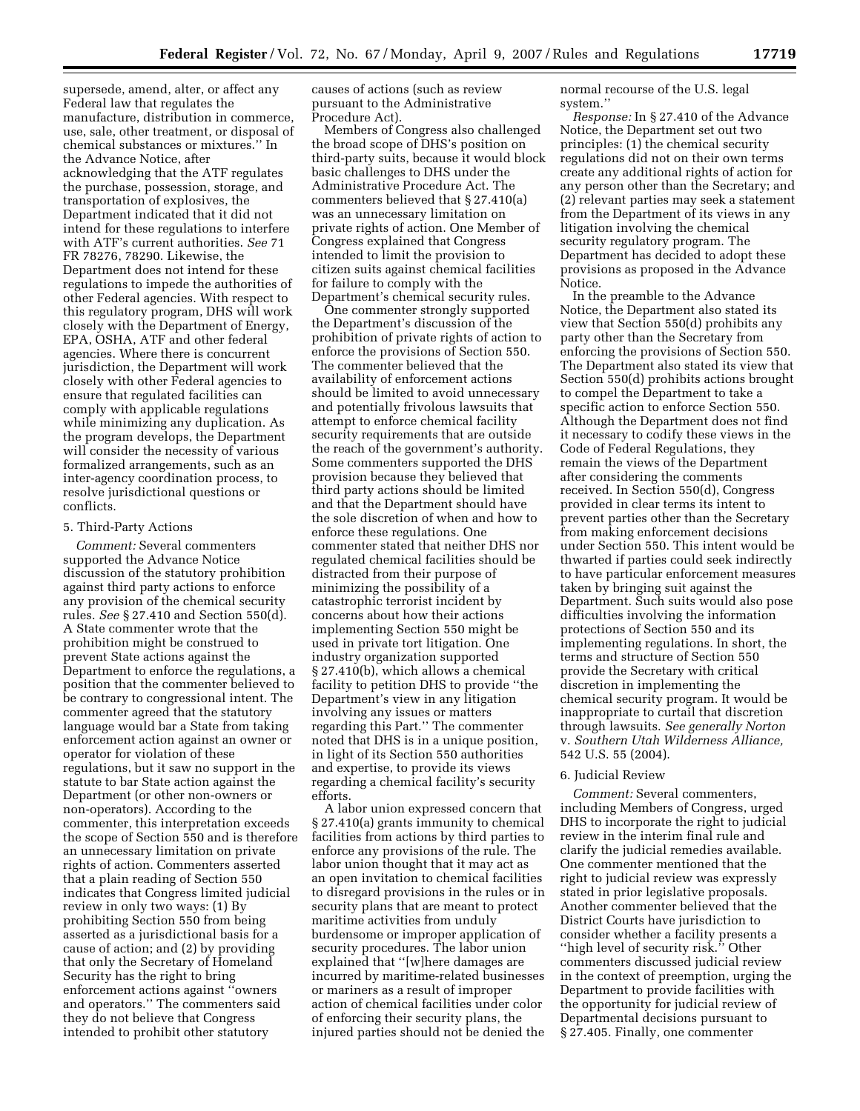supersede, amend, alter, or affect any Federal law that regulates the manufacture, distribution in commerce, use, sale, other treatment, or disposal of chemical substances or mixtures.'' In the Advance Notice, after acknowledging that the ATF regulates the purchase, possession, storage, and transportation of explosives, the Department indicated that it did not intend for these regulations to interfere with ATF's current authorities. *See* 71 FR 78276, 78290. Likewise, the Department does not intend for these regulations to impede the authorities of other Federal agencies. With respect to this regulatory program, DHS will work closely with the Department of Energy, EPA, OSHA, ATF and other federal agencies. Where there is concurrent jurisdiction, the Department will work closely with other Federal agencies to ensure that regulated facilities can comply with applicable regulations while minimizing any duplication. As the program develops, the Department will consider the necessity of various formalized arrangements, such as an inter-agency coordination process, to resolve jurisdictional questions or conflicts.

#### 5. Third-Party Actions

*Comment:* Several commenters supported the Advance Notice discussion of the statutory prohibition against third party actions to enforce any provision of the chemical security rules. *See* § 27.410 and Section 550(d). A State commenter wrote that the prohibition might be construed to prevent State actions against the Department to enforce the regulations, a position that the commenter believed to be contrary to congressional intent. The commenter agreed that the statutory language would bar a State from taking enforcement action against an owner or operator for violation of these regulations, but it saw no support in the statute to bar State action against the Department (or other non-owners or non-operators). According to the commenter, this interpretation exceeds the scope of Section 550 and is therefore an unnecessary limitation on private rights of action. Commenters asserted that a plain reading of Section 550 indicates that Congress limited judicial review in only two ways: (1) By prohibiting Section 550 from being asserted as a jurisdictional basis for a cause of action; and (2) by providing that only the Secretary of Homeland Security has the right to bring enforcement actions against ''owners and operators.'' The commenters said they do not believe that Congress intended to prohibit other statutory

causes of actions (such as review pursuant to the Administrative Procedure Act).

Members of Congress also challenged the broad scope of DHS's position on third-party suits, because it would block basic challenges to DHS under the Administrative Procedure Act. The commenters believed that § 27.410(a) was an unnecessary limitation on private rights of action. One Member of Congress explained that Congress intended to limit the provision to citizen suits against chemical facilities for failure to comply with the Department's chemical security rules.

One commenter strongly supported the Department's discussion of the prohibition of private rights of action to enforce the provisions of Section 550. The commenter believed that the availability of enforcement actions should be limited to avoid unnecessary and potentially frivolous lawsuits that attempt to enforce chemical facility security requirements that are outside the reach of the government's authority. Some commenters supported the DHS provision because they believed that third party actions should be limited and that the Department should have the sole discretion of when and how to enforce these regulations. One commenter stated that neither DHS nor regulated chemical facilities should be distracted from their purpose of minimizing the possibility of a catastrophic terrorist incident by concerns about how their actions implementing Section 550 might be used in private tort litigation. One industry organization supported § 27.410(b), which allows a chemical facility to petition DHS to provide ''the Department's view in any litigation involving any issues or matters regarding this Part.'' The commenter noted that DHS is in a unique position, in light of its Section 550 authorities and expertise, to provide its views regarding a chemical facility's security efforts.

A labor union expressed concern that § 27.410(a) grants immunity to chemical facilities from actions by third parties to enforce any provisions of the rule. The labor union thought that it may act as an open invitation to chemical facilities to disregard provisions in the rules or in security plans that are meant to protect maritime activities from unduly burdensome or improper application of security procedures. The labor union explained that ''[w]here damages are incurred by maritime-related businesses or mariners as a result of improper action of chemical facilities under color of enforcing their security plans, the injured parties should not be denied the

normal recourse of the U.S. legal system.''

*Response:* In § 27.410 of the Advance Notice, the Department set out two principles: (1) the chemical security regulations did not on their own terms create any additional rights of action for any person other than the Secretary; and (2) relevant parties may seek a statement from the Department of its views in any litigation involving the chemical security regulatory program. The Department has decided to adopt these provisions as proposed in the Advance Notice.

In the preamble to the Advance Notice, the Department also stated its view that Section 550(d) prohibits any party other than the Secretary from enforcing the provisions of Section 550. The Department also stated its view that Section 550(d) prohibits actions brought to compel the Department to take a specific action to enforce Section 550. Although the Department does not find it necessary to codify these views in the Code of Federal Regulations, they remain the views of the Department after considering the comments received. In Section 550(d), Congress provided in clear terms its intent to prevent parties other than the Secretary from making enforcement decisions under Section 550. This intent would be thwarted if parties could seek indirectly to have particular enforcement measures taken by bringing suit against the Department. Such suits would also pose difficulties involving the information protections of Section 550 and its implementing regulations. In short, the terms and structure of Section 550 provide the Secretary with critical discretion in implementing the chemical security program. It would be inappropriate to curtail that discretion through lawsuits. *See generally Norton*  v. *Southern Utah Wilderness Alliance,*  542 U.S. 55 (2004).

#### 6. Judicial Review

*Comment:* Several commenters, including Members of Congress, urged DHS to incorporate the right to judicial review in the interim final rule and clarify the judicial remedies available. One commenter mentioned that the right to judicial review was expressly stated in prior legislative proposals. Another commenter believed that the District Courts have jurisdiction to consider whether a facility presents a ''high level of security risk.'' Other commenters discussed judicial review in the context of preemption, urging the Department to provide facilities with the opportunity for judicial review of Departmental decisions pursuant to § 27.405. Finally, one commenter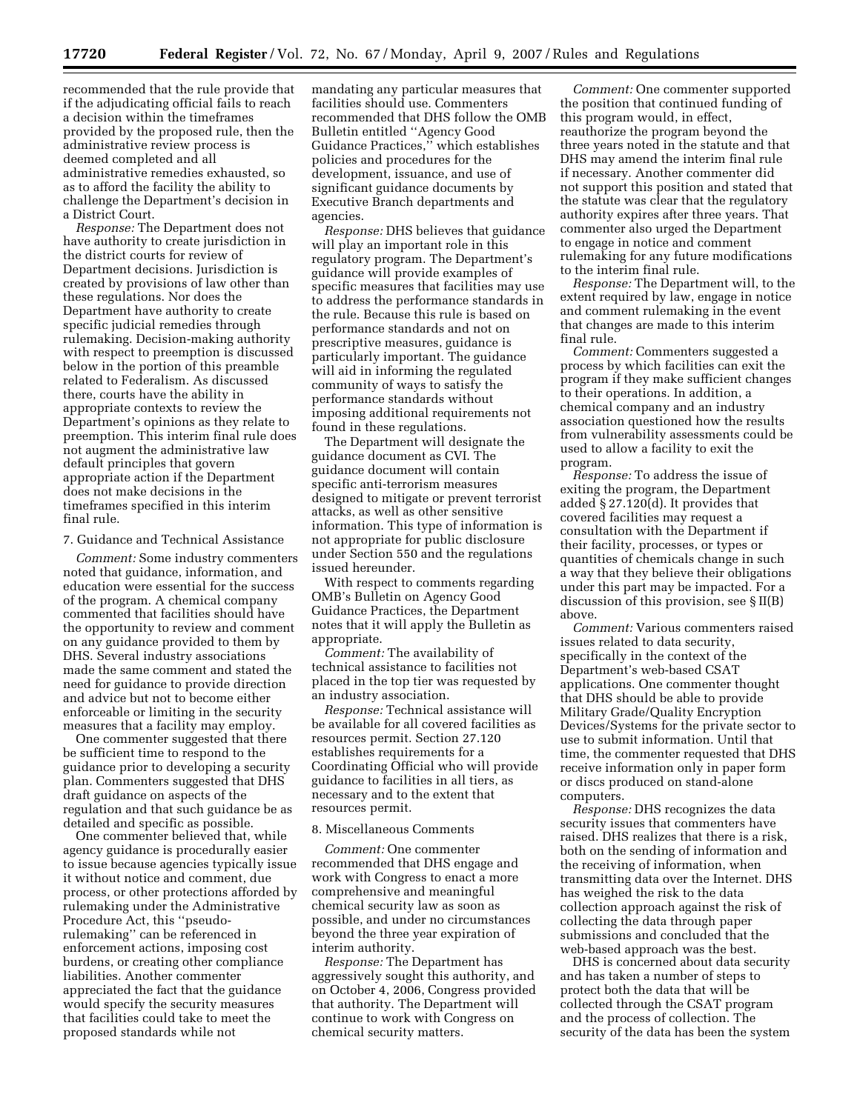recommended that the rule provide that if the adjudicating official fails to reach a decision within the timeframes provided by the proposed rule, then the administrative review process is deemed completed and all administrative remedies exhausted, so as to afford the facility the ability to challenge the Department's decision in a District Court.

*Response:* The Department does not have authority to create jurisdiction in the district courts for review of Department decisions. Jurisdiction is created by provisions of law other than these regulations. Nor does the Department have authority to create specific judicial remedies through rulemaking. Decision-making authority with respect to preemption is discussed below in the portion of this preamble related to Federalism. As discussed there, courts have the ability in appropriate contexts to review the Department's opinions as they relate to preemption. This interim final rule does not augment the administrative law default principles that govern appropriate action if the Department does not make decisions in the timeframes specified in this interim final rule.

7. Guidance and Technical Assistance

*Comment:* Some industry commenters noted that guidance, information, and education were essential for the success of the program. A chemical company commented that facilities should have the opportunity to review and comment on any guidance provided to them by DHS. Several industry associations made the same comment and stated the need for guidance to provide direction and advice but not to become either enforceable or limiting in the security measures that a facility may employ.

One commenter suggested that there be sufficient time to respond to the guidance prior to developing a security plan. Commenters suggested that DHS draft guidance on aspects of the regulation and that such guidance be as detailed and specific as possible.

One commenter believed that, while agency guidance is procedurally easier to issue because agencies typically issue it without notice and comment, due process, or other protections afforded by rulemaking under the Administrative Procedure Act, this ''pseudorulemaking'' can be referenced in enforcement actions, imposing cost burdens, or creating other compliance liabilities. Another commenter appreciated the fact that the guidance would specify the security measures that facilities could take to meet the proposed standards while not

mandating any particular measures that facilities should use. Commenters recommended that DHS follow the OMB Bulletin entitled ''Agency Good Guidance Practices,'' which establishes policies and procedures for the development, issuance, and use of significant guidance documents by Executive Branch departments and agencies.

*Response:* DHS believes that guidance will play an important role in this regulatory program. The Department's guidance will provide examples of specific measures that facilities may use to address the performance standards in the rule. Because this rule is based on performance standards and not on prescriptive measures, guidance is particularly important. The guidance will aid in informing the regulated community of ways to satisfy the performance standards without imposing additional requirements not found in these regulations.

The Department will designate the guidance document as CVI. The guidance document will contain specific anti-terrorism measures designed to mitigate or prevent terrorist attacks, as well as other sensitive information. This type of information is not appropriate for public disclosure under Section 550 and the regulations issued hereunder.

With respect to comments regarding OMB's Bulletin on Agency Good Guidance Practices, the Department notes that it will apply the Bulletin as appropriate.

*Comment:* The availability of technical assistance to facilities not placed in the top tier was requested by an industry association.

*Response:* Technical assistance will be available for all covered facilities as resources permit. Section 27.120 establishes requirements for a Coordinating Official who will provide guidance to facilities in all tiers, as necessary and to the extent that resources permit.

#### 8. Miscellaneous Comments

*Comment:* One commenter recommended that DHS engage and work with Congress to enact a more comprehensive and meaningful chemical security law as soon as possible, and under no circumstances beyond the three year expiration of interim authority.

*Response:* The Department has aggressively sought this authority, and on October 4, 2006, Congress provided that authority. The Department will continue to work with Congress on chemical security matters.

*Comment:* One commenter supported the position that continued funding of this program would, in effect, reauthorize the program beyond the three years noted in the statute and that DHS may amend the interim final rule if necessary. Another commenter did not support this position and stated that the statute was clear that the regulatory authority expires after three years. That commenter also urged the Department to engage in notice and comment rulemaking for any future modifications to the interim final rule.

*Response:* The Department will, to the extent required by law, engage in notice and comment rulemaking in the event that changes are made to this interim final rule.

*Comment:* Commenters suggested a process by which facilities can exit the program if they make sufficient changes to their operations. In addition, a chemical company and an industry association questioned how the results from vulnerability assessments could be used to allow a facility to exit the program.

*Response:* To address the issue of exiting the program, the Department added § 27.120(d). It provides that covered facilities may request a consultation with the Department if their facility, processes, or types or quantities of chemicals change in such a way that they believe their obligations under this part may be impacted. For a discussion of this provision, see § II(B) above.

*Comment:* Various commenters raised issues related to data security, specifically in the context of the Department's web-based CSAT applications. One commenter thought that DHS should be able to provide Military Grade/Quality Encryption Devices/Systems for the private sector to use to submit information. Until that time, the commenter requested that DHS receive information only in paper form or discs produced on stand-alone computers.

*Response:* DHS recognizes the data security issues that commenters have raised. DHS realizes that there is a risk, both on the sending of information and the receiving of information, when transmitting data over the Internet. DHS has weighed the risk to the data collection approach against the risk of collecting the data through paper submissions and concluded that the web-based approach was the best.

DHS is concerned about data security and has taken a number of steps to protect both the data that will be collected through the CSAT program and the process of collection. The security of the data has been the system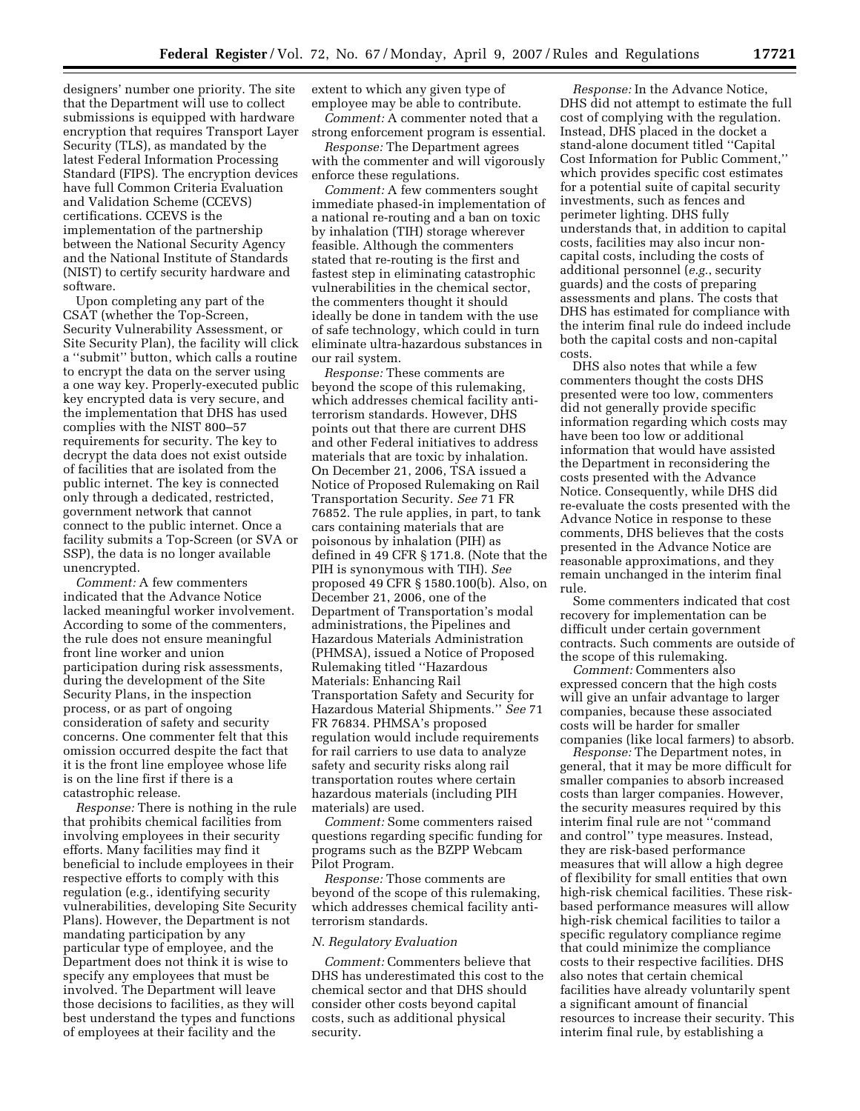designers' number one priority. The site that the Department will use to collect submissions is equipped with hardware encryption that requires Transport Layer Security (TLS), as mandated by the latest Federal Information Processing Standard (FIPS). The encryption devices have full Common Criteria Evaluation and Validation Scheme (CCEVS) certifications. CCEVS is the implementation of the partnership between the National Security Agency and the National Institute of Standards (NIST) to certify security hardware and software.

Upon completing any part of the CSAT (whether the Top-Screen, Security Vulnerability Assessment, or Site Security Plan), the facility will click a ''submit'' button, which calls a routine to encrypt the data on the server using a one way key. Properly-executed public key encrypted data is very secure, and the implementation that DHS has used complies with the NIST 800–57 requirements for security. The key to decrypt the data does not exist outside of facilities that are isolated from the public internet. The key is connected only through a dedicated, restricted, government network that cannot connect to the public internet. Once a facility submits a Top-Screen (or SVA or SSP), the data is no longer available unencrypted.

*Comment:* A few commenters indicated that the Advance Notice lacked meaningful worker involvement. According to some of the commenters, the rule does not ensure meaningful front line worker and union participation during risk assessments, during the development of the Site Security Plans, in the inspection process, or as part of ongoing consideration of safety and security concerns. One commenter felt that this omission occurred despite the fact that it is the front line employee whose life is on the line first if there is a catastrophic release.

*Response:* There is nothing in the rule that prohibits chemical facilities from involving employees in their security efforts. Many facilities may find it beneficial to include employees in their respective efforts to comply with this regulation (e.g., identifying security vulnerabilities, developing Site Security Plans). However, the Department is not mandating participation by any particular type of employee, and the Department does not think it is wise to specify any employees that must be involved. The Department will leave those decisions to facilities, as they will best understand the types and functions of employees at their facility and the

extent to which any given type of employee may be able to contribute.

*Comment:* A commenter noted that a strong enforcement program is essential.

*Response:* The Department agrees with the commenter and will vigorously enforce these regulations.

*Comment:* A few commenters sought immediate phased-in implementation of a national re-routing and a ban on toxic by inhalation (TIH) storage wherever feasible. Although the commenters stated that re-routing is the first and fastest step in eliminating catastrophic vulnerabilities in the chemical sector, the commenters thought it should ideally be done in tandem with the use of safe technology, which could in turn eliminate ultra-hazardous substances in our rail system.

*Response:* These comments are beyond the scope of this rulemaking, which addresses chemical facility antiterrorism standards. However, DHS points out that there are current DHS and other Federal initiatives to address materials that are toxic by inhalation. On December 21, 2006, TSA issued a Notice of Proposed Rulemaking on Rail Transportation Security. *See* 71 FR 76852. The rule applies, in part, to tank cars containing materials that are poisonous by inhalation (PIH) as defined in 49 CFR § 171.8. (Note that the PIH is synonymous with TIH). *See*  proposed 49 CFR § 1580.100(b). Also, on December 21, 2006, one of the Department of Transportation's modal administrations, the Pipelines and Hazardous Materials Administration (PHMSA), issued a Notice of Proposed Rulemaking titled ''Hazardous Materials: Enhancing Rail Transportation Safety and Security for Hazardous Material Shipments.'' *See* 71 FR 76834. PHMSA's proposed regulation would include requirements for rail carriers to use data to analyze safety and security risks along rail transportation routes where certain hazardous materials (including PIH materials) are used.

*Comment:* Some commenters raised questions regarding specific funding for programs such as the BZPP Webcam Pilot Program.

*Response:* Those comments are beyond of the scope of this rulemaking, which addresses chemical facility antiterrorism standards.

# *N. Regulatory Evaluation*

*Comment:* Commenters believe that DHS has underestimated this cost to the chemical sector and that DHS should consider other costs beyond capital costs, such as additional physical security.

*Response:* In the Advance Notice, DHS did not attempt to estimate the full cost of complying with the regulation. Instead, DHS placed in the docket a stand-alone document titled ''Capital Cost Information for Public Comment,'' which provides specific cost estimates for a potential suite of capital security investments, such as fences and perimeter lighting. DHS fully understands that, in addition to capital costs, facilities may also incur noncapital costs, including the costs of additional personnel (*e.g.*, security guards) and the costs of preparing assessments and plans. The costs that DHS has estimated for compliance with the interim final rule do indeed include both the capital costs and non-capital costs.

DHS also notes that while a few commenters thought the costs DHS presented were too low, commenters did not generally provide specific information regarding which costs may have been too low or additional information that would have assisted the Department in reconsidering the costs presented with the Advance Notice. Consequently, while DHS did re-evaluate the costs presented with the Advance Notice in response to these comments, DHS believes that the costs presented in the Advance Notice are reasonable approximations, and they remain unchanged in the interim final rule.

Some commenters indicated that cost recovery for implementation can be difficult under certain government contracts. Such comments are outside of the scope of this rulemaking.

*Comment:* Commenters also expressed concern that the high costs will give an unfair advantage to larger companies, because these associated costs will be harder for smaller companies (like local farmers) to absorb.

*Response:* The Department notes, in general, that it may be more difficult for smaller companies to absorb increased costs than larger companies. However, the security measures required by this interim final rule are not ''command and control'' type measures. Instead, they are risk-based performance measures that will allow a high degree of flexibility for small entities that own high-risk chemical facilities. These riskbased performance measures will allow high-risk chemical facilities to tailor a specific regulatory compliance regime that could minimize the compliance costs to their respective facilities. DHS also notes that certain chemical facilities have already voluntarily spent a significant amount of financial resources to increase their security. This interim final rule, by establishing a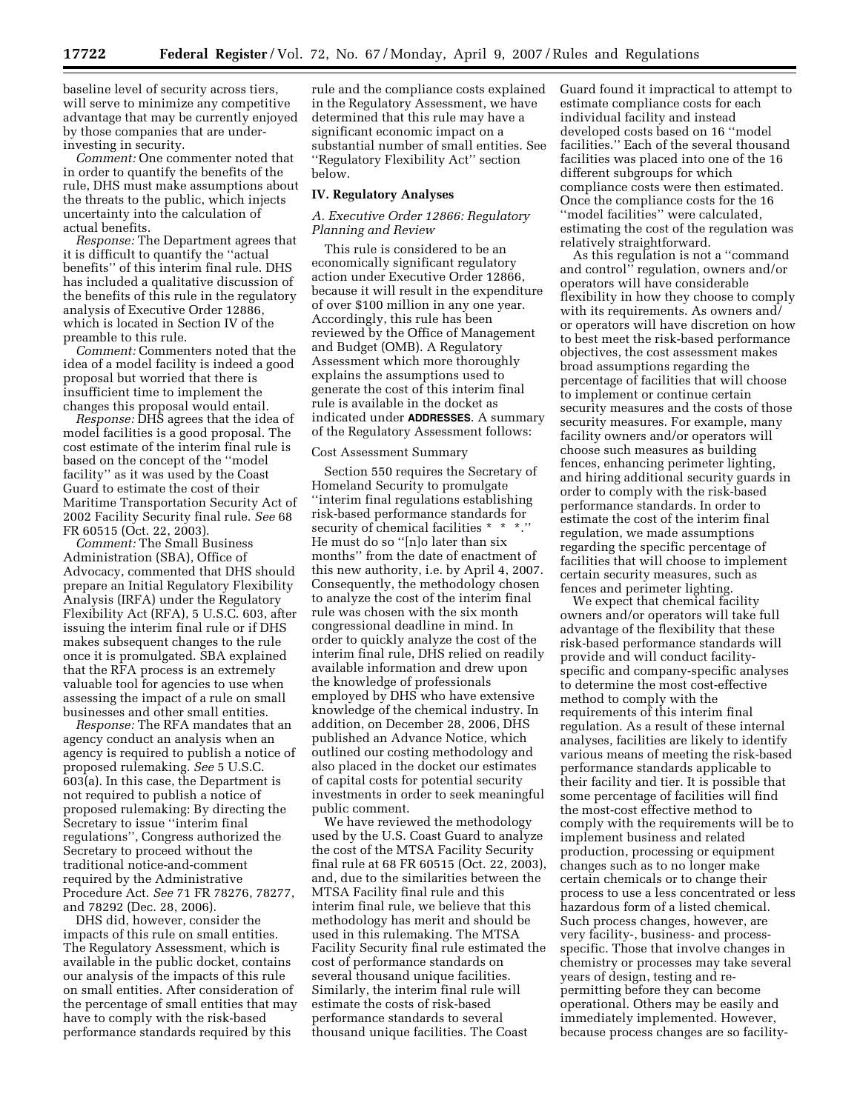baseline level of security across tiers, will serve to minimize any competitive advantage that may be currently enjoyed by those companies that are underinvesting in security.

*Comment:* One commenter noted that in order to quantify the benefits of the rule, DHS must make assumptions about the threats to the public, which injects uncertainty into the calculation of actual benefits.

*Response:* The Department agrees that it is difficult to quantify the ''actual benefits'' of this interim final rule. DHS has included a qualitative discussion of the benefits of this rule in the regulatory analysis of Executive Order 12886, which is located in Section IV of the preamble to this rule.

*Comment:* Commenters noted that the idea of a model facility is indeed a good proposal but worried that there is insufficient time to implement the changes this proposal would entail.

*Response:* DHS agrees that the idea of model facilities is a good proposal. The cost estimate of the interim final rule is based on the concept of the ''model facility'' as it was used by the Coast Guard to estimate the cost of their Maritime Transportation Security Act of 2002 Facility Security final rule. *See* 68 FR 60515 (Oct. 22, 2003).

*Comment:* The Small Business Administration (SBA), Office of Advocacy, commented that DHS should prepare an Initial Regulatory Flexibility Analysis (IRFA) under the Regulatory Flexibility Act (RFA), 5 U.S.C. 603, after issuing the interim final rule or if DHS makes subsequent changes to the rule once it is promulgated. SBA explained that the RFA process is an extremely valuable tool for agencies to use when assessing the impact of a rule on small businesses and other small entities.

*Response:* The RFA mandates that an agency conduct an analysis when an agency is required to publish a notice of proposed rulemaking. *See* 5 U.S.C. 603(a). In this case, the Department is not required to publish a notice of proposed rulemaking: By directing the Secretary to issue ''interim final regulations'', Congress authorized the Secretary to proceed without the traditional notice-and-comment required by the Administrative Procedure Act. *See* 71 FR 78276, 78277, and 78292 (Dec. 28, 2006).

DHS did, however, consider the impacts of this rule on small entities. The Regulatory Assessment, which is available in the public docket, contains our analysis of the impacts of this rule on small entities. After consideration of the percentage of small entities that may have to comply with the risk-based performance standards required by this

rule and the compliance costs explained in the Regulatory Assessment, we have determined that this rule may have a significant economic impact on a substantial number of small entities. See ''Regulatory Flexibility Act'' section below.

#### **IV. Regulatory Analyses**

# *A. Executive Order 12866: Regulatory Planning and Review*

This rule is considered to be an economically significant regulatory action under Executive Order 12866, because it will result in the expenditure of over \$100 million in any one year. Accordingly, this rule has been reviewed by the Office of Management and Budget (OMB). A Regulatory Assessment which more thoroughly explains the assumptions used to generate the cost of this interim final rule is available in the docket as indicated under **ADDRESSES**. A summary of the Regulatory Assessment follows:

# Cost Assessment Summary

Section 550 requires the Secretary of Homeland Security to promulgate ''interim final regulations establishing risk-based performance standards for security of chemical facilities \* \* \*.'' He must do so ''[n]o later than six months'' from the date of enactment of this new authority, i.e. by April 4, 2007. Consequently, the methodology chosen to analyze the cost of the interim final rule was chosen with the six month congressional deadline in mind. In order to quickly analyze the cost of the interim final rule, DHS relied on readily available information and drew upon the knowledge of professionals employed by DHS who have extensive knowledge of the chemical industry. In addition, on December 28, 2006, DHS published an Advance Notice, which outlined our costing methodology and also placed in the docket our estimates of capital costs for potential security investments in order to seek meaningful public comment.

We have reviewed the methodology used by the U.S. Coast Guard to analyze the cost of the MTSA Facility Security final rule at 68 FR 60515 (Oct. 22, 2003), and, due to the similarities between the MTSA Facility final rule and this interim final rule, we believe that this methodology has merit and should be used in this rulemaking. The MTSA Facility Security final rule estimated the cost of performance standards on several thousand unique facilities. Similarly, the interim final rule will estimate the costs of risk-based performance standards to several thousand unique facilities. The Coast

Guard found it impractical to attempt to estimate compliance costs for each individual facility and instead developed costs based on 16 ''model facilities.'' Each of the several thousand facilities was placed into one of the 16 different subgroups for which compliance costs were then estimated. Once the compliance costs for the 16 ''model facilities'' were calculated, estimating the cost of the regulation was relatively straightforward.

As this regulation is not a ''command and control'' regulation, owners and/or operators will have considerable flexibility in how they choose to comply with its requirements. As owners and/ or operators will have discretion on how to best meet the risk-based performance objectives, the cost assessment makes broad assumptions regarding the percentage of facilities that will choose to implement or continue certain security measures and the costs of those security measures. For example, many facility owners and/or operators will choose such measures as building fences, enhancing perimeter lighting, and hiring additional security guards in order to comply with the risk-based performance standards. In order to estimate the cost of the interim final regulation, we made assumptions regarding the specific percentage of facilities that will choose to implement certain security measures, such as fences and perimeter lighting.

We expect that chemical facility owners and/or operators will take full advantage of the flexibility that these risk-based performance standards will provide and will conduct facilityspecific and company-specific analyses to determine the most cost-effective method to comply with the requirements of this interim final regulation. As a result of these internal analyses, facilities are likely to identify various means of meeting the risk-based performance standards applicable to their facility and tier. It is possible that some percentage of facilities will find the most-cost effective method to comply with the requirements will be to implement business and related production, processing or equipment changes such as to no longer make certain chemicals or to change their process to use a less concentrated or less hazardous form of a listed chemical. Such process changes, however, are very facility-, business- and processspecific. Those that involve changes in chemistry or processes may take several years of design, testing and repermitting before they can become operational. Others may be easily and immediately implemented. However, because process changes are so facility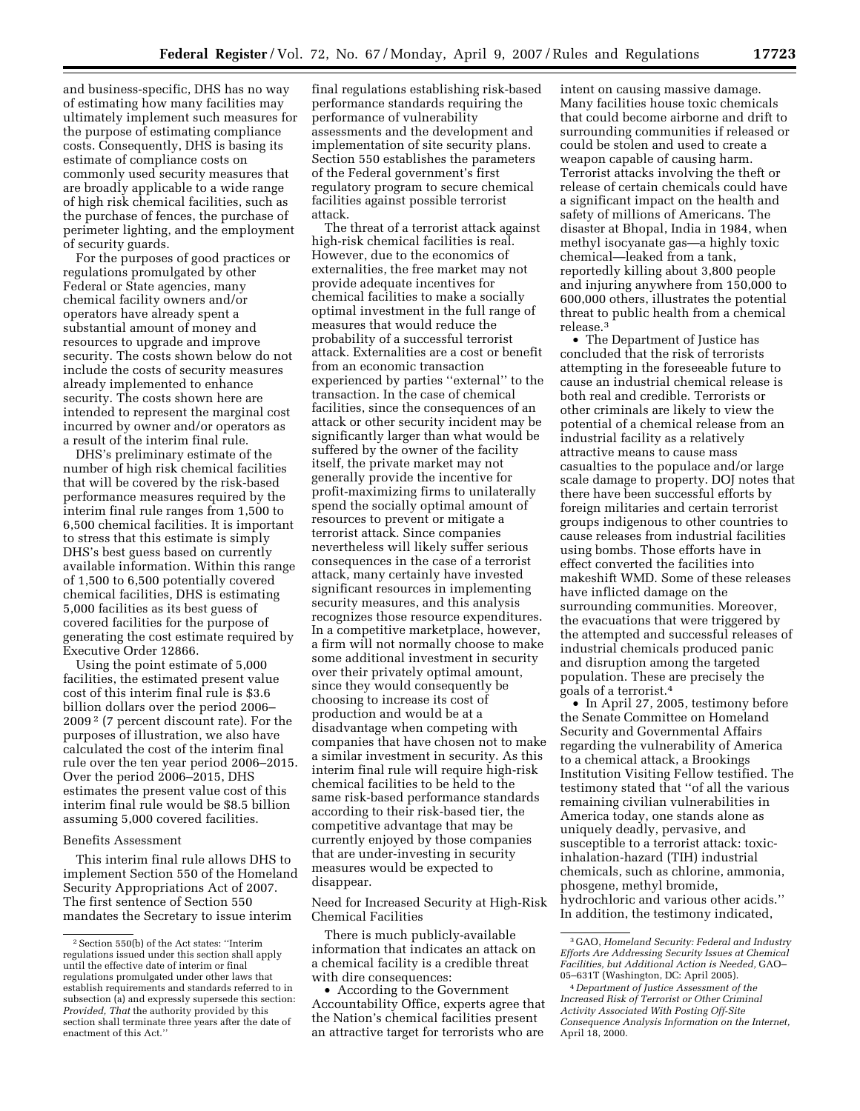and business-specific, DHS has no way of estimating how many facilities may ultimately implement such measures for the purpose of estimating compliance costs. Consequently, DHS is basing its estimate of compliance costs on commonly used security measures that are broadly applicable to a wide range of high risk chemical facilities, such as the purchase of fences, the purchase of perimeter lighting, and the employment of security guards.

For the purposes of good practices or regulations promulgated by other Federal or State agencies, many chemical facility owners and/or operators have already spent a substantial amount of money and resources to upgrade and improve security. The costs shown below do not include the costs of security measures already implemented to enhance security. The costs shown here are intended to represent the marginal cost incurred by owner and/or operators as a result of the interim final rule.

DHS's preliminary estimate of the number of high risk chemical facilities that will be covered by the risk-based performance measures required by the interim final rule ranges from 1,500 to 6,500 chemical facilities. It is important to stress that this estimate is simply DHS's best guess based on currently available information. Within this range of 1,500 to 6,500 potentially covered chemical facilities, DHS is estimating 5,000 facilities as its best guess of covered facilities for the purpose of generating the cost estimate required by Executive Order 12866.

Using the point estimate of 5,000 facilities, the estimated present value cost of this interim final rule is \$3.6 billion dollars over the period 2006– 2009 2 (7 percent discount rate). For the purposes of illustration, we also have calculated the cost of the interim final rule over the ten year period 2006–2015. Over the period 2006–2015, DHS estimates the present value cost of this interim final rule would be \$8.5 billion assuming 5,000 covered facilities.

## Benefits Assessment

This interim final rule allows DHS to implement Section 550 of the Homeland Security Appropriations Act of 2007. The first sentence of Section 550 mandates the Secretary to issue interim

final regulations establishing risk-based performance standards requiring the performance of vulnerability assessments and the development and implementation of site security plans. Section 550 establishes the parameters of the Federal government's first regulatory program to secure chemical facilities against possible terrorist attack.

The threat of a terrorist attack against high-risk chemical facilities is real. However, due to the economics of externalities, the free market may not provide adequate incentives for chemical facilities to make a socially optimal investment in the full range of measures that would reduce the probability of a successful terrorist attack. Externalities are a cost or benefit from an economic transaction experienced by parties ''external'' to the transaction. In the case of chemical facilities, since the consequences of an attack or other security incident may be significantly larger than what would be suffered by the owner of the facility itself, the private market may not generally provide the incentive for profit-maximizing firms to unilaterally spend the socially optimal amount of resources to prevent or mitigate a terrorist attack. Since companies nevertheless will likely suffer serious consequences in the case of a terrorist attack, many certainly have invested significant resources in implementing security measures, and this analysis recognizes those resource expenditures. In a competitive marketplace, however, a firm will not normally choose to make some additional investment in security over their privately optimal amount, since they would consequently be choosing to increase its cost of production and would be at a disadvantage when competing with companies that have chosen not to make a similar investment in security. As this interim final rule will require high-risk chemical facilities to be held to the same risk-based performance standards according to their risk-based tier, the competitive advantage that may be currently enjoyed by those companies that are under-investing in security measures would be expected to disappear.

Need for Increased Security at High-Risk Chemical Facilities

There is much publicly-available information that indicates an attack on a chemical facility is a credible threat with dire consequences:

• According to the Government Accountability Office, experts agree that the Nation's chemical facilities present an attractive target for terrorists who are

intent on causing massive damage. Many facilities house toxic chemicals that could become airborne and drift to surrounding communities if released or could be stolen and used to create a weapon capable of causing harm. Terrorist attacks involving the theft or release of certain chemicals could have a significant impact on the health and safety of millions of Americans. The disaster at Bhopal, India in 1984, when methyl isocyanate gas—a highly toxic chemical—leaked from a tank, reportedly killing about 3,800 people and injuring anywhere from 150,000 to 600,000 others, illustrates the potential threat to public health from a chemical release.3

• The Department of Justice has concluded that the risk of terrorists attempting in the foreseeable future to cause an industrial chemical release is both real and credible. Terrorists or other criminals are likely to view the potential of a chemical release from an industrial facility as a relatively attractive means to cause mass casualties to the populace and/or large scale damage to property. DOJ notes that there have been successful efforts by foreign militaries and certain terrorist groups indigenous to other countries to cause releases from industrial facilities using bombs. Those efforts have in effect converted the facilities into makeshift WMD. Some of these releases have inflicted damage on the surrounding communities. Moreover, the evacuations that were triggered by the attempted and successful releases of industrial chemicals produced panic and disruption among the targeted population. These are precisely the goals of a terrorist.4

• In April 27, 2005, testimony before the Senate Committee on Homeland Security and Governmental Affairs regarding the vulnerability of America to a chemical attack, a Brookings Institution Visiting Fellow testified. The testimony stated that ''of all the various remaining civilian vulnerabilities in America today, one stands alone as uniquely deadly, pervasive, and susceptible to a terrorist attack: toxicinhalation-hazard (TIH) industrial chemicals, such as chlorine, ammonia, phosgene, methyl bromide, hydrochloric and various other acids.'' In addition, the testimony indicated,

<sup>2</sup>Section 550(b) of the Act states: ''Interim regulations issued under this section shall apply until the effective date of interim or final regulations promulgated under other laws that establish requirements and standards referred to in subsection (a) and expressly supersede this section: *Provided, That* the authority provided by this section shall terminate three years after the date of enactment of this Act.''

<sup>3</sup> GAO, *Homeland Security: Federal and Industry Efforts Are Addressing Security Issues at Chemical Facilities, but Additional Action is Needed,* GAO– 05–631T (Washington, DC: April 2005).

<sup>4</sup> *Department of Justice Assessment of the Increased Risk of Terrorist or Other Criminal Activity Associated With Posting Off-Site Consequence Analysis Information on the Internet,*  April 18, 2000.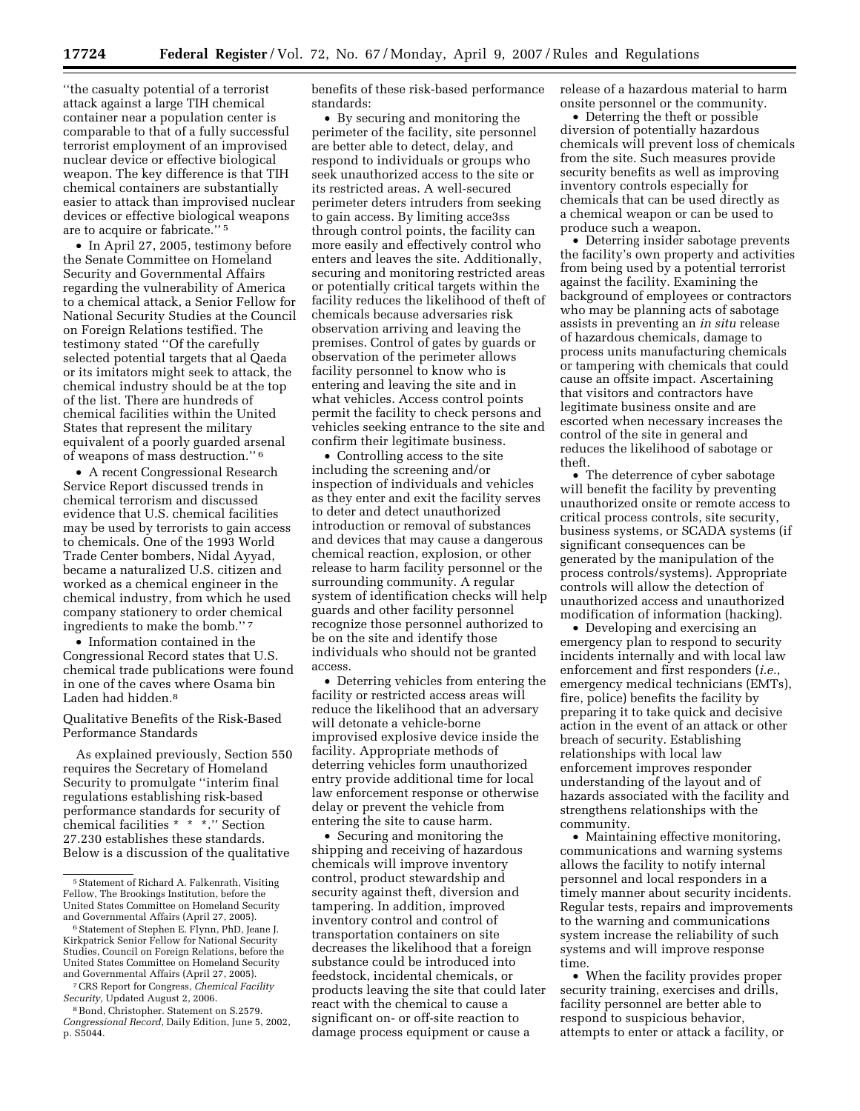''the casualty potential of a terrorist attack against a large TIH chemical container near a population center is comparable to that of a fully successful terrorist employment of an improvised nuclear device or effective biological weapon. The key difference is that TIH chemical containers are substantially easier to attack than improvised nuclear devices or effective biological weapons are to acquire or fabricate.'' 5

• In April 27, 2005, testimony before the Senate Committee on Homeland Security and Governmental Affairs regarding the vulnerability of America to a chemical attack, a Senior Fellow for National Security Studies at the Council on Foreign Relations testified. The testimony stated ''Of the carefully selected potential targets that al Qaeda or its imitators might seek to attack, the chemical industry should be at the top of the list. There are hundreds of chemical facilities within the United States that represent the military equivalent of a poorly guarded arsenal of weapons of mass destruction.'' 6

• A recent Congressional Research Service Report discussed trends in chemical terrorism and discussed evidence that U.S. chemical facilities may be used by terrorists to gain access to chemicals. One of the 1993 World Trade Center bombers, Nidal Ayyad, became a naturalized U.S. citizen and worked as a chemical engineer in the chemical industry, from which he used company stationery to order chemical ingredients to make the bomb.'' 7

• Information contained in the Congressional Record states that U.S. chemical trade publications were found in one of the caves where Osama bin Laden had hidden.8

# Qualitative Benefits of the Risk-Based Performance Standards

As explained previously, Section 550 requires the Secretary of Homeland Security to promulgate ''interim final regulations establishing risk-based performance standards for security of chemical facilities \* \* \*.'' Section 27.230 establishes these standards. Below is a discussion of the qualitative

7CRS Report for Congress, *Chemical Facility Security,* Updated August 2, 2006.

benefits of these risk-based performance standards:

• By securing and monitoring the perimeter of the facility, site personnel are better able to detect, delay, and respond to individuals or groups who seek unauthorized access to the site or its restricted areas. A well-secured perimeter deters intruders from seeking to gain access. By limiting acce3ss through control points, the facility can more easily and effectively control who enters and leaves the site. Additionally, securing and monitoring restricted areas or potentially critical targets within the facility reduces the likelihood of theft of chemicals because adversaries risk observation arriving and leaving the premises. Control of gates by guards or observation of the perimeter allows facility personnel to know who is entering and leaving the site and in what vehicles. Access control points permit the facility to check persons and vehicles seeking entrance to the site and confirm their legitimate business.

• Controlling access to the site including the screening and/or inspection of individuals and vehicles as they enter and exit the facility serves to deter and detect unauthorized introduction or removal of substances and devices that may cause a dangerous chemical reaction, explosion, or other release to harm facility personnel or the surrounding community. A regular system of identification checks will help guards and other facility personnel recognize those personnel authorized to be on the site and identify those individuals who should not be granted access.

• Deterring vehicles from entering the facility or restricted access areas will reduce the likelihood that an adversary will detonate a vehicle-borne improvised explosive device inside the facility. Appropriate methods of deterring vehicles form unauthorized entry provide additional time for local law enforcement response or otherwise delay or prevent the vehicle from entering the site to cause harm.

• Securing and monitoring the shipping and receiving of hazardous chemicals will improve inventory control, product stewardship and security against theft, diversion and tampering. In addition, improved inventory control and control of transportation containers on site decreases the likelihood that a foreign substance could be introduced into feedstock, incidental chemicals, or products leaving the site that could later react with the chemical to cause a significant on- or off-site reaction to damage process equipment or cause a

release of a hazardous material to harm onsite personnel or the community.

• Deterring the theft or possible diversion of potentially hazardous chemicals will prevent loss of chemicals from the site. Such measures provide security benefits as well as improving inventory controls especially for chemicals that can be used directly as a chemical weapon or can be used to produce such a weapon.

• Deterring insider sabotage prevents the facility's own property and activities from being used by a potential terrorist against the facility. Examining the background of employees or contractors who may be planning acts of sabotage assists in preventing an *in situ* release of hazardous chemicals, damage to process units manufacturing chemicals or tampering with chemicals that could cause an offsite impact. Ascertaining that visitors and contractors have legitimate business onsite and are escorted when necessary increases the control of the site in general and reduces the likelihood of sabotage or theft.

• The deterrence of cyber sabotage will benefit the facility by preventing unauthorized onsite or remote access to critical process controls, site security, business systems, or SCADA systems (if significant consequences can be generated by the manipulation of the process controls/systems). Appropriate controls will allow the detection of unauthorized access and unauthorized modification of information (hacking).

• Developing and exercising an emergency plan to respond to security incidents internally and with local law enforcement and first responders (*i.e.*, emergency medical technicians (EMTs), fire, police) benefits the facility by preparing it to take quick and decisive action in the event of an attack or other breach of security. Establishing relationships with local law enforcement improves responder understanding of the layout and of hazards associated with the facility and strengthens relationships with the community.

• Maintaining effective monitoring, communications and warning systems allows the facility to notify internal personnel and local responders in a timely manner about security incidents. Regular tests, repairs and improvements to the warning and communications system increase the reliability of such systems and will improve response time.

• When the facility provides proper security training, exercises and drills, facility personnel are better able to respond to suspicious behavior, attempts to enter or attack a facility, or

<sup>&</sup>lt;sup>5</sup> Statement of Richard A. Falkenrath, Visiting Fellow, The Brookings Institution, before the United States Committee on Homeland Security and Governmental Affairs (April 27, 2005).

<sup>6</sup>Statement of Stephen E. Flynn, PhD, Jeane J. Kirkpatrick Senior Fellow for National Security Studies, Council on Foreign Relations, before the United States Committee on Homeland Security and Governmental Affairs (April 27, 2005).

<sup>8</sup>Bond, Christopher. Statement on S.2579. *Congressional Record,* Daily Edition, June 5, 2002, p. S5044.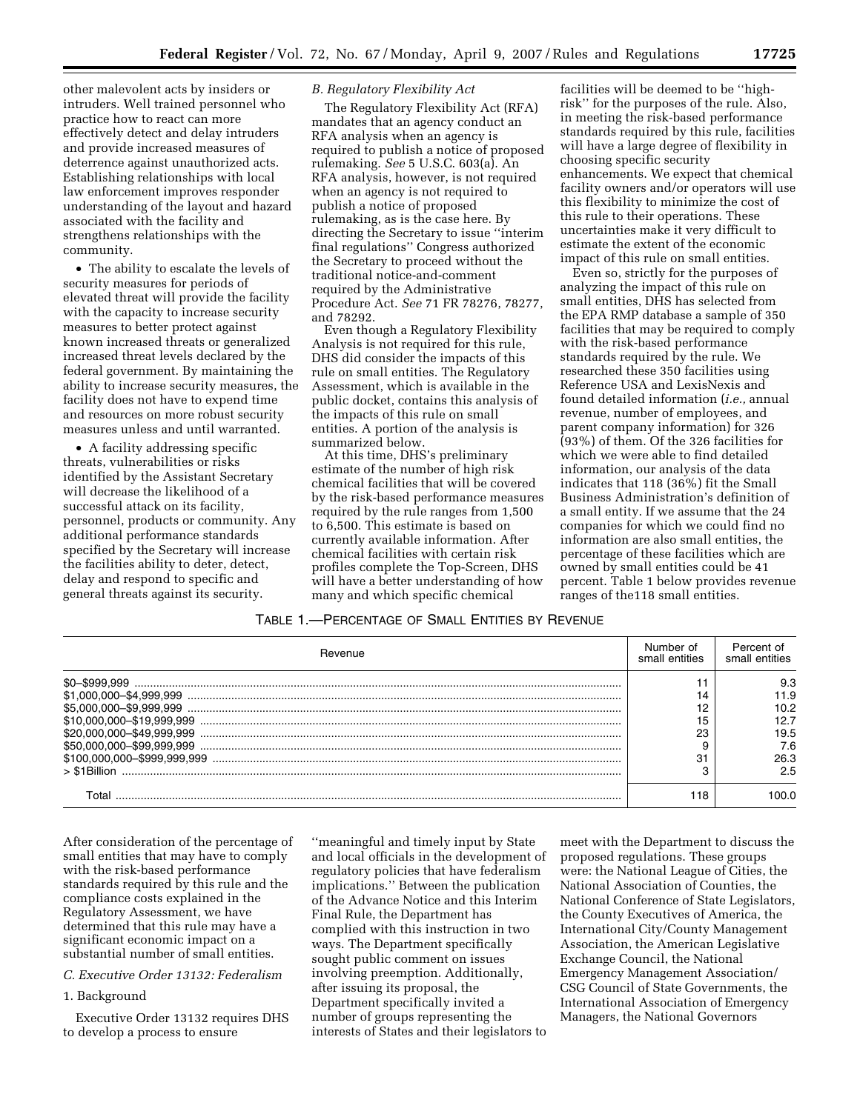other malevolent acts by insiders or intruders. Well trained personnel who practice how to react can more effectively detect and delay intruders and provide increased measures of deterrence against unauthorized acts. Establishing relationships with local law enforcement improves responder understanding of the layout and hazard associated with the facility and strengthens relationships with the community.

• The ability to escalate the levels of security measures for periods of elevated threat will provide the facility with the capacity to increase security measures to better protect against known increased threats or generalized increased threat levels declared by the federal government. By maintaining the ability to increase security measures, the facility does not have to expend time and resources on more robust security measures unless and until warranted.

• A facility addressing specific threats, vulnerabilities or risks identified by the Assistant Secretary will decrease the likelihood of a successful attack on its facility, personnel, products or community. Any additional performance standards specified by the Secretary will increase the facilities ability to deter, detect, delay and respond to specific and general threats against its security.

# *B. Regulatory Flexibility Act*

The Regulatory Flexibility Act (RFA) mandates that an agency conduct an RFA analysis when an agency is required to publish a notice of proposed rulemaking. *See* 5 U.S.C. 603(a). An RFA analysis, however, is not required when an agency is not required to publish a notice of proposed rulemaking, as is the case here. By directing the Secretary to issue ''interim final regulations'' Congress authorized the Secretary to proceed without the traditional notice-and-comment required by the Administrative Procedure Act. *See* 71 FR 78276, 78277, and 78292.

Even though a Regulatory Flexibility Analysis is not required for this rule, DHS did consider the impacts of this rule on small entities. The Regulatory Assessment, which is available in the public docket, contains this analysis of the impacts of this rule on small entities. A portion of the analysis is summarized below.

At this time, DHS's preliminary estimate of the number of high risk chemical facilities that will be covered by the risk-based performance measures required by the rule ranges from 1,500 to 6,500. This estimate is based on currently available information. After chemical facilities with certain risk profiles complete the Top-Screen, DHS will have a better understanding of how many and which specific chemical

facilities will be deemed to be ''highrisk'' for the purposes of the rule. Also, in meeting the risk-based performance standards required by this rule, facilities will have a large degree of flexibility in choosing specific security enhancements. We expect that chemical facility owners and/or operators will use this flexibility to minimize the cost of this rule to their operations. These uncertainties make it very difficult to estimate the extent of the economic impact of this rule on small entities.

Even so, strictly for the purposes of analyzing the impact of this rule on small entities, DHS has selected from the EPA RMP database a sample of 350 facilities that may be required to comply with the risk-based performance standards required by the rule. We researched these 350 facilities using Reference USA and LexisNexis and found detailed information (*i.e.,* annual revenue, number of employees, and parent company information) for 326 (93%) of them. Of the 326 facilities for which we were able to find detailed information, our analysis of the data indicates that 118 (36%) fit the Small Business Administration's definition of a small entity. If we assume that the 24 companies for which we could find no information are also small entities, the percentage of these facilities which are owned by small entities could be 41 percent. Table 1 below provides revenue ranges of the118 small entities.

# TABLE 1.—PERCENTAGE OF SMALL ENTITIES BY REVENUE

| Revenue                   | Numher of<br>small entities | Percent of<br>small entities |
|---------------------------|-----------------------------|------------------------------|
|                           |                             | 9.3                          |
|                           |                             | 11.9<br>10.2                 |
| \$20,000,000-\$49,999,999 | ററ<br>دے                    | 12.7<br>19.5                 |
|                           |                             | 7.6                          |
| $>$ \$1Billion            | $\sim$                      | 26.3<br>2.5                  |
|                           | 118                         |                              |

After consideration of the percentage of small entities that may have to comply with the risk-based performance standards required by this rule and the compliance costs explained in the Regulatory Assessment, we have determined that this rule may have a significant economic impact on a substantial number of small entities.

# *C. Executive Order 13132: Federalism*

## 1. Background

Executive Order 13132 requires DHS to develop a process to ensure

''meaningful and timely input by State and local officials in the development of regulatory policies that have federalism implications.'' Between the publication of the Advance Notice and this Interim Final Rule, the Department has complied with this instruction in two ways. The Department specifically sought public comment on issues involving preemption. Additionally, after issuing its proposal, the Department specifically invited a number of groups representing the interests of States and their legislators to

meet with the Department to discuss the proposed regulations. These groups were: the National League of Cities, the National Association of Counties, the National Conference of State Legislators, the County Executives of America, the International City/County Management Association, the American Legislative Exchange Council, the National Emergency Management Association/ CSG Council of State Governments, the International Association of Emergency Managers, the National Governors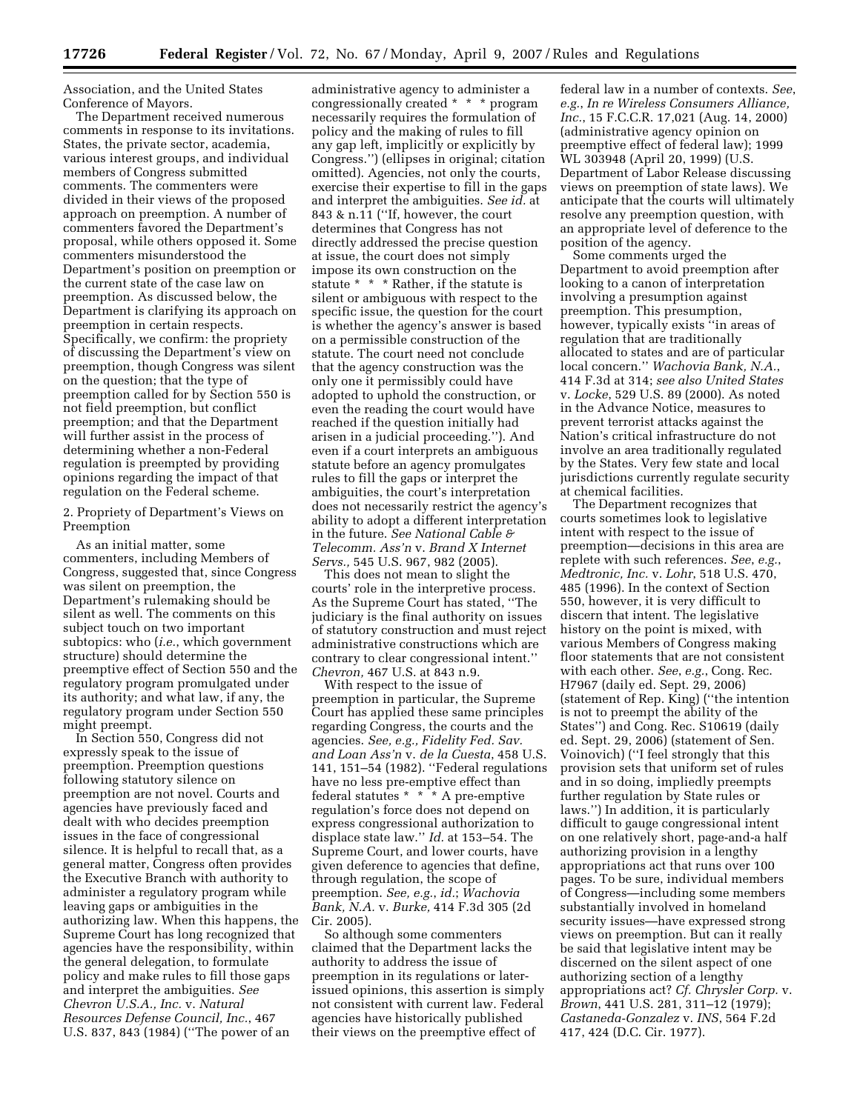Association, and the United States Conference of Mayors.

The Department received numerous comments in response to its invitations. States, the private sector, academia, various interest groups, and individual members of Congress submitted comments. The commenters were divided in their views of the proposed approach on preemption. A number of commenters favored the Department's proposal, while others opposed it. Some commenters misunderstood the Department's position on preemption or the current state of the case law on preemption. As discussed below, the Department is clarifying its approach on preemption in certain respects. Specifically, we confirm: the propriety of discussing the Department's view on preemption, though Congress was silent on the question; that the type of preemption called for by Section 550 is not field preemption, but conflict preemption; and that the Department will further assist in the process of determining whether a non-Federal regulation is preempted by providing opinions regarding the impact of that regulation on the Federal scheme.

2. Propriety of Department's Views on Preemption

As an initial matter, some commenters, including Members of Congress, suggested that, since Congress was silent on preemption, the Department's rulemaking should be silent as well. The comments on this subject touch on two important subtopics: who (*i.e.*, which government structure) should determine the preemptive effect of Section 550 and the regulatory program promulgated under its authority; and what law, if any, the regulatory program under Section 550 might preempt.

In Section 550, Congress did not expressly speak to the issue of preemption. Preemption questions following statutory silence on preemption are not novel. Courts and agencies have previously faced and dealt with who decides preemption issues in the face of congressional silence. It is helpful to recall that, as a general matter, Congress often provides the Executive Branch with authority to administer a regulatory program while leaving gaps or ambiguities in the authorizing law. When this happens, the Supreme Court has long recognized that agencies have the responsibility, within the general delegation, to formulate policy and make rules to fill those gaps and interpret the ambiguities. *See Chevron U.S.A., Inc.* v. *Natural Resources Defense Council, Inc.*, 467 U.S. 837, 843 (1984) (''The power of an

administrative agency to administer a congressionally created \* \* \* program necessarily requires the formulation of policy and the making of rules to fill any gap left, implicitly or explicitly by Congress.'') (ellipses in original; citation omitted). Agencies, not only the courts, exercise their expertise to fill in the gaps and interpret the ambiguities. *See id.* at 843 & n.11 (''If, however, the court determines that Congress has not directly addressed the precise question at issue, the court does not simply impose its own construction on the statute \* \* \* Rather, if the statute is silent or ambiguous with respect to the specific issue, the question for the court is whether the agency's answer is based on a permissible construction of the statute. The court need not conclude that the agency construction was the only one it permissibly could have adopted to uphold the construction, or even the reading the court would have reached if the question initially had arisen in a judicial proceeding.''). And even if a court interprets an ambiguous statute before an agency promulgates rules to fill the gaps or interpret the ambiguities, the court's interpretation does not necessarily restrict the agency's ability to adopt a different interpretation in the future. *See National Cable & Telecomm. Ass'n* v. *Brand X Internet Servs.,* 545 U.S. 967, 982 (2005).

This does not mean to slight the courts' role in the interpretive process. As the Supreme Court has stated, ''The judiciary is the final authority on issues of statutory construction and must reject administrative constructions which are contrary to clear congressional intent.'' *Chevron,* 467 U.S. at 843 n.9.

With respect to the issue of preemption in particular, the Supreme Court has applied these same principles regarding Congress, the courts and the agencies. *See, e.g., Fidelity Fed. Sav. and Loan Ass'n* v. *de la Cuesta*, 458 U.S. 141, 151–54 (1982). ''Federal regulations have no less pre-emptive effect than federal statutes \* \* \* A pre-emptive regulation's force does not depend on express congressional authorization to displace state law.'' *Id.* at 153–54. The Supreme Court, and lower courts, have given deference to agencies that define, through regulation, the scope of preemption. *See, e.g.*, *id.*; *Wachovia Bank, N.A.* v. *Burke,* 414 F.3d 305 (2d Cir. 2005).

So although some commenters claimed that the Department lacks the authority to address the issue of preemption in its regulations or laterissued opinions, this assertion is simply not consistent with current law. Federal agencies have historically published their views on the preemptive effect of

federal law in a number of contexts. *See*, *e.g.*, *In re Wireless Consumers Alliance, Inc.*, 15 F.C.C.R. 17,021 (Aug. 14, 2000) (administrative agency opinion on preemptive effect of federal law); 1999 WL 303948 (April 20, 1999) (U.S. Department of Labor Release discussing views on preemption of state laws). We anticipate that the courts will ultimately resolve any preemption question, with an appropriate level of deference to the position of the agency.

Some comments urged the Department to avoid preemption after looking to a canon of interpretation involving a presumption against preemption. This presumption, however, typically exists ''in areas of regulation that are traditionally allocated to states and are of particular local concern.'' *Wachovia Bank, N.A.*, 414 F.3d at 314; *see also United States*  v. *Locke*, 529 U.S. 89 (2000). As noted in the Advance Notice, measures to prevent terrorist attacks against the Nation's critical infrastructure do not involve an area traditionally regulated by the States. Very few state and local jurisdictions currently regulate security at chemical facilities.

The Department recognizes that courts sometimes look to legislative intent with respect to the issue of preemption—decisions in this area are replete with such references. *See*, *e.g.*, *Medtronic, Inc.* v. *Lohr*, 518 U.S. 470, 485 (1996). In the context of Section 550, however, it is very difficult to discern that intent. The legislative history on the point is mixed, with various Members of Congress making floor statements that are not consistent with each other. *See*, *e.g.*, Cong. Rec. H7967 (daily ed. Sept. 29, 2006) (statement of Rep. King) (''the intention is not to preempt the ability of the States'') and Cong. Rec. S10619 (daily ed. Sept. 29, 2006) (statement of Sen. Voinovich) (''I feel strongly that this provision sets that uniform set of rules and in so doing, impliedly preempts further regulation by State rules or laws.'') In addition, it is particularly difficult to gauge congressional intent on one relatively short, page-and-a half authorizing provision in a lengthy appropriations act that runs over 100 pages. To be sure, individual members of Congress—including some members substantially involved in homeland security issues—have expressed strong views on preemption. But can it really be said that legislative intent may be discerned on the silent aspect of one authorizing section of a lengthy appropriations act? *Cf. Chrysler Corp.* v. *Brown*, 441 U.S. 281, 311–12 (1979); *Castaneda-Gonzalez* v. *INS*, 564 F.2d 417, 424 (D.C. Cir. 1977).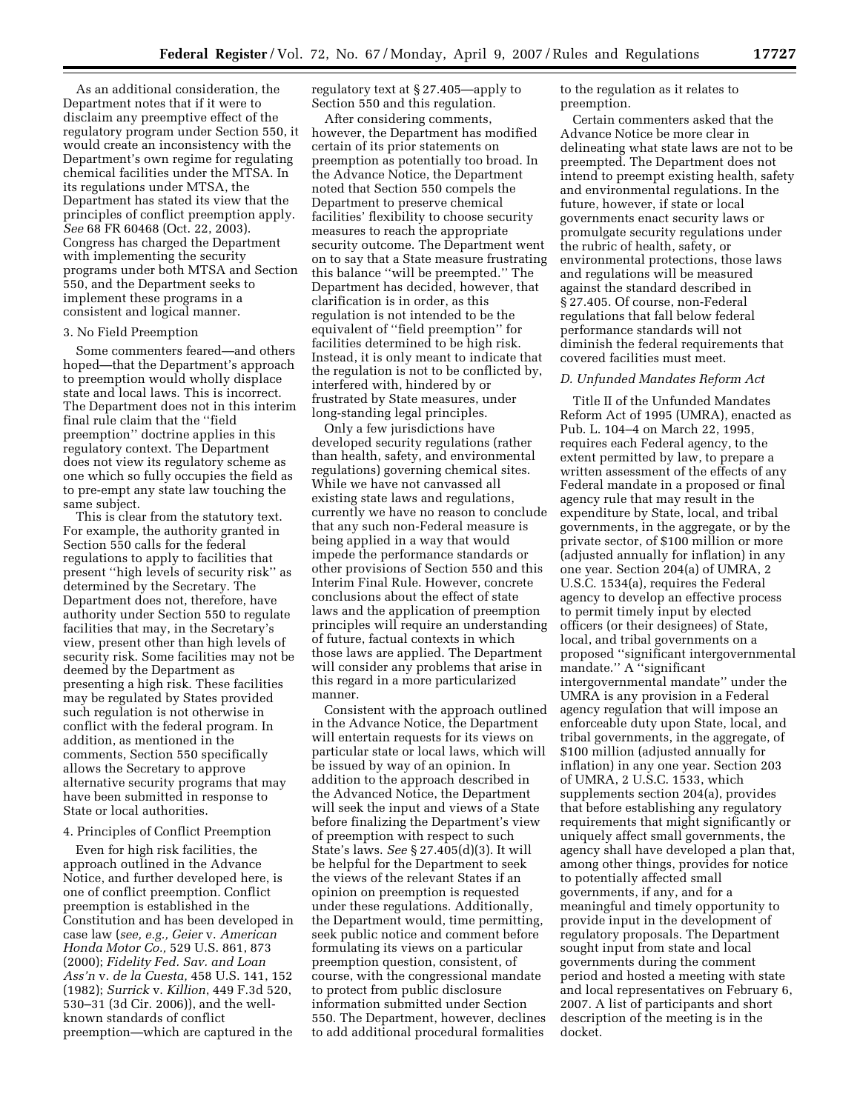As an additional consideration, the Department notes that if it were to disclaim any preemptive effect of the regulatory program under Section 550, it would create an inconsistency with the Department's own regime for regulating chemical facilities under the MTSA. In its regulations under MTSA, the Department has stated its view that the principles of conflict preemption apply. *See* 68 FR 60468 (Oct. 22, 2003). Congress has charged the Department with implementing the security programs under both MTSA and Section 550, and the Department seeks to implement these programs in a consistent and logical manner.

## 3. No Field Preemption

Some commenters feared—and others hoped—that the Department's approach to preemption would wholly displace state and local laws. This is incorrect. The Department does not in this interim final rule claim that the ''field preemption'' doctrine applies in this regulatory context. The Department does not view its regulatory scheme as one which so fully occupies the field as to pre-empt any state law touching the same subject.

This is clear from the statutory text. For example, the authority granted in Section 550 calls for the federal regulations to apply to facilities that present ''high levels of security risk'' as determined by the Secretary. The Department does not, therefore, have authority under Section 550 to regulate facilities that may, in the Secretary's view, present other than high levels of security risk. Some facilities may not be deemed by the Department as presenting a high risk. These facilities may be regulated by States provided such regulation is not otherwise in conflict with the federal program. In addition, as mentioned in the comments, Section 550 specifically allows the Secretary to approve alternative security programs that may have been submitted in response to State or local authorities.

# 4. Principles of Conflict Preemption

Even for high risk facilities, the approach outlined in the Advance Notice, and further developed here, is one of conflict preemption. Conflict preemption is established in the Constitution and has been developed in case law (*see, e.g., Geier* v. *American Honda Motor Co.,* 529 U.S. 861, 873 (2000); *Fidelity Fed. Sav. and Loan Ass'n* v. *de la Cuesta,* 458 U.S. 141, 152 (1982); *Surrick* v. *Killion*, 449 F.3d 520, 530–31 (3d Cir. 2006)), and the wellknown standards of conflict preemption—which are captured in the

regulatory text at § 27.405—apply to Section 550 and this regulation.

After considering comments, however, the Department has modified certain of its prior statements on preemption as potentially too broad. In the Advance Notice, the Department noted that Section 550 compels the Department to preserve chemical facilities' flexibility to choose security measures to reach the appropriate security outcome. The Department went on to say that a State measure frustrating this balance ''will be preempted.'' The Department has decided, however, that clarification is in order, as this regulation is not intended to be the equivalent of ''field preemption'' for facilities determined to be high risk. Instead, it is only meant to indicate that the regulation is not to be conflicted by, interfered with, hindered by or frustrated by State measures, under long-standing legal principles.

Only a few jurisdictions have developed security regulations (rather than health, safety, and environmental regulations) governing chemical sites. While we have not canvassed all existing state laws and regulations, currently we have no reason to conclude that any such non-Federal measure is being applied in a way that would impede the performance standards or other provisions of Section 550 and this Interim Final Rule. However, concrete conclusions about the effect of state laws and the application of preemption principles will require an understanding of future, factual contexts in which those laws are applied. The Department will consider any problems that arise in this regard in a more particularized manner.

Consistent with the approach outlined in the Advance Notice, the Department will entertain requests for its views on particular state or local laws, which will be issued by way of an opinion. In addition to the approach described in the Advanced Notice, the Department will seek the input and views of a State before finalizing the Department's view of preemption with respect to such State's laws. *See* § 27.405(d)(3). It will be helpful for the Department to seek the views of the relevant States if an opinion on preemption is requested under these regulations. Additionally, the Department would, time permitting, seek public notice and comment before formulating its views on a particular preemption question, consistent, of course, with the congressional mandate to protect from public disclosure information submitted under Section 550. The Department, however, declines to add additional procedural formalities

to the regulation as it relates to preemption.

Certain commenters asked that the Advance Notice be more clear in delineating what state laws are not to be preempted. The Department does not intend to preempt existing health, safety and environmental regulations. In the future, however, if state or local governments enact security laws or promulgate security regulations under the rubric of health, safety, or environmental protections, those laws and regulations will be measured against the standard described in § 27.405. Of course, non-Federal regulations that fall below federal performance standards will not diminish the federal requirements that covered facilities must meet.

#### *D. Unfunded Mandates Reform Act*

Title II of the Unfunded Mandates Reform Act of 1995 (UMRA), enacted as Pub. L. 104–4 on March 22, 1995, requires each Federal agency, to the extent permitted by law, to prepare a written assessment of the effects of any Federal mandate in a proposed or final agency rule that may result in the expenditure by State, local, and tribal governments, in the aggregate, or by the private sector, of \$100 million or more (adjusted annually for inflation) in any one year. Section 204(a) of UMRA, 2 U.S.C. 1534(a), requires the Federal agency to develop an effective process to permit timely input by elected officers (or their designees) of State, local, and tribal governments on a proposed ''significant intergovernmental mandate.'' A ''significant intergovernmental mandate'' under the UMRA is any provision in a Federal agency regulation that will impose an enforceable duty upon State, local, and tribal governments, in the aggregate, of \$100 million (adjusted annually for inflation) in any one year. Section 203 of UMRA, 2 U.S.C. 1533, which supplements section 204(a), provides that before establishing any regulatory requirements that might significantly or uniquely affect small governments, the agency shall have developed a plan that, among other things, provides for notice to potentially affected small governments, if any, and for a meaningful and timely opportunity to provide input in the development of regulatory proposals. The Department sought input from state and local governments during the comment period and hosted a meeting with state and local representatives on February 6, 2007. A list of participants and short description of the meeting is in the docket.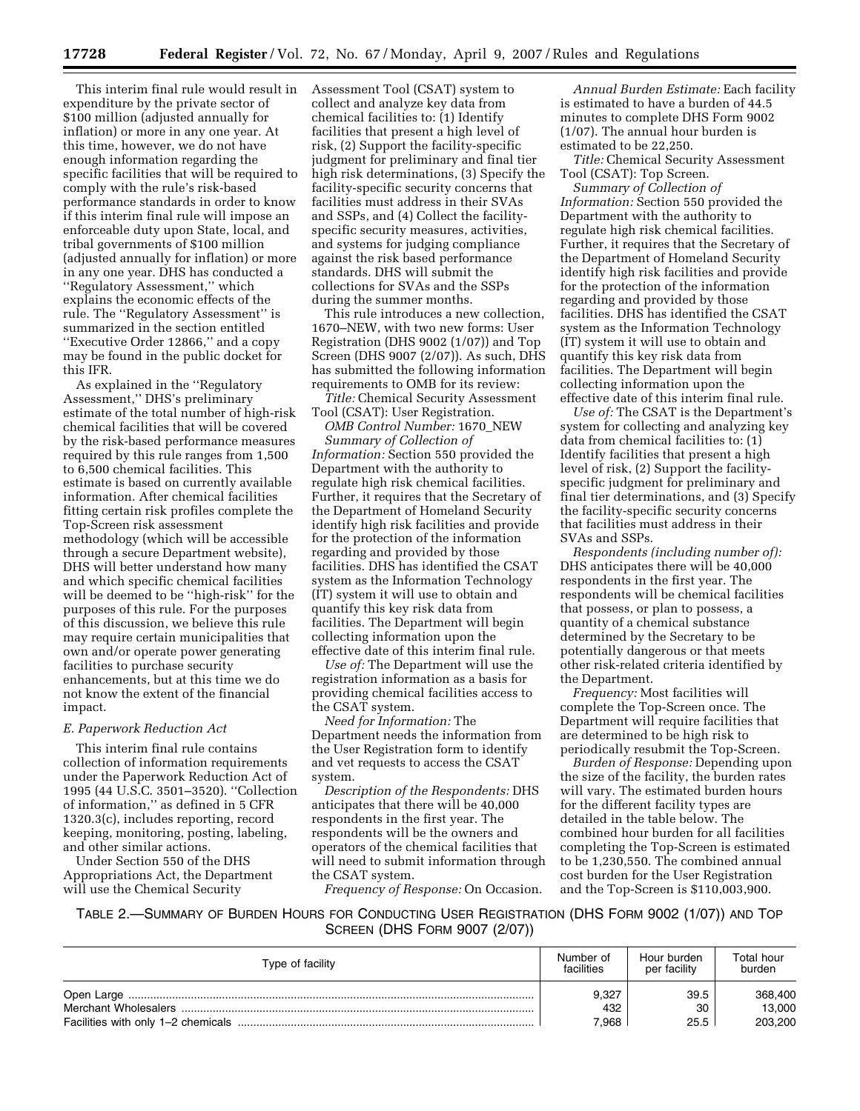This interim final rule would result in expenditure by the private sector of \$100 million (adjusted annually for inflation) or more in any one year. At this time, however, we do not have enough information regarding the specific facilities that will be required to comply with the rule's risk-based performance standards in order to know if this interim final rule will impose an enforceable duty upon State, local, and tribal governments of \$100 million (adjusted annually for inflation) or more in any one year. DHS has conducted a ''Regulatory Assessment,'' which explains the economic effects of the rule. The ''Regulatory Assessment'' is summarized in the section entitled ''Executive Order 12866,'' and a copy may be found in the public docket for this IFR.

As explained in the ''Regulatory Assessment,'' DHS's preliminary estimate of the total number of high-risk chemical facilities that will be covered by the risk-based performance measures required by this rule ranges from 1,500 to 6,500 chemical facilities. This estimate is based on currently available information. After chemical facilities fitting certain risk profiles complete the Top-Screen risk assessment methodology (which will be accessible through a secure Department website), DHS will better understand how many and which specific chemical facilities will be deemed to be ''high-risk'' for the purposes of this rule. For the purposes of this discussion, we believe this rule may require certain municipalities that own and/or operate power generating facilities to purchase security enhancements, but at this time we do not know the extent of the financial impact.

## *E. Paperwork Reduction Act*

This interim final rule contains collection of information requirements under the Paperwork Reduction Act of 1995 (44 U.S.C. 3501–3520). ''Collection of information,'' as defined in 5 CFR 1320.3(c), includes reporting, record keeping, monitoring, posting, labeling, and other similar actions.

Under Section 550 of the DHS Appropriations Act, the Department will use the Chemical Security

Assessment Tool (CSAT) system to collect and analyze key data from chemical facilities to: (1) Identify facilities that present a high level of risk, (2) Support the facility-specific judgment for preliminary and final tier high risk determinations, (3) Specify the facility-specific security concerns that facilities must address in their SVAs and SSPs, and (4) Collect the facilityspecific security measures, activities, and systems for judging compliance against the risk based performance standards. DHS will submit the collections for SVAs and the SSPs during the summer months.

This rule introduces a new collection, 1670–NEW, with two new forms: User Registration (DHS 9002 (1/07)) and Top Screen (DHS 9007 (2/07)). As such, DHS has submitted the following information requirements to OMB for its review:

*Title:* Chemical Security Assessment Tool (CSAT): User Registration. *OMB Control Number:* 1670\_NEW

*Summary of Collection of Information:* Section 550 provided the Department with the authority to regulate high risk chemical facilities. Further, it requires that the Secretary of the Department of Homeland Security identify high risk facilities and provide for the protection of the information regarding and provided by those facilities. DHS has identified the CSAT system as the Information Technology (IT) system it will use to obtain and quantify this key risk data from facilities. The Department will begin collecting information upon the effective date of this interim final rule.

*Use of:* The Department will use the registration information as a basis for providing chemical facilities access to the CSAT system.

*Need for Information:* The Department needs the information from the User Registration form to identify and vet requests to access the CSAT system.

*Description of the Respondents:* DHS anticipates that there will be 40,000 respondents in the first year. The respondents will be the owners and operators of the chemical facilities that will need to submit information through the CSAT system.

*Frequency of Response:* On Occasion.

*Annual Burden Estimate:* Each facility is estimated to have a burden of 44.5 minutes to complete DHS Form 9002 (1/07). The annual hour burden is estimated to be 22,250.

*Title:* Chemical Security Assessment Tool (CSAT): Top Screen.

*Summary of Collection of Information:* Section 550 provided the Department with the authority to regulate high risk chemical facilities. Further, it requires that the Secretary of the Department of Homeland Security identify high risk facilities and provide for the protection of the information regarding and provided by those facilities. DHS has identified the CSAT system as the Information Technology (IT) system it will use to obtain and quantify this key risk data from facilities. The Department will begin collecting information upon the effective date of this interim final rule.

*Use of:* The CSAT is the Department's system for collecting and analyzing key data from chemical facilities to: (1) Identify facilities that present a high level of risk, (2) Support the facilityspecific judgment for preliminary and final tier determinations, and (3) Specify the facility-specific security concerns that facilities must address in their SVAs and SSPs.

*Respondents (including number of):*  DHS anticipates there will be 40,000 respondents in the first year. The respondents will be chemical facilities that possess, or plan to possess, a quantity of a chemical substance determined by the Secretary to be potentially dangerous or that meets other risk-related criteria identified by the Department.

*Frequency:* Most facilities will complete the Top-Screen once. The Department will require facilities that are determined to be high risk to periodically resubmit the Top-Screen.

*Burden of Response:* Depending upon the size of the facility, the burden rates will vary. The estimated burden hours for the different facility types are detailed in the table below. The combined hour burden for all facilities completing the Top-Screen is estimated to be 1,230,550. The combined annual cost burden for the User Registration and the Top-Screen is \$110,003,900.

TABLE 2.—SUMMARY OF BURDEN HOURS FOR CONDUCTING USER REGISTRATION (DHS FORM 9002 (1/07)) AND TOP SCREEN (DHS FORM 9007 (2/07))

| Type of facility | Number of<br>facilities | Hour burden<br>per facility | Total hour<br>burden |
|------------------|-------------------------|-----------------------------|----------------------|
|                  | 9,327                   | 39.5                        | 368,400              |
|                  | 432                     | 30                          | 13,000               |
|                  | 7.968                   | 25.5                        | 203,200              |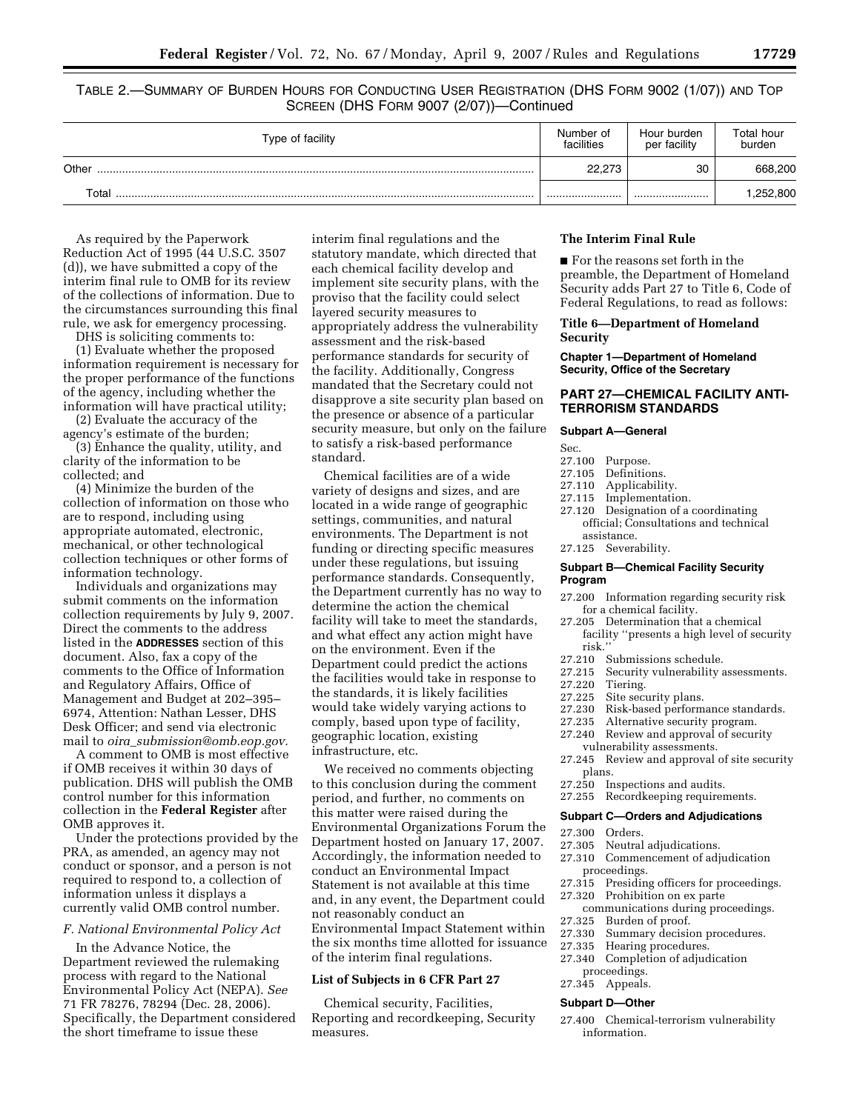TABLE 2.—SUMMARY OF BURDEN HOURS FOR CONDUCTING USER REGISTRATION (DHS FORM 9002 (1/07)) AND TOP SCREEN (DHS FORM 9007 (2/07))—Continued

| Type of facility | Number of<br>facilities | Hour burden<br>per facility | Total hour<br>burden |
|------------------|-------------------------|-----------------------------|----------------------|
| Other            | 22.273                  | 30                          | 668,200              |
| Total            |                         |                             | ,252,800             |

As required by the Paperwork Reduction Act of 1995 (44 U.S.C. 3507 (d)), we have submitted a copy of the interim final rule to OMB for its review of the collections of information. Due to the circumstances surrounding this final rule, we ask for emergency processing.

DHS is soliciting comments to:

(1) Evaluate whether the proposed information requirement is necessary for the proper performance of the functions of the agency, including whether the information will have practical utility;

(2) Evaluate the accuracy of the agency's estimate of the burden;

(3) Enhance the quality, utility, and clarity of the information to be collected; and

(4) Minimize the burden of the collection of information on those who are to respond, including using appropriate automated, electronic, mechanical, or other technological collection techniques or other forms of information technology.

Individuals and organizations may submit comments on the information collection requirements by July 9, 2007. Direct the comments to the address listed in the **ADDRESSES** section of this document. Also, fax a copy of the comments to the Office of Information and Regulatory Affairs, Office of Management and Budget at 202–395– 6974, Attention: Nathan Lesser, DHS Desk Officer; and send via electronic mail to *oira*\_*submission@omb.eop.gov.* 

A comment to OMB is most effective if OMB receives it within 30 days of publication. DHS will publish the OMB control number for this information collection in the **Federal Register** after OMB approves it.

Under the protections provided by the PRA, as amended, an agency may not conduct or sponsor, and a person is not required to respond to, a collection of information unless it displays a currently valid OMB control number.

#### *F. National Environmental Policy Act*

In the Advance Notice, the Department reviewed the rulemaking process with regard to the National Environmental Policy Act (NEPA). *See*  71 FR 78276, 78294 (Dec. 28, 2006). Specifically, the Department considered the short timeframe to issue these

interim final regulations and the statutory mandate, which directed that each chemical facility develop and implement site security plans, with the proviso that the facility could select layered security measures to appropriately address the vulnerability assessment and the risk-based performance standards for security of the facility. Additionally, Congress mandated that the Secretary could not disapprove a site security plan based on the presence or absence of a particular security measure, but only on the failure to satisfy a risk-based performance standard.

Chemical facilities are of a wide variety of designs and sizes, and are located in a wide range of geographic settings, communities, and natural environments. The Department is not funding or directing specific measures under these regulations, but issuing performance standards. Consequently, the Department currently has no way to determine the action the chemical facility will take to meet the standards, and what effect any action might have on the environment. Even if the Department could predict the actions the facilities would take in response to the standards, it is likely facilities would take widely varying actions to comply, based upon type of facility, geographic location, existing infrastructure, etc.

We received no comments objecting to this conclusion during the comment period, and further, no comments on this matter were raised during the Environmental Organizations Forum the Department hosted on January 17, 2007. Accordingly, the information needed to conduct an Environmental Impact Statement is not available at this time and, in any event, the Department could not reasonably conduct an Environmental Impact Statement within the six months time allotted for issuance of the interim final regulations.

#### **List of Subjects in 6 CFR Part 27**

Chemical security, Facilities, Reporting and recordkeeping, Security measures.

# **The Interim Final Rule**

■ For the reasons set forth in the preamble, the Department of Homeland Security adds Part 27 to Title 6, Code of Federal Regulations, to read as follows:

## **Title 6—Department of Homeland Security**

**Chapter 1—Department of Homeland Security, Office of the Secretary** 

# **PART 27—CHEMICAL FACILITY ANTI-TERRORISM STANDARDS**

#### **Subpart A—General**

Sec.

- 
- 27.100 Purpose. 27.105 Definitions.<br>27.110 Applicabilit
- 27.110 Applicability.<br>27.115 Implementatio
- Implementation.
- 27.120 Designation of a coordinating official; Consultations and technical assistance.
- 27.125 Severability.

#### **Subpart B—Chemical Facility Security Program**

- 27.200 Information regarding security risk for a chemical facility.
- 27.205 Determination that a chemical facility ''presents a high level of security
- risk.'<br>27.210
- 27.210 Submissions schedule.<br>27.215 Security vulnerability a 27.215 Security vulnerability assessments.<br>27.220 Tiering.
- Tiering.
- 27.225 Site security plans.
- 27.230 Risk-based performance standards.
- 27.235 Alternative security program.
- 27.240 Review and approval of security
- vulnerability assessments.
- 27.245 Review and approval of site security plans.
- 27.250 Inspections and audits.
- 27.255 Recordkeeping requirements.

#### **Subpart C—Orders and Adjudications**

- 
- 27.300 Orders.<br>27.305 Neutral Neutral adjudications.
- 27.310 Commencement of adjudication proceedings.
- 27.315 Presiding officers for proceedings.
- 27.320 Prohibition on ex parte
- communications during proceedings.
- 27.325 Burden of proof.
- Summary decision procedures.
- 27.335 Hearing procedures. 27.340 Completion of adjudication
- proceedings.
- 27.345 Appeals.

#### **Subpart D—Other**

27.400 Chemical-terrorism vulnerability information.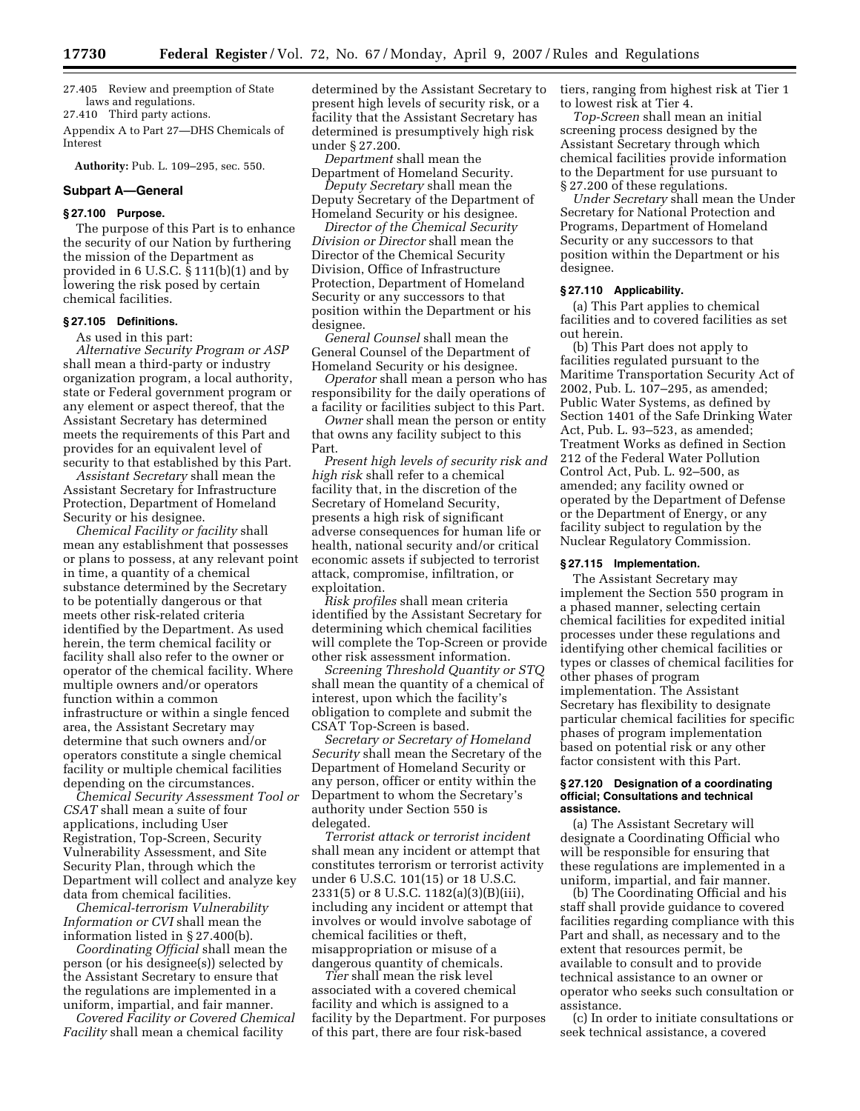27.405 Review and preemption of State laws and regulations. 27.410 Third party actions.

Appendix A to Part 27—DHS Chemicals of Interest

**Authority:** Pub. L. 109–295, sec. 550.

# **Subpart A—General**

# **§ 27.100 Purpose.**

The purpose of this Part is to enhance the security of our Nation by furthering the mission of the Department as provided in 6 U.S.C. § 111(b)(1) and by lowering the risk posed by certain chemical facilities.

# **§ 27.105 Definitions.**

As used in this part:

*Alternative Security Program or ASP*  shall mean a third-party or industry organization program, a local authority, state or Federal government program or any element or aspect thereof, that the Assistant Secretary has determined meets the requirements of this Part and provides for an equivalent level of security to that established by this Part.

*Assistant Secretary* shall mean the Assistant Secretary for Infrastructure Protection, Department of Homeland Security or his designee.

*Chemical Facility or facility* shall mean any establishment that possesses or plans to possess, at any relevant point in time, a quantity of a chemical substance determined by the Secretary to be potentially dangerous or that meets other risk-related criteria identified by the Department. As used herein, the term chemical facility or facility shall also refer to the owner or operator of the chemical facility. Where multiple owners and/or operators function within a common infrastructure or within a single fenced area, the Assistant Secretary may determine that such owners and/or operators constitute a single chemical facility or multiple chemical facilities depending on the circumstances.

*Chemical Security Assessment Tool or CSAT* shall mean a suite of four applications, including User Registration, Top-Screen, Security Vulnerability Assessment, and Site Security Plan, through which the Department will collect and analyze key data from chemical facilities.

*Chemical-terrorism Vulnerability Information or CVI* shall mean the information listed in § 27.400(b).

*Coordinating Official* shall mean the person (or his designee(s)) selected by the Assistant Secretary to ensure that the regulations are implemented in a uniform, impartial, and fair manner.

*Covered Facility or Covered Chemical Facility* shall mean a chemical facility

determined by the Assistant Secretary to present high levels of security risk, or a facility that the Assistant Secretary has determined is presumptively high risk under § 27.200.

*Department* shall mean the Department of Homeland Security.

*Deputy Secretary* shall mean the Deputy Secretary of the Department of Homeland Security or his designee.

*Director of the Chemical Security Division or Director* shall mean the Director of the Chemical Security Division, Office of Infrastructure Protection, Department of Homeland Security or any successors to that position within the Department or his designee.

*General Counsel* shall mean the General Counsel of the Department of Homeland Security or his designee.

*Operator* shall mean a person who has responsibility for the daily operations of a facility or facilities subject to this Part.

*Owner* shall mean the person or entity that owns any facility subject to this Part.

*Present high levels of security risk and high risk* shall refer to a chemical facility that, in the discretion of the Secretary of Homeland Security, presents a high risk of significant adverse consequences for human life or health, national security and/or critical economic assets if subjected to terrorist attack, compromise, infiltration, or exploitation.

*Risk profiles* shall mean criteria identified by the Assistant Secretary for determining which chemical facilities will complete the Top-Screen or provide other risk assessment information.

*Screening Threshold Quantity or STQ*  shall mean the quantity of a chemical of interest, upon which the facility's obligation to complete and submit the CSAT Top-Screen is based.

*Secretary or Secretary of Homeland Security* shall mean the Secretary of the Department of Homeland Security or any person, officer or entity within the Department to whom the Secretary's authority under Section 550 is delegated.

*Terrorist attack or terrorist incident*  shall mean any incident or attempt that constitutes terrorism or terrorist activity under 6 U.S.C. 101(15) or 18 U.S.C. 2331(5) or 8 U.S.C. 1182(a)(3)(B)(iii), including any incident or attempt that involves or would involve sabotage of chemical facilities or theft, misappropriation or misuse of a dangerous quantity of chemicals.

*Tier* shall mean the risk level associated with a covered chemical facility and which is assigned to a facility by the Department. For purposes of this part, there are four risk-based

tiers, ranging from highest risk at Tier 1 to lowest risk at Tier 4.

*Top-Screen* shall mean an initial screening process designed by the Assistant Secretary through which chemical facilities provide information to the Department for use pursuant to § 27.200 of these regulations.

*Under Secretary* shall mean the Under Secretary for National Protection and Programs, Department of Homeland Security or any successors to that position within the Department or his designee.

# **§ 27.110 Applicability.**

(a) This Part applies to chemical facilities and to covered facilities as set out herein.

(b) This Part does not apply to facilities regulated pursuant to the Maritime Transportation Security Act of 2002, Pub. L. 107–295, as amended; Public Water Systems, as defined by Section 1401 of the Safe Drinking Water Act, Pub. L. 93–523, as amended; Treatment Works as defined in Section 212 of the Federal Water Pollution Control Act, Pub. L. 92–500, as amended; any facility owned or operated by the Department of Defense or the Department of Energy, or any facility subject to regulation by the Nuclear Regulatory Commission.

#### **§ 27.115 Implementation.**

The Assistant Secretary may implement the Section 550 program in a phased manner, selecting certain chemical facilities for expedited initial processes under these regulations and identifying other chemical facilities or types or classes of chemical facilities for other phases of program implementation. The Assistant Secretary has flexibility to designate particular chemical facilities for specific phases of program implementation based on potential risk or any other factor consistent with this Part.

### **§ 27.120 Designation of a coordinating official; Consultations and technical assistance.**

(a) The Assistant Secretary will designate a Coordinating Official who will be responsible for ensuring that these regulations are implemented in a uniform, impartial, and fair manner.

(b) The Coordinating Official and his staff shall provide guidance to covered facilities regarding compliance with this Part and shall, as necessary and to the extent that resources permit, be available to consult and to provide technical assistance to an owner or operator who seeks such consultation or assistance.

(c) In order to initiate consultations or seek technical assistance, a covered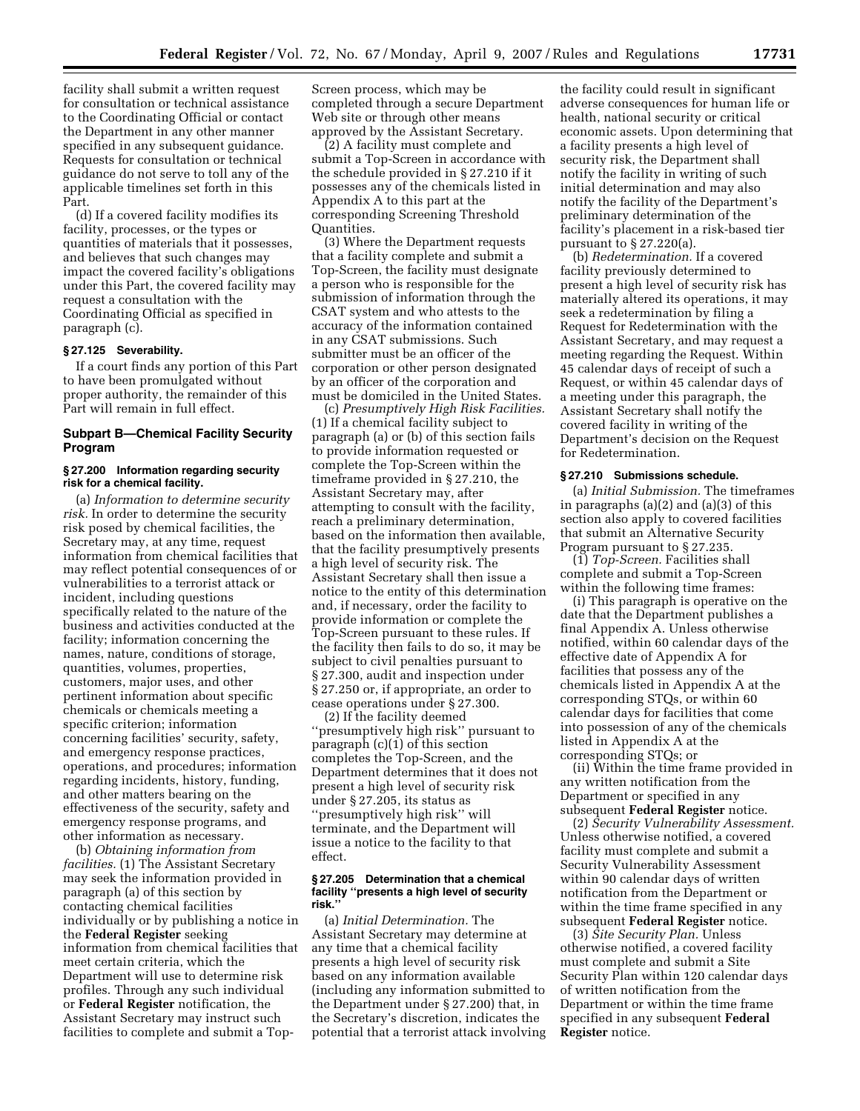facility shall submit a written request for consultation or technical assistance to the Coordinating Official or contact the Department in any other manner specified in any subsequent guidance. Requests for consultation or technical guidance do not serve to toll any of the applicable timelines set forth in this Part.

(d) If a covered facility modifies its facility, processes, or the types or quantities of materials that it possesses, and believes that such changes may impact the covered facility's obligations under this Part, the covered facility may request a consultation with the Coordinating Official as specified in paragraph (c).

#### **§ 27.125 Severability.**

If a court finds any portion of this Part to have been promulgated without proper authority, the remainder of this Part will remain in full effect.

# **Subpart B—Chemical Facility Security Program**

### **§ 27.200 Information regarding security risk for a chemical facility.**

(a) *Information to determine security risk.* In order to determine the security risk posed by chemical facilities, the Secretary may, at any time, request information from chemical facilities that may reflect potential consequences of or vulnerabilities to a terrorist attack or incident, including questions specifically related to the nature of the business and activities conducted at the facility; information concerning the names, nature, conditions of storage, quantities, volumes, properties, customers, major uses, and other pertinent information about specific chemicals or chemicals meeting a specific criterion; information concerning facilities' security, safety, and emergency response practices, operations, and procedures; information regarding incidents, history, funding, and other matters bearing on the effectiveness of the security, safety and emergency response programs, and other information as necessary.

(b) *Obtaining information from facilities.* (1) The Assistant Secretary may seek the information provided in paragraph (a) of this section by contacting chemical facilities individually or by publishing a notice in the **Federal Register** seeking information from chemical facilities that meet certain criteria, which the Department will use to determine risk profiles. Through any such individual or **Federal Register** notification, the Assistant Secretary may instruct such facilities to complete and submit a TopScreen process, which may be completed through a secure Department Web site or through other means approved by the Assistant Secretary.

(2) A facility must complete and submit a Top-Screen in accordance with the schedule provided in § 27.210 if it possesses any of the chemicals listed in Appendix A to this part at the corresponding Screening Threshold Quantities.

(3) Where the Department requests that a facility complete and submit a Top-Screen, the facility must designate a person who is responsible for the submission of information through the CSAT system and who attests to the accuracy of the information contained in any CSAT submissions. Such submitter must be an officer of the corporation or other person designated by an officer of the corporation and must be domiciled in the United States.

(c) *Presumptively High Risk Facilities.*  (1) If a chemical facility subject to paragraph (a) or (b) of this section fails to provide information requested or complete the Top-Screen within the timeframe provided in § 27.210, the Assistant Secretary may, after attempting to consult with the facility, reach a preliminary determination, based on the information then available, that the facility presumptively presents a high level of security risk. The Assistant Secretary shall then issue a notice to the entity of this determination and, if necessary, order the facility to provide information or complete the Top-Screen pursuant to these rules. If the facility then fails to do so, it may be subject to civil penalties pursuant to § 27.300, audit and inspection under § 27.250 or, if appropriate, an order to cease operations under § 27.300.

(2) If the facility deemed ''presumptively high risk'' pursuant to paragraph (c)(1) of this section completes the Top-Screen, and the Department determines that it does not present a high level of security risk under § 27.205, its status as ''presumptively high risk'' will terminate, and the Department will issue a notice to the facility to that effect.

#### **§ 27.205 Determination that a chemical facility ''presents a high level of security risk.''**

(a) *Initial Determination.* The Assistant Secretary may determine at any time that a chemical facility presents a high level of security risk based on any information available (including any information submitted to the Department under § 27.200) that, in the Secretary's discretion, indicates the potential that a terrorist attack involving

the facility could result in significant adverse consequences for human life or health, national security or critical economic assets. Upon determining that a facility presents a high level of security risk, the Department shall notify the facility in writing of such initial determination and may also notify the facility of the Department's preliminary determination of the facility's placement in a risk-based tier pursuant to § 27.220(a).

(b) *Redetermination.* If a covered facility previously determined to present a high level of security risk has materially altered its operations, it may seek a redetermination by filing a Request for Redetermination with the Assistant Secretary, and may request a meeting regarding the Request. Within 45 calendar days of receipt of such a Request, or within 45 calendar days of a meeting under this paragraph, the Assistant Secretary shall notify the covered facility in writing of the Department's decision on the Request for Redetermination.

#### **§ 27.210 Submissions schedule.**

(a) *Initial Submission.* The timeframes in paragraphs (a)(2) and (a)(3) of this section also apply to covered facilities that submit an Alternative Security Program pursuant to § 27.235.

(1) *Top-Screen.* Facilities shall complete and submit a Top-Screen within the following time frames:

(i) This paragraph is operative on the date that the Department publishes a final Appendix A. Unless otherwise notified, within 60 calendar days of the effective date of Appendix A for facilities that possess any of the chemicals listed in Appendix A at the corresponding STQs, or within 60 calendar days for facilities that come into possession of any of the chemicals listed in Appendix A at the corresponding STQs; or

(ii) Within the time frame provided in any written notification from the Department or specified in any subsequent **Federal Register** notice.

(2) *Security Vulnerability Assessment.*  Unless otherwise notified, a covered facility must complete and submit a Security Vulnerability Assessment within 90 calendar days of written notification from the Department or within the time frame specified in any subsequent **Federal Register** notice.

(3) *Site Security Plan.* Unless otherwise notified, a covered facility must complete and submit a Site Security Plan within 120 calendar days of written notification from the Department or within the time frame specified in any subsequent **Federal Register** notice.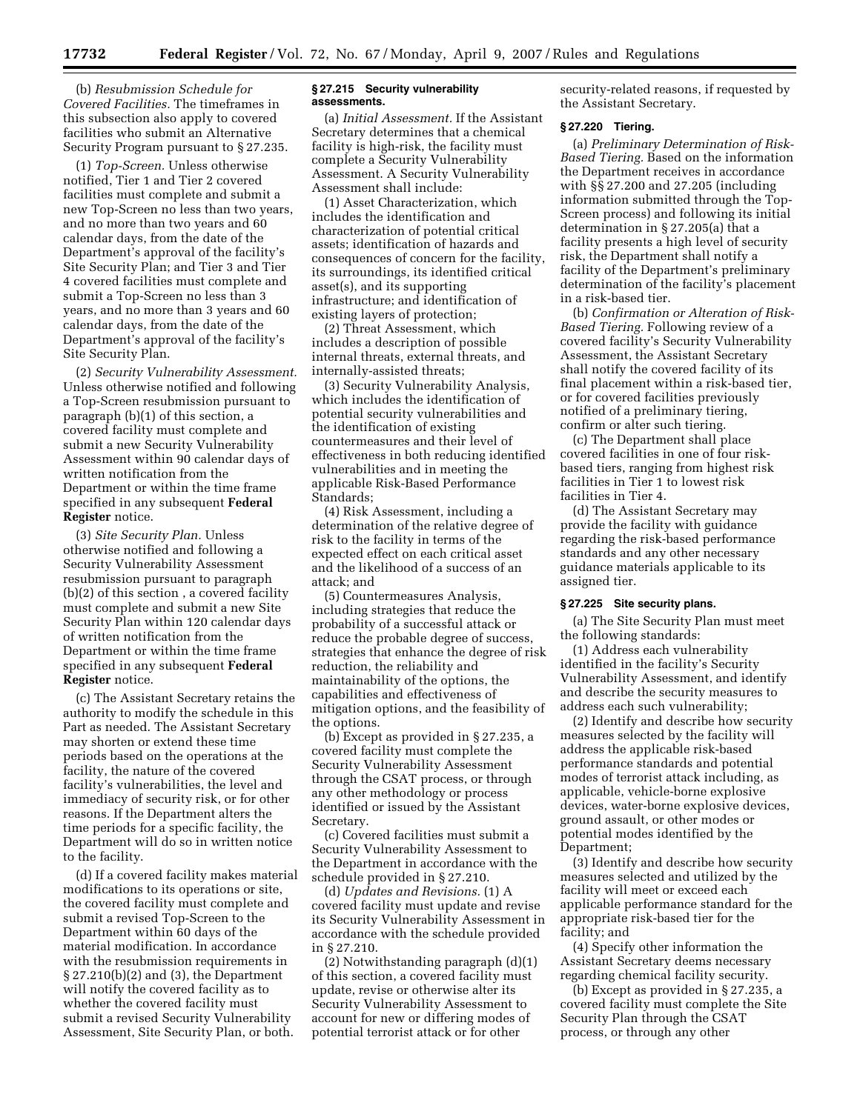(b) *Resubmission Schedule for Covered Facilities.* The timeframes in this subsection also apply to covered facilities who submit an Alternative Security Program pursuant to § 27.235.

(1) *Top-Screen.* Unless otherwise notified, Tier 1 and Tier 2 covered facilities must complete and submit a new Top-Screen no less than two years, and no more than two years and 60 calendar days, from the date of the Department's approval of the facility's Site Security Plan; and Tier 3 and Tier 4 covered facilities must complete and submit a Top-Screen no less than 3 years, and no more than 3 years and 60 calendar days, from the date of the Department's approval of the facility's Site Security Plan.

(2) *Security Vulnerability Assessment.*  Unless otherwise notified and following a Top-Screen resubmission pursuant to paragraph (b)(1) of this section, a covered facility must complete and submit a new Security Vulnerability Assessment within 90 calendar days of written notification from the Department or within the time frame specified in any subsequent **Federal Register** notice.

(3) *Site Security Plan.* Unless otherwise notified and following a Security Vulnerability Assessment resubmission pursuant to paragraph (b)(2) of this section , a covered facility must complete and submit a new Site Security Plan within 120 calendar days of written notification from the Department or within the time frame specified in any subsequent **Federal Register** notice.

(c) The Assistant Secretary retains the authority to modify the schedule in this Part as needed. The Assistant Secretary may shorten or extend these time periods based on the operations at the facility, the nature of the covered facility's vulnerabilities, the level and immediacy of security risk, or for other reasons. If the Department alters the time periods for a specific facility, the Department will do so in written notice to the facility.

(d) If a covered facility makes material modifications to its operations or site, the covered facility must complete and submit a revised Top-Screen to the Department within 60 days of the material modification. In accordance with the resubmission requirements in § 27.210(b)(2) and (3), the Department will notify the covered facility as to whether the covered facility must submit a revised Security Vulnerability Assessment, Site Security Plan, or both.

### **§ 27.215 Security vulnerability assessments.**

(a) *Initial Assessment.* If the Assistant Secretary determines that a chemical facility is high-risk, the facility must complete a Security Vulnerability Assessment. A Security Vulnerability Assessment shall include:

(1) Asset Characterization, which includes the identification and characterization of potential critical assets; identification of hazards and consequences of concern for the facility, its surroundings, its identified critical asset(s), and its supporting infrastructure; and identification of existing layers of protection;

(2) Threat Assessment, which includes a description of possible internal threats, external threats, and internally-assisted threats;

(3) Security Vulnerability Analysis, which includes the identification of potential security vulnerabilities and the identification of existing countermeasures and their level of effectiveness in both reducing identified vulnerabilities and in meeting the applicable Risk-Based Performance Standards;

(4) Risk Assessment, including a determination of the relative degree of risk to the facility in terms of the expected effect on each critical asset and the likelihood of a success of an attack; and

(5) Countermeasures Analysis, including strategies that reduce the probability of a successful attack or reduce the probable degree of success, strategies that enhance the degree of risk reduction, the reliability and maintainability of the options, the capabilities and effectiveness of mitigation options, and the feasibility of the options.

(b) Except as provided in § 27.235, a covered facility must complete the Security Vulnerability Assessment through the CSAT process, or through any other methodology or process identified or issued by the Assistant Secretary.

(c) Covered facilities must submit a Security Vulnerability Assessment to the Department in accordance with the schedule provided in § 27.210.

(d) *Updates and Revisions.* (1) A covered facility must update and revise its Security Vulnerability Assessment in accordance with the schedule provided in § 27.210.

(2) Notwithstanding paragraph (d)(1) of this section, a covered facility must update, revise or otherwise alter its Security Vulnerability Assessment to account for new or differing modes of potential terrorist attack or for other

security-related reasons, if requested by the Assistant Secretary.

# **§ 27.220 Tiering.**

(a) *Preliminary Determination of Risk-Based Tiering.* Based on the information the Department receives in accordance with §§ 27.200 and 27.205 (including information submitted through the Top-Screen process) and following its initial determination in § 27.205(a) that a facility presents a high level of security risk, the Department shall notify a facility of the Department's preliminary determination of the facility's placement in a risk-based tier.

(b) *Confirmation or Alteration of Risk-Based Tiering.* Following review of a covered facility's Security Vulnerability Assessment, the Assistant Secretary shall notify the covered facility of its final placement within a risk-based tier, or for covered facilities previously notified of a preliminary tiering, confirm or alter such tiering.

(c) The Department shall place covered facilities in one of four riskbased tiers, ranging from highest risk facilities in Tier 1 to lowest risk facilities in Tier 4.

(d) The Assistant Secretary may provide the facility with guidance regarding the risk-based performance standards and any other necessary guidance materials applicable to its assigned tier.

# **§ 27.225 Site security plans.**

(a) The Site Security Plan must meet the following standards:

(1) Address each vulnerability identified in the facility's Security Vulnerability Assessment, and identify and describe the security measures to address each such vulnerability;

(2) Identify and describe how security measures selected by the facility will address the applicable risk-based performance standards and potential modes of terrorist attack including, as applicable, vehicle-borne explosive devices, water-borne explosive devices, ground assault, or other modes or potential modes identified by the Department;

(3) Identify and describe how security measures selected and utilized by the facility will meet or exceed each applicable performance standard for the appropriate risk-based tier for the facility; and

(4) Specify other information the Assistant Secretary deems necessary regarding chemical facility security.

(b) Except as provided in § 27.235, a covered facility must complete the Site Security Plan through the CSAT process, or through any other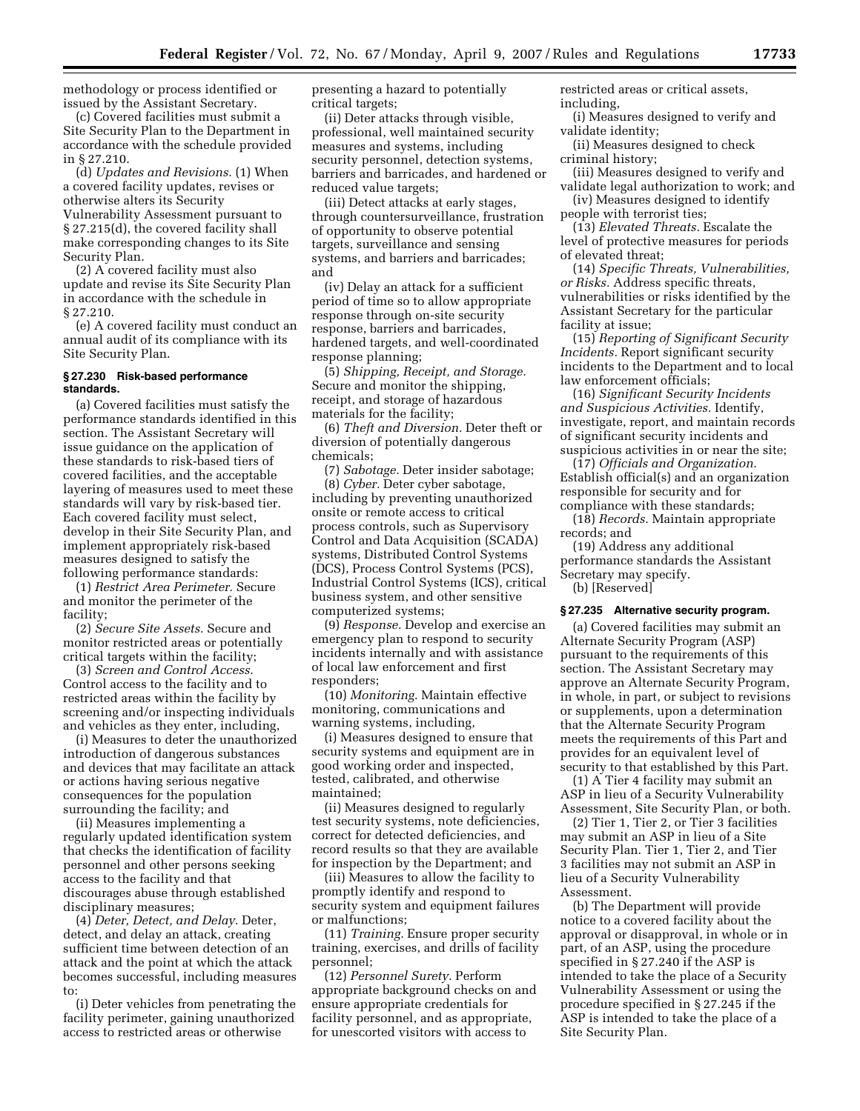methodology or process identified or issued by the Assistant Secretary.

(c) Covered facilities must submit a Site Security Plan to the Department in accordance with the schedule provided in § 27.210.

(d) *Updates and Revisions.* (1) When a covered facility updates, revises or otherwise alters its Security Vulnerability Assessment pursuant to § 27.215(d), the covered facility shall make corresponding changes to its Site Security Plan.

(2) A covered facility must also update and revise its Site Security Plan in accordance with the schedule in § 27.210.

(e) A covered facility must conduct an annual audit of its compliance with its Site Security Plan.

#### **§ 27.230 Risk-based performance standards.**

(a) Covered facilities must satisfy the performance standards identified in this section. The Assistant Secretary will issue guidance on the application of these standards to risk-based tiers of covered facilities, and the acceptable layering of measures used to meet these standards will vary by risk-based tier. Each covered facility must select, develop in their Site Security Plan, and implement appropriately risk-based measures designed to satisfy the following performance standards:

(1) *Restrict Area Perimeter.* Secure and monitor the perimeter of the facility;

(2) *Secure Site Assets.* Secure and monitor restricted areas or potentially critical targets within the facility;

(3) *Screen and Control Access.*  Control access to the facility and to restricted areas within the facility by screening and/or inspecting individuals and vehicles as they enter, including,

(i) Measures to deter the unauthorized introduction of dangerous substances and devices that may facilitate an attack or actions having serious negative consequences for the population surrounding the facility; and

(ii) Measures implementing a regularly updated identification system that checks the identification of facility personnel and other persons seeking access to the facility and that discourages abuse through established disciplinary measures;

(4) *Deter, Detect, and Delay.* Deter, detect, and delay an attack, creating sufficient time between detection of an attack and the point at which the attack becomes successful, including measures to:

(i) Deter vehicles from penetrating the facility perimeter, gaining unauthorized access to restricted areas or otherwise

presenting a hazard to potentially critical targets;

(ii) Deter attacks through visible, professional, well maintained security measures and systems, including security personnel, detection systems, barriers and barricades, and hardened or reduced value targets;

(iii) Detect attacks at early stages, through countersurveillance, frustration of opportunity to observe potential targets, surveillance and sensing systems, and barriers and barricades; and

(iv) Delay an attack for a sufficient period of time so to allow appropriate response through on-site security response, barriers and barricades, hardened targets, and well-coordinated response planning;

(5) *Shipping, Receipt, and Storage.*  Secure and monitor the shipping, receipt, and storage of hazardous materials for the facility;

(6) *Theft and Diversion.* Deter theft or diversion of potentially dangerous chemicals;

(7) *Sabotage.* Deter insider sabotage;

(8) *Cyber.* Deter cyber sabotage, including by preventing unauthorized onsite or remote access to critical process controls, such as Supervisory Control and Data Acquisition (SCADA) systems, Distributed Control Systems (DCS), Process Control Systems (PCS), Industrial Control Systems (ICS), critical business system, and other sensitive computerized systems;

(9) *Response.* Develop and exercise an emergency plan to respond to security incidents internally and with assistance of local law enforcement and first responders;

(10) *Monitoring.* Maintain effective monitoring, communications and warning systems, including,

(i) Measures designed to ensure that security systems and equipment are in good working order and inspected, tested, calibrated, and otherwise maintained;

(ii) Measures designed to regularly test security systems, note deficiencies, correct for detected deficiencies, and record results so that they are available for inspection by the Department; and

(iii) Measures to allow the facility to promptly identify and respond to security system and equipment failures or malfunctions;

(11) *Training.* Ensure proper security training, exercises, and drills of facility personnel;

(12) *Personnel Surety.* Perform appropriate background checks on and ensure appropriate credentials for facility personnel, and as appropriate, for unescorted visitors with access to

restricted areas or critical assets, including,

- (i) Measures designed to verify and validate identity;
- (ii) Measures designed to check criminal history;
- (iii) Measures designed to verify and validate legal authorization to work; and (iv) Measures designed to identify

people with terrorist ties;

(13) *Elevated Threats.* Escalate the level of protective measures for periods of elevated threat;

(14) *Specific Threats, Vulnerabilities, or Risks.* Address specific threats, vulnerabilities or risks identified by the Assistant Secretary for the particular facility at issue;

(15) *Reporting of Significant Security Incidents.* Report significant security incidents to the Department and to local law enforcement officials;

(16) *Significant Security Incidents and Suspicious Activities.* Identify, investigate, report, and maintain records of significant security incidents and suspicious activities in or near the site;

(17) *Officials and Organization.*  Establish official(s) and an organization responsible for security and for compliance with these standards;

(18) *Records.* Maintain appropriate records; and

(19) Address any additional performance standards the Assistant Secretary may specify.

(b) [Reserved]

## **§ 27.235 Alternative security program.**

(a) Covered facilities may submit an Alternate Security Program (ASP) pursuant to the requirements of this section. The Assistant Secretary may approve an Alternate Security Program, in whole, in part, or subject to revisions or supplements, upon a determination that the Alternate Security Program meets the requirements of this Part and provides for an equivalent level of security to that established by this Part.

(1) A Tier 4 facility may submit an ASP in lieu of a Security Vulnerability Assessment, Site Security Plan, or both.

(2) Tier 1, Tier 2, or Tier 3 facilities may submit an ASP in lieu of a Site Security Plan. Tier 1, Tier 2, and Tier 3 facilities may not submit an ASP in lieu of a Security Vulnerability Assessment.

(b) The Department will provide notice to a covered facility about the approval or disapproval, in whole or in part, of an ASP, using the procedure specified in § 27.240 if the ASP is intended to take the place of a Security Vulnerability Assessment or using the procedure specified in § 27.245 if the ASP is intended to take the place of a Site Security Plan.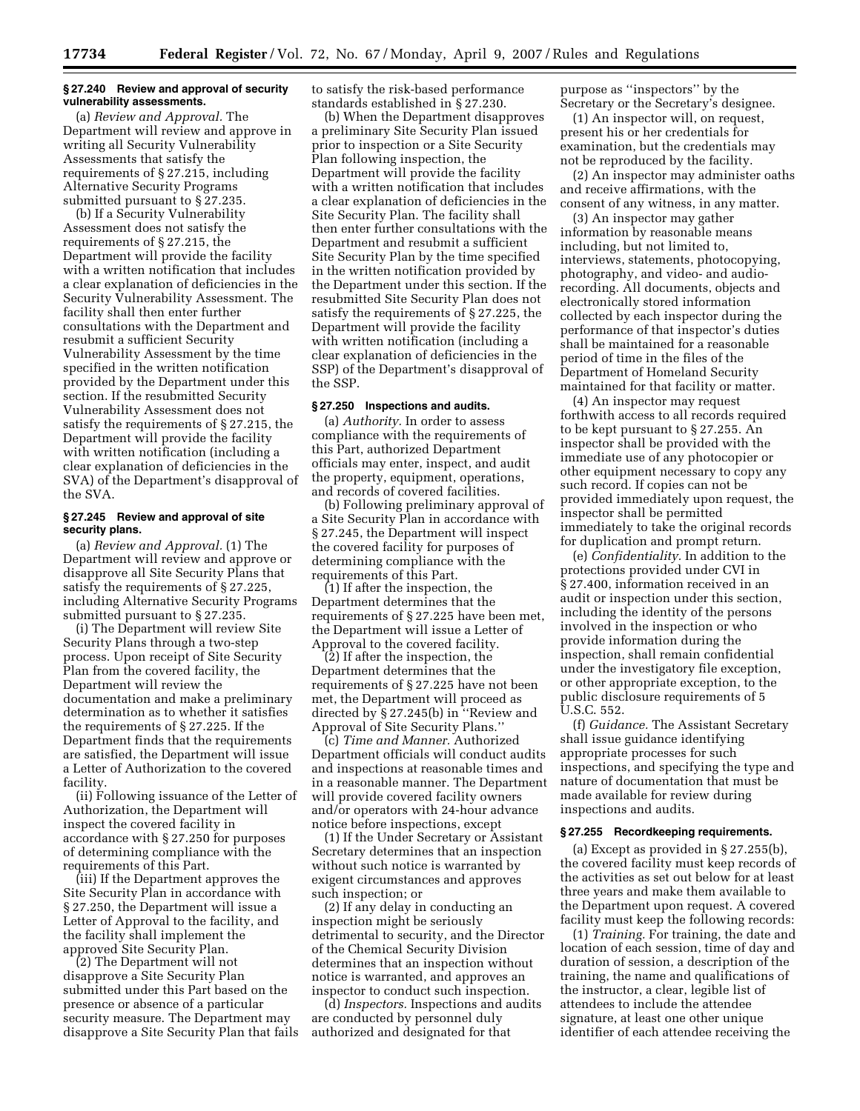#### **§ 27.240 Review and approval of security vulnerability assessments.**

(a) *Review and Approval.* The Department will review and approve in writing all Security Vulnerability Assessments that satisfy the requirements of § 27.215, including Alternative Security Programs submitted pursuant to § 27.235.

(b) If a Security Vulnerability Assessment does not satisfy the requirements of § 27.215, the Department will provide the facility with a written notification that includes a clear explanation of deficiencies in the Security Vulnerability Assessment. The facility shall then enter further consultations with the Department and resubmit a sufficient Security Vulnerability Assessment by the time specified in the written notification provided by the Department under this section. If the resubmitted Security Vulnerability Assessment does not satisfy the requirements of § 27.215, the Department will provide the facility with written notification (including a clear explanation of deficiencies in the SVA) of the Department's disapproval of the SVA.

# **§ 27.245 Review and approval of site security plans.**

(a) *Review and Approval.* (1) The Department will review and approve or disapprove all Site Security Plans that satisfy the requirements of § 27.225, including Alternative Security Programs submitted pursuant to § 27.235.

(i) The Department will review Site Security Plans through a two-step process. Upon receipt of Site Security Plan from the covered facility, the Department will review the documentation and make a preliminary determination as to whether it satisfies the requirements of § 27.225. If the Department finds that the requirements are satisfied, the Department will issue a Letter of Authorization to the covered facility.

(ii) Following issuance of the Letter of Authorization, the Department will inspect the covered facility in accordance with § 27.250 for purposes of determining compliance with the requirements of this Part.

(iii) If the Department approves the Site Security Plan in accordance with § 27.250, the Department will issue a Letter of Approval to the facility, and the facility shall implement the approved Site Security Plan.

(2) The Department will not disapprove a Site Security Plan submitted under this Part based on the presence or absence of a particular security measure. The Department may disapprove a Site Security Plan that fails to satisfy the risk-based performance standards established in § 27.230.

(b) When the Department disapproves a preliminary Site Security Plan issued prior to inspection or a Site Security Plan following inspection, the Department will provide the facility with a written notification that includes a clear explanation of deficiencies in the Site Security Plan. The facility shall then enter further consultations with the Department and resubmit a sufficient Site Security Plan by the time specified in the written notification provided by the Department under this section. If the resubmitted Site Security Plan does not satisfy the requirements of § 27.225, the Department will provide the facility with written notification (including a clear explanation of deficiencies in the SSP) of the Department's disapproval of the SSP.

# **§ 27.250 Inspections and audits.**

(a) *Authority.* In order to assess compliance with the requirements of this Part, authorized Department officials may enter, inspect, and audit the property, equipment, operations, and records of covered facilities.

(b) Following preliminary approval of a Site Security Plan in accordance with § 27.245, the Department will inspect the covered facility for purposes of determining compliance with the requirements of this Part.

(1) If after the inspection, the Department determines that the requirements of § 27.225 have been met, the Department will issue a Letter of Approval to the covered facility.

(2) If after the inspection, the Department determines that the requirements of § 27.225 have not been met, the Department will proceed as directed by § 27.245(b) in ''Review and Approval of Site Security Plans.''

(c) *Time and Manner.* Authorized Department officials will conduct audits and inspections at reasonable times and in a reasonable manner. The Department will provide covered facility owners and/or operators with 24-hour advance notice before inspections, except

(1) If the Under Secretary or Assistant Secretary determines that an inspection without such notice is warranted by exigent circumstances and approves such inspection; or

(2) If any delay in conducting an inspection might be seriously detrimental to security, and the Director of the Chemical Security Division determines that an inspection without notice is warranted, and approves an inspector to conduct such inspection.

(d) *Inspectors.* Inspections and audits are conducted by personnel duly authorized and designated for that

purpose as ''inspectors'' by the Secretary or the Secretary's designee.

(1) An inspector will, on request, present his or her credentials for examination, but the credentials may not be reproduced by the facility.

(2) An inspector may administer oaths and receive affirmations, with the consent of any witness, in any matter.

(3) An inspector may gather information by reasonable means including, but not limited to, interviews, statements, photocopying, photography, and video- and audiorecording. All documents, objects and electronically stored information collected by each inspector during the performance of that inspector's duties shall be maintained for a reasonable period of time in the files of the Department of Homeland Security maintained for that facility or matter.

(4) An inspector may request forthwith access to all records required to be kept pursuant to § 27.255. An inspector shall be provided with the immediate use of any photocopier or other equipment necessary to copy any such record. If copies can not be provided immediately upon request, the inspector shall be permitted immediately to take the original records for duplication and prompt return.

(e) *Confidentiality.* In addition to the protections provided under CVI in § 27.400, information received in an audit or inspection under this section, including the identity of the persons involved in the inspection or who provide information during the inspection, shall remain confidential under the investigatory file exception, or other appropriate exception, to the public disclosure requirements of 5 U.S.C. 552.

(f) *Guidance.* The Assistant Secretary shall issue guidance identifying appropriate processes for such inspections, and specifying the type and nature of documentation that must be made available for review during inspections and audits.

# **§ 27.255 Recordkeeping requirements.**

(a) Except as provided in § 27.255(b), the covered facility must keep records of the activities as set out below for at least three years and make them available to the Department upon request. A covered facility must keep the following records:

(1) *Training.* For training, the date and location of each session, time of day and duration of session, a description of the training, the name and qualifications of the instructor, a clear, legible list of attendees to include the attendee signature, at least one other unique identifier of each attendee receiving the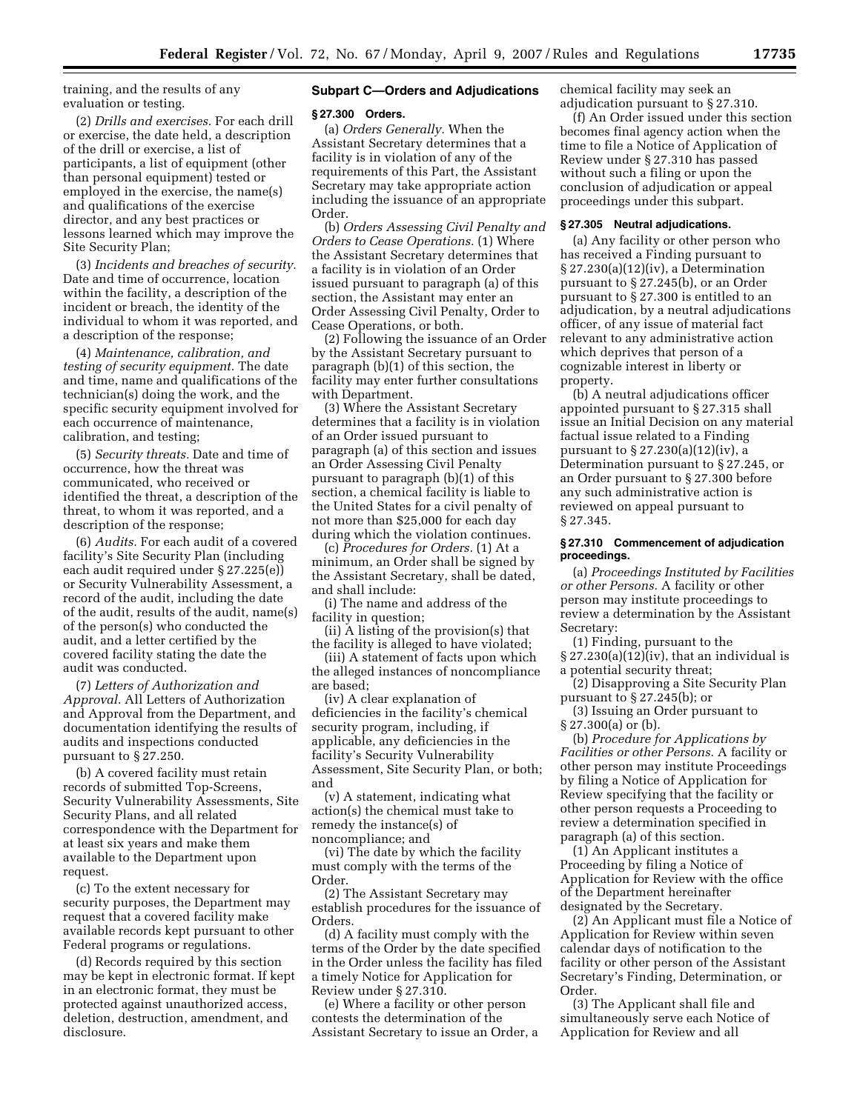training, and the results of any evaluation or testing.

(2) *Drills and exercises.* For each drill or exercise, the date held, a description of the drill or exercise, a list of participants, a list of equipment (other than personal equipment) tested or employed in the exercise, the name(s) and qualifications of the exercise director, and any best practices or lessons learned which may improve the Site Security Plan;

(3) *Incidents and breaches of security.*  Date and time of occurrence, location within the facility, a description of the incident or breach, the identity of the individual to whom it was reported, and a description of the response;

(4) *Maintenance, calibration, and testing of security equipment.* The date and time, name and qualifications of the technician(s) doing the work, and the specific security equipment involved for each occurrence of maintenance, calibration, and testing;

(5) *Security threats.* Date and time of occurrence, how the threat was communicated, who received or identified the threat, a description of the threat, to whom it was reported, and a description of the response;

(6) *Audits.* For each audit of a covered facility's Site Security Plan (including each audit required under § 27.225(e)) or Security Vulnerability Assessment, a record of the audit, including the date of the audit, results of the audit, name(s) of the person(s) who conducted the audit, and a letter certified by the covered facility stating the date the audit was conducted.

(7) *Letters of Authorization and Approval.* All Letters of Authorization and Approval from the Department, and documentation identifying the results of audits and inspections conducted pursuant to § 27.250.

(b) A covered facility must retain records of submitted Top-Screens, Security Vulnerability Assessments, Site Security Plans, and all related correspondence with the Department for at least six years and make them available to the Department upon request.

(c) To the extent necessary for security purposes, the Department may request that a covered facility make available records kept pursuant to other Federal programs or regulations.

(d) Records required by this section may be kept in electronic format. If kept in an electronic format, they must be protected against unauthorized access, deletion, destruction, amendment, and disclosure.

# **Subpart C—Orders and Adjudications**

### **§ 27.300 Orders.**

(a) *Orders Generally.* When the Assistant Secretary determines that a facility is in violation of any of the requirements of this Part, the Assistant Secretary may take appropriate action including the issuance of an appropriate Order.

(b) *Orders Assessing Civil Penalty and Orders to Cease Operations.* (1) Where the Assistant Secretary determines that a facility is in violation of an Order issued pursuant to paragraph (a) of this section, the Assistant may enter an Order Assessing Civil Penalty, Order to Cease Operations, or both.

(2) Following the issuance of an Order by the Assistant Secretary pursuant to paragraph (b)(1) of this section, the facility may enter further consultations with Department.

(3) Where the Assistant Secretary determines that a facility is in violation of an Order issued pursuant to paragraph (a) of this section and issues an Order Assessing Civil Penalty pursuant to paragraph (b)(1) of this section, a chemical facility is liable to the United States for a civil penalty of not more than \$25,000 for each day during which the violation continues.

(c) *Procedures for Orders.* (1) At a minimum, an Order shall be signed by the Assistant Secretary, shall be dated, and shall include:

(i) The name and address of the facility in question;

(ii) A listing of the provision(s) that the facility is alleged to have violated;

(iii) A statement of facts upon which the alleged instances of noncompliance are based;

(iv) A clear explanation of deficiencies in the facility's chemical security program, including, if applicable, any deficiencies in the facility's Security Vulnerability Assessment, Site Security Plan, or both; and

(v) A statement, indicating what action(s) the chemical must take to remedy the instance(s) of noncompliance; and

(vi) The date by which the facility must comply with the terms of the Order.

(2) The Assistant Secretary may establish procedures for the issuance of Orders.

(d) A facility must comply with the terms of the Order by the date specified in the Order unless the facility has filed a timely Notice for Application for Review under § 27.310.

(e) Where a facility or other person contests the determination of the Assistant Secretary to issue an Order, a chemical facility may seek an adjudication pursuant to § 27.310.

(f) An Order issued under this section becomes final agency action when the time to file a Notice of Application of Review under § 27.310 has passed without such a filing or upon the conclusion of adjudication or appeal proceedings under this subpart.

### **§ 27.305 Neutral adjudications.**

(a) Any facility or other person who has received a Finding pursuant to § 27.230(a)(12)(iv), a Determination pursuant to § 27.245(b), or an Order pursuant to § 27.300 is entitled to an adjudication, by a neutral adjudications officer, of any issue of material fact relevant to any administrative action which deprives that person of a cognizable interest in liberty or property.

(b) A neutral adjudications officer appointed pursuant to § 27.315 shall issue an Initial Decision on any material factual issue related to a Finding pursuant to § 27.230(a)(12)(iv), a Determination pursuant to § 27.245, or an Order pursuant to § 27.300 before any such administrative action is reviewed on appeal pursuant to § 27.345.

#### **§ 27.310 Commencement of adjudication proceedings.**

(a) *Proceedings Instituted by Facilities or other Persons.* A facility or other person may institute proceedings to review a determination by the Assistant Secretary:

(1) Finding, pursuant to the  $\S 27.230(a)(12)(iv)$ , that an individual is a potential security threat;

(2) Disapproving a Site Security Plan pursuant to § 27.245(b); or

(3) Issuing an Order pursuant to § 27.300(a) or (b).

(b) *Procedure for Applications by Facilities or other Persons.* A facility or other person may institute Proceedings by filing a Notice of Application for Review specifying that the facility or other person requests a Proceeding to review a determination specified in paragraph (a) of this section.

(1) An Applicant institutes a Proceeding by filing a Notice of Application for Review with the office of the Department hereinafter designated by the Secretary.

(2) An Applicant must file a Notice of Application for Review within seven calendar days of notification to the facility or other person of the Assistant Secretary's Finding, Determination, or Order.

(3) The Applicant shall file and simultaneously serve each Notice of Application for Review and all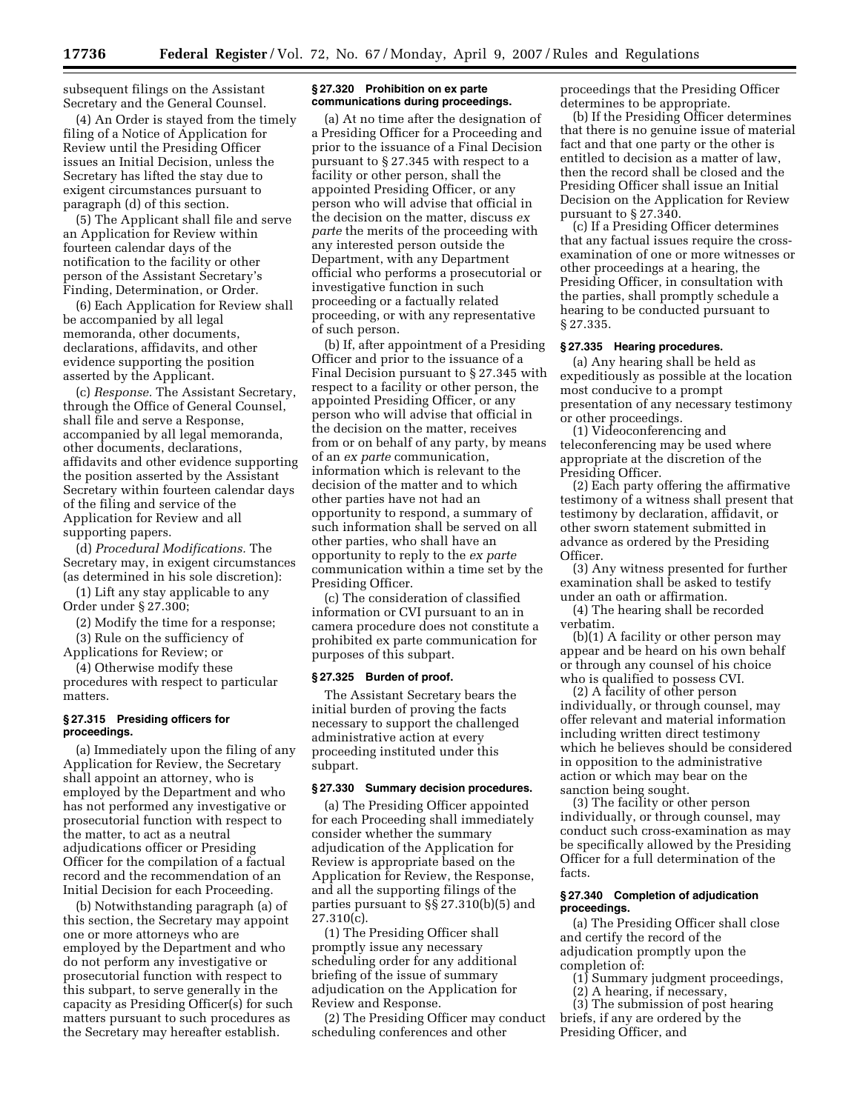subsequent filings on the Assistant Secretary and the General Counsel.

(4) An Order is stayed from the timely filing of a Notice of Application for Review until the Presiding Officer issues an Initial Decision, unless the Secretary has lifted the stay due to exigent circumstances pursuant to paragraph (d) of this section.

(5) The Applicant shall file and serve an Application for Review within fourteen calendar days of the notification to the facility or other person of the Assistant Secretary's Finding, Determination, or Order.

(6) Each Application for Review shall be accompanied by all legal memoranda, other documents, declarations, affidavits, and other evidence supporting the position asserted by the Applicant.

(c) *Response.* The Assistant Secretary, through the Office of General Counsel, shall file and serve a Response, accompanied by all legal memoranda, other documents, declarations, affidavits and other evidence supporting the position asserted by the Assistant Secretary within fourteen calendar days of the filing and service of the Application for Review and all supporting papers.

(d) *Procedural Modifications.* The Secretary may, in exigent circumstances (as determined in his sole discretion):

(1) Lift any stay applicable to any Order under § 27.300;

(2) Modify the time for a response;

(3) Rule on the sufficiency of

Applications for Review; or

(4) Otherwise modify these procedures with respect to particular matters.

#### **§ 27.315 Presiding officers for proceedings.**

(a) Immediately upon the filing of any Application for Review, the Secretary shall appoint an attorney, who is employed by the Department and who has not performed any investigative or prosecutorial function with respect to the matter, to act as a neutral adjudications officer or Presiding Officer for the compilation of a factual record and the recommendation of an Initial Decision for each Proceeding.

(b) Notwithstanding paragraph (a) of this section, the Secretary may appoint one or more attorneys who are employed by the Department and who do not perform any investigative or prosecutorial function with respect to this subpart, to serve generally in the capacity as Presiding Officer(s) for such matters pursuant to such procedures as the Secretary may hereafter establish.

# **§ 27.320 Prohibition on ex parte communications during proceedings.**

(a) At no time after the designation of a Presiding Officer for a Proceeding and prior to the issuance of a Final Decision pursuant to § 27.345 with respect to a facility or other person, shall the appointed Presiding Officer, or any person who will advise that official in the decision on the matter, discuss *ex parte* the merits of the proceeding with any interested person outside the Department, with any Department official who performs a prosecutorial or investigative function in such proceeding or a factually related proceeding, or with any representative of such person.

(b) If, after appointment of a Presiding Officer and prior to the issuance of a Final Decision pursuant to § 27.345 with respect to a facility or other person, the appointed Presiding Officer, or any person who will advise that official in the decision on the matter, receives from or on behalf of any party, by means of an *ex parte* communication, information which is relevant to the decision of the matter and to which other parties have not had an opportunity to respond, a summary of such information shall be served on all other parties, who shall have an opportunity to reply to the *ex parte*  communication within a time set by the Presiding Officer.

(c) The consideration of classified information or CVI pursuant to an in camera procedure does not constitute a prohibited ex parte communication for purposes of this subpart.

#### **§ 27.325 Burden of proof.**

The Assistant Secretary bears the initial burden of proving the facts necessary to support the challenged administrative action at every proceeding instituted under this subpart.

# **§ 27.330 Summary decision procedures.**

(a) The Presiding Officer appointed for each Proceeding shall immediately consider whether the summary adjudication of the Application for Review is appropriate based on the Application for Review, the Response, and all the supporting filings of the parties pursuant to §§ 27.310(b)(5) and 27.310(c).

(1) The Presiding Officer shall promptly issue any necessary scheduling order for any additional briefing of the issue of summary adjudication on the Application for Review and Response.

(2) The Presiding Officer may conduct scheduling conferences and other

proceedings that the Presiding Officer determines to be appropriate.

(b) If the Presiding Officer determines that there is no genuine issue of material fact and that one party or the other is entitled to decision as a matter of law, then the record shall be closed and the Presiding Officer shall issue an Initial Decision on the Application for Review pursuant to § 27.340.

(c) If a Presiding Officer determines that any factual issues require the crossexamination of one or more witnesses or other proceedings at a hearing, the Presiding Officer, in consultation with the parties, shall promptly schedule a hearing to be conducted pursuant to § 27.335.

# **§ 27.335 Hearing procedures.**

(a) Any hearing shall be held as expeditiously as possible at the location most conducive to a prompt presentation of any necessary testimony or other proceedings.

(1) Videoconferencing and teleconferencing may be used where appropriate at the discretion of the Presiding Officer.

(2) Each party offering the affirmative testimony of a witness shall present that testimony by declaration, affidavit, or other sworn statement submitted in advance as ordered by the Presiding Officer.

(3) Any witness presented for further examination shall be asked to testify under an oath or affirmation.

(4) The hearing shall be recorded verbatim.

(b)(1) A facility or other person may appear and be heard on his own behalf or through any counsel of his choice who is qualified to possess CVI.

(2) A facility of other person individually, or through counsel, may offer relevant and material information including written direct testimony which he believes should be considered in opposition to the administrative action or which may bear on the sanction being sought.

(3) The facility or other person individually, or through counsel, may conduct such cross-examination as may be specifically allowed by the Presiding Officer for a full determination of the facts.

## **§ 27.340 Completion of adjudication proceedings.**

(a) The Presiding Officer shall close and certify the record of the adjudication promptly upon the completion of:

- (1) Summary judgment proceedings,
- (2) A hearing, if necessary,

(3) The submission of post hearing briefs, if any are ordered by the Presiding Officer, and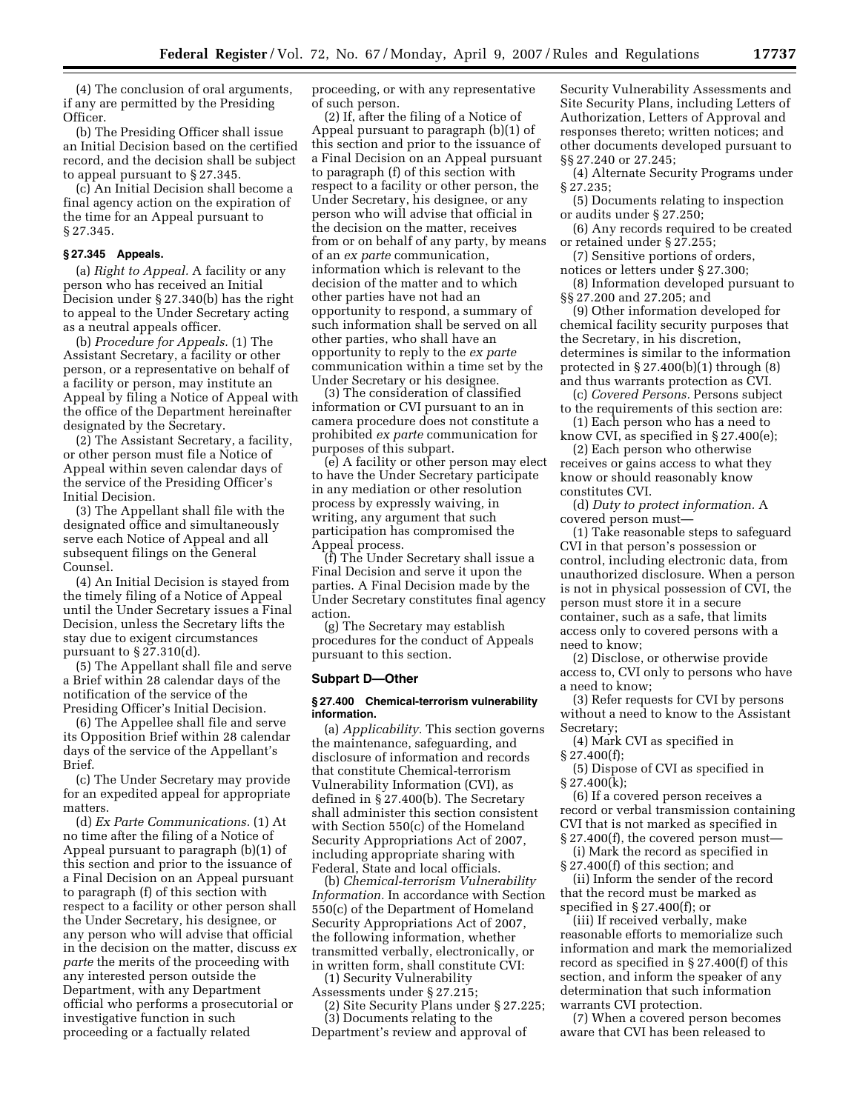(4) The conclusion of oral arguments, if any are permitted by the Presiding Officer.

(b) The Presiding Officer shall issue an Initial Decision based on the certified record, and the decision shall be subject to appeal pursuant to § 27.345.

(c) An Initial Decision shall become a final agency action on the expiration of the time for an Appeal pursuant to § 27.345.

#### **§ 27.345 Appeals.**

(a) *Right to Appeal.* A facility or any person who has received an Initial Decision under § 27.340(b) has the right to appeal to the Under Secretary acting as a neutral appeals officer.

(b) *Procedure for Appeals.* (1) The Assistant Secretary, a facility or other person, or a representative on behalf of a facility or person, may institute an Appeal by filing a Notice of Appeal with the office of the Department hereinafter designated by the Secretary.

(2) The Assistant Secretary, a facility, or other person must file a Notice of Appeal within seven calendar days of the service of the Presiding Officer's Initial Decision.

(3) The Appellant shall file with the designated office and simultaneously serve each Notice of Appeal and all subsequent filings on the General Counsel.

(4) An Initial Decision is stayed from the timely filing of a Notice of Appeal until the Under Secretary issues a Final Decision, unless the Secretary lifts the stay due to exigent circumstances pursuant to  $\S 27.310(d)$ .

(5) The Appellant shall file and serve a Brief within 28 calendar days of the notification of the service of the Presiding Officer's Initial Decision.

(6) The Appellee shall file and serve its Opposition Brief within 28 calendar days of the service of the Appellant's Brief.

(c) The Under Secretary may provide for an expedited appeal for appropriate matters.

(d) *Ex Parte Communications.* (1) At no time after the filing of a Notice of Appeal pursuant to paragraph (b)(1) of this section and prior to the issuance of a Final Decision on an Appeal pursuant to paragraph (f) of this section with respect to a facility or other person shall the Under Secretary, his designee, or any person who will advise that official in the decision on the matter, discuss *ex parte* the merits of the proceeding with any interested person outside the Department, with any Department official who performs a prosecutorial or investigative function in such proceeding or a factually related

proceeding, or with any representative of such person.

(2) If, after the filing of a Notice of Appeal pursuant to paragraph (b)(1) of this section and prior to the issuance of a Final Decision on an Appeal pursuant to paragraph (f) of this section with respect to a facility or other person, the Under Secretary, his designee, or any person who will advise that official in the decision on the matter, receives from or on behalf of any party, by means of an *ex parte* communication, information which is relevant to the decision of the matter and to which other parties have not had an opportunity to respond, a summary of such information shall be served on all other parties, who shall have an opportunity to reply to the *ex parte*  communication within a time set by the Under Secretary or his designee.

(3) The consideration of classified information or CVI pursuant to an in camera procedure does not constitute a prohibited *ex parte* communication for purposes of this subpart.

(e) A facility or other person may elect to have the Under Secretary participate in any mediation or other resolution process by expressly waiving, in writing, any argument that such participation has compromised the Appeal process.

(f) The Under Secretary shall issue a Final Decision and serve it upon the parties. A Final Decision made by the Under Secretary constitutes final agency action.

(g) The Secretary may establish procedures for the conduct of Appeals pursuant to this section.

#### **Subpart D—Other**

#### **§ 27.400 Chemical-terrorism vulnerability information.**

(a) *Applicability.* This section governs the maintenance, safeguarding, and disclosure of information and records that constitute Chemical-terrorism Vulnerability Information (CVI), as defined in § 27.400(b). The Secretary shall administer this section consistent with Section 550(c) of the Homeland Security Appropriations Act of 2007, including appropriate sharing with Federal, State and local officials.

(b) *Chemical-terrorism Vulnerability Information.* In accordance with Section 550(c) of the Department of Homeland Security Appropriations Act of 2007, the following information, whether transmitted verbally, electronically, or in written form, shall constitute CVI:

(1) Security Vulnerability Assessments under § 27.215;

(2) Site Security Plans under § 27.225; (3) Documents relating to the

Department's review and approval of

Security Vulnerability Assessments and Site Security Plans, including Letters of Authorization, Letters of Approval and responses thereto; written notices; and other documents developed pursuant to §§ 27.240 or 27.245;

(4) Alternate Security Programs under § 27.235;

(5) Documents relating to inspection or audits under § 27.250;

(6) Any records required to be created or retained under § 27.255;

(7) Sensitive portions of orders, notices or letters under § 27.300;

(8) Information developed pursuant to §§ 27.200 and 27.205; and

(9) Other information developed for chemical facility security purposes that the Secretary, in his discretion, determines is similar to the information protected in  $\S 27.400(b)(1)$  through  $(8)$ and thus warrants protection as CVI.

(c) *Covered Persons.* Persons subject to the requirements of this section are:

(1) Each person who has a need to know CVI, as specified in § 27.400(e);

(2) Each person who otherwise receives or gains access to what they know or should reasonably know constitutes CVI.

(d) *Duty to protect information.* A covered person must—

(1) Take reasonable steps to safeguard CVI in that person's possession or control, including electronic data, from unauthorized disclosure. When a person is not in physical possession of CVI, the person must store it in a secure container, such as a safe, that limits access only to covered persons with a need to know;

(2) Disclose, or otherwise provide access to, CVI only to persons who have a need to know;

(3) Refer requests for CVI by persons without a need to know to the Assistant Secretary;

(4) Mark CVI as specified in § 27.400(f);

(5) Dispose of CVI as specified in  $§ 27.400(k);$ 

(6) If a covered person receives a record or verbal transmission containing CVI that is not marked as specified in § 27.400(f), the covered person must—

(i) Mark the record as specified in § 27.400(f) of this section; and

(ii) Inform the sender of the record that the record must be marked as specified in § 27.400(f); or

(iii) If received verbally, make reasonable efforts to memorialize such information and mark the memorialized record as specified in § 27.400(f) of this section, and inform the speaker of any determination that such information warrants CVI protection.

(7) When a covered person becomes aware that CVI has been released to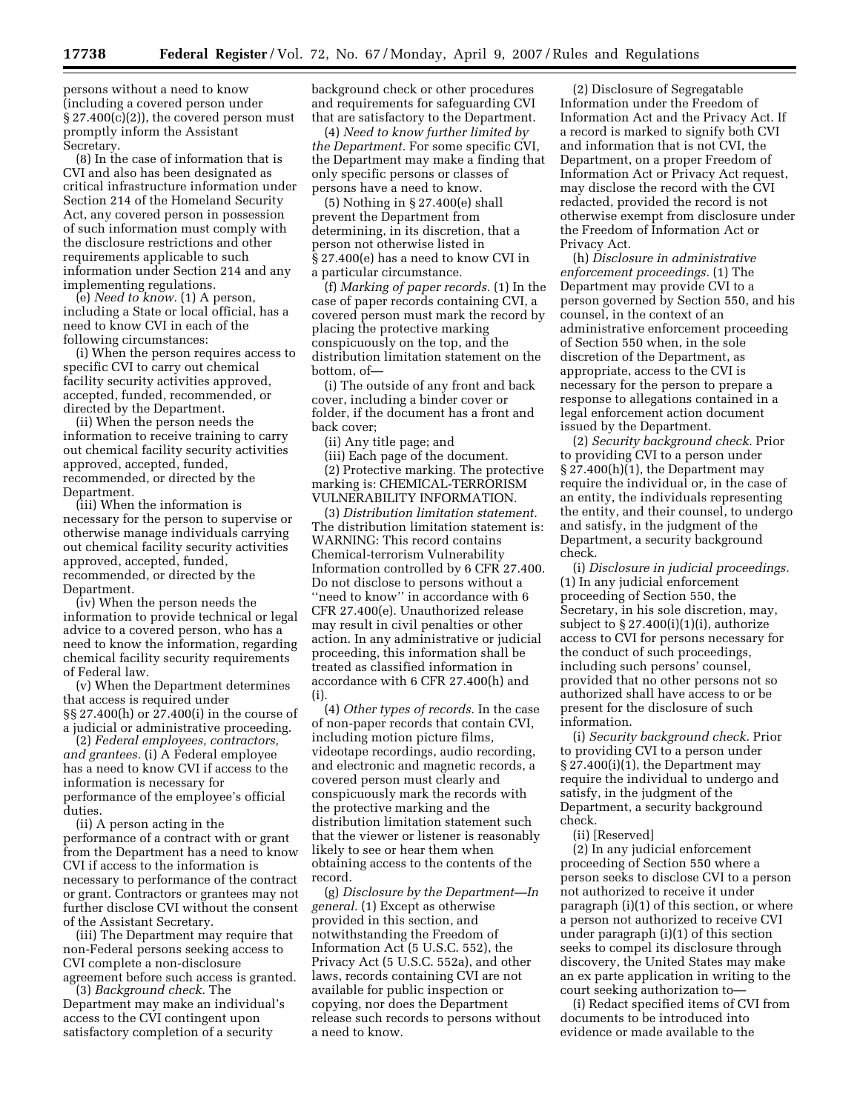persons without a need to know (including a covered person under  $\S 27.400(c)(2)$ , the covered person must promptly inform the Assistant Secretary.

(8) In the case of information that is CVI and also has been designated as critical infrastructure information under Section 214 of the Homeland Security Act, any covered person in possession of such information must comply with the disclosure restrictions and other requirements applicable to such information under Section 214 and any implementing regulations.

(e) *Need to know.* (1) A person, including a State or local official, has a need to know CVI in each of the following circumstances:

(i) When the person requires access to specific CVI to carry out chemical facility security activities approved, accepted, funded, recommended, or directed by the Department.

(ii) When the person needs the information to receive training to carry out chemical facility security activities approved, accepted, funded, recommended, or directed by the Department.

(iii) When the information is necessary for the person to supervise or otherwise manage individuals carrying out chemical facility security activities approved, accepted, funded, recommended, or directed by the Department.

(iv) When the person needs the information to provide technical or legal advice to a covered person, who has a need to know the information, regarding chemical facility security requirements of Federal law.

(v) When the Department determines that access is required under §§ 27.400(h) or 27.400(i) in the course of a judicial or administrative proceeding.

(2) *Federal employees, contractors, and grantees.* (i) A Federal employee has a need to know CVI if access to the information is necessary for performance of the employee's official duties.

(ii) A person acting in the performance of a contract with or grant from the Department has a need to know CVI if access to the information is necessary to performance of the contract or grant. Contractors or grantees may not further disclose CVI without the consent of the Assistant Secretary.

(iii) The Department may require that non-Federal persons seeking access to CVI complete a non-disclosure agreement before such access is granted.

(3) *Background check.* The Department may make an individual's access to the CVI contingent upon satisfactory completion of a security

background check or other procedures and requirements for safeguarding CVI that are satisfactory to the Department.

(4) *Need to know further limited by the Department.* For some specific CVI, the Department may make a finding that only specific persons or classes of persons have a need to know.

(5) Nothing in § 27.400(e) shall prevent the Department from determining, in its discretion, that a person not otherwise listed in § 27.400(e) has a need to know CVI in a particular circumstance.

(f) *Marking of paper records.* (1) In the case of paper records containing CVI, a covered person must mark the record by placing the protective marking conspicuously on the top, and the distribution limitation statement on the bottom, of—

(i) The outside of any front and back cover, including a binder cover or folder, if the document has a front and back cover;

(ii) Any title page; and

(iii) Each page of the document. (2) Protective marking. The protective marking is: CHEMICAL-TERRORISM VULNERABILITY INFORMATION.

(3) *Distribution limitation statement.*  The distribution limitation statement is: WARNING: This record contains Chemical-terrorism Vulnerability Information controlled by 6 CFR 27.400. Do not disclose to persons without a "need to know" in accordance with 6 CFR 27.400(e). Unauthorized release may result in civil penalties or other action. In any administrative or judicial proceeding, this information shall be treated as classified information in accordance with 6 CFR 27.400(h) and  $(i)$ 

(4) *Other types of records.* In the case of non-paper records that contain CVI, including motion picture films, videotape recordings, audio recording, and electronic and magnetic records, a covered person must clearly and conspicuously mark the records with the protective marking and the distribution limitation statement such that the viewer or listener is reasonably likely to see or hear them when obtaining access to the contents of the record.

(g) *Disclosure by the Department—In general.* (1) Except as otherwise provided in this section, and notwithstanding the Freedom of Information Act (5 U.S.C. 552), the Privacy Act (5 U.S.C. 552a), and other laws, records containing CVI are not available for public inspection or copying, nor does the Department release such records to persons without a need to know.

(2) Disclosure of Segregatable Information under the Freedom of Information Act and the Privacy Act. If a record is marked to signify both CVI and information that is not CVI, the Department, on a proper Freedom of Information Act or Privacy Act request, may disclose the record with the CVI redacted, provided the record is not otherwise exempt from disclosure under the Freedom of Information Act or Privacy Act.

(h) *Disclosure in administrative enforcement proceedings.* (1) The Department may provide CVI to a person governed by Section 550, and his counsel, in the context of an administrative enforcement proceeding of Section 550 when, in the sole discretion of the Department, as appropriate, access to the CVI is necessary for the person to prepare a response to allegations contained in a legal enforcement action document issued by the Department.

(2) *Security background check.* Prior to providing CVI to a person under § 27.400(h)(1), the Department may require the individual or, in the case of an entity, the individuals representing the entity, and their counsel, to undergo and satisfy, in the judgment of the Department, a security background check.

(i) *Disclosure in judicial proceedings.*  (1) In any judicial enforcement proceeding of Section 550, the Secretary, in his sole discretion, may, subject to  $\S 27.400(i)(1)(i)$ , authorize access to CVI for persons necessary for the conduct of such proceedings, including such persons' counsel, provided that no other persons not so authorized shall have access to or be present for the disclosure of such information.

(i) *Security background check.* Prior to providing CVI to a person under § 27.400(i)(1), the Department may require the individual to undergo and satisfy, in the judgment of the Department, a security background check.

(ii) [Reserved]

(2) In any judicial enforcement proceeding of Section 550 where a person seeks to disclose CVI to a person not authorized to receive it under paragraph (i)(1) of this section, or where a person not authorized to receive CVI under paragraph (i)(1) of this section seeks to compel its disclosure through discovery, the United States may make an ex parte application in writing to the court seeking authorization to—

(i) Redact specified items of CVI from documents to be introduced into evidence or made available to the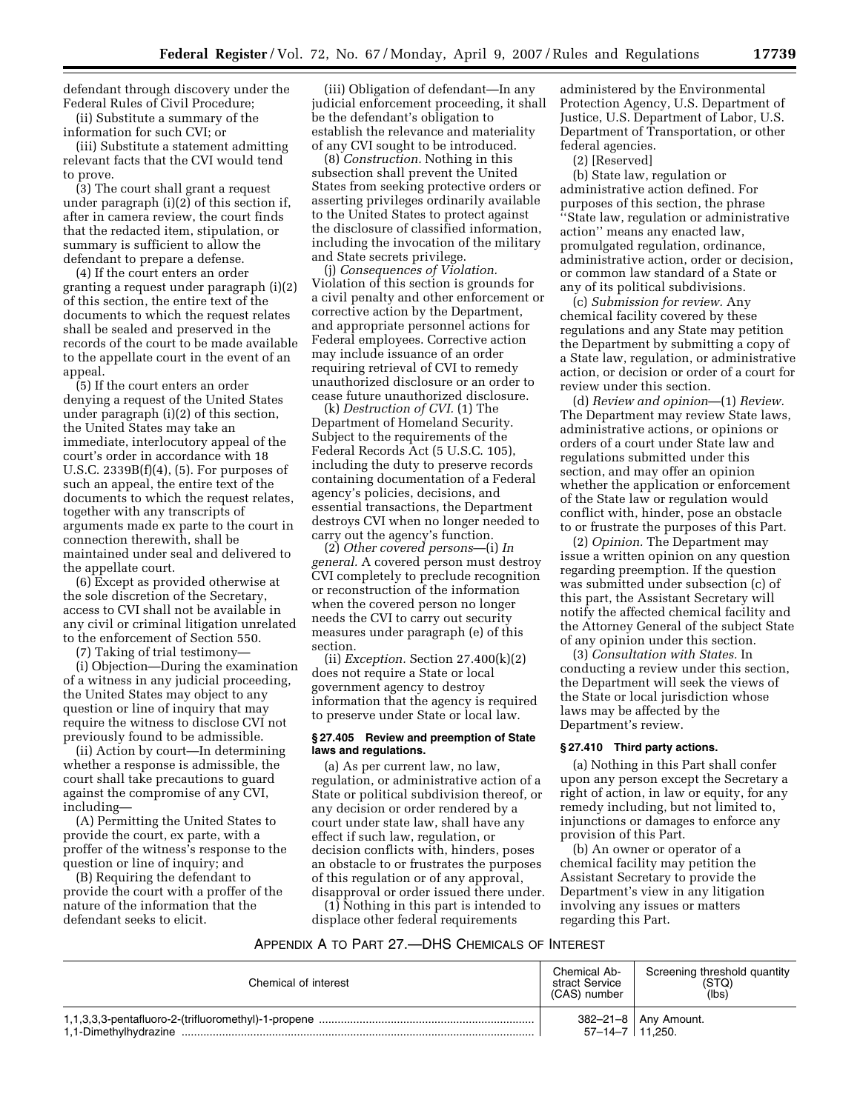defendant through discovery under the Federal Rules of Civil Procedure;

(ii) Substitute a summary of the information for such CVI; or

(iii) Substitute a statement admitting relevant facts that the CVI would tend to prove.

(3) The court shall grant a request under paragraph (i)(2) of this section if, after in camera review, the court finds that the redacted item, stipulation, or summary is sufficient to allow the defendant to prepare a defense.

(4) If the court enters an order granting a request under paragraph (i)(2) of this section, the entire text of the documents to which the request relates shall be sealed and preserved in the records of the court to be made available to the appellate court in the event of an appeal.

(5) If the court enters an order denying a request of the United States under paragraph (i)(2) of this section, the United States may take an immediate, interlocutory appeal of the court's order in accordance with 18 U.S.C. 2339B(f)(4), (5). For purposes of such an appeal, the entire text of the documents to which the request relates, together with any transcripts of arguments made ex parte to the court in connection therewith, shall be maintained under seal and delivered to the appellate court.

(6) Except as provided otherwise at the sole discretion of the Secretary, access to CVI shall not be available in any civil or criminal litigation unrelated to the enforcement of Section 550.

(7) Taking of trial testimony—

(i) Objection—During the examination of a witness in any judicial proceeding, the United States may object to any question or line of inquiry that may require the witness to disclose CVI not previously found to be admissible.

(ii) Action by court—In determining whether a response is admissible, the court shall take precautions to guard against the compromise of any CVI, including—

(A) Permitting the United States to provide the court, ex parte, with a proffer of the witness's response to the question or line of inquiry; and

(B) Requiring the defendant to provide the court with a proffer of the nature of the information that the defendant seeks to elicit.

(iii) Obligation of defendant—In any judicial enforcement proceeding, it shall be the defendant's obligation to establish the relevance and materiality of any CVI sought to be introduced.

(8) *Construction.* Nothing in this subsection shall prevent the United States from seeking protective orders or asserting privileges ordinarily available to the United States to protect against the disclosure of classified information, including the invocation of the military and State secrets privilege.

(j) *Consequences of Violation.*  Violation of this section is grounds for a civil penalty and other enforcement or corrective action by the Department, and appropriate personnel actions for Federal employees. Corrective action may include issuance of an order requiring retrieval of CVI to remedy unauthorized disclosure or an order to cease future unauthorized disclosure.

(k) *Destruction of CVI.* (1) The Department of Homeland Security. Subject to the requirements of the Federal Records Act (5 U.S.C. 105), including the duty to preserve records containing documentation of a Federal agency's policies, decisions, and essential transactions, the Department destroys CVI when no longer needed to carry out the agency's function.

(2) *Other covered persons*—(i) *In general.* A covered person must destroy CVI completely to preclude recognition or reconstruction of the information when the covered person no longer needs the CVI to carry out security measures under paragraph (e) of this section.

(ii) *Exception.* Section 27.400(k)(2) does not require a State or local government agency to destroy information that the agency is required to preserve under State or local law.

### **§ 27.405 Review and preemption of State laws and regulations.**

(a) As per current law, no law, regulation, or administrative action of a State or political subdivision thereof, or any decision or order rendered by a court under state law, shall have any effect if such law, regulation, or decision conflicts with, hinders, poses an obstacle to or frustrates the purposes of this regulation or of any approval, disapproval or order issued there under.

(1) Nothing in this part is intended to displace other federal requirements

administered by the Environmental Protection Agency, U.S. Department of Justice, U.S. Department of Labor, U.S. Department of Transportation, or other federal agencies.

(2) [Reserved]

(b) State law, regulation or administrative action defined. For purposes of this section, the phrase ''State law, regulation or administrative action'' means any enacted law, promulgated regulation, ordinance, administrative action, order or decision, or common law standard of a State or any of its political subdivisions.

(c) *Submission for review.* Any chemical facility covered by these regulations and any State may petition the Department by submitting a copy of a State law, regulation, or administrative action, or decision or order of a court for review under this section.

(d) *Review and opinion*—(1) *Review.*  The Department may review State laws, administrative actions, or opinions or orders of a court under State law and regulations submitted under this section, and may offer an opinion whether the application or enforcement of the State law or regulation would conflict with, hinder, pose an obstacle to or frustrate the purposes of this Part.

(2) *Opinion.* The Department may issue a written opinion on any question regarding preemption. If the question was submitted under subsection (c) of this part, the Assistant Secretary will notify the affected chemical facility and the Attorney General of the subject State of any opinion under this section.

(3) *Consultation with States.* In conducting a review under this section, the Department will seek the views of the State or local jurisdiction whose laws may be affected by the Department's review.

## **§ 27.410 Third party actions.**

(a) Nothing in this Part shall confer upon any person except the Secretary a right of action, in law or equity, for any remedy including, but not limited to, injunctions or damages to enforce any provision of this Part.

(b) An owner or operator of a chemical facility may petition the Assistant Secretary to provide the Department's view in any litigation involving any issues or matters regarding this Part.

# APPENDIX A TO PART 27.—DHS CHEMICALS OF INTEREST

| Chemical of interest | Chemical Ab-<br>stract Service<br>(CAS) number | Screening threshold quantity<br>(STQ)<br>(lbs) |
|----------------------|------------------------------------------------|------------------------------------------------|
|                      | 57-14-7   11.250.                              | $382 - 21 - 8$ Any Amount.                     |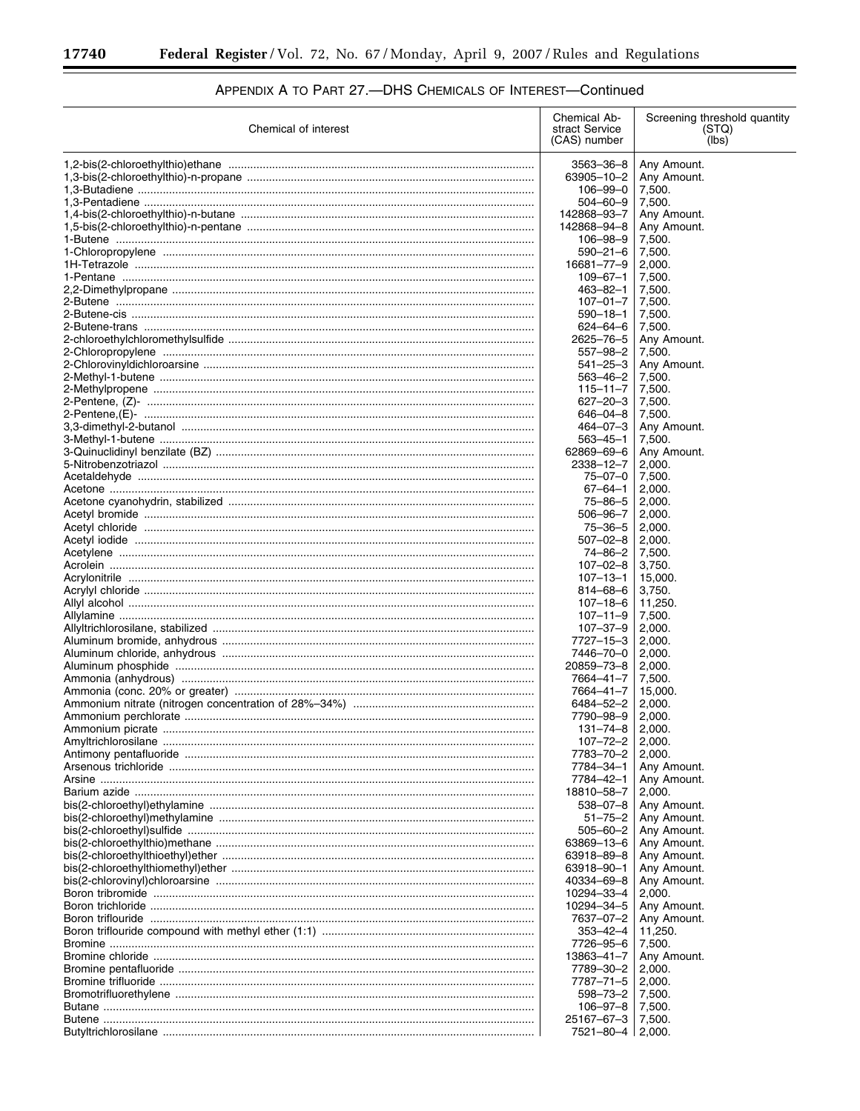Ξ

| Chemical of interest                                               | Chemical Ab-<br>stract Service<br>(CAS) number | Screening threshold quantity<br>(STQ)<br>(lbs) |
|--------------------------------------------------------------------|------------------------------------------------|------------------------------------------------|
|                                                                    |                                                |                                                |
|                                                                    | 3563-36-8                                      | Any Amount.                                    |
|                                                                    | 63905-10-2                                     | Any Amount.<br>7.500.                          |
|                                                                    | 106-99-0<br>504-60-9                           | 7,500.                                         |
|                                                                    | 142868-93-7                                    | Any Amount.                                    |
|                                                                    | 142868-94-8                                    | Any Amount.                                    |
|                                                                    | $106 - 98 - 9$                                 | 7,500.                                         |
|                                                                    | $590 - 21 - 6$                                 | 7,500.                                         |
|                                                                    | 16681-77-9                                     | 2,000.                                         |
|                                                                    | $109 - 67 - 1$                                 | 7,500.                                         |
|                                                                    | 463-82-1                                       | 7,500.                                         |
|                                                                    | $107 - 01 - 7$                                 | 7,500.                                         |
|                                                                    | $590 - 18 - 1$<br>$624 - 64 - 6$               | 7,500.<br>7,500.                               |
|                                                                    | 2625-76-5                                      | Any Amount.                                    |
|                                                                    | 557–98–2                                       | 7,500.                                         |
|                                                                    | $541 - 25 - 3$                                 | Any Amount.                                    |
|                                                                    | 563-46-2                                       | 7,500.                                         |
|                                                                    | $115 - 11 - 7$                                 | 7,500.                                         |
|                                                                    | $627 - 20 - 3$                                 | 7,500.                                         |
|                                                                    | $646 - 04 - 8$                                 | 7,500.                                         |
|                                                                    | $464 - 07 - 3$                                 | Any Amount.                                    |
| 3-Quinuclidinyl benzilate (BZ) …………………………………………………………………………………………  | 563–45–1<br>62869-69-6                         | 7,500.<br>Any Amount.                          |
|                                                                    | 2338-12-7                                      | 2,000.                                         |
|                                                                    | $75 - 07 - 0$                                  | 7,500.                                         |
|                                                                    | 67-64-1                                        | 2,000.                                         |
|                                                                    | 75-86-5                                        | 2,000.                                         |
|                                                                    | $506 - 96 - 7$                                 | 2,000.                                         |
|                                                                    | $75 - 36 - 5$                                  | 2,000.                                         |
|                                                                    | $507 - 02 - 8$                                 | 2,000.                                         |
|                                                                    | 74-86-2                                        | 7,500.                                         |
|                                                                    | $107 - 02 - 8$                                 | 3,750.                                         |
|                                                                    | $107 - 13 - 1$                                 | 15,000.                                        |
|                                                                    | 814-68-6<br>107-18-6                           | 3,750.<br>11,250.                              |
|                                                                    | $107 - 11 - 9$                                 | 7,500.                                         |
|                                                                    | $107 - 37 - 9$                                 | 2,000.                                         |
| Aluminum bromide, anhydrous …………………………………………………………………………………………     | 7727-15-3                                      | 2,000.                                         |
| Aluminum chloride, anhydrous …………………………………………………………………………………………    | 7446-70-0                                      | 2,000.                                         |
|                                                                    | 20859-73-8                                     | 2,000.                                         |
|                                                                    | 7664-41-7                                      | 7,500.                                         |
| Ammonia (conc. 20% or greater) …………………………………………………………………………………     | 7664-41-7                                      | 15,000.                                        |
|                                                                    | 6484-52-2                                      | 2,000.                                         |
|                                                                    | 7790-98-9                                      | 2,000.                                         |
|                                                                    | $131 - 74 - 8$                                 | 2,000.                                         |
|                                                                    | 107–72–2<br>7783-70-2                          | 2,000.<br>2,000.                               |
|                                                                    | 7784-34-1                                      | Any Amount.                                    |
|                                                                    | 7784-42-1                                      | Any Amount.                                    |
|                                                                    | 18810-58-7                                     | 2,000.                                         |
| bis(2-chloroethyl)ethylamine ………………………………………………………………………………………     | $538 - 07 - 8$                                 | Any Amount.                                    |
|                                                                    | $51 - 75 - 2$                                  | Any Amount.                                    |
|                                                                    | $505 - 60 - 2$                                 | Any Amount.                                    |
|                                                                    | 63869-13-6                                     | Any Amount.                                    |
| bis(2-chloroethylthioethyl)ether ……………………………………………………………………………………… | 63918-89-8                                     | Any Amount.                                    |
|                                                                    | 63918-90-1                                     | Any Amount.                                    |
|                                                                    | 40334-69-8                                     | Any Amount.                                    |
|                                                                    | 10294-33-4<br>10294-34-5                       | 2,000.                                         |
|                                                                    | 7637-07-2                                      | Any Amount.<br>Any Amount.                     |
|                                                                    | $353 - 42 - 4$                                 | 11,250.                                        |
|                                                                    | 7726-95-6                                      | 7,500.                                         |
|                                                                    | 13863-41-7                                     | Any Amount.                                    |
|                                                                    | 7789-30-2                                      | 2,000.                                         |
|                                                                    | 7787-71-5                                      | 2,000.                                         |
|                                                                    | 598-73-2                                       | 7,500.                                         |
|                                                                    | $106 - 97 - 8$                                 | 7,500.                                         |
|                                                                    | 25167-67-3                                     | 7,500.                                         |
|                                                                    | 7521-80-4                                      | 2,000.                                         |

# APPENDIX A TO PART 27 .- DHS CHEMICALS OF INTEREST-Continued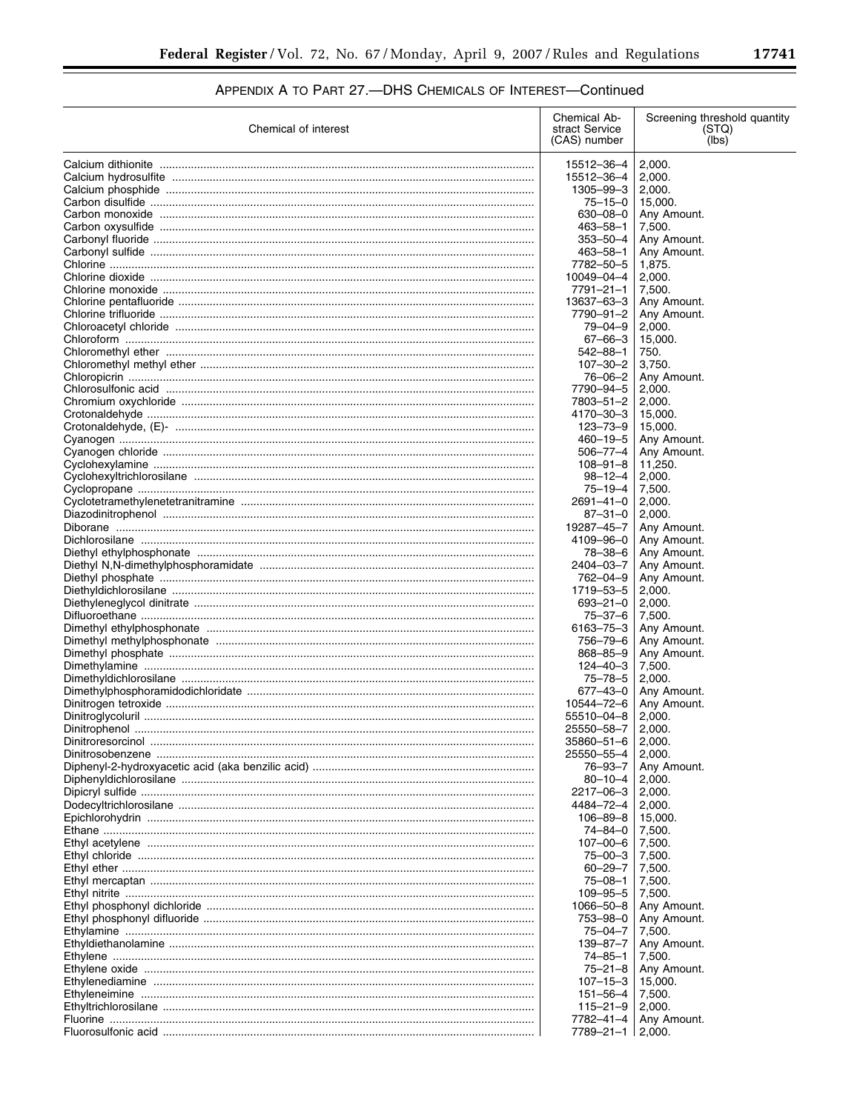$\equiv$ 

# APPENDIX A TO PART 27 .- DHS CHEMICALS OF INTEREST-Continued

| Chemical of interest                                                                                             | Chemical Ab-<br>stract Service<br>(CAS) number | Screening threshold quantity<br>(STQ)<br>(lbs) |
|------------------------------------------------------------------------------------------------------------------|------------------------------------------------|------------------------------------------------|
|                                                                                                                  |                                                |                                                |
|                                                                                                                  | 15512-36-4                                     | 2,000.                                         |
|                                                                                                                  | 15512-36-4                                     | 2,000.                                         |
|                                                                                                                  | 1305-99-3                                      | 2,000.                                         |
|                                                                                                                  | $75 - 15 - 0$                                  | 15,000.                                        |
|                                                                                                                  | $630 - 08 - 0$                                 | Any Amount.                                    |
|                                                                                                                  | $463 - 58 - 1$                                 | 7,500.                                         |
|                                                                                                                  | $353 - 50 - 4$                                 | Any Amount.                                    |
|                                                                                                                  | $463 - 58 - 1$                                 | Any Amount.                                    |
|                                                                                                                  | 7782-50-5                                      | 1,875.                                         |
|                                                                                                                  | 10049-04-4                                     | 2,000.                                         |
|                                                                                                                  | $7791 - 21 - 1$                                | 7,500.                                         |
|                                                                                                                  | 13637-63-3                                     | Any Amount.                                    |
|                                                                                                                  | 7790-91-2                                      | Any Amount.                                    |
|                                                                                                                  | $79 - 04 - 9$                                  | 2,000.                                         |
|                                                                                                                  | $67 - 66 - 3$                                  | 15,000.                                        |
|                                                                                                                  | 542-88-1                                       | 750.                                           |
|                                                                                                                  | 107-30-2                                       | 3,750.                                         |
|                                                                                                                  | 76-06-2                                        | Any Amount.                                    |
|                                                                                                                  | 7790-94-5                                      | 2,000.                                         |
|                                                                                                                  | 7803-51-2                                      | 2,000.                                         |
|                                                                                                                  | 4170-30-3                                      | 15,000.                                        |
|                                                                                                                  | 123-73-9                                       | 15,000.                                        |
|                                                                                                                  | $460 - 19 - 5$                                 | Any Amount.                                    |
|                                                                                                                  | $506 - 77 - 4$                                 | Any Amount.                                    |
|                                                                                                                  | $108 - 91 - 8$                                 | 11,250.                                        |
|                                                                                                                  | $98 - 12 - 4$                                  | 2,000.                                         |
|                                                                                                                  | $75 - 19 - 4$                                  | 7,500.                                         |
|                                                                                                                  | $2691 - 41 - 0$                                | 2,000.                                         |
|                                                                                                                  | $87 - 31 - 0$                                  | 2,000.                                         |
|                                                                                                                  | 19287-45-7                                     | Any Amount.                                    |
|                                                                                                                  | 4109-96-0                                      | Any Amount.                                    |
| Diethyl ethylphosphonate memorialismes contains and all the container container and the Diethyl ethylphosphonate | 78-38-6                                        | Any Amount.                                    |
|                                                                                                                  | 2404-03-7                                      | Any Amount.                                    |
|                                                                                                                  | 762-04-9                                       | Any Amount.                                    |
|                                                                                                                  | 1719 - 53 - 5                                  | 2,000.                                         |
|                                                                                                                  | $693 - 21 - 0$                                 | 2,000.                                         |
|                                                                                                                  | $75 - 37 - 6$                                  | 7,500.                                         |
|                                                                                                                  | $6163 - 75 - 3$                                | Any Amount.                                    |
|                                                                                                                  | 756-79-6                                       | Any Amount.                                    |
|                                                                                                                  | $868 - 85 - 9$                                 | Any Amount.                                    |
|                                                                                                                  | 124-40-3                                       | 7,500.                                         |
|                                                                                                                  | $75 - 78 - 5$                                  | 2,000.                                         |
|                                                                                                                  | $677 - 43 - 0$                                 | Any Amount.                                    |
|                                                                                                                  | 10544-72-6                                     | Any Amount.                                    |
|                                                                                                                  | 55510-04-8                                     | 2,000.                                         |
|                                                                                                                  | 25550-58-7                                     | 2,000.                                         |
|                                                                                                                  | $35860 - 51 - 6$                               | 2,000.                                         |
|                                                                                                                  | 25550-55-4                                     | 2,000.                                         |
|                                                                                                                  | 76–93–7                                        | Any Amount.                                    |
|                                                                                                                  | $80 - 10 - 4$                                  | 2,000.                                         |
|                                                                                                                  | 2217-06-3                                      | 2,000.                                         |
|                                                                                                                  | 4484–72–4                                      | 2,000.                                         |
|                                                                                                                  | $106 - 89 - 8$                                 | 15,000.                                        |
|                                                                                                                  | 74-84-0                                        | 7,500.                                         |
|                                                                                                                  | $107 - 00 - 6$                                 | 7,500.                                         |
|                                                                                                                  | $75 - 00 - 3$                                  | 7,500.                                         |
|                                                                                                                  | $60 - 29 - 7$                                  | 7,500.                                         |
|                                                                                                                  | $75 - 08 - 1$                                  | 7,500.                                         |
|                                                                                                                  | $109 - 95 - 5$                                 | 7,500.                                         |
|                                                                                                                  | 1066-50-8                                      | Any Amount.                                    |
|                                                                                                                  | 753-98-0                                       | Any Amount.                                    |
|                                                                                                                  | 75-04-7                                        | 7,500.                                         |
|                                                                                                                  | $139 - 87 - 7$                                 | Any Amount.                                    |
|                                                                                                                  | 74-85-1                                        | 7,500.                                         |
|                                                                                                                  | $75 - 21 - 8$                                  | Any Amount.                                    |
|                                                                                                                  | $107 - 15 - 3$                                 | 15,000.                                        |
|                                                                                                                  | $151 - 56 - 4$                                 | 7,500.                                         |
|                                                                                                                  | $115 - 21 - 9$                                 | 2,000.                                         |
|                                                                                                                  | 7782-41-4                                      | Any Amount.                                    |
|                                                                                                                  | 7789-21-1                                      | 2,000.                                         |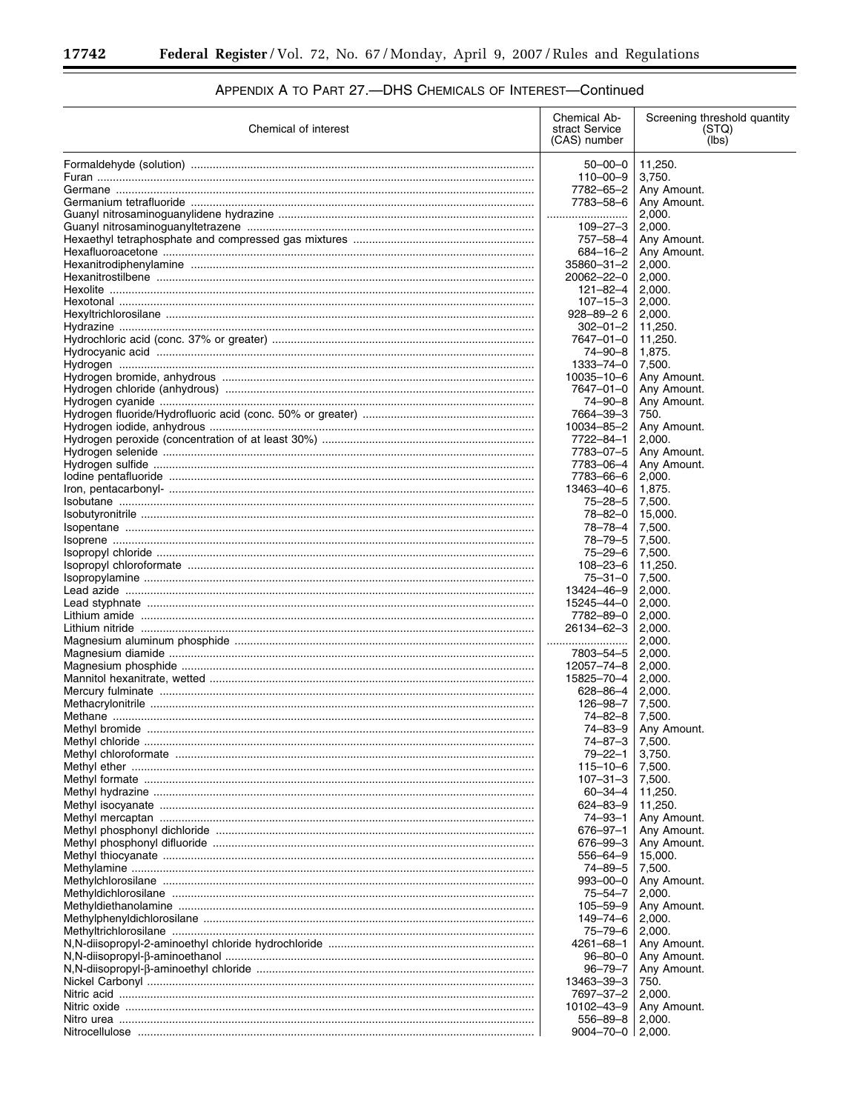| Chemical of interest                                                                                                                   | Chemical Ab-<br>stract Service<br>(CAS) number | Screening threshold quantity<br>(STQ)<br>(lbs) |
|----------------------------------------------------------------------------------------------------------------------------------------|------------------------------------------------|------------------------------------------------|
|                                                                                                                                        | $50 - 00 - 0$                                  | 11,250.                                        |
|                                                                                                                                        | $110 - 00 - 9$                                 | 3,750.                                         |
|                                                                                                                                        | 7782-65-2                                      | Any Amount.                                    |
|                                                                                                                                        | 7783-58-6                                      | Any Amount.                                    |
|                                                                                                                                        |                                                | 2,000.                                         |
|                                                                                                                                        | $109 - 27 - 3$                                 | 2,000.                                         |
|                                                                                                                                        | 757-58-4<br>684-16-2                           | Any Amount.<br>Any Amount.                     |
|                                                                                                                                        | 35860-31-2                                     | 2,000.                                         |
|                                                                                                                                        | 20062-22-0                                     | 2,000.                                         |
|                                                                                                                                        | $121 - 82 - 4$                                 | 2,000.                                         |
|                                                                                                                                        | $107 - 15 - 3$                                 | 2,000.                                         |
|                                                                                                                                        | $928 - 89 - 26$                                | 2,000.                                         |
|                                                                                                                                        | $302 - 01 - 2$                                 | 11,250.                                        |
|                                                                                                                                        | 7647-01-0<br>74-90-8                           | 11,250.<br>1,875.                              |
|                                                                                                                                        | 1333-74-0                                      | 7,500.                                         |
|                                                                                                                                        | 10035-10-6                                     | Any Amount.                                    |
|                                                                                                                                        | 7647-01-0                                      | Any Amount.                                    |
|                                                                                                                                        | $74 - 90 - 8$                                  | Any Amount.                                    |
|                                                                                                                                        | 7664-39-3                                      | 750.                                           |
|                                                                                                                                        | 10034-85-2                                     | Any Amount.                                    |
| Hydrogen peroxide (concentration of at least 30%) …………………………………………………………                                                               | 7722-84-1                                      | 2,000.                                         |
|                                                                                                                                        | 7783-07-5                                      | Any Amount.                                    |
|                                                                                                                                        | 7783-06-4<br>7783-66-6                         | Any Amount.<br>2,000.                          |
|                                                                                                                                        | 13463-40-6                                     | 1,875.                                         |
|                                                                                                                                        | $75 - 28 - 5$                                  | 7,500.                                         |
|                                                                                                                                        | 78-82-0                                        | 15,000.                                        |
|                                                                                                                                        | 78-78-4                                        | 7,500.                                         |
|                                                                                                                                        | 78-79-5                                        | 7,500.                                         |
|                                                                                                                                        | $75 - 29 - 6$                                  | 7,500.                                         |
|                                                                                                                                        | $108 - 23 - 6$                                 | 11,250.                                        |
|                                                                                                                                        | $75 - 31 - 0$                                  | 7,500.                                         |
|                                                                                                                                        | 13424-46-9<br>15245-44-0                       | 2,000.                                         |
|                                                                                                                                        | 7782-89-0                                      | 2,000.<br>2,000.                               |
|                                                                                                                                        | 26134-62-3                                     | 2,000.                                         |
|                                                                                                                                        |                                                | 2,000.                                         |
|                                                                                                                                        | 7803-54-5                                      | 2,000.                                         |
|                                                                                                                                        | 12057-74-8                                     | 2,000.                                         |
|                                                                                                                                        | 15825-70-4                                     | 2,000.                                         |
|                                                                                                                                        | 628-86-4                                       | 2,000.                                         |
|                                                                                                                                        | 126-98-7<br>74-82-8                            | 7,500.<br>7,500.                               |
|                                                                                                                                        | 74-83-9                                        | Any Amount.                                    |
|                                                                                                                                        | 74–87–3                                        | 7,500.                                         |
|                                                                                                                                        | 79-22-1                                        | 3,750.                                         |
|                                                                                                                                        | 115-10-6                                       | 7,500.                                         |
|                                                                                                                                        | $107 - 31 - 3$                                 | 7,500.                                         |
|                                                                                                                                        | 60-34-4                                        | 11,250.                                        |
|                                                                                                                                        | $624 - 83 - 9$                                 | 11,250.                                        |
|                                                                                                                                        | 74–93–1<br>676-97-1                            | Any Amount.                                    |
|                                                                                                                                        | 676-99-3                                       | Any Amount.<br>Any Amount.                     |
|                                                                                                                                        | 556–64–9                                       | 15,000.                                        |
|                                                                                                                                        | 74-89-5                                        | 7,500.                                         |
|                                                                                                                                        | $993 - 00 - 0$                                 | Any Amount.                                    |
|                                                                                                                                        | $75 - 54 - 7$                                  | 2,000.                                         |
|                                                                                                                                        | $105 - 59 - 9$                                 | Any Amount.                                    |
|                                                                                                                                        | 149-74-6                                       | 2,000.                                         |
|                                                                                                                                        | 75–79–6                                        | 2,000.                                         |
|                                                                                                                                        | 4261-68-1<br>$96 - 80 - 0$                     | Any Amount.                                    |
| N,N-diisopropyl-β-aminoethanol ……………………………………………………………………………………<br>N,N-diisopropyl-β-aminoethyl chloride …………………………………………………………………………… | $96 - 79 - 7$                                  | Any Amount.<br>Any Amount.                     |
|                                                                                                                                        | 13463-39-3                                     | 750.                                           |
|                                                                                                                                        | 7697-37-2                                      | 2,000.                                         |
|                                                                                                                                        | 10102-43-9                                     | Any Amount.                                    |
|                                                                                                                                        | 556–89–8                                       | 2,000.                                         |
|                                                                                                                                        | $9004 - 70 - 0$                                | 2,000.                                         |

# APPENDIX A TO PART 27 .- DHS CHEMICALS OF INTEREST-Continued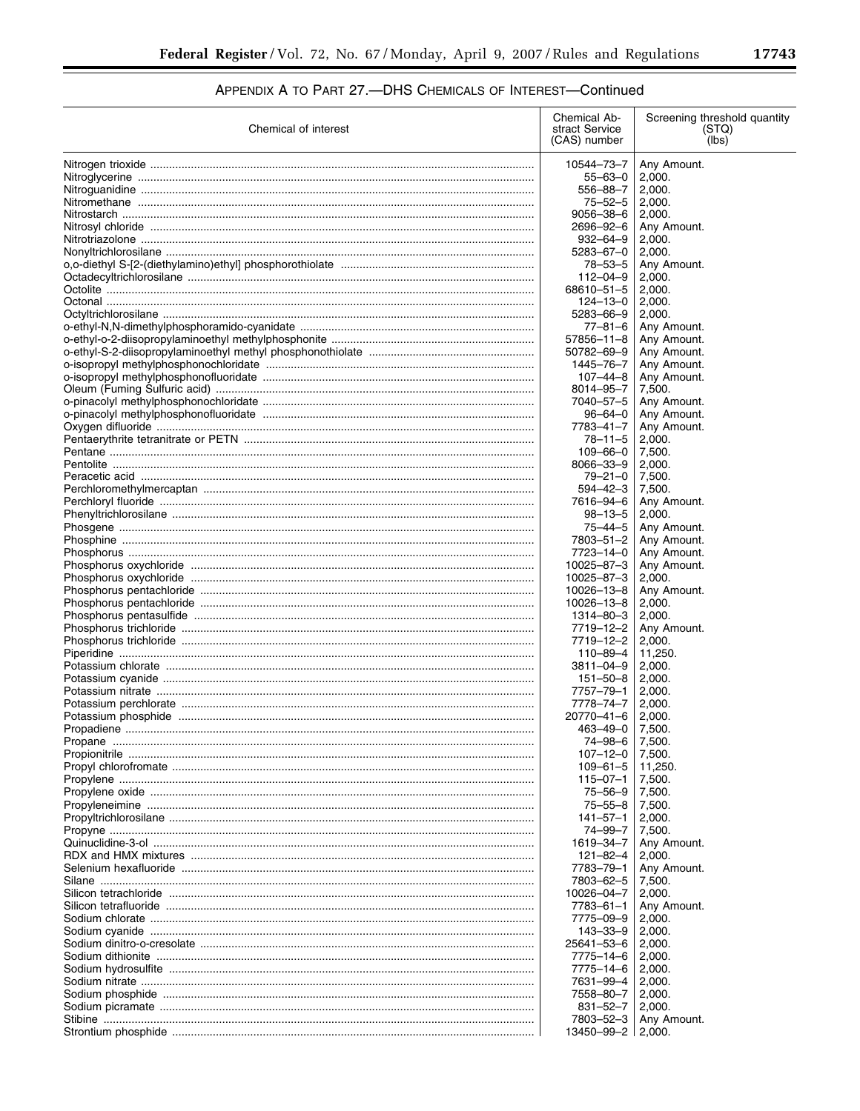# APPENDIX A TO PART 27 .- DHS CHEMICALS OF INTEREST-Continued

| Chemical of interest | Chemical Ab-<br>stract Service<br>(CAS) number | Screening threshold quantity<br>(STQ)<br>(lbs) |
|----------------------|------------------------------------------------|------------------------------------------------|
|                      | 10544-73-7                                     | Any Amount.                                    |
|                      | 55-63-0                                        | 2,000.                                         |
|                      | 556-88-7                                       | 2,000.                                         |
|                      | $75 - 52 - 5$                                  | 2,000.                                         |
|                      | $9056 - 38 - 6$                                | 2,000.                                         |
|                      | 2696-92-6                                      | Any Amount.                                    |
|                      | $932 - 64 - 9$<br>5283-67-0                    | 2,000.                                         |
|                      | $78 - 53 - 5$                                  | 2,000.<br>Any Amount.                          |
|                      | $112 - 04 - 9$                                 | 2.000.                                         |
|                      | 68610-51-5                                     | 2,000.                                         |
|                      | $124 - 13 - 0$                                 | 2,000.                                         |
|                      | 5283-66-9                                      | 2,000.                                         |
|                      | $77 - 81 - 6$                                  | Any Amount.                                    |
|                      | $57856 - 11 - 8$<br>50782-69-9                 | Any Amount.<br>Any Amount.                     |
|                      | 1445-76-7                                      | Any Amount.                                    |
|                      | $107 - 44 - 8$                                 | Any Amount.                                    |
|                      | $8014 - 95 - 7$                                | 7,500.                                         |
|                      | 7040-57-5                                      | Any Amount.                                    |
|                      | $96 - 64 - 0$                                  | Any Amount.                                    |
|                      | 7783-41-7<br>$78 - 11 - 5$                     | Any Amount.<br>2,000.                          |
|                      | $109 - 66 - 0$                                 | 7,500.                                         |
|                      | 8066-33-9                                      | 2,000.                                         |
|                      | $79 - 21 - 0$                                  | 7,500.                                         |
|                      | $594 - 42 - 3$                                 | 7,500.                                         |
|                      | 7616-94-6                                      | Any Amount.                                    |
|                      | $98 - 13 - 5$                                  | 2,000.                                         |
|                      | $75 - 44 - 5$<br>7803-51-2                     | Any Amount.                                    |
|                      | 7723-14-0                                      | Any Amount.<br>Any Amount.                     |
|                      | 10025-87-3                                     | Any Amount.                                    |
|                      | 10025-87-3                                     | 2,000.                                         |
|                      | 10026-13-8                                     | Any Amount.                                    |
|                      | 10026-13-8                                     | 2,000.                                         |
|                      | 1314-80-3                                      | 2,000.                                         |
|                      | 7719-12-2<br>7719–12–2                         | Any Amount.<br>2,000.                          |
|                      | 110–89–4                                       | 11,250.                                        |
|                      | 3811-04-9                                      | 2,000.                                         |
|                      | $151 - 50 - 8$                                 | 2,000.                                         |
|                      | 7757-79-1                                      | 2,000.                                         |
|                      | 7778–74–7                                      | 2,000.                                         |
|                      | 20770-41-6<br>463-49-0                         | 2,000.<br>7,500.                               |
|                      | 74–98–6                                        | 7,500.                                         |
|                      | $107 - 12 - 0$                                 | 7,500.                                         |
|                      | $109 - 61 - 5$                                 | 11,250.                                        |
|                      | 115-07-1                                       | 7,500.                                         |
|                      | 75-56-9                                        | 7,500.                                         |
|                      | $75 - 55 - 8$                                  | 7,500.                                         |
|                      | 141–57–1<br>74–99–7                            | 2,000.<br>7,500.                               |
|                      | 1619–34–7                                      | Any Amount.                                    |
|                      | 121–82–4                                       | 2,000.                                         |
|                      | 7783-79-1                                      | Any Amount.                                    |
|                      | 7803-62-5                                      | 7,500.                                         |
|                      | 10026-04-7                                     | 2,000.                                         |
|                      | 7783–61–1<br>7775-09-9                         | Any Amount.<br>2,000.                          |
|                      | 143–33–9                                       | 2,000.                                         |
|                      | 25641-53-6                                     | 2,000.                                         |
|                      | 7775–14–6                                      | 2,000.                                         |
|                      | 7775–14–6                                      | 2,000.                                         |
|                      | 7631–99–4                                      | 2,000.                                         |
|                      | 7558–80–7                                      | 2,000.                                         |
|                      | 831-52-7<br>7803-52-3                          | 2,000.<br>Any Amount.                          |
|                      | 13450-99-2                                     | 2,000.                                         |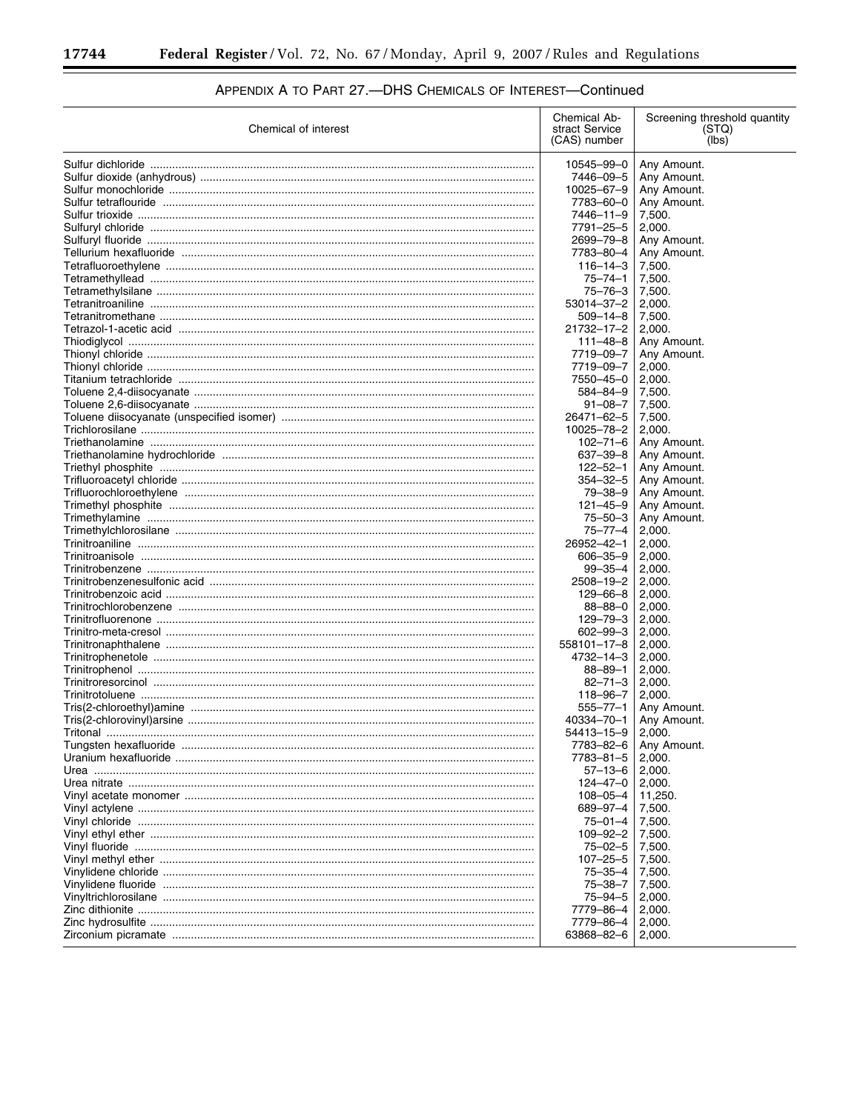۳

| Chemical of interest                                           | Chemical Ab-<br>stract Service<br>(CAS) number | Screening threshold quantity<br>(STQ)<br>(lbs) |
|----------------------------------------------------------------|------------------------------------------------|------------------------------------------------|
|                                                                | 10545-99-0                                     | Any Amount.                                    |
| Sulfur dioxide (anhydrous) …………………………………………………………………………………………… | 7446-09-5                                      | Any Amount.                                    |
|                                                                | $10025 - 67 - 9$                               | Any Amount.                                    |
|                                                                | 7783-60-0                                      | Any Amount.                                    |
|                                                                | 7446-11-9                                      | 7,500.                                         |
|                                                                | 7791-25-5                                      | 2,000.                                         |
|                                                                | 2699-79-8                                      | Any Amount.                                    |
|                                                                | 7783-80-4                                      | Any Amount.                                    |
|                                                                | $116 - 14 - 3$                                 | 7,500.                                         |
|                                                                | $75 - 74 - 1$                                  | 7,500.                                         |
|                                                                | $75 - 76 - 3$                                  | 7,500.                                         |
|                                                                | 53014-37-2                                     | 2,000.                                         |
|                                                                | $509 - 14 - 8$                                 | 7,500.                                         |
|                                                                | 21732-17-2                                     | 2,000.                                         |
|                                                                | $111 - 48 - 8$                                 | Any Amount.                                    |
|                                                                | 7719-09-7                                      | Any Amount.                                    |
|                                                                | 7719-09-7                                      | 2,000.                                         |
|                                                                | 7550-45-0                                      | 2,000.                                         |
|                                                                | $584 - 84 - 9$                                 | 7,500.                                         |
|                                                                | $91 - 08 - 7$                                  | 7,500.                                         |
|                                                                | 26471-62-5                                     | 7,500.                                         |
|                                                                | 10025-78-2                                     | 2,000.                                         |
|                                                                | $102 - 71 - 6$                                 | Any Amount.                                    |
|                                                                | $637 - 39 - 8$                                 | Any Amount.                                    |
|                                                                | $122 - 52 - 1$                                 | Any Amount.                                    |
|                                                                | $354 - 32 - 5$                                 | Any Amount.                                    |
|                                                                | $79 - 38 - 9$<br>$121 - 45 - 9$                | Any Amount.                                    |
|                                                                | $75 - 50 - 3$                                  | Any Amount.                                    |
|                                                                | $75 - 77 - 4$                                  | Any Amount.<br>2,000.                          |
|                                                                | 26952-42-1                                     | 2,000.                                         |
|                                                                | $606 - 35 - 9$                                 | 2,000.                                         |
|                                                                | $99 - 35 - 4$                                  | 2,000.                                         |
|                                                                | 2508-19-2                                      | 2,000.                                         |
|                                                                | $129 - 66 - 8$                                 | 2,000.                                         |
|                                                                | $88 - 88 - 0$                                  | 2,000.                                         |
|                                                                | $129 - 79 - 3$                                 | 2,000.                                         |
|                                                                | $602 - 99 - 3$                                 | 2,000.                                         |
|                                                                | 558101-17-8                                    | 2,000.                                         |
|                                                                | 4732-14-3                                      | 2,000.                                         |
|                                                                | $88 - 89 - 1$                                  | 2,000.                                         |
|                                                                | $82 - 71 - 3$                                  | 2,000.                                         |
|                                                                | 118-96-7                                       | 2,000.                                         |
|                                                                | $555 - 77 - 1$                                 | Any Amount.                                    |
|                                                                | 40334-70-1                                     | Any Amount.                                    |
|                                                                | 54413-15-9                                     | 2,000.                                         |
|                                                                | 7783-82-6                                      | Any Amount.                                    |
|                                                                | 7783-81-5                                      | 2,000.                                         |
|                                                                | $57 - 13 - 6$                                  | 2,000.                                         |
|                                                                | $124 - 47 - 0$                                 | 2,000.                                         |
|                                                                | $108 - 05 - 4$                                 | 11,250.                                        |
|                                                                | 689-97-4<br>$75 - 01 - 4$                      | 7,500.<br>7,500.                               |
|                                                                | $109 - 92 - 2$                                 | 7,500.                                         |
|                                                                | $75 - 02 - 5$                                  | 7,500.                                         |
|                                                                | $107 - 25 - 5$                                 | 7,500.                                         |
|                                                                | $75 - 35 - 4$                                  | 7,500.                                         |
|                                                                | 75-38-7                                        | 7,500.                                         |
|                                                                | $75 - 94 - 5$                                  | 2,000.                                         |
|                                                                | 7779-86-4                                      | 2,000.                                         |
|                                                                | 7779-86-4                                      | 2,000.                                         |
|                                                                | 63868-82-6                                     | 2,000.                                         |
|                                                                |                                                |                                                |

# APPENDIX A TO PART 27 .- DHS CHEMICALS OF INTEREST-Continued